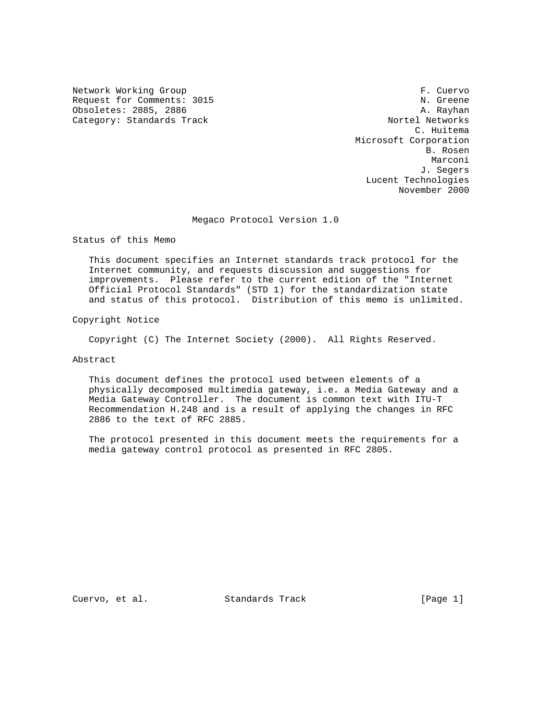Network Working Group **F. Cuervo** Request for Comments: 3015 N. Greene Obsoletes: 2885, 2886<br>Category: Standards Track Category: Nortel Networks Category: Standards Track

 C. Huitema Microsoft Corporation B. Rosen Marconi (1999) and the set of the set of the set of the set of the set of the set of the set of the set of the J. Segers Lucent Technologies November 2000

Megaco Protocol Version 1.0

Status of this Memo

 This document specifies an Internet standards track protocol for the Internet community, and requests discussion and suggestions for improvements. Please refer to the current edition of the "Internet Official Protocol Standards" (STD 1) for the standardization state and status of this protocol. Distribution of this memo is unlimited.

Copyright Notice

Copyright (C) The Internet Society (2000). All Rights Reserved.

Abstract

 This document defines the protocol used between elements of a physically decomposed multimedia gateway, i.e. a Media Gateway and a Media Gateway Controller. The document is common text with ITU-T Recommendation H.248 and is a result of applying the changes in RFC 2886 to the text of RFC 2885.

 The protocol presented in this document meets the requirements for a media gateway control protocol as presented in RFC 2805.

Cuervo, et al. Standards Track [Page 1]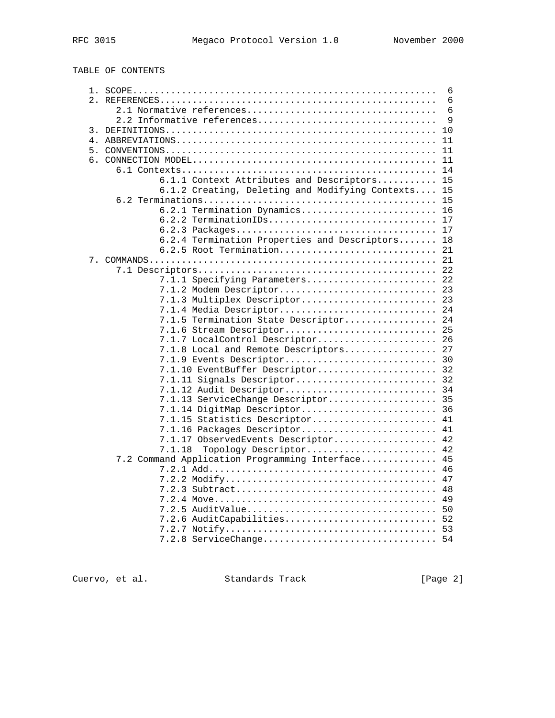TABLE OF CONTENTS

|                                                 | 6        |
|-------------------------------------------------|----------|
|                                                 | 6        |
|                                                 | 6        |
| 2.2 Informative references                      | 9        |
|                                                 | 10       |
|                                                 | 11       |
|                                                 | 11       |
|                                                 | 11       |
|                                                 | 14       |
| 6.1.1 Context Attributes and Descriptors        | 15       |
| 6.1.2 Creating, Deleting and Modifying Contexts | 15       |
|                                                 | 15       |
| 6.2.1 Termination Dynamics                      | 16       |
| $6.2.2$ TerminationIDs                          | 17       |
|                                                 | 17       |
| 6.2.4 Termination Properties and Descriptors    | 18       |
| 6.2.5 Root Termination                          | 21       |
|                                                 | 21       |
|                                                 | 22       |
| 7.1.1 Specifying Parameters                     | 22       |
| 7.1.2 Modem Descriptor                          | 23       |
| 7.1.3 Multiplex Descriptor                      | 23       |
| 7.1.4 Media Descriptor                          | 24       |
| 7.1.5 Termination State Descriptor              | 24       |
| 7.1.6 Stream Descriptor                         | 25       |
| 7.1.7 LocalControl Descriptor                   | 26       |
| 7.1.8 Local and Remote Descriptors              | 27       |
| 7.1.9 Events Descriptor                         | 30       |
| 7.1.10 EventBuffer Descriptor                   | 32       |
| 7.1.11 Signals Descriptor                       | 32       |
| 7.1.12 Audit Descriptor                         | 34       |
| 7.1.13 ServiceChange Descriptor                 | 35       |
| 7.1.14 DigitMap Descriptor                      | 36       |
| 7.1.15 Statistics Descriptor                    | 41       |
| 7.1.16 Packages Descriptor                      | 41       |
| 7.1.17 ObservedEvents Descriptor                | 42       |
| 7.1.18<br>Topology Descriptor                   | 42       |
| 7.2 Command Application Programming Interface   | 45       |
|                                                 | 46       |
|                                                 | 47<br>48 |
|                                                 | 49       |
| 7.2.5 AuditValue                                | 50       |
| 7.2.6 AuditCapabilities                         | 52       |
|                                                 | 53       |
| 7.2.8 ServiceChange 54                          |          |
|                                                 |          |

Cuervo, et al. Standards Track [Page 2]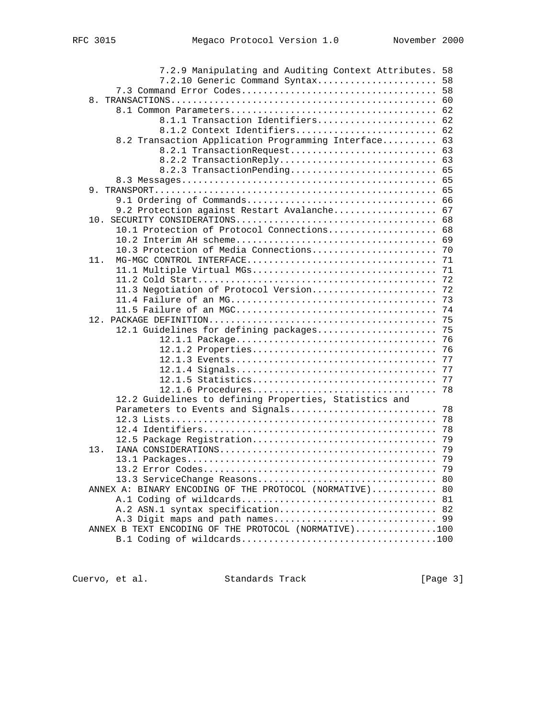| 7.2.9 Manipulating and Auditing Context Attributes. 58  |    |
|---------------------------------------------------------|----|
| 7.2.10 Generic Command Syntax 58                        |    |
|                                                         | 58 |
| 8.                                                      | 60 |
|                                                         |    |
| 8.1.1 Transaction Identifiers                           | 62 |
| 8.1.2 Context Identifiers                               | 62 |
| 8.2 Transaction Application Programming Interface 63    |    |
| 8.2.1 TransactionRequest                                | 63 |
| 8.2.2 TransactionReply 63                               |    |
| 8.2.3 TransactionPending 65                             |    |
|                                                         | 65 |
|                                                         | 65 |
|                                                         | 66 |
| 9.2 Protection against Restart Avalanche                | 67 |
|                                                         | 68 |
| 10.1 Protection of Protocol Connections 68              |    |
|                                                         | 69 |
| 10.3 Protection of Media Connections                    | 70 |
| MG-MGC CONTROL INTERFACE<br>11.                         | 71 |
| 11.1 Multiple Virtual MGs                               | 71 |
|                                                         | 72 |
| 11.3 Negotiation of Protocol Version                    | 72 |
|                                                         | 73 |
|                                                         | 74 |
|                                                         | 75 |
| 12.1 Guidelines for defining packages                   | 75 |
|                                                         | 76 |
| 12.1.2 Properties                                       | 76 |
|                                                         | 77 |
|                                                         | 77 |
|                                                         | 77 |
| 12.1.6 Procedures                                       | 78 |
| 12.2 Guidelines to defining Properties, Statistics and  |    |
| Parameters to Events and Signals                        | 78 |
|                                                         | 78 |
|                                                         | 78 |
| 12.5 Package Registration                               | 79 |
| 13.                                                     | 79 |
|                                                         | 79 |
|                                                         | 79 |
|                                                         |    |
| ANNEX A: BINARY ENCODING OF THE PROTOCOL (NORMATIVE) 80 |    |
|                                                         |    |
| A.2 ASN.1 syntax specification 82                       |    |
|                                                         |    |
| ANNEX B TEXT ENCODING OF THE PROTOCOL (NORMATIVE)100    |    |
|                                                         |    |
|                                                         |    |

Cuervo, et al. Standards Track [Page 3]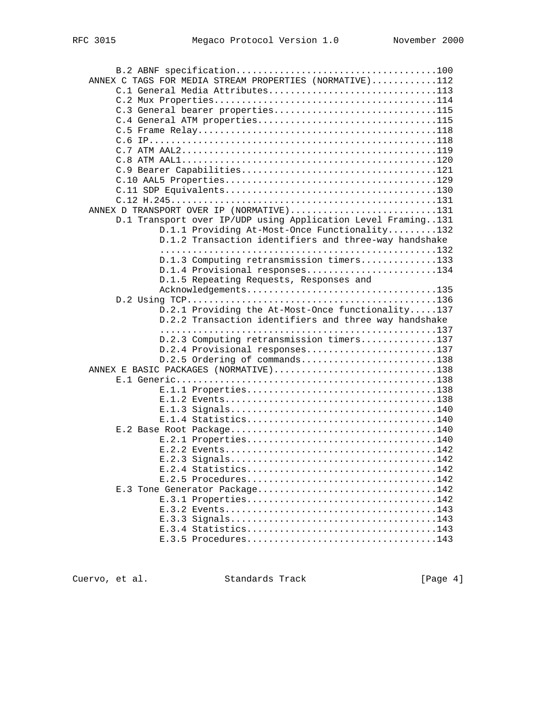| ANNEX C TAGS FOR MEDIA STREAM PROPERTIES (NORMATIVE)112                                                    |  |
|------------------------------------------------------------------------------------------------------------|--|
| C.1 General Media Attributes113                                                                            |  |
|                                                                                                            |  |
| C.3 General bearer properties115                                                                           |  |
| C.4 General ATM properties115                                                                              |  |
|                                                                                                            |  |
|                                                                                                            |  |
|                                                                                                            |  |
|                                                                                                            |  |
|                                                                                                            |  |
|                                                                                                            |  |
|                                                                                                            |  |
|                                                                                                            |  |
| ANNEX D TRANSPORT OVER IP (NORMATIVE)131                                                                   |  |
| D.1 Transport over IP/UDP using Application Level Framing131                                               |  |
| D.1.1 Providing At-Most-Once Functionality132<br>D.1.2 Transaction identifiers and three-way handshake     |  |
|                                                                                                            |  |
| D.1.3 Computing retransmission timers133                                                                   |  |
| D.1.4 Provisional responses134                                                                             |  |
| D.1.5 Repeating Requests, Responses and                                                                    |  |
| Acknowledgements135                                                                                        |  |
|                                                                                                            |  |
|                                                                                                            |  |
|                                                                                                            |  |
| D.2.1 Providing the At-Most-Once functionality137<br>D.2.2 Transaction identifiers and three way handshake |  |
|                                                                                                            |  |
| D.2.3 Computing retransmission timers137                                                                   |  |
| D.2.4 Provisional responses137                                                                             |  |
| D.2.5 Ordering of commands138                                                                              |  |
| ANNEX E BASIC PACKAGES (NORMATIVE)138                                                                      |  |
|                                                                                                            |  |
|                                                                                                            |  |
|                                                                                                            |  |
|                                                                                                            |  |
|                                                                                                            |  |
|                                                                                                            |  |
|                                                                                                            |  |
|                                                                                                            |  |
|                                                                                                            |  |
|                                                                                                            |  |
| E.2.5 Procedures142                                                                                        |  |
| E.3 Tone Generator Package142                                                                              |  |
| $E.3.1$ Properties142                                                                                      |  |
|                                                                                                            |  |
|                                                                                                            |  |
| E.3.5 Procedures143                                                                                        |  |

Cuervo, et al. Standards Track [Page 4]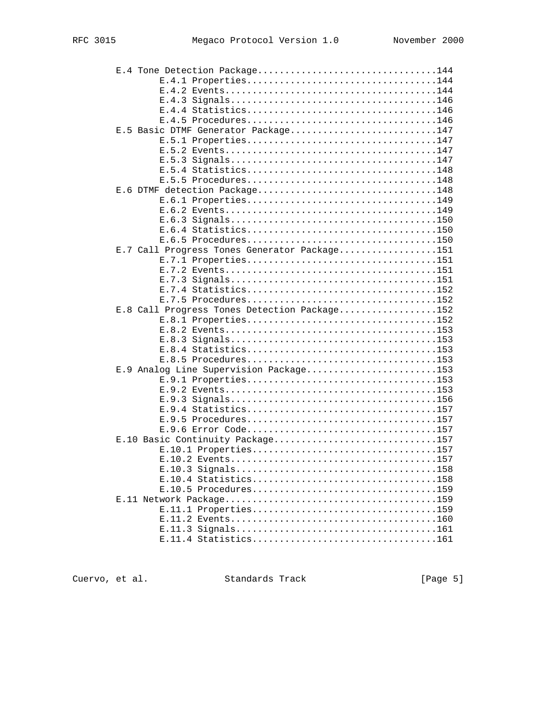| E.4 Tone Detection Package144                |  |
|----------------------------------------------|--|
| E.4.1 Properties144                          |  |
|                                              |  |
|                                              |  |
|                                              |  |
| E.4.5 Procedures146                          |  |
| E.5 Basic DTMF Generator Package147          |  |
| E.5.1 Properties147                          |  |
|                                              |  |
|                                              |  |
|                                              |  |
| E.5.5 Procedures148                          |  |
| E.6 DTMF detection Package148                |  |
| E.6.1 Properties149                          |  |
|                                              |  |
|                                              |  |
|                                              |  |
|                                              |  |
| E.7 Call Progress Tones Generator Package151 |  |
| E.7.1 Properties151                          |  |
|                                              |  |
|                                              |  |
|                                              |  |
| E.7.5 Procedures152                          |  |
| E.8 Call Progress Tones Detection Package152 |  |
| E.8.1 Properties152                          |  |
|                                              |  |
|                                              |  |
|                                              |  |
|                                              |  |
| E.9 Analog Line Supervision Package153       |  |
| E.9.1 Properties153                          |  |
|                                              |  |
|                                              |  |
|                                              |  |
| E.9.5 Procedures157                          |  |
|                                              |  |
| E.10 Basic Continuity Package157             |  |
| E.10.1 Properties157                         |  |
|                                              |  |
|                                              |  |
|                                              |  |
| E.10.5 Procedures159                         |  |
|                                              |  |
| E.11.1 Properties159                         |  |
|                                              |  |
|                                              |  |
|                                              |  |

Cuervo, et al. Standards Track [Page 5]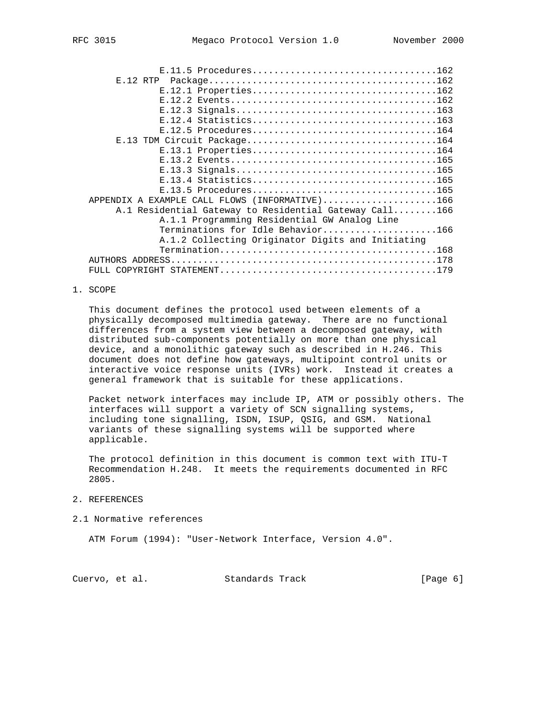| E.11.5 Procedures162                                   |  |
|--------------------------------------------------------|--|
| $E.12$ RTP                                             |  |
| E.12.1 Properties162                                   |  |
|                                                        |  |
|                                                        |  |
|                                                        |  |
|                                                        |  |
|                                                        |  |
|                                                        |  |
| E.13.1 Properties164                                   |  |
|                                                        |  |
|                                                        |  |
|                                                        |  |
| E.13.5 Procedures165                                   |  |
| APPENDIX A EXAMPLE CALL FLOWS (INFORMATIVE)166         |  |
| A.1 Residential Gateway to Residential Gateway Call166 |  |
| A.1.1 Programming Residential GW Analog Line           |  |
| Terminations for Idle Behavior166                      |  |

 A.1.2 Collecting Originator Digits and Initiating Termination........................................168 AUTHORS ADDRESS.................................................178 FULL COPYRIGHT STATEMENT........................................179

## 1. SCOPE

 This document defines the protocol used between elements of a physically decomposed multimedia gateway. There are no functional differences from a system view between a decomposed gateway, with distributed sub-components potentially on more than one physical device, and a monolithic gateway such as described in H.246. This document does not define how gateways, multipoint control units or interactive voice response units (IVRs) work. Instead it creates a general framework that is suitable for these applications.

 Packet network interfaces may include IP, ATM or possibly others. The interfaces will support a variety of SCN signalling systems, including tone signalling, ISDN, ISUP, QSIG, and GSM. National variants of these signalling systems will be supported where applicable.

 The protocol definition in this document is common text with ITU-T Recommendation H.248. It meets the requirements documented in RFC 2805.

#### 2. REFERENCES

#### 2.1 Normative references

ATM Forum (1994): "User-Network Interface, Version 4.0".

Cuervo, et al. Standards Track (Page 6)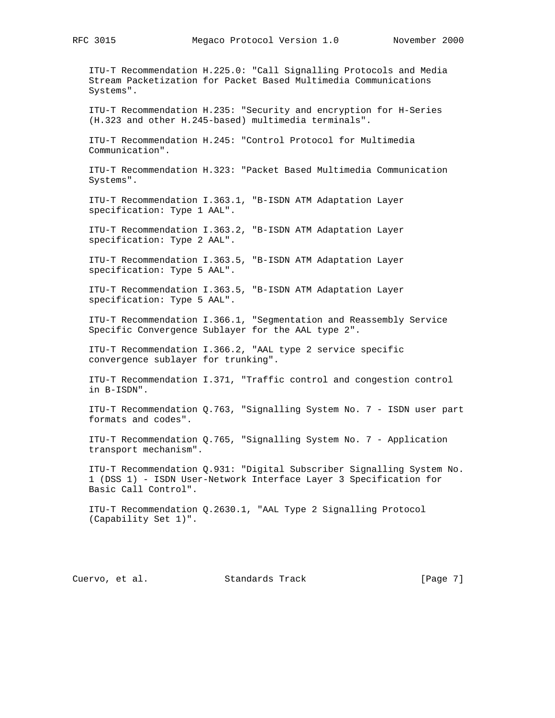ITU-T Recommendation H.225.0: "Call Signalling Protocols and Media Stream Packetization for Packet Based Multimedia Communications Systems".

 ITU-T Recommendation H.235: "Security and encryption for H-Series (H.323 and other H.245-based) multimedia terminals".

 ITU-T Recommendation H.245: "Control Protocol for Multimedia Communication".

 ITU-T Recommendation H.323: "Packet Based Multimedia Communication Systems".

 ITU-T Recommendation I.363.1, "B-ISDN ATM Adaptation Layer specification: Type 1 AAL".

 ITU-T Recommendation I.363.2, "B-ISDN ATM Adaptation Layer specification: Type 2 AAL".

 ITU-T Recommendation I.363.5, "B-ISDN ATM Adaptation Layer specification: Type 5 AAL".

 ITU-T Recommendation I.363.5, "B-ISDN ATM Adaptation Layer specification: Type 5 AAL".

 ITU-T Recommendation I.366.1, "Segmentation and Reassembly Service Specific Convergence Sublayer for the AAL type 2".

 ITU-T Recommendation I.366.2, "AAL type 2 service specific convergence sublayer for trunking".

 ITU-T Recommendation I.371, "Traffic control and congestion control in B-ISDN".

 ITU-T Recommendation Q.763, "Signalling System No. 7 - ISDN user part formats and codes".

 ITU-T Recommendation Q.765, "Signalling System No. 7 - Application transport mechanism".

 ITU-T Recommendation Q.931: "Digital Subscriber Signalling System No. 1 (DSS 1) - ISDN User-Network Interface Layer 3 Specification for Basic Call Control".

 ITU-T Recommendation Q.2630.1, "AAL Type 2 Signalling Protocol (Capability Set 1)".

Cuervo, et al. Standards Track [Page 7]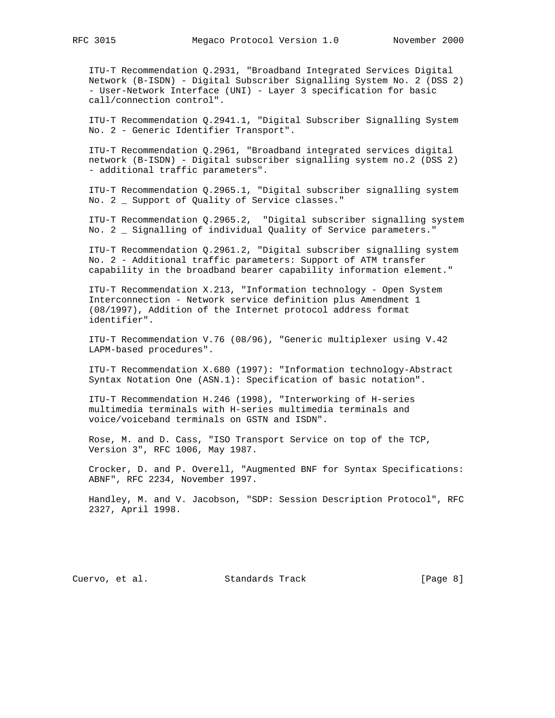ITU-T Recommendation Q.2931, "Broadband Integrated Services Digital Network (B-ISDN) - Digital Subscriber Signalling System No. 2 (DSS 2) - User-Network Interface (UNI) - Layer 3 specification for basic call/connection control".

 ITU-T Recommendation Q.2941.1, "Digital Subscriber Signalling System No. 2 - Generic Identifier Transport".

 ITU-T Recommendation Q.2961, "Broadband integrated services digital network (B-ISDN) - Digital subscriber signalling system no.2 (DSS 2) - additional traffic parameters".

 ITU-T Recommendation Q.2965.1, "Digital subscriber signalling system No. 2 \_ Support of Quality of Service classes."

 ITU-T Recommendation Q.2965.2, "Digital subscriber signalling system No. 2 \_ Signalling of individual Quality of Service parameters."

 ITU-T Recommendation Q.2961.2, "Digital subscriber signalling system No. 2 - Additional traffic parameters: Support of ATM transfer capability in the broadband bearer capability information element."

 ITU-T Recommendation X.213, "Information technology - Open System Interconnection - Network service definition plus Amendment 1 (08/1997), Addition of the Internet protocol address format identifier".

 ITU-T Recommendation V.76 (08/96), "Generic multiplexer using V.42 LAPM-based procedures".

 ITU-T Recommendation X.680 (1997): "Information technology-Abstract Syntax Notation One (ASN.1): Specification of basic notation".

 ITU-T Recommendation H.246 (1998), "Interworking of H-series multimedia terminals with H-series multimedia terminals and voice/voiceband terminals on GSTN and ISDN".

 Rose, M. and D. Cass, "ISO Transport Service on top of the TCP, Version 3", RFC 1006, May 1987.

 Crocker, D. and P. Overell, "Augmented BNF for Syntax Specifications: ABNF", RFC 2234, November 1997.

 Handley, M. and V. Jacobson, "SDP: Session Description Protocol", RFC 2327, April 1998.

Cuervo, et al. Standards Track (Page 8)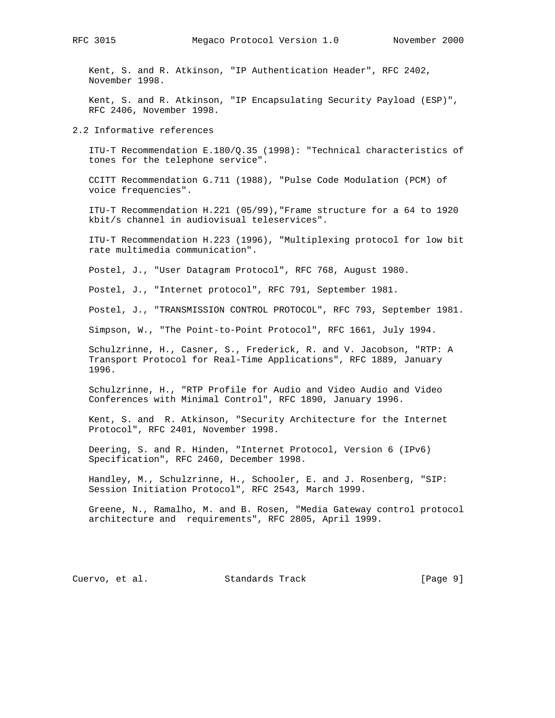Kent, S. and R. Atkinson, "IP Authentication Header", RFC 2402, November 1998.

 Kent, S. and R. Atkinson, "IP Encapsulating Security Payload (ESP)", RFC 2406, November 1998.

2.2 Informative references

 ITU-T Recommendation E.180/Q.35 (1998): "Technical characteristics of tones for the telephone service".

 CCITT Recommendation G.711 (1988), "Pulse Code Modulation (PCM) of voice frequencies".

 ITU-T Recommendation H.221 (05/99),"Frame structure for a 64 to 1920 kbit/s channel in audiovisual teleservices".

 ITU-T Recommendation H.223 (1996), "Multiplexing protocol for low bit rate multimedia communication".

Postel, J., "User Datagram Protocol", RFC 768, August 1980.

Postel, J., "Internet protocol", RFC 791, September 1981.

Postel, J., "TRANSMISSION CONTROL PROTOCOL", RFC 793, September 1981.

Simpson, W., "The Point-to-Point Protocol", RFC 1661, July 1994.

 Schulzrinne, H., Casner, S., Frederick, R. and V. Jacobson, "RTP: A Transport Protocol for Real-Time Applications", RFC 1889, January 1996.

 Schulzrinne, H., "RTP Profile for Audio and Video Audio and Video Conferences with Minimal Control", RFC 1890, January 1996.

 Kent, S. and R. Atkinson, "Security Architecture for the Internet Protocol", RFC 2401, November 1998.

 Deering, S. and R. Hinden, "Internet Protocol, Version 6 (IPv6) Specification", RFC 2460, December 1998.

 Handley, M., Schulzrinne, H., Schooler, E. and J. Rosenberg, "SIP: Session Initiation Protocol", RFC 2543, March 1999.

 Greene, N., Ramalho, M. and B. Rosen, "Media Gateway control protocol architecture and requirements", RFC 2805, April 1999.

Cuervo, et al. Standards Track (Page 9)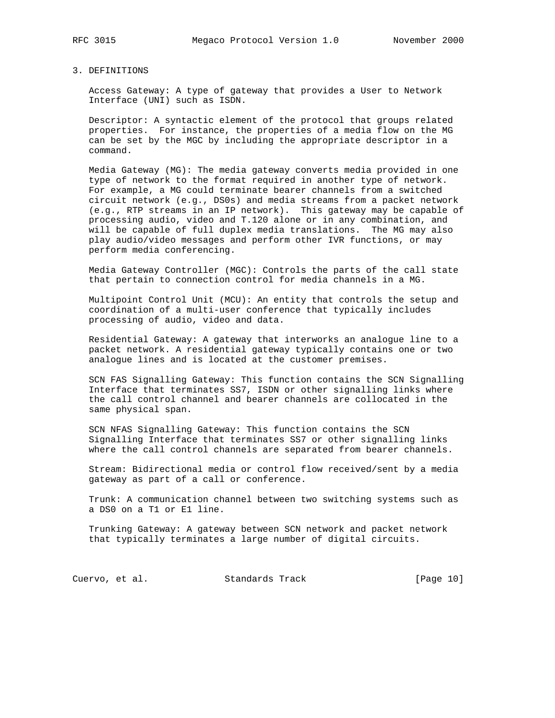## 3. DEFINITIONS

 Access Gateway: A type of gateway that provides a User to Network Interface (UNI) such as ISDN.

 Descriptor: A syntactic element of the protocol that groups related properties. For instance, the properties of a media flow on the MG can be set by the MGC by including the appropriate descriptor in a command.

 Media Gateway (MG): The media gateway converts media provided in one type of network to the format required in another type of network. For example, a MG could terminate bearer channels from a switched circuit network (e.g., DS0s) and media streams from a packet network (e.g., RTP streams in an IP network). This gateway may be capable of processing audio, video and T.120 alone or in any combination, and will be capable of full duplex media translations. The MG may also play audio/video messages and perform other IVR functions, or may perform media conferencing.

 Media Gateway Controller (MGC): Controls the parts of the call state that pertain to connection control for media channels in a MG.

 Multipoint Control Unit (MCU): An entity that controls the setup and coordination of a multi-user conference that typically includes processing of audio, video and data.

 Residential Gateway: A gateway that interworks an analogue line to a packet network. A residential gateway typically contains one or two analogue lines and is located at the customer premises.

 SCN FAS Signalling Gateway: This function contains the SCN Signalling Interface that terminates SS7, ISDN or other signalling links where the call control channel and bearer channels are collocated in the same physical span.

 SCN NFAS Signalling Gateway: This function contains the SCN Signalling Interface that terminates SS7 or other signalling links where the call control channels are separated from bearer channels.

 Stream: Bidirectional media or control flow received/sent by a media gateway as part of a call or conference.

 Trunk: A communication channel between two switching systems such as a DS0 on a T1 or E1 line.

 Trunking Gateway: A gateway between SCN network and packet network that typically terminates a large number of digital circuits.

Cuervo, et al. Standards Track [Page 10]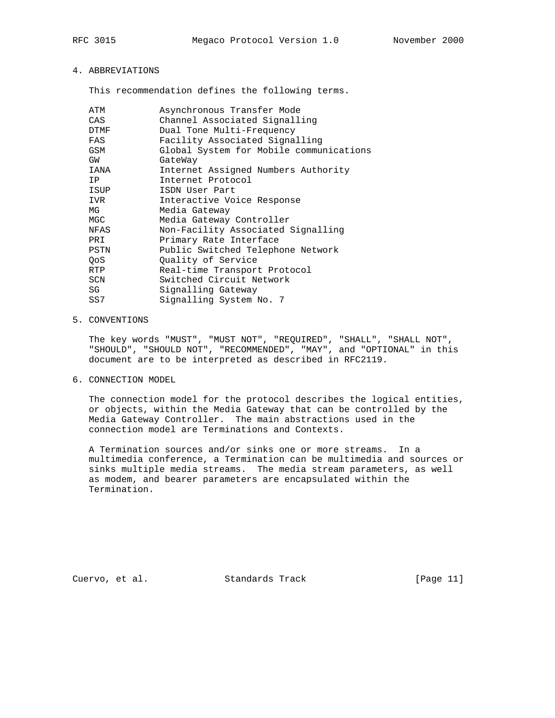# 4. ABBREVIATIONS

This recommendation defines the following terms.

| ATM  | Asynchronous Transfer Mode              |
|------|-----------------------------------------|
| CAS  | Channel Associated Signalling           |
| DTMF | Dual Tone Multi-Frequency               |
| FAS  | Facility Associated Signalling          |
| GSM  | Global System for Mobile communications |
| GW   | GateWay                                 |
| IANA | Internet Assigned Numbers Authority     |
| IP   | Internet Protocol                       |
| ISUP | ISDN User Part                          |
| IVR  | Interactive Voice Response              |
| MG   | Media Gateway                           |
| MGC  | Media Gateway Controller                |
| NFAS | Non-Facility Associated Signalling      |
| PRI  | Primary Rate Interface                  |
| PSTN | Public Switched Telephone Network       |
| QoS  | Quality of Service                      |
| RTP  | Real-time Transport Protocol            |
| SCN  | Switched Circuit Network                |
| SG   | Signalling Gateway                      |
| SS7  | Signalling System No. 7                 |

## 5. CONVENTIONS

 The key words "MUST", "MUST NOT", "REQUIRED", "SHALL", "SHALL NOT", "SHOULD", "SHOULD NOT", "RECOMMENDED", "MAY", and "OPTIONAL" in this document are to be interpreted as described in RFC2119.

6. CONNECTION MODEL

 The connection model for the protocol describes the logical entities, or objects, within the Media Gateway that can be controlled by the Media Gateway Controller. The main abstractions used in the connection model are Terminations and Contexts.

 A Termination sources and/or sinks one or more streams. In a multimedia conference, a Termination can be multimedia and sources or sinks multiple media streams. The media stream parameters, as well as modem, and bearer parameters are encapsulated within the Termination.

Cuervo, et al. Standards Track [Page 11]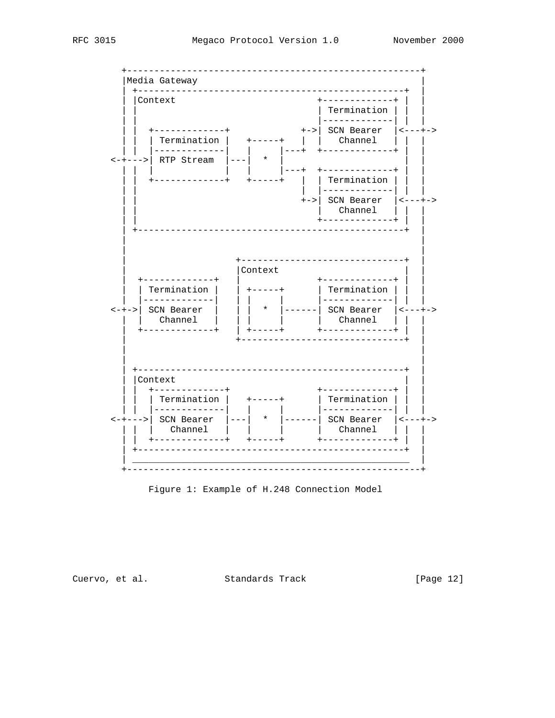

Figure 1: Example of H.248 Connection Model

Cuervo, et al. Standards Track

[Page 12]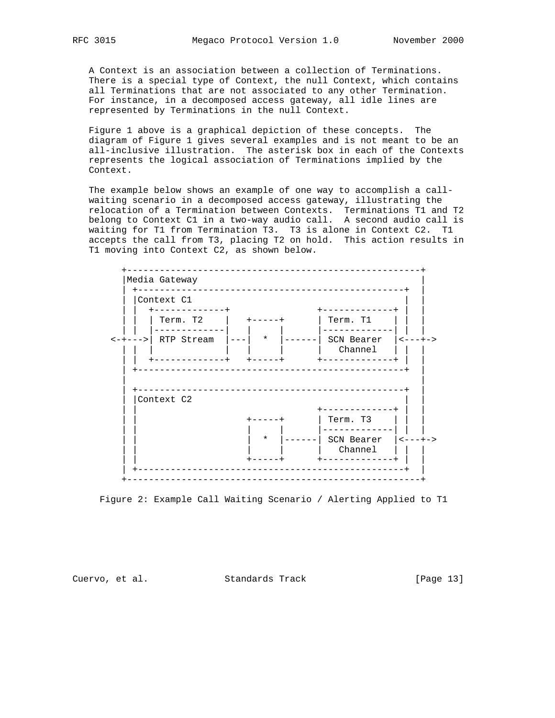A Context is an association between a collection of Terminations. There is a special type of Context, the null Context, which contains all Terminations that are not associated to any other Termination. For instance, in a decomposed access gateway, all idle lines are represented by Terminations in the null Context.

 Figure 1 above is a graphical depiction of these concepts. The diagram of Figure 1 gives several examples and is not meant to be an all-inclusive illustration. The asterisk box in each of the Contexts represents the logical association of Terminations implied by the Context.

 The example below shows an example of one way to accomplish a call waiting scenario in a decomposed access gateway, illustrating the relocation of a Termination between Contexts. Terminations T1 and T2 belong to Context C1 in a two-way audio call. A second audio call is waiting for T1 from Termination T3. T3 is alone in Context C2. T1 accepts the call from T3, placing T2 on hold. This action results in T1 moving into Context C2, as shown below.



Figure 2: Example Call Waiting Scenario / Alerting Applied to T1

Cuervo, et al. Standards Track [Page 13]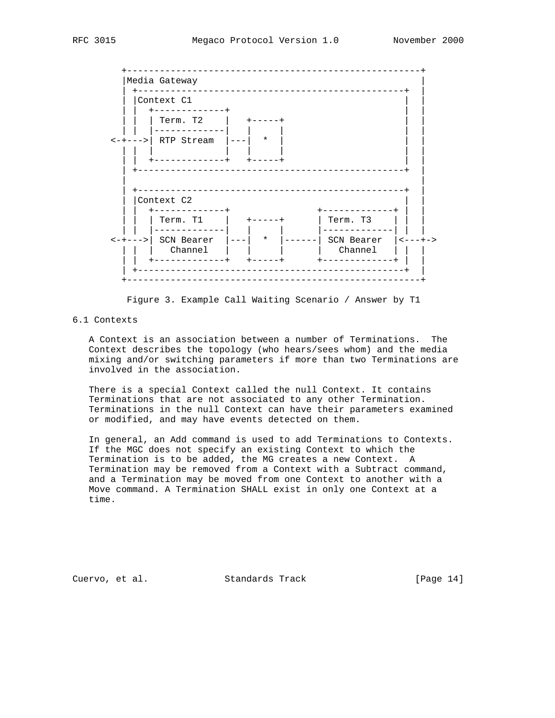

Figure 3. Example Call Waiting Scenario / Answer by T1

# 6.1 Contexts

 A Context is an association between a number of Terminations. The Context describes the topology (who hears/sees whom) and the media mixing and/or switching parameters if more than two Terminations are involved in the association.

 There is a special Context called the null Context. It contains Terminations that are not associated to any other Termination. Terminations in the null Context can have their parameters examined or modified, and may have events detected on them.

 In general, an Add command is used to add Terminations to Contexts. If the MGC does not specify an existing Context to which the Termination is to be added, the MG creates a new Context. A Termination may be removed from a Context with a Subtract command, and a Termination may be moved from one Context to another with a Move command. A Termination SHALL exist in only one Context at a time.

Cuervo, et al. Standards Track [Page 14]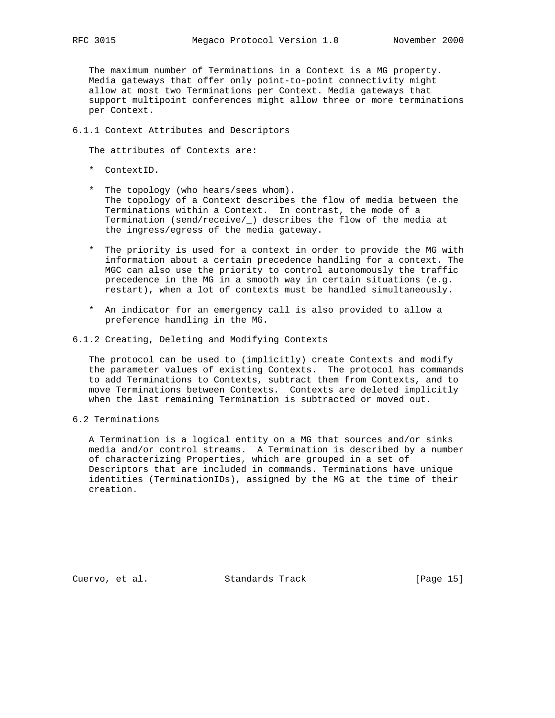The maximum number of Terminations in a Context is a MG property. Media gateways that offer only point-to-point connectivity might allow at most two Terminations per Context. Media gateways that support multipoint conferences might allow three or more terminations per Context.

## 6.1.1 Context Attributes and Descriptors

The attributes of Contexts are:

- \* ContextID.
- \* The topology (who hears/sees whom). The topology of a Context describes the flow of media between the Terminations within a Context. In contrast, the mode of a Termination (send/receive/\_) describes the flow of the media at the ingress/egress of the media gateway.
- \* The priority is used for a context in order to provide the MG with information about a certain precedence handling for a context. The MGC can also use the priority to control autonomously the traffic precedence in the MG in a smooth way in certain situations (e.g. restart), when a lot of contexts must be handled simultaneously.
- \* An indicator for an emergency call is also provided to allow a preference handling in the MG.
- 6.1.2 Creating, Deleting and Modifying Contexts

 The protocol can be used to (implicitly) create Contexts and modify the parameter values of existing Contexts. The protocol has commands to add Terminations to Contexts, subtract them from Contexts, and to move Terminations between Contexts. Contexts are deleted implicitly when the last remaining Termination is subtracted or moved out.

6.2 Terminations

 A Termination is a logical entity on a MG that sources and/or sinks media and/or control streams. A Termination is described by a number of characterizing Properties, which are grouped in a set of Descriptors that are included in commands. Terminations have unique identities (TerminationIDs), assigned by the MG at the time of their creation.

Cuervo, et al. Standards Track [Page 15]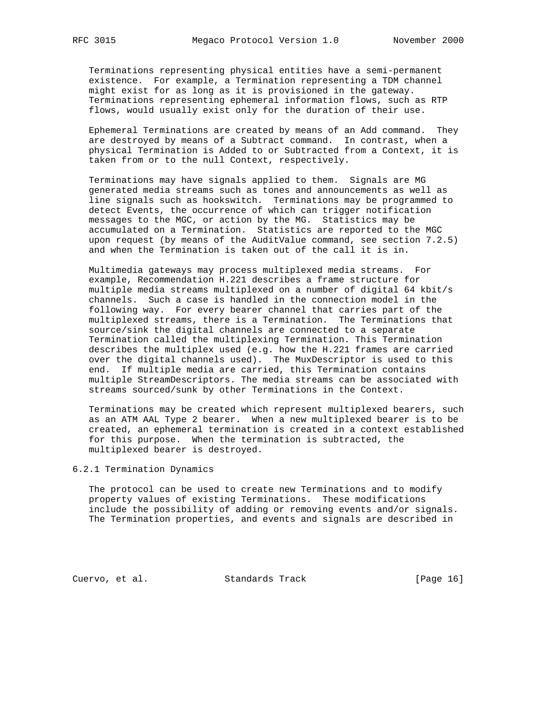Terminations representing physical entities have a semi-permanent existence. For example, a Termination representing a TDM channel might exist for as long as it is provisioned in the gateway. Terminations representing ephemeral information flows, such as RTP flows, would usually exist only for the duration of their use.

 Ephemeral Terminations are created by means of an Add command. They are destroyed by means of a Subtract command. In contrast, when a physical Termination is Added to or Subtracted from a Context, it is taken from or to the null Context, respectively.

 Terminations may have signals applied to them. Signals are MG generated media streams such as tones and announcements as well as line signals such as hookswitch. Terminations may be programmed to detect Events, the occurrence of which can trigger notification messages to the MGC, or action by the MG. Statistics may be accumulated on a Termination. Statistics are reported to the MGC upon request (by means of the AuditValue command, see section 7.2.5) and when the Termination is taken out of the call it is in.

 Multimedia gateways may process multiplexed media streams. For example, Recommendation H.221 describes a frame structure for multiple media streams multiplexed on a number of digital 64 kbit/s channels. Such a case is handled in the connection model in the following way. For every bearer channel that carries part of the multiplexed streams, there is a Termination. The Terminations that source/sink the digital channels are connected to a separate Termination called the multiplexing Termination. This Termination describes the multiplex used (e.g. how the H.221 frames are carried over the digital channels used). The MuxDescriptor is used to this end. If multiple media are carried, this Termination contains multiple StreamDescriptors. The media streams can be associated with streams sourced/sunk by other Terminations in the Context.

 Terminations may be created which represent multiplexed bearers, such as an ATM AAL Type 2 bearer. When a new multiplexed bearer is to be created, an ephemeral termination is created in a context established for this purpose. When the termination is subtracted, the multiplexed bearer is destroyed.

6.2.1 Termination Dynamics

 The protocol can be used to create new Terminations and to modify property values of existing Terminations. These modifications include the possibility of adding or removing events and/or signals. The Termination properties, and events and signals are described in

Cuervo, et al. Standards Track [Page 16]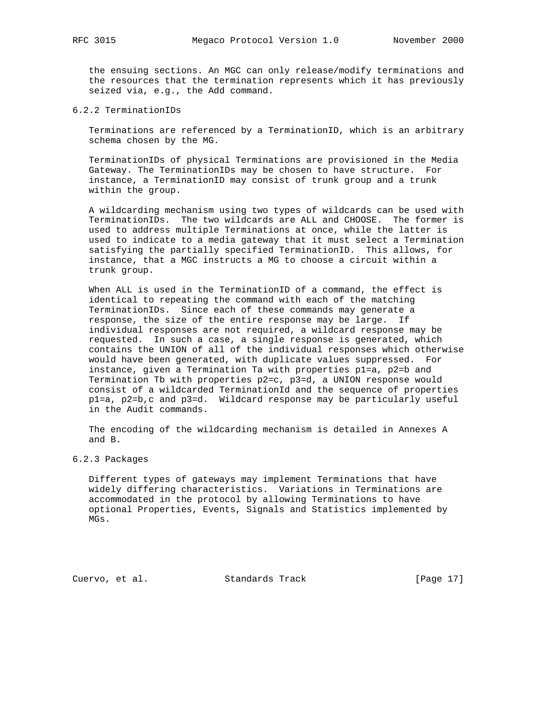the ensuing sections. An MGC can only release/modify terminations and the resources that the termination represents which it has previously seized via, e.g., the Add command.

6.2.2 TerminationIDs

 Terminations are referenced by a TerminationID, which is an arbitrary schema chosen by the MG.

 TerminationIDs of physical Terminations are provisioned in the Media Gateway. The TerminationIDs may be chosen to have structure. For instance, a TerminationID may consist of trunk group and a trunk within the group.

 A wildcarding mechanism using two types of wildcards can be used with TerminationIDs. The two wildcards are ALL and CHOOSE. The former is used to address multiple Terminations at once, while the latter is used to indicate to a media gateway that it must select a Termination satisfying the partially specified TerminationID. This allows, for instance, that a MGC instructs a MG to choose a circuit within a trunk group.

 When ALL is used in the TerminationID of a command, the effect is identical to repeating the command with each of the matching TerminationIDs. Since each of these commands may generate a response, the size of the entire response may be large. If individual responses are not required, a wildcard response may be requested. In such a case, a single response is generated, which contains the UNION of all of the individual responses which otherwise would have been generated, with duplicate values suppressed. For instance, given a Termination Ta with properties p1=a, p2=b and Termination Tb with properties p2=c, p3=d, a UNION response would consist of a wildcarded TerminationId and the sequence of properties p1=a, p2=b,c and p3=d. Wildcard response may be particularly useful in the Audit commands.

 The encoding of the wildcarding mechanism is detailed in Annexes A and B.

6.2.3 Packages

 Different types of gateways may implement Terminations that have widely differing characteristics. Variations in Terminations are accommodated in the protocol by allowing Terminations to have optional Properties, Events, Signals and Statistics implemented by MGs.

Cuervo, et al. Standards Track [Page 17]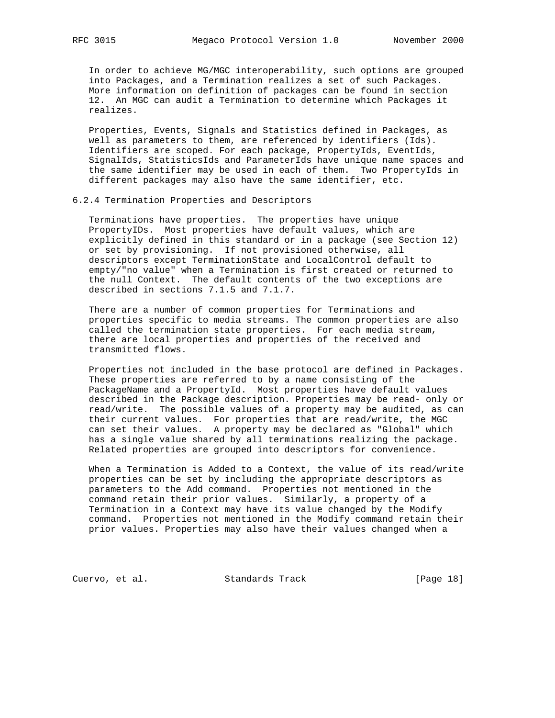In order to achieve MG/MGC interoperability, such options are grouped into Packages, and a Termination realizes a set of such Packages. More information on definition of packages can be found in section 12. An MGC can audit a Termination to determine which Packages it realizes.

 Properties, Events, Signals and Statistics defined in Packages, as well as parameters to them, are referenced by identifiers (Ids). Identifiers are scoped. For each package, PropertyIds, EventIds, SignalIds, StatisticsIds and ParameterIds have unique name spaces and the same identifier may be used in each of them. Two PropertyIds in different packages may also have the same identifier, etc.

#### 6.2.4 Termination Properties and Descriptors

 Terminations have properties. The properties have unique PropertyIDs. Most properties have default values, which are explicitly defined in this standard or in a package (see Section 12) or set by provisioning. If not provisioned otherwise, all descriptors except TerminationState and LocalControl default to empty/"no value" when a Termination is first created or returned to the null Context. The default contents of the two exceptions are described in sections 7.1.5 and 7.1.7.

 There are a number of common properties for Terminations and properties specific to media streams. The common properties are also called the termination state properties. For each media stream, there are local properties and properties of the received and transmitted flows.

 Properties not included in the base protocol are defined in Packages. These properties are referred to by a name consisting of the PackageName and a PropertyId. Most properties have default values described in the Package description. Properties may be read- only or read/write. The possible values of a property may be audited, as can their current values. For properties that are read/write, the MGC can set their values. A property may be declared as "Global" which has a single value shared by all terminations realizing the package. Related properties are grouped into descriptors for convenience.

 When a Termination is Added to a Context, the value of its read/write properties can be set by including the appropriate descriptors as parameters to the Add command. Properties not mentioned in the command retain their prior values. Similarly, a property of a Termination in a Context may have its value changed by the Modify command. Properties not mentioned in the Modify command retain their prior values. Properties may also have their values changed when a

Cuervo, et al. Standards Track [Page 18]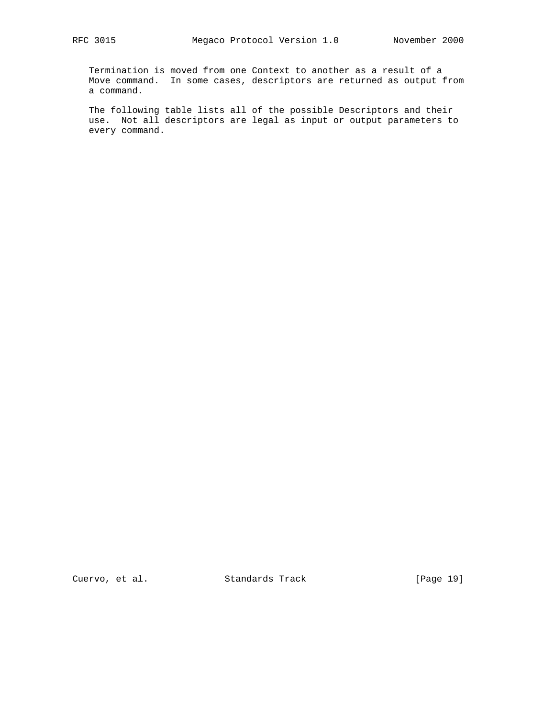Termination is moved from one Context to another as a result of a Move command. In some cases, descriptors are returned as output from a command.

 The following table lists all of the possible Descriptors and their use. Not all descriptors are legal as input or output parameters to every command.

Cuervo, et al. Standards Track [Page 19]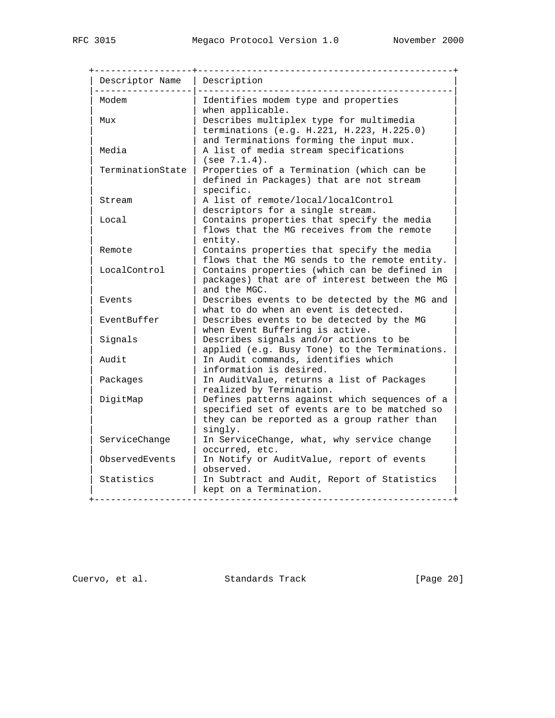| Descriptor Name  | Description                                                                                                                                             |
|------------------|---------------------------------------------------------------------------------------------------------------------------------------------------------|
| Modem            | Identifies modem type and properties<br>when applicable.                                                                                                |
| Mux              | Describes multiplex type for multimedia<br>terminations (e.g. H.221, H.223, H.225.0)<br>and Terminations forming the input mux.                         |
| Media            | A list of media stream specifications<br>(see 7.1.4).                                                                                                   |
| TerminationState | Properties of a Termination (which can be<br>defined in Packages) that are not stream<br>specific.                                                      |
| Stream           | A list of remote/local/localControl<br>descriptors for a single stream.                                                                                 |
| Local            | Contains properties that specify the media<br>flows that the MG receives from the remote<br>entity.                                                     |
| Remote           | Contains properties that specify the media<br>flows that the MG sends to the remote entity.                                                             |
| LocalControl     | Contains properties (which can be defined in<br>packages) that are of interest between the MG<br>and the MGC.                                           |
| Events           | Describes events to be detected by the MG and<br>what to do when an event is detected.                                                                  |
| EventBuffer      | Describes events to be detected by the MG<br>when Event Buffering is active.                                                                            |
| Signals          | Describes signals and/or actions to be<br>applied (e.g. Busy Tone) to the Terminations.                                                                 |
| Audit            | In Audit commands, identifies which<br>information is desired.                                                                                          |
| Packages         | In AuditValue, returns a list of Packages<br>realized by Termination.                                                                                   |
| DigitMap         | Defines patterns against which sequences of a<br>specified set of events are to be matched so<br>they can be reported as a group rather than<br>singly. |
| ServiceChange    | In ServiceChange, what, why service change<br>occurred, etc.                                                                                            |
| ObservedEvents   | In Notify or AuditValue, report of events<br>observed.                                                                                                  |
| Statistics       | In Subtract and Audit, Report of Statistics<br>kept on a Termination.                                                                                   |

Cuervo, et al. Standards Track [Page 20]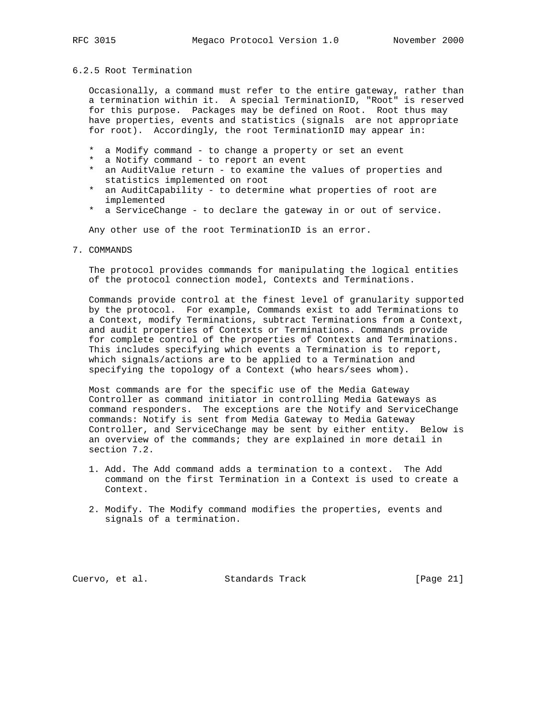## 6.2.5 Root Termination

 Occasionally, a command must refer to the entire gateway, rather than a termination within it. A special TerminationID, "Root" is reserved for this purpose. Packages may be defined on Root. Root thus may have properties, events and statistics (signals are not appropriate for root). Accordingly, the root TerminationID may appear in:

- \* a Modify command to change a property or set an event
- \* a Notify command to report an event
- \* an AuditValue return to examine the values of properties and statistics implemented on root
- \* an AuditCapability to determine what properties of root are implemented
- \* a ServiceChange to declare the gateway in or out of service.

Any other use of the root TerminationID is an error.

#### 7. COMMANDS

 The protocol provides commands for manipulating the logical entities of the protocol connection model, Contexts and Terminations.

 Commands provide control at the finest level of granularity supported by the protocol. For example, Commands exist to add Terminations to a Context, modify Terminations, subtract Terminations from a Context, and audit properties of Contexts or Terminations. Commands provide for complete control of the properties of Contexts and Terminations. This includes specifying which events a Termination is to report, which signals/actions are to be applied to a Termination and specifying the topology of a Context (who hears/sees whom).

 Most commands are for the specific use of the Media Gateway Controller as command initiator in controlling Media Gateways as command responders. The exceptions are the Notify and ServiceChange commands: Notify is sent from Media Gateway to Media Gateway Controller, and ServiceChange may be sent by either entity. Below is an overview of the commands; they are explained in more detail in section 7.2.

- 1. Add. The Add command adds a termination to a context. The Add command on the first Termination in a Context is used to create a Context.
- 2. Modify. The Modify command modifies the properties, events and signals of a termination.

Cuervo, et al. Standards Track [Page 21]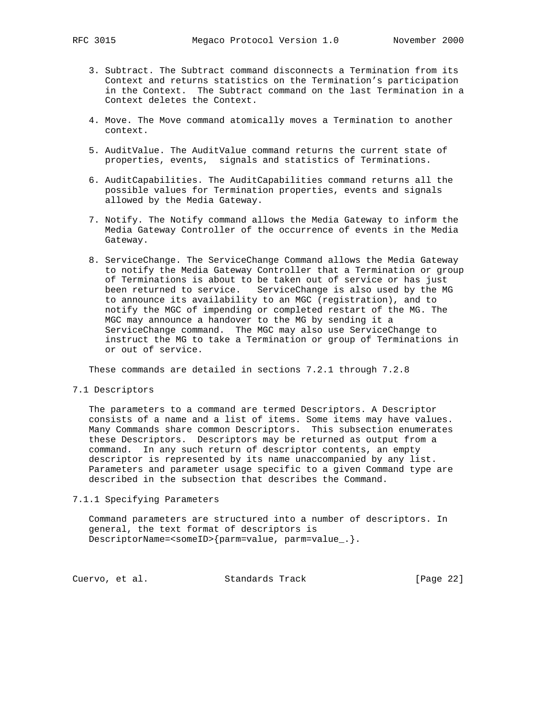- 3. Subtract. The Subtract command disconnects a Termination from its Context and returns statistics on the Termination's participation in the Context. The Subtract command on the last Termination in a Context deletes the Context.
- 4. Move. The Move command atomically moves a Termination to another context.
- 5. AuditValue. The AuditValue command returns the current state of properties, events, signals and statistics of Terminations.
- 6. AuditCapabilities. The AuditCapabilities command returns all the possible values for Termination properties, events and signals allowed by the Media Gateway.
- 7. Notify. The Notify command allows the Media Gateway to inform the Media Gateway Controller of the occurrence of events in the Media Gateway.
- 8. ServiceChange. The ServiceChange Command allows the Media Gateway to notify the Media Gateway Controller that a Termination or group of Terminations is about to be taken out of service or has just been returned to service. ServiceChange is also used by the MG to announce its availability to an MGC (registration), and to notify the MGC of impending or completed restart of the MG. The MGC may announce a handover to the MG by sending it a ServiceChange command. The MGC may also use ServiceChange to instruct the MG to take a Termination or group of Terminations in or out of service.

These commands are detailed in sections 7.2.1 through 7.2.8

7.1 Descriptors

 The parameters to a command are termed Descriptors. A Descriptor consists of a name and a list of items. Some items may have values. Many Commands share common Descriptors. This subsection enumerates these Descriptors. Descriptors may be returned as output from a command. In any such return of descriptor contents, an empty descriptor is represented by its name unaccompanied by any list. Parameters and parameter usage specific to a given Command type are described in the subsection that describes the Command.

7.1.1 Specifying Parameters

 Command parameters are structured into a number of descriptors. In general, the text format of descriptors is DescriptorName=<someID>{parm=value, parm=value\_.}.

Cuervo, et al. Standards Track [Page 22]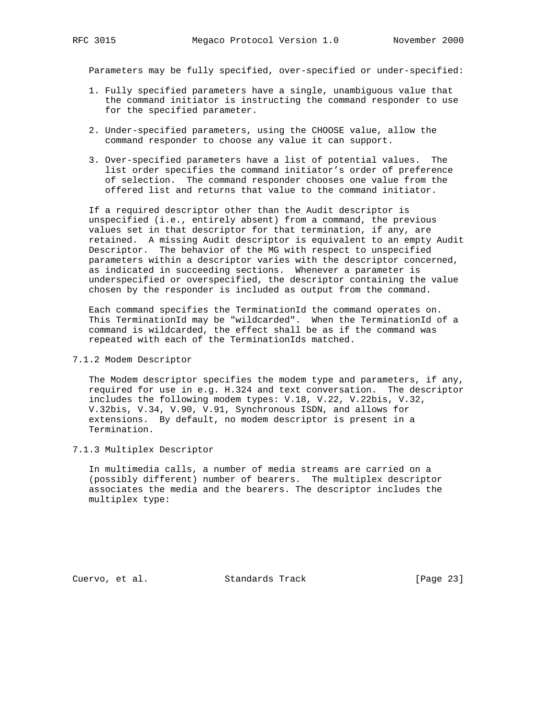Parameters may be fully specified, over-specified or under-specified:

- 1. Fully specified parameters have a single, unambiguous value that the command initiator is instructing the command responder to use for the specified parameter.
- 2. Under-specified parameters, using the CHOOSE value, allow the command responder to choose any value it can support.
- 3. Over-specified parameters have a list of potential values. The list order specifies the command initiator's order of preference of selection. The command responder chooses one value from the offered list and returns that value to the command initiator.

 If a required descriptor other than the Audit descriptor is unspecified (i.e., entirely absent) from a command, the previous values set in that descriptor for that termination, if any, are retained. A missing Audit descriptor is equivalent to an empty Audit Descriptor. The behavior of the MG with respect to unspecified parameters within a descriptor varies with the descriptor concerned, as indicated in succeeding sections. Whenever a parameter is underspecified or overspecified, the descriptor containing the value chosen by the responder is included as output from the command.

 Each command specifies the TerminationId the command operates on. This TerminationId may be "wildcarded". When the TerminationId of a command is wildcarded, the effect shall be as if the command was repeated with each of the TerminationIds matched.

## 7.1.2 Modem Descriptor

 The Modem descriptor specifies the modem type and parameters, if any, required for use in e.g. H.324 and text conversation. The descriptor includes the following modem types: V.18, V.22, V.22bis, V.32, V.32bis, V.34, V.90, V.91, Synchronous ISDN, and allows for extensions. By default, no modem descriptor is present in a Termination.

#### 7.1.3 Multiplex Descriptor

 In multimedia calls, a number of media streams are carried on a (possibly different) number of bearers. The multiplex descriptor associates the media and the bearers. The descriptor includes the multiplex type:

Cuervo, et al. Standards Track [Page 23]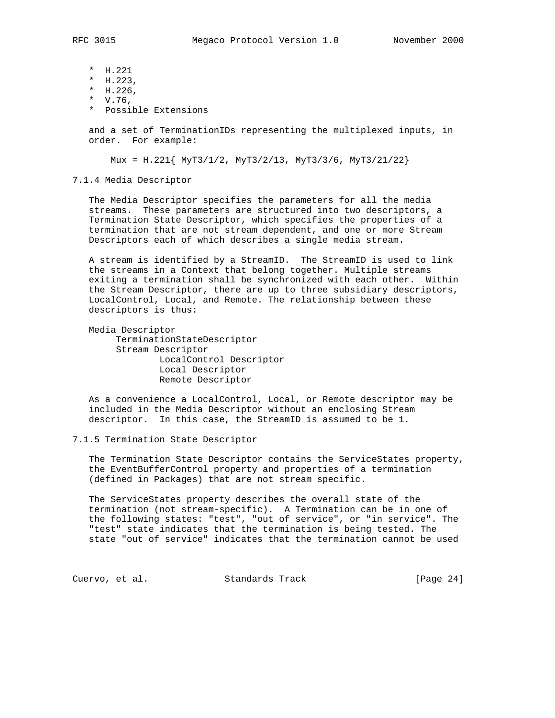- \* H.221
- \* H.223,
- \* H.226,
- \* V.76,
- \* Possible Extensions

 and a set of TerminationIDs representing the multiplexed inputs, in order. For example:

Mux = H.221{ MyT3/1/2, MyT3/2/13, MyT3/3/6, MyT3/21/22}

7.1.4 Media Descriptor

 The Media Descriptor specifies the parameters for all the media streams. These parameters are structured into two descriptors, a Termination State Descriptor, which specifies the properties of a termination that are not stream dependent, and one or more Stream Descriptors each of which describes a single media stream.

 A stream is identified by a StreamID. The StreamID is used to link the streams in a Context that belong together. Multiple streams exiting a termination shall be synchronized with each other. Within the Stream Descriptor, there are up to three subsidiary descriptors, LocalControl, Local, and Remote. The relationship between these descriptors is thus:

 Media Descriptor TerminationStateDescriptor Stream Descriptor LocalControl Descriptor Local Descriptor Remote Descriptor

 As a convenience a LocalControl, Local, or Remote descriptor may be included in the Media Descriptor without an enclosing Stream descriptor. In this case, the StreamID is assumed to be 1.

#### 7.1.5 Termination State Descriptor

 The Termination State Descriptor contains the ServiceStates property, the EventBufferControl property and properties of a termination (defined in Packages) that are not stream specific.

 The ServiceStates property describes the overall state of the termination (not stream-specific). A Termination can be in one of the following states: "test", "out of service", or "in service". The "test" state indicates that the termination is being tested. The state "out of service" indicates that the termination cannot be used

Cuervo, et al. Standards Track [Page 24]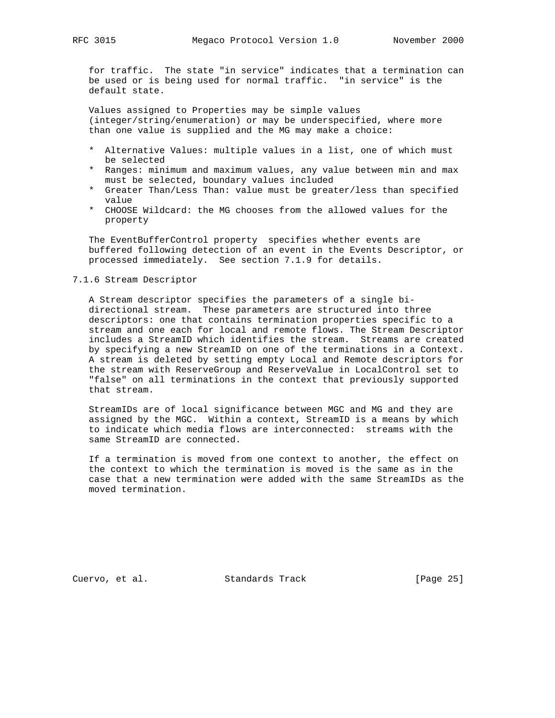for traffic. The state "in service" indicates that a termination can be used or is being used for normal traffic. "in service" is the default state.

 Values assigned to Properties may be simple values (integer/string/enumeration) or may be underspecified, where more than one value is supplied and the MG may make a choice:

- \* Alternative Values: multiple values in a list, one of which must be selected
- \* Ranges: minimum and maximum values, any value between min and max must be selected, boundary values included
- \* Greater Than/Less Than: value must be greater/less than specified value
- \* CHOOSE Wildcard: the MG chooses from the allowed values for the property

 The EventBufferControl property specifies whether events are buffered following detection of an event in the Events Descriptor, or processed immediately. See section 7.1.9 for details.

#### 7.1.6 Stream Descriptor

 A Stream descriptor specifies the parameters of a single bi directional stream. These parameters are structured into three descriptors: one that contains termination properties specific to a stream and one each for local and remote flows. The Stream Descriptor includes a StreamID which identifies the stream. Streams are created by specifying a new StreamID on one of the terminations in a Context. A stream is deleted by setting empty Local and Remote descriptors for the stream with ReserveGroup and ReserveValue in LocalControl set to "false" on all terminations in the context that previously supported that stream.

 StreamIDs are of local significance between MGC and MG and they are assigned by the MGC. Within a context, StreamID is a means by which to indicate which media flows are interconnected: streams with the same StreamID are connected.

 If a termination is moved from one context to another, the effect on the context to which the termination is moved is the same as in the case that a new termination were added with the same StreamIDs as the moved termination.

Cuervo, et al. Standards Track [Page 25]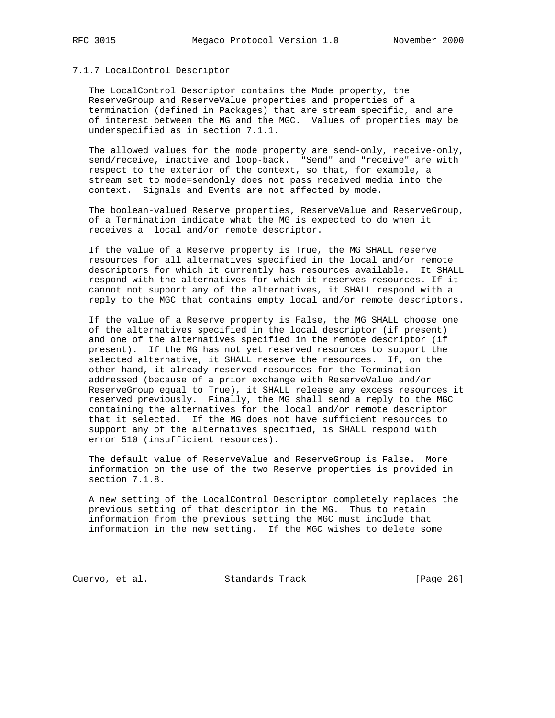#### 7.1.7 LocalControl Descriptor

 The LocalControl Descriptor contains the Mode property, the ReserveGroup and ReserveValue properties and properties of a termination (defined in Packages) that are stream specific, and are of interest between the MG and the MGC. Values of properties may be underspecified as in section 7.1.1.

 The allowed values for the mode property are send-only, receive-only, send/receive, inactive and loop-back. "Send" and "receive" are with respect to the exterior of the context, so that, for example, a stream set to mode=sendonly does not pass received media into the context. Signals and Events are not affected by mode.

 The boolean-valued Reserve properties, ReserveValue and ReserveGroup, of a Termination indicate what the MG is expected to do when it receives a local and/or remote descriptor.

 If the value of a Reserve property is True, the MG SHALL reserve resources for all alternatives specified in the local and/or remote descriptors for which it currently has resources available. It SHALL respond with the alternatives for which it reserves resources. If it cannot not support any of the alternatives, it SHALL respond with a reply to the MGC that contains empty local and/or remote descriptors.

 If the value of a Reserve property is False, the MG SHALL choose one of the alternatives specified in the local descriptor (if present) and one of the alternatives specified in the remote descriptor (if present). If the MG has not yet reserved resources to support the selected alternative, it SHALL reserve the resources. If, on the other hand, it already reserved resources for the Termination addressed (because of a prior exchange with ReserveValue and/or ReserveGroup equal to True), it SHALL release any excess resources it reserved previously. Finally, the MG shall send a reply to the MGC containing the alternatives for the local and/or remote descriptor that it selected. If the MG does not have sufficient resources to support any of the alternatives specified, is SHALL respond with error 510 (insufficient resources).

 The default value of ReserveValue and ReserveGroup is False. More information on the use of the two Reserve properties is provided in section 7.1.8.

 A new setting of the LocalControl Descriptor completely replaces the previous setting of that descriptor in the MG. Thus to retain information from the previous setting the MGC must include that information in the new setting. If the MGC wishes to delete some

Cuervo, et al. Standards Track [Page 26]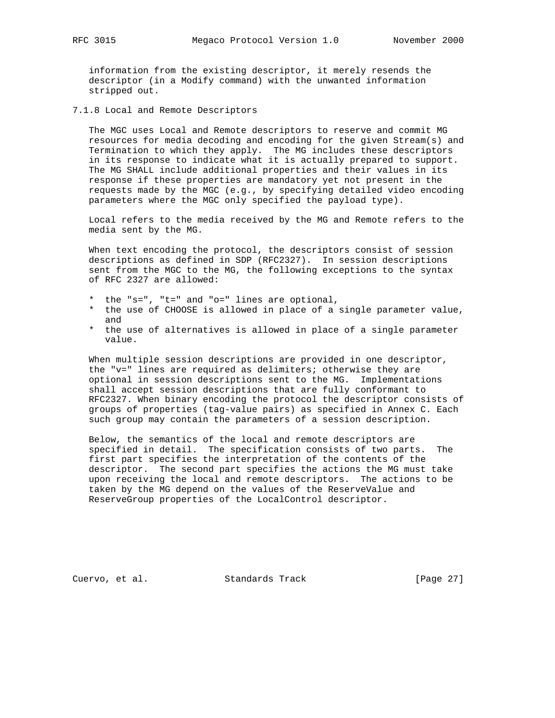information from the existing descriptor, it merely resends the descriptor (in a Modify command) with the unwanted information stripped out.

7.1.8 Local and Remote Descriptors

 The MGC uses Local and Remote descriptors to reserve and commit MG resources for media decoding and encoding for the given Stream(s) and Termination to which they apply. The MG includes these descriptors in its response to indicate what it is actually prepared to support. The MG SHALL include additional properties and their values in its response if these properties are mandatory yet not present in the requests made by the MGC (e.g., by specifying detailed video encoding parameters where the MGC only specified the payload type).

 Local refers to the media received by the MG and Remote refers to the media sent by the MG.

 When text encoding the protocol, the descriptors consist of session descriptions as defined in SDP (RFC2327). In session descriptions sent from the MGC to the MG, the following exceptions to the syntax of RFC 2327 are allowed:

- \* the "s=", "t=" and "o=" lines are optional,
- \* the use of CHOOSE is allowed in place of a single parameter value, and
- \* the use of alternatives is allowed in place of a single parameter value.

 When multiple session descriptions are provided in one descriptor, the "v=" lines are required as delimiters; otherwise they are optional in session descriptions sent to the MG. Implementations shall accept session descriptions that are fully conformant to RFC2327. When binary encoding the protocol the descriptor consists of groups of properties (tag-value pairs) as specified in Annex C. Each such group may contain the parameters of a session description.

 Below, the semantics of the local and remote descriptors are specified in detail. The specification consists of two parts. The first part specifies the interpretation of the contents of the descriptor. The second part specifies the actions the MG must take upon receiving the local and remote descriptors. The actions to be taken by the MG depend on the values of the ReserveValue and ReserveGroup properties of the LocalControl descriptor.

Cuervo, et al. Standards Track [Page 27]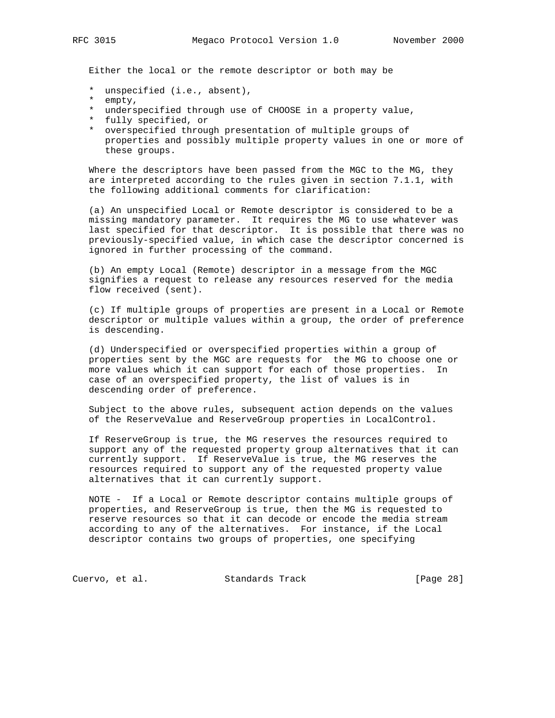Either the local or the remote descriptor or both may be

- \* unspecified (i.e., absent),
- empty,
- \* underspecified through use of CHOOSE in a property value,
- \* fully specified, or
- \* overspecified through presentation of multiple groups of properties and possibly multiple property values in one or more of these groups.

Where the descriptors have been passed from the MGC to the MG, they are interpreted according to the rules given in section 7.1.1, with the following additional comments for clarification:

 (a) An unspecified Local or Remote descriptor is considered to be a missing mandatory parameter. It requires the MG to use whatever was last specified for that descriptor. It is possible that there was no previously-specified value, in which case the descriptor concerned is ignored in further processing of the command.

 (b) An empty Local (Remote) descriptor in a message from the MGC signifies a request to release any resources reserved for the media flow received (sent).

 (c) If multiple groups of properties are present in a Local or Remote descriptor or multiple values within a group, the order of preference is descending.

 (d) Underspecified or overspecified properties within a group of properties sent by the MGC are requests for the MG to choose one or more values which it can support for each of those properties. In case of an overspecified property, the list of values is in descending order of preference.

 Subject to the above rules, subsequent action depends on the values of the ReserveValue and ReserveGroup properties in LocalControl.

 If ReserveGroup is true, the MG reserves the resources required to support any of the requested property group alternatives that it can currently support. If ReserveValue is true, the MG reserves the resources required to support any of the requested property value alternatives that it can currently support.

 NOTE - If a Local or Remote descriptor contains multiple groups of properties, and ReserveGroup is true, then the MG is requested to reserve resources so that it can decode or encode the media stream according to any of the alternatives. For instance, if the Local descriptor contains two groups of properties, one specifying

Cuervo, et al. Standards Track [Page 28]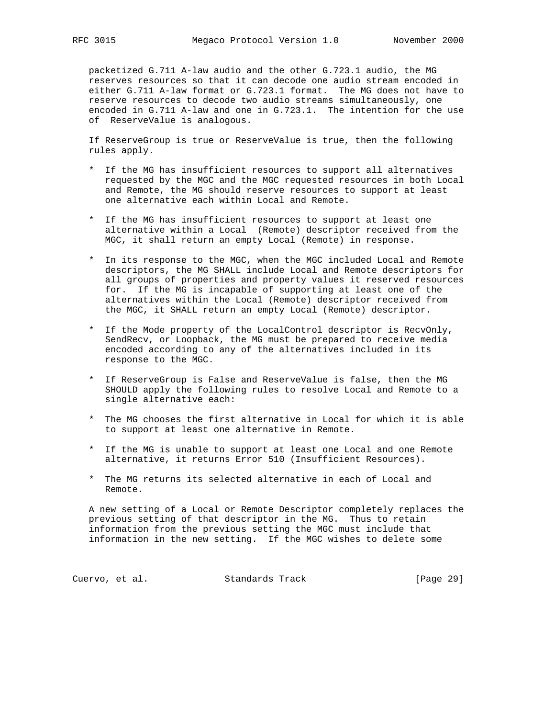packetized G.711 A-law audio and the other G.723.1 audio, the MG reserves resources so that it can decode one audio stream encoded in either G.711 A-law format or G.723.1 format. The MG does not have to reserve resources to decode two audio streams simultaneously, one encoded in G.711 A-law and one in G.723.1. The intention for the use of ReserveValue is analogous.

 If ReserveGroup is true or ReserveValue is true, then the following rules apply.

- \* If the MG has insufficient resources to support all alternatives requested by the MGC and the MGC requested resources in both Local and Remote, the MG should reserve resources to support at least one alternative each within Local and Remote.
- \* If the MG has insufficient resources to support at least one alternative within a Local (Remote) descriptor received from the MGC, it shall return an empty Local (Remote) in response.
- \* In its response to the MGC, when the MGC included Local and Remote descriptors, the MG SHALL include Local and Remote descriptors for all groups of properties and property values it reserved resources for. If the MG is incapable of supporting at least one of the alternatives within the Local (Remote) descriptor received from the MGC, it SHALL return an empty Local (Remote) descriptor.
- \* If the Mode property of the LocalControl descriptor is RecvOnly, SendRecv, or Loopback, the MG must be prepared to receive media encoded according to any of the alternatives included in its response to the MGC.
- \* If ReserveGroup is False and ReserveValue is false, then the MG SHOULD apply the following rules to resolve Local and Remote to a single alternative each:
- \* The MG chooses the first alternative in Local for which it is able to support at least one alternative in Remote.
- \* If the MG is unable to support at least one Local and one Remote alternative, it returns Error 510 (Insufficient Resources).
- \* The MG returns its selected alternative in each of Local and Remote.

 A new setting of a Local or Remote Descriptor completely replaces the previous setting of that descriptor in the MG. Thus to retain information from the previous setting the MGC must include that information in the new setting. If the MGC wishes to delete some

Cuervo, et al. Standards Track [Page 29]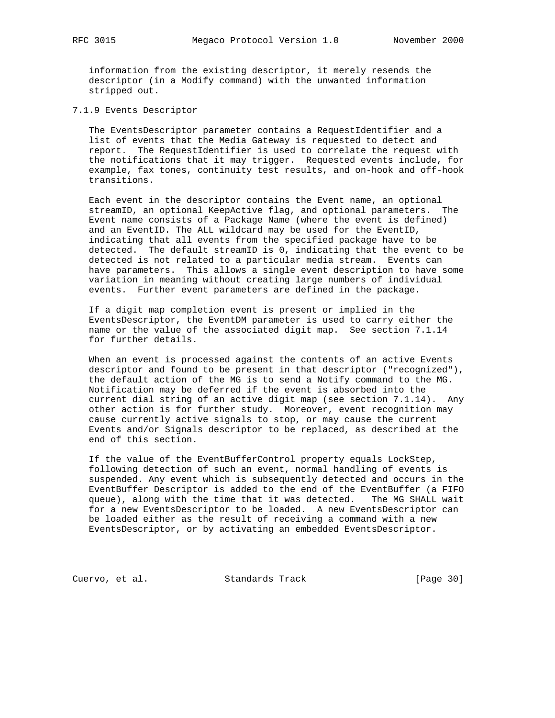information from the existing descriptor, it merely resends the descriptor (in a Modify command) with the unwanted information stripped out.

7.1.9 Events Descriptor

 The EventsDescriptor parameter contains a RequestIdentifier and a list of events that the Media Gateway is requested to detect and report. The RequestIdentifier is used to correlate the request with the notifications that it may trigger. Requested events include, for example, fax tones, continuity test results, and on-hook and off-hook transitions.

 Each event in the descriptor contains the Event name, an optional streamID, an optional KeepActive flag, and optional parameters. The Event name consists of a Package Name (where the event is defined) and an EventID. The ALL wildcard may be used for the EventID, indicating that all events from the specified package have to be detected. The default streamID is 0, indicating that the event to be detected is not related to a particular media stream. Events can have parameters. This allows a single event description to have some variation in meaning without creating large numbers of individual events. Further event parameters are defined in the package.

 If a digit map completion event is present or implied in the EventsDescriptor, the EventDM parameter is used to carry either the name or the value of the associated digit map. See section 7.1.14 for further details.

 When an event is processed against the contents of an active Events descriptor and found to be present in that descriptor ("recognized"), the default action of the MG is to send a Notify command to the MG. Notification may be deferred if the event is absorbed into the current dial string of an active digit map (see section 7.1.14). Any other action is for further study. Moreover, event recognition may cause currently active signals to stop, or may cause the current Events and/or Signals descriptor to be replaced, as described at the end of this section.

 If the value of the EventBufferControl property equals LockStep, following detection of such an event, normal handling of events is suspended. Any event which is subsequently detected and occurs in the EventBuffer Descriptor is added to the end of the EventBuffer (a FIFO queue), along with the time that it was detected. The MG SHALL wait for a new EventsDescriptor to be loaded. A new EventsDescriptor can be loaded either as the result of receiving a command with a new EventsDescriptor, or by activating an embedded EventsDescriptor.

Cuervo, et al. Standards Track [Page 30]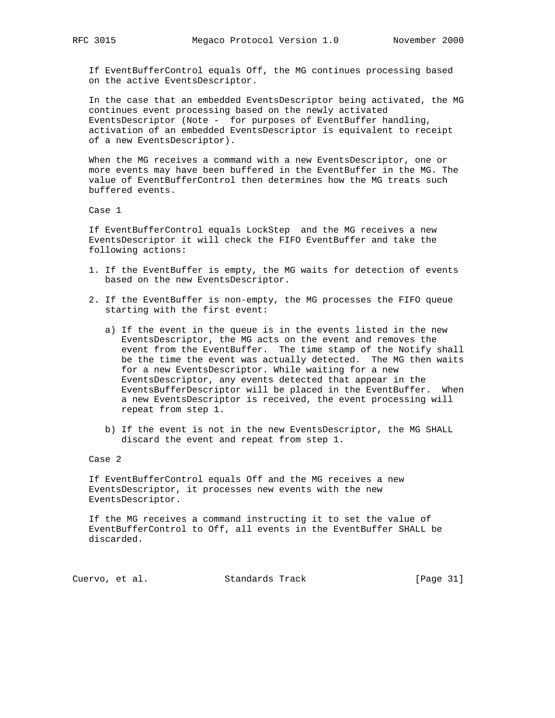If EventBufferControl equals Off, the MG continues processing based on the active EventsDescriptor.

 In the case that an embedded EventsDescriptor being activated, the MG continues event processing based on the newly activated EventsDescriptor (Note - for purposes of EventBuffer handling, activation of an embedded EventsDescriptor is equivalent to receipt of a new EventsDescriptor).

 When the MG receives a command with a new EventsDescriptor, one or more events may have been buffered in the EventBuffer in the MG. The value of EventBufferControl then determines how the MG treats such buffered events.

Case 1

 If EventBufferControl equals LockStep and the MG receives a new EventsDescriptor it will check the FIFO EventBuffer and take the following actions:

- 1. If the EventBuffer is empty, the MG waits for detection of events based on the new EventsDescriptor.
- 2. If the EventBuffer is non-empty, the MG processes the FIFO queue starting with the first event:
	- a) If the event in the queue is in the events listed in the new EventsDescriptor, the MG acts on the event and removes the event from the EventBuffer. The time stamp of the Notify shall be the time the event was actually detected. The MG then waits for a new EventsDescriptor. While waiting for a new EventsDescriptor, any events detected that appear in the EventsBufferDescriptor will be placed in the EventBuffer. When a new EventsDescriptor is received, the event processing will repeat from step 1.
	- b) If the event is not in the new EventsDescriptor, the MG SHALL discard the event and repeat from step 1.

Case 2

 If EventBufferControl equals Off and the MG receives a new EventsDescriptor, it processes new events with the new EventsDescriptor.

 If the MG receives a command instructing it to set the value of EventBufferControl to Off, all events in the EventBuffer SHALL be discarded.

Cuervo, et al. Standards Track [Page 31]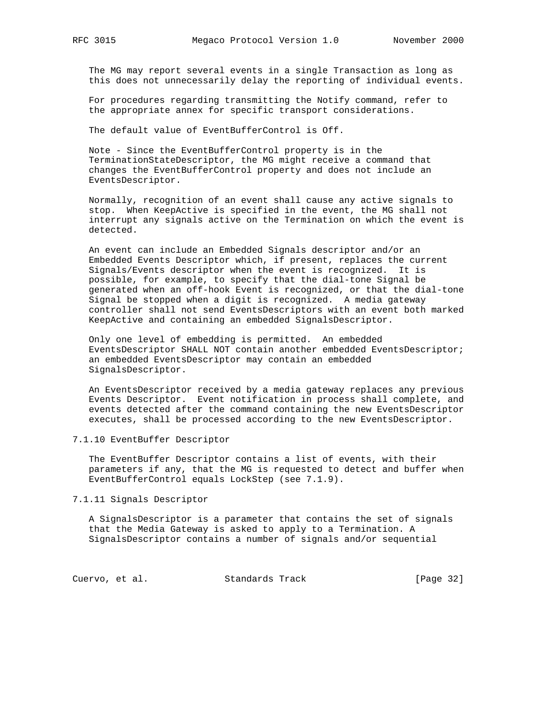The MG may report several events in a single Transaction as long as this does not unnecessarily delay the reporting of individual events.

 For procedures regarding transmitting the Notify command, refer to the appropriate annex for specific transport considerations.

The default value of EventBufferControl is Off.

 Note - Since the EventBufferControl property is in the TerminationStateDescriptor, the MG might receive a command that changes the EventBufferControl property and does not include an EventsDescriptor.

 Normally, recognition of an event shall cause any active signals to stop. When KeepActive is specified in the event, the MG shall not interrupt any signals active on the Termination on which the event is detected.

 An event can include an Embedded Signals descriptor and/or an Embedded Events Descriptor which, if present, replaces the current Signals/Events descriptor when the event is recognized. It is possible, for example, to specify that the dial-tone Signal be generated when an off-hook Event is recognized, or that the dial-tone Signal be stopped when a digit is recognized. A media gateway controller shall not send EventsDescriptors with an event both marked KeepActive and containing an embedded SignalsDescriptor.

 Only one level of embedding is permitted. An embedded EventsDescriptor SHALL NOT contain another embedded EventsDescriptor; an embedded EventsDescriptor may contain an embedded SignalsDescriptor.

 An EventsDescriptor received by a media gateway replaces any previous Events Descriptor. Event notification in process shall complete, and events detected after the command containing the new EventsDescriptor executes, shall be processed according to the new EventsDescriptor.

7.1.10 EventBuffer Descriptor

 The EventBuffer Descriptor contains a list of events, with their parameters if any, that the MG is requested to detect and buffer when EventBufferControl equals LockStep (see 7.1.9).

7.1.11 Signals Descriptor

 A SignalsDescriptor is a parameter that contains the set of signals that the Media Gateway is asked to apply to a Termination. A SignalsDescriptor contains a number of signals and/or sequential

Cuervo, et al. Standards Track [Page 32]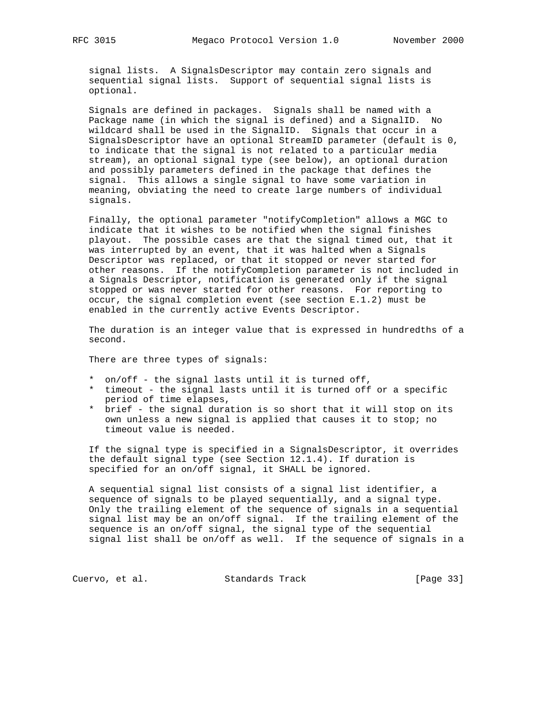signal lists. A SignalsDescriptor may contain zero signals and sequential signal lists. Support of sequential signal lists is optional.

 Signals are defined in packages. Signals shall be named with a Package name (in which the signal is defined) and a SignalID. No wildcard shall be used in the SignalID. Signals that occur in a SignalsDescriptor have an optional StreamID parameter (default is 0, to indicate that the signal is not related to a particular media stream), an optional signal type (see below), an optional duration and possibly parameters defined in the package that defines the signal. This allows a single signal to have some variation in meaning, obviating the need to create large numbers of individual signals.

 Finally, the optional parameter "notifyCompletion" allows a MGC to indicate that it wishes to be notified when the signal finishes playout. The possible cases are that the signal timed out, that it was interrupted by an event, that it was halted when a Signals Descriptor was replaced, or that it stopped or never started for other reasons. If the notifyCompletion parameter is not included in a Signals Descriptor, notification is generated only if the signal stopped or was never started for other reasons. For reporting to occur, the signal completion event (see section E.1.2) must be enabled in the currently active Events Descriptor.

 The duration is an integer value that is expressed in hundredths of a second.

There are three types of signals:

- \* on/off the signal lasts until it is turned off,
- \* timeout the signal lasts until it is turned off or a specific period of time elapses,
- \* brief the signal duration is so short that it will stop on its own unless a new signal is applied that causes it to stop; no timeout value is needed.

 If the signal type is specified in a SignalsDescriptor, it overrides the default signal type (see Section 12.1.4). If duration is specified for an on/off signal, it SHALL be ignored.

 A sequential signal list consists of a signal list identifier, a sequence of signals to be played sequentially, and a signal type. Only the trailing element of the sequence of signals in a sequential signal list may be an on/off signal. If the trailing element of the sequence is an on/off signal, the signal type of the sequential signal list shall be on/off as well. If the sequence of signals in a

Cuervo, et al. Standards Track [Page 33]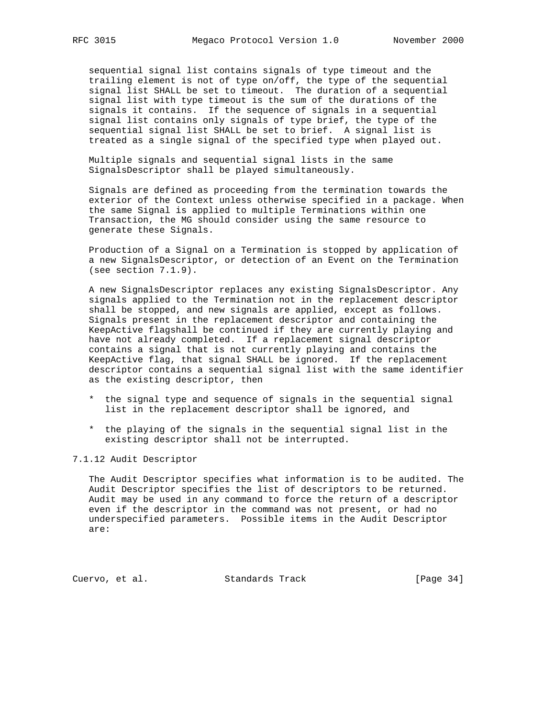sequential signal list contains signals of type timeout and the trailing element is not of type on/off, the type of the sequential signal list SHALL be set to timeout. The duration of a sequential signal list with type timeout is the sum of the durations of the signals it contains. If the sequence of signals in a sequential signal list contains only signals of type brief, the type of the sequential signal list SHALL be set to brief. A signal list is treated as a single signal of the specified type when played out.

 Multiple signals and sequential signal lists in the same SignalsDescriptor shall be played simultaneously.

 Signals are defined as proceeding from the termination towards the exterior of the Context unless otherwise specified in a package. When the same Signal is applied to multiple Terminations within one Transaction, the MG should consider using the same resource to generate these Signals.

 Production of a Signal on a Termination is stopped by application of a new SignalsDescriptor, or detection of an Event on the Termination (see section 7.1.9).

 A new SignalsDescriptor replaces any existing SignalsDescriptor. Any signals applied to the Termination not in the replacement descriptor shall be stopped, and new signals are applied, except as follows. Signals present in the replacement descriptor and containing the KeepActive flagshall be continued if they are currently playing and have not already completed. If a replacement signal descriptor contains a signal that is not currently playing and contains the KeepActive flag, that signal SHALL be ignored. If the replacement descriptor contains a sequential signal list with the same identifier as the existing descriptor, then

- \* the signal type and sequence of signals in the sequential signal list in the replacement descriptor shall be ignored, and
- \* the playing of the signals in the sequential signal list in the existing descriptor shall not be interrupted.

7.1.12 Audit Descriptor

 The Audit Descriptor specifies what information is to be audited. The Audit Descriptor specifies the list of descriptors to be returned. Audit may be used in any command to force the return of a descriptor even if the descriptor in the command was not present, or had no underspecified parameters. Possible items in the Audit Descriptor are:

Cuervo, et al. Standards Track [Page 34]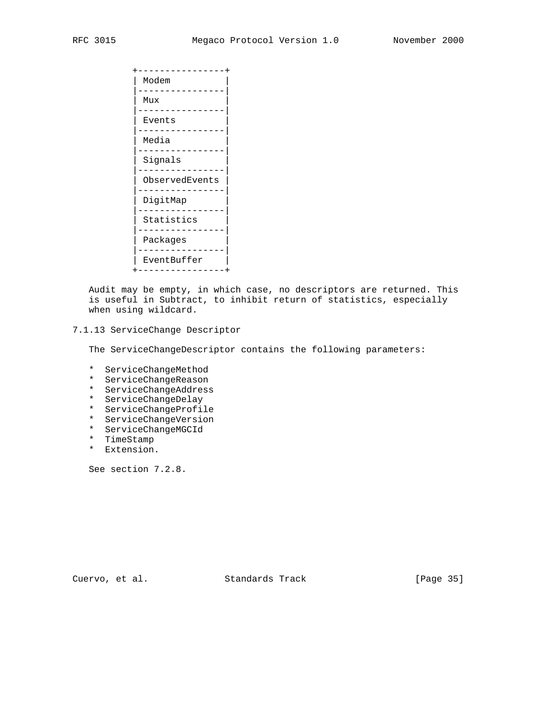+----------------+ | Modem | |----------------| | Mux | |----------------| Events |----------------| Media |----------------| | Signals | |----------------| | ObservedEvents | |----------------| DigitMap |----------------| Statistics |----------------| | Packages | |----------------| | EventBuffer | +----------------+

 Audit may be empty, in which case, no descriptors are returned. This is useful in Subtract, to inhibit return of statistics, especially when using wildcard.

## 7.1.13 ServiceChange Descriptor

The ServiceChangeDescriptor contains the following parameters:

- \* ServiceChangeMethod
- \* ServiceChangeReason
- \* ServiceChangeAddress
- \* ServiceChangeDelay
- \* ServiceChangeProfile
- \* ServiceChangeVersion
- \* ServiceChangeMGCId
- \* TimeStamp
- \* Extension.

See section 7.2.8.

Cuervo, et al. Standards Track [Page 35]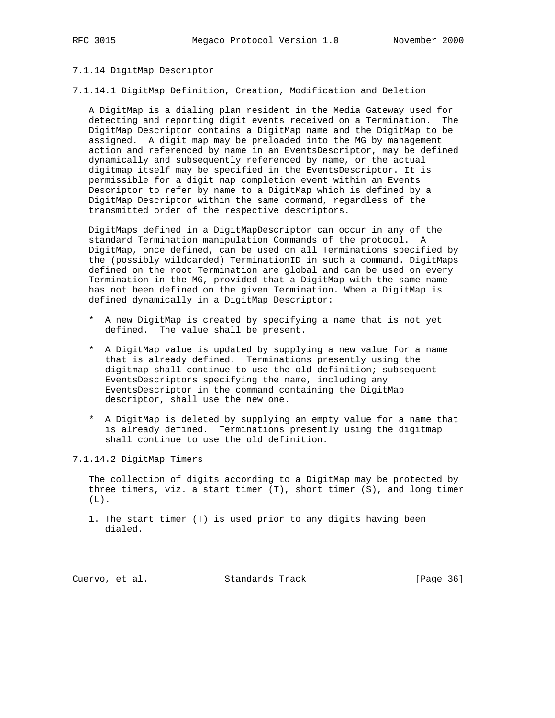### 7.1.14 DigitMap Descriptor

7.1.14.1 DigitMap Definition, Creation, Modification and Deletion

 A DigitMap is a dialing plan resident in the Media Gateway used for detecting and reporting digit events received on a Termination. The DigitMap Descriptor contains a DigitMap name and the DigitMap to be assigned. A digit map may be preloaded into the MG by management action and referenced by name in an EventsDescriptor, may be defined dynamically and subsequently referenced by name, or the actual digitmap itself may be specified in the EventsDescriptor. It is permissible for a digit map completion event within an Events Descriptor to refer by name to a DigitMap which is defined by a DigitMap Descriptor within the same command, regardless of the transmitted order of the respective descriptors.

 DigitMaps defined in a DigitMapDescriptor can occur in any of the standard Termination manipulation Commands of the protocol. A DigitMap, once defined, can be used on all Terminations specified by the (possibly wildcarded) TerminationID in such a command. DigitMaps defined on the root Termination are global and can be used on every Termination in the MG, provided that a DigitMap with the same name has not been defined on the given Termination. When a DigitMap is defined dynamically in a DigitMap Descriptor:

- \* A new DigitMap is created by specifying a name that is not yet defined. The value shall be present.
- \* A DigitMap value is updated by supplying a new value for a name that is already defined. Terminations presently using the digitmap shall continue to use the old definition; subsequent EventsDescriptors specifying the name, including any EventsDescriptor in the command containing the DigitMap descriptor, shall use the new one.
- \* A DigitMap is deleted by supplying an empty value for a name that is already defined. Terminations presently using the digitmap shall continue to use the old definition.

7.1.14.2 DigitMap Timers

 The collection of digits according to a DigitMap may be protected by three timers, viz. a start timer (T), short timer (S), and long timer  $(L)$ .

 1. The start timer (T) is used prior to any digits having been dialed.

Cuervo, et al. Standards Track [Page 36]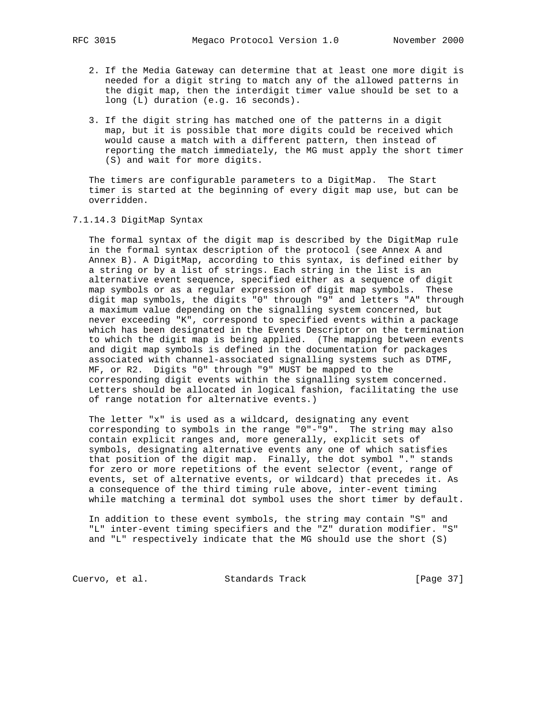- 2. If the Media Gateway can determine that at least one more digit is needed for a digit string to match any of the allowed patterns in the digit map, then the interdigit timer value should be set to a long (L) duration (e.g. 16 seconds).
- 3. If the digit string has matched one of the patterns in a digit map, but it is possible that more digits could be received which would cause a match with a different pattern, then instead of reporting the match immediately, the MG must apply the short timer (S) and wait for more digits.

 The timers are configurable parameters to a DigitMap. The Start timer is started at the beginning of every digit map use, but can be overridden.

# 7.1.14.3 DigitMap Syntax

 The formal syntax of the digit map is described by the DigitMap rule in the formal syntax description of the protocol (see Annex A and Annex B). A DigitMap, according to this syntax, is defined either by a string or by a list of strings. Each string in the list is an alternative event sequence, specified either as a sequence of digit map symbols or as a regular expression of digit map symbols. These digit map symbols, the digits "0" through "9" and letters "A" through a maximum value depending on the signalling system concerned, but never exceeding "K", correspond to specified events within a package which has been designated in the Events Descriptor on the termination to which the digit map is being applied. (The mapping between events and digit map symbols is defined in the documentation for packages associated with channel-associated signalling systems such as DTMF, MF, or R2. Digits "0" through "9" MUST be mapped to the corresponding digit events within the signalling system concerned. Letters should be allocated in logical fashion, facilitating the use of range notation for alternative events.)

 The letter "x" is used as a wildcard, designating any event corresponding to symbols in the range "0"-"9". The string may also contain explicit ranges and, more generally, explicit sets of symbols, designating alternative events any one of which satisfies that position of the digit map. Finally, the dot symbol "." stands for zero or more repetitions of the event selector (event, range of events, set of alternative events, or wildcard) that precedes it. As a consequence of the third timing rule above, inter-event timing while matching a terminal dot symbol uses the short timer by default.

 In addition to these event symbols, the string may contain "S" and "L" inter-event timing specifiers and the "Z" duration modifier. "S" and "L" respectively indicate that the MG should use the short (S)

Cuervo, et al. Standards Track [Page 37]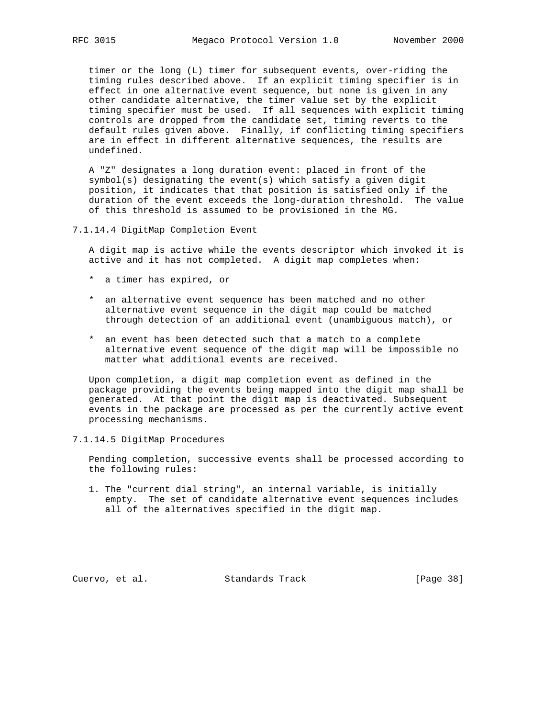timer or the long (L) timer for subsequent events, over-riding the timing rules described above. If an explicit timing specifier is in effect in one alternative event sequence, but none is given in any other candidate alternative, the timer value set by the explicit timing specifier must be used. If all sequences with explicit timing controls are dropped from the candidate set, timing reverts to the default rules given above. Finally, if conflicting timing specifiers are in effect in different alternative sequences, the results are undefined.

 A "Z" designates a long duration event: placed in front of the symbol(s) designating the event(s) which satisfy a given digit position, it indicates that that position is satisfied only if the duration of the event exceeds the long-duration threshold. The value of this threshold is assumed to be provisioned in the MG.

7.1.14.4 DigitMap Completion Event

 A digit map is active while the events descriptor which invoked it is active and it has not completed. A digit map completes when:

- \* a timer has expired, or
- \* an alternative event sequence has been matched and no other alternative event sequence in the digit map could be matched through detection of an additional event (unambiguous match), or
- \* an event has been detected such that a match to a complete alternative event sequence of the digit map will be impossible no matter what additional events are received.

 Upon completion, a digit map completion event as defined in the package providing the events being mapped into the digit map shall be generated. At that point the digit map is deactivated. Subsequent events in the package are processed as per the currently active event processing mechanisms.

7.1.14.5 DigitMap Procedures

 Pending completion, successive events shall be processed according to the following rules:

 1. The "current dial string", an internal variable, is initially empty. The set of candidate alternative event sequences includes all of the alternatives specified in the digit map.

Cuervo, et al. Standards Track [Page 38]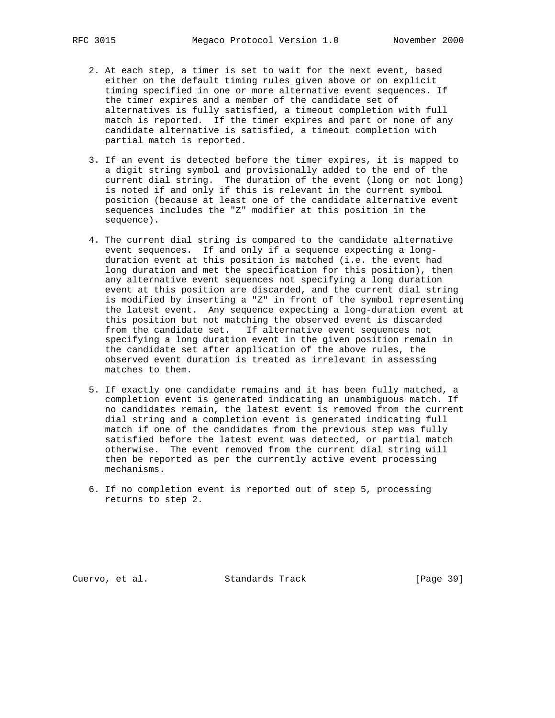- 2. At each step, a timer is set to wait for the next event, based either on the default timing rules given above or on explicit timing specified in one or more alternative event sequences. If the timer expires and a member of the candidate set of alternatives is fully satisfied, a timeout completion with full match is reported. If the timer expires and part or none of any candidate alternative is satisfied, a timeout completion with partial match is reported.
- 3. If an event is detected before the timer expires, it is mapped to a digit string symbol and provisionally added to the end of the current dial string. The duration of the event (long or not long) is noted if and only if this is relevant in the current symbol position (because at least one of the candidate alternative event sequences includes the "Z" modifier at this position in the sequence).
- 4. The current dial string is compared to the candidate alternative event sequences. If and only if a sequence expecting a long duration event at this position is matched (i.e. the event had long duration and met the specification for this position), then any alternative event sequences not specifying a long duration event at this position are discarded, and the current dial string is modified by inserting a "Z" in front of the symbol representing the latest event. Any sequence expecting a long-duration event at this position but not matching the observed event is discarded from the candidate set. If alternative event sequences not specifying a long duration event in the given position remain in the candidate set after application of the above rules, the observed event duration is treated as irrelevant in assessing matches to them.
- 5. If exactly one candidate remains and it has been fully matched, a completion event is generated indicating an unambiguous match. If no candidates remain, the latest event is removed from the current dial string and a completion event is generated indicating full match if one of the candidates from the previous step was fully satisfied before the latest event was detected, or partial match otherwise. The event removed from the current dial string will then be reported as per the currently active event processing mechanisms.
- 6. If no completion event is reported out of step 5, processing returns to step 2.

Cuervo, et al. Standards Track [Page 39]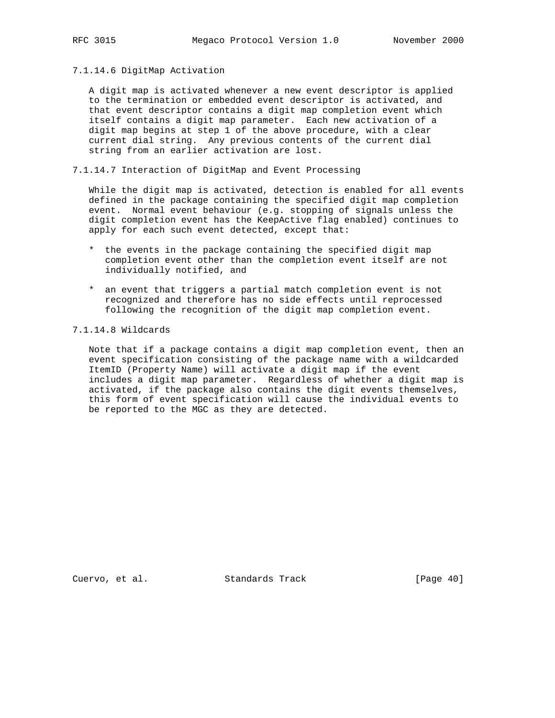# 7.1.14.6 DigitMap Activation

 A digit map is activated whenever a new event descriptor is applied to the termination or embedded event descriptor is activated, and that event descriptor contains a digit map completion event which itself contains a digit map parameter. Each new activation of a digit map begins at step 1 of the above procedure, with a clear current dial string. Any previous contents of the current dial string from an earlier activation are lost.

7.1.14.7 Interaction of DigitMap and Event Processing

 While the digit map is activated, detection is enabled for all events defined in the package containing the specified digit map completion event. Normal event behaviour (e.g. stopping of signals unless the digit completion event has the KeepActive flag enabled) continues to apply for each such event detected, except that:

- \* the events in the package containing the specified digit map completion event other than the completion event itself are not individually notified, and
- \* an event that triggers a partial match completion event is not recognized and therefore has no side effects until reprocessed following the recognition of the digit map completion event.

# 7.1.14.8 Wildcards

 Note that if a package contains a digit map completion event, then an event specification consisting of the package name with a wildcarded ItemID (Property Name) will activate a digit map if the event includes a digit map parameter. Regardless of whether a digit map is activated, if the package also contains the digit events themselves, this form of event specification will cause the individual events to be reported to the MGC as they are detected.

Cuervo, et al. Standards Track [Page 40]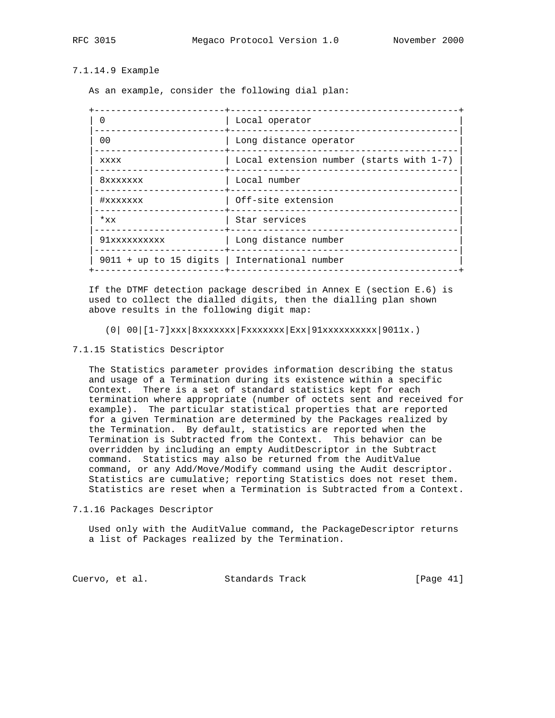# 7.1.14.9 Example

As an example, consider the following dial plan:

|                                               | Local operator                           |
|-----------------------------------------------|------------------------------------------|
| 0 <sub>0</sub>                                | Long distance operator                   |
| <b>XXXX</b>                                   | Local extension number (starts with 1-7) |
| 8xxxxxxx                                      | Local number                             |
| #xxxxxxx                                      | Off-site extension                       |
| $*_{xx}$                                      | Star services                            |
| 91xxxxxxxxxx                                  | Long distance number                     |
| 9011 + up to 15 digits   International number |                                          |
|                                               |                                          |

 If the DTMF detection package described in Annex E (section E.6) is used to collect the dialled digits, then the dialling plan shown above results in the following digit map:

- $(0| 00| [1-7]xxx|8xxxxxxx|Fxxxxxxx|Exx|91xxxxxxxxxx|9011x.)$
- 7.1.15 Statistics Descriptor

 The Statistics parameter provides information describing the status and usage of a Termination during its existence within a specific Context. There is a set of standard statistics kept for each termination where appropriate (number of octets sent and received for example). The particular statistical properties that are reported for a given Termination are determined by the Packages realized by the Termination. By default, statistics are reported when the Termination is Subtracted from the Context. This behavior can be overridden by including an empty AuditDescriptor in the Subtract command. Statistics may also be returned from the AuditValue command, or any Add/Move/Modify command using the Audit descriptor. Statistics are cumulative; reporting Statistics does not reset them. Statistics are reset when a Termination is Subtracted from a Context.

7.1.16 Packages Descriptor

 Used only with the AuditValue command, the PackageDescriptor returns a list of Packages realized by the Termination.

Cuervo, et al. Standards Track [Page 41]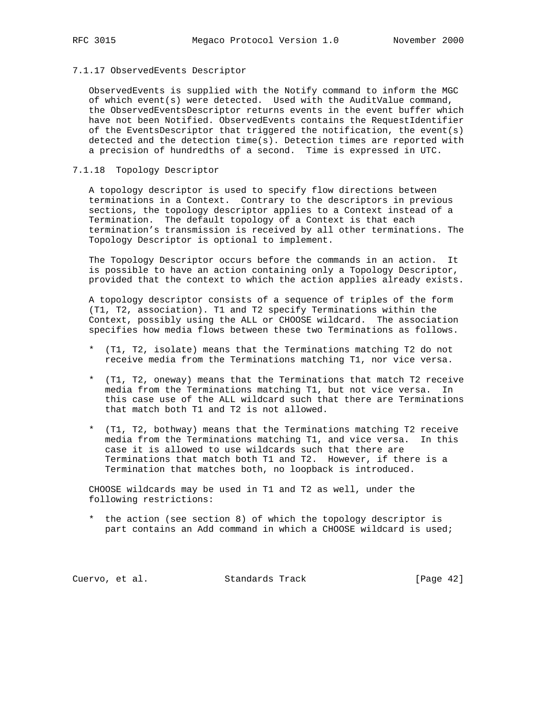# 7.1.17 ObservedEvents Descriptor

 ObservedEvents is supplied with the Notify command to inform the MGC of which event(s) were detected. Used with the AuditValue command, the ObservedEventsDescriptor returns events in the event buffer which have not been Notified. ObservedEvents contains the RequestIdentifier of the EventsDescriptor that triggered the notification, the event(s) detected and the detection time(s). Detection times are reported with a precision of hundredths of a second. Time is expressed in UTC.

# 7.1.18 Topology Descriptor

 A topology descriptor is used to specify flow directions between terminations in a Context. Contrary to the descriptors in previous sections, the topology descriptor applies to a Context instead of a Termination. The default topology of a Context is that each termination's transmission is received by all other terminations. The Topology Descriptor is optional to implement.

 The Topology Descriptor occurs before the commands in an action. It is possible to have an action containing only a Topology Descriptor, provided that the context to which the action applies already exists.

 A topology descriptor consists of a sequence of triples of the form (T1, T2, association). T1 and T2 specify Terminations within the Context, possibly using the ALL or CHOOSE wildcard. The association specifies how media flows between these two Terminations as follows.

- \* (T1, T2, isolate) means that the Terminations matching T2 do not receive media from the Terminations matching T1, nor vice versa.
- \* (T1, T2, oneway) means that the Terminations that match T2 receive media from the Terminations matching T1, but not vice versa. In this case use of the ALL wildcard such that there are Terminations that match both T1 and T2 is not allowed.
- \* (T1, T2, bothway) means that the Terminations matching T2 receive media from the Terminations matching T1, and vice versa. In this case it is allowed to use wildcards such that there are Terminations that match both T1 and T2. However, if there is a Termination that matches both, no loopback is introduced.

 CHOOSE wildcards may be used in T1 and T2 as well, under the following restrictions:

 \* the action (see section 8) of which the topology descriptor is part contains an Add command in which a CHOOSE wildcard is used;

Cuervo, et al. Standards Track [Page 42]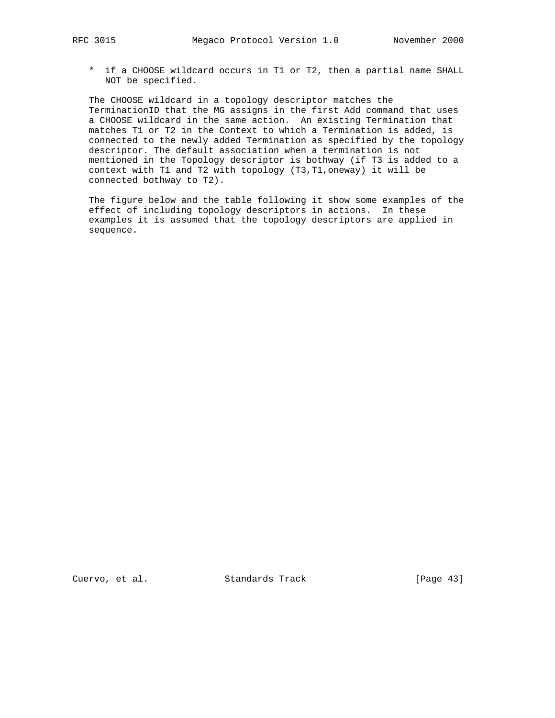\* if a CHOOSE wildcard occurs in T1 or T2, then a partial name SHALL NOT be specified.

 The CHOOSE wildcard in a topology descriptor matches the TerminationID that the MG assigns in the first Add command that uses a CHOOSE wildcard in the same action. An existing Termination that matches T1 or T2 in the Context to which a Termination is added, is connected to the newly added Termination as specified by the topology descriptor. The default association when a termination is not mentioned in the Topology descriptor is bothway (if T3 is added to a context with T1 and T2 with topology (T3,T1,oneway) it will be connected bothway to T2).

 The figure below and the table following it show some examples of the effect of including topology descriptors in actions. In these examples it is assumed that the topology descriptors are applied in sequence.

Cuervo, et al. Standards Track [Page 43]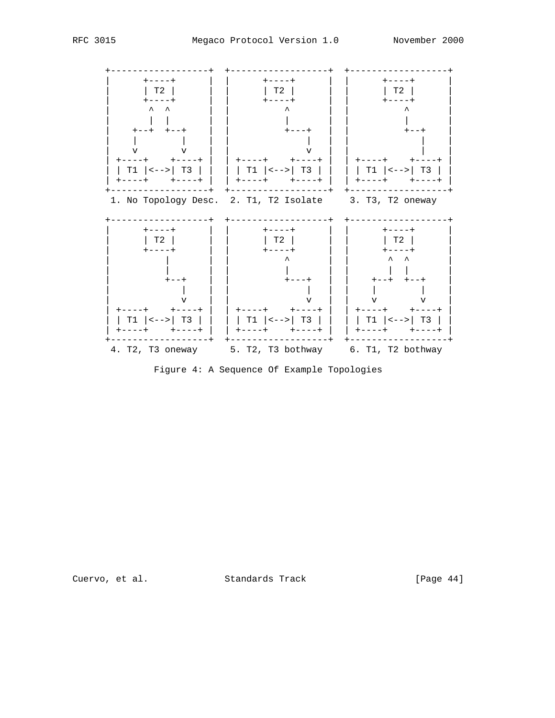

Figure 4: A Sequence Of Example Topologies

Cuervo, et al. Standards Track

[Page 44]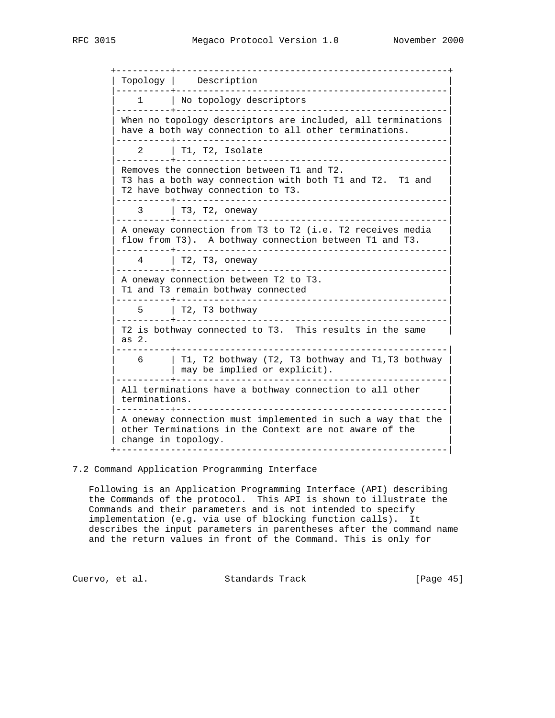+----------+--------------------------------------------------+ | Topology | Description | |----------+--------------------------------------------------| 1 | No topology descriptors |----------+--------------------------------------------------| When no topology descriptors are included, all terminations have a both way connection to all other terminations. |----------+--------------------------------------------------| 2 | T1, T2, Isolate |----------+--------------------------------------------------| Removes the connection between T1 and T2. T3 has a both way connection with both T1 and T2. T1 and T2 have bothway connection to T3. |----------+--------------------------------------------------| | 3 | T3, T2, oneway | |----------+--------------------------------------------------| A oneway connection from T3 to T2 (i.e. T2 receives media flow from T3). A bothway connection between T1 and T3. |----------+--------------------------------------------------| | 4 | T2, T3, oneway | |----------+--------------------------------------------------| A oneway connection between T2 to T3. T1 and T3 remain bothway connected |----------+--------------------------------------------------| | 5 | T2, T3 bothway | |----------+--------------------------------------------------| T2 is bothway connected to T3. This results in the same | as 2. |----------+--------------------------------------------------|  $6$  | T1, T2 bothway (T2, T3 bothway and T1, T3 bothway | | may be implied or explicit). | |----------+--------------------------------------------------| All terminations have a bothway connection to all other terminations. |----------+--------------------------------------------------| A oneway connection must implemented in such a way that the other Terminations in the Context are not aware of the | change in topology. | +-------------------------------------------------------------|

7.2 Command Application Programming Interface

 Following is an Application Programming Interface (API) describing the Commands of the protocol. This API is shown to illustrate the Commands and their parameters and is not intended to specify implementation (e.g. via use of blocking function calls). It describes the input parameters in parentheses after the command name and the return values in front of the Command. This is only for

Cuervo, et al. Standards Track [Page 45]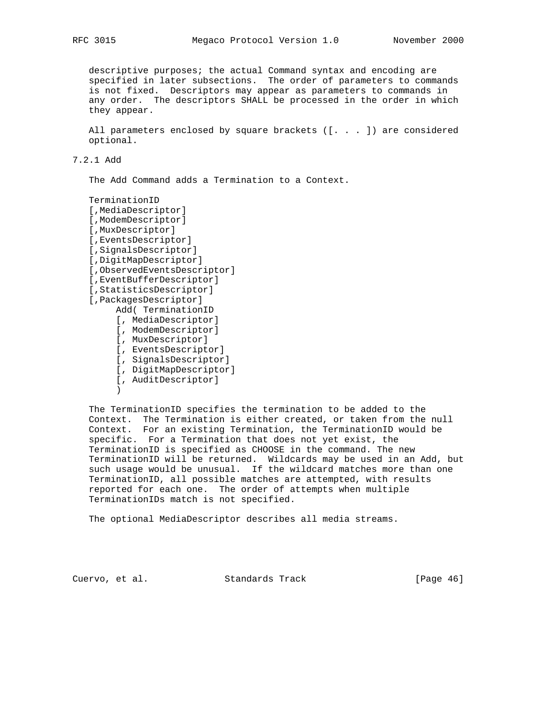descriptive purposes; the actual Command syntax and encoding are specified in later subsections. The order of parameters to commands is not fixed. Descriptors may appear as parameters to commands in any order. The descriptors SHALL be processed in the order in which they appear.

 All parameters enclosed by square brackets ([. . . ]) are considered optional.

7.2.1 Add

The Add Command adds a Termination to a Context.

 TerminationID [,MediaDescriptor] [,ModemDescriptor] [,MuxDescriptor] [,EventsDescriptor] [,SignalsDescriptor] [,DigitMapDescriptor] [,ObservedEventsDescriptor] [,EventBufferDescriptor] [,StatisticsDescriptor] [,PackagesDescriptor] Add( TerminationID [, MediaDescriptor] [, ModemDescriptor] [, MuxDescriptor] [, EventsDescriptor] [, SignalsDescriptor] [, DigitMapDescriptor] [, AuditDescriptor]  $\overline{\phantom{a}}$ 

 The TerminationID specifies the termination to be added to the Context. The Termination is either created, or taken from the null Context. For an existing Termination, the TerminationID would be specific. For a Termination that does not yet exist, the TerminationID is specified as CHOOSE in the command. The new TerminationID will be returned. Wildcards may be used in an Add, but such usage would be unusual. If the wildcard matches more than one TerminationID, all possible matches are attempted, with results reported for each one. The order of attempts when multiple TerminationIDs match is not specified.

The optional MediaDescriptor describes all media streams.

Cuervo, et al. Standards Track [Page 46]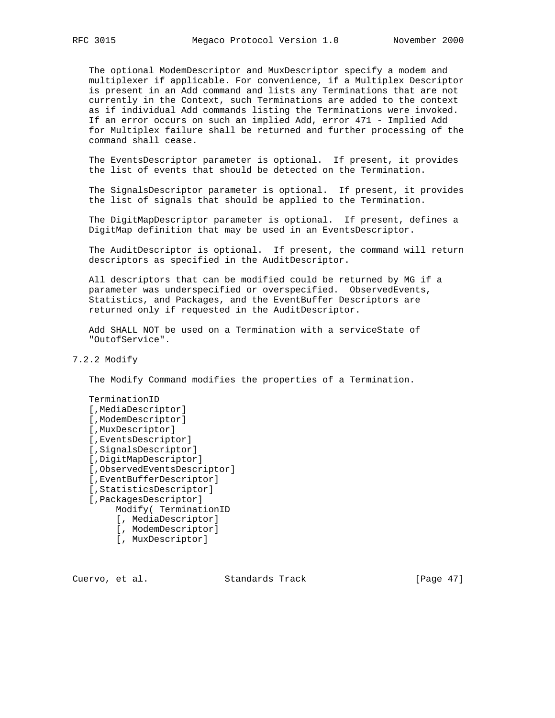The optional ModemDescriptor and MuxDescriptor specify a modem and multiplexer if applicable. For convenience, if a Multiplex Descriptor is present in an Add command and lists any Terminations that are not currently in the Context, such Terminations are added to the context as if individual Add commands listing the Terminations were invoked. If an error occurs on such an implied Add, error 471 - Implied Add for Multiplex failure shall be returned and further processing of the command shall cease.

 The EventsDescriptor parameter is optional. If present, it provides the list of events that should be detected on the Termination.

 The SignalsDescriptor parameter is optional. If present, it provides the list of signals that should be applied to the Termination.

 The DigitMapDescriptor parameter is optional. If present, defines a DigitMap definition that may be used in an EventsDescriptor.

 The AuditDescriptor is optional. If present, the command will return descriptors as specified in the AuditDescriptor.

 All descriptors that can be modified could be returned by MG if a parameter was underspecified or overspecified. ObservedEvents, Statistics, and Packages, and the EventBuffer Descriptors are returned only if requested in the AuditDescriptor.

 Add SHALL NOT be used on a Termination with a serviceState of "OutofService".

7.2.2 Modify

The Modify Command modifies the properties of a Termination.

 TerminationID [,MediaDescriptor] [,ModemDescriptor] [,MuxDescriptor] [,EventsDescriptor] [,SignalsDescriptor] [,DigitMapDescriptor] [,ObservedEventsDescriptor] [,EventBufferDescriptor] [,StatisticsDescriptor] [,PackagesDescriptor] Modify( TerminationID [, MediaDescriptor] [, ModemDescriptor] [, MuxDescriptor]

Cuervo, et al. Standards Track [Page 47]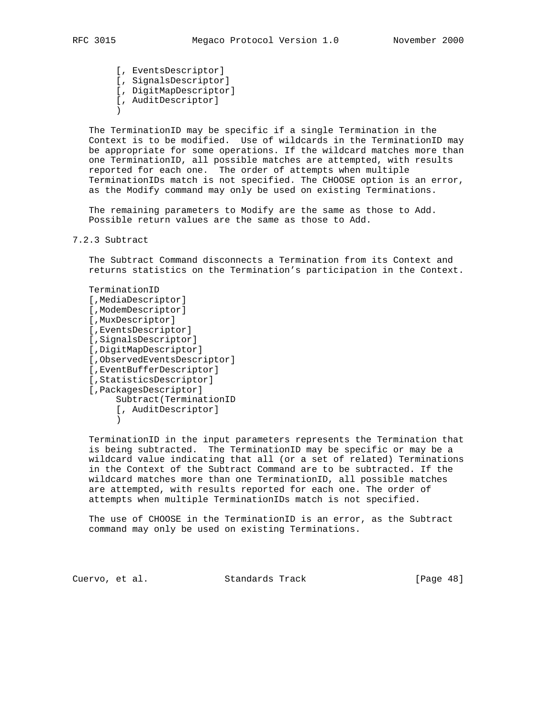[, EventsDescriptor] [, SignalsDescriptor] [, DigitMapDescriptor] [, AuditDescriptor]

 $\overline{\phantom{a}}$ 

 The TerminationID may be specific if a single Termination in the Context is to be modified. Use of wildcards in the TerminationID may be appropriate for some operations. If the wildcard matches more than one TerminationID, all possible matches are attempted, with results reported for each one. The order of attempts when multiple TerminationIDs match is not specified. The CHOOSE option is an error, as the Modify command may only be used on existing Terminations.

 The remaining parameters to Modify are the same as those to Add. Possible return values are the same as those to Add.

# 7.2.3 Subtract

 The Subtract Command disconnects a Termination from its Context and returns statistics on the Termination's participation in the Context.

 TerminationID [,MediaDescriptor] [,ModemDescriptor] [,MuxDescriptor] [,EventsDescriptor] [,SignalsDescriptor] [,DigitMapDescriptor] [,ObservedEventsDescriptor] [,EventBufferDescriptor] [,StatisticsDescriptor] [,PackagesDescriptor] Subtract(TerminationID [, AuditDescriptor]  $\overline{\phantom{a}}$ 

 TerminationID in the input parameters represents the Termination that is being subtracted. The TerminationID may be specific or may be a wildcard value indicating that all (or a set of related) Terminations in the Context of the Subtract Command are to be subtracted. If the wildcard matches more than one TerminationID, all possible matches are attempted, with results reported for each one. The order of attempts when multiple TerminationIDs match is not specified.

 The use of CHOOSE in the TerminationID is an error, as the Subtract command may only be used on existing Terminations.

Cuervo, et al. Standards Track [Page 48]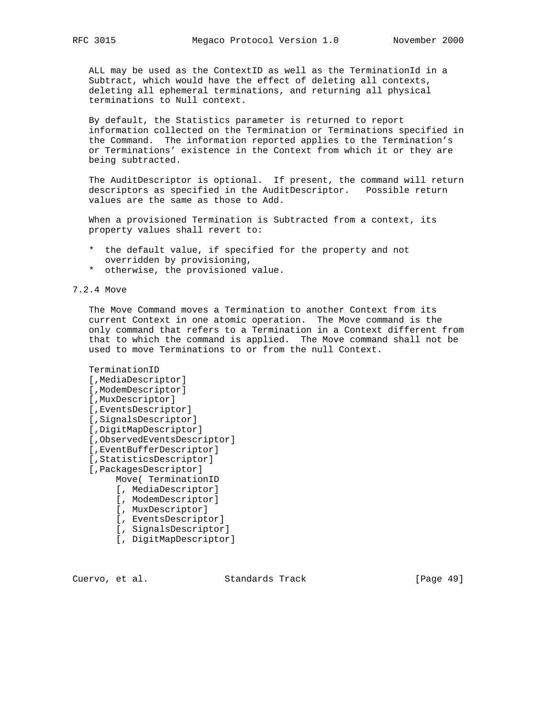ALL may be used as the ContextID as well as the TerminationId in a Subtract, which would have the effect of deleting all contexts, deleting all ephemeral terminations, and returning all physical terminations to Null context.

 By default, the Statistics parameter is returned to report information collected on the Termination or Terminations specified in the Command. The information reported applies to the Termination's or Terminations' existence in the Context from which it or they are being subtracted.

 The AuditDescriptor is optional. If present, the command will return descriptors as specified in the AuditDescriptor. Possible return values are the same as those to Add.

 When a provisioned Termination is Subtracted from a context, its property values shall revert to:

- \* the default value, if specified for the property and not overridden by provisioning,
- \* otherwise, the provisioned value.

7.2.4 Move

 The Move Command moves a Termination to another Context from its current Context in one atomic operation. The Move command is the only command that refers to a Termination in a Context different from that to which the command is applied. The Move command shall not be used to move Terminations to or from the null Context.

```
 TerminationID
 [,MediaDescriptor]
 [,ModemDescriptor]
 [,MuxDescriptor]
 [,EventsDescriptor]
 [,SignalsDescriptor]
 [,DigitMapDescriptor]
 [,ObservedEventsDescriptor]
 [,EventBufferDescriptor]
 [,StatisticsDescriptor]
 [,PackagesDescriptor]
      Move( TerminationID
      [, MediaDescriptor]
      [, ModemDescriptor]
      [, MuxDescriptor]
      [, EventsDescriptor]
      [, SignalsDescriptor]
```
[, DigitMapDescriptor]

Cuervo, et al. Standards Track [Page 49]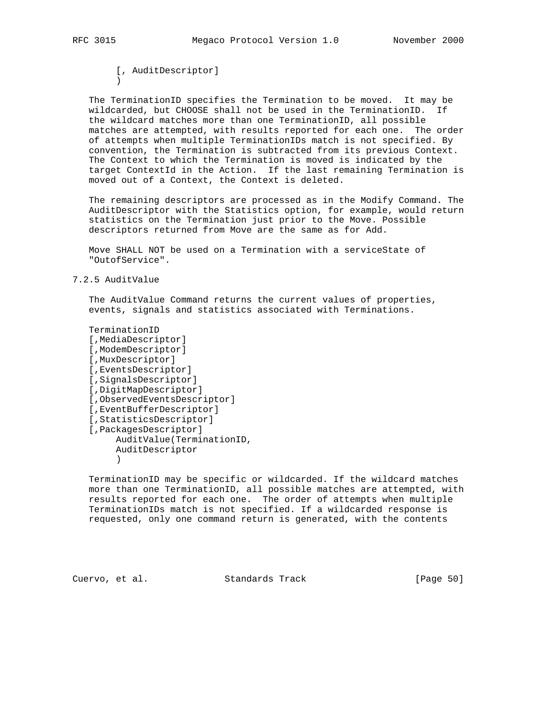[, AuditDescriptor]  $\overline{\phantom{a}}$ 

 The TerminationID specifies the Termination to be moved. It may be wildcarded, but CHOOSE shall not be used in the TerminationID. If the wildcard matches more than one TerminationID, all possible matches are attempted, with results reported for each one. The order of attempts when multiple TerminationIDs match is not specified. By convention, the Termination is subtracted from its previous Context. The Context to which the Termination is moved is indicated by the target ContextId in the Action. If the last remaining Termination is moved out of a Context, the Context is deleted.

 The remaining descriptors are processed as in the Modify Command. The AuditDescriptor with the Statistics option, for example, would return statistics on the Termination just prior to the Move. Possible descriptors returned from Move are the same as for Add.

 Move SHALL NOT be used on a Termination with a serviceState of "OutofService".

# 7.2.5 AuditValue

 The AuditValue Command returns the current values of properties, events, signals and statistics associated with Terminations.

 TerminationID [,MediaDescriptor] [,ModemDescriptor] [,MuxDescriptor] [,EventsDescriptor] [,SignalsDescriptor] [,DigitMapDescriptor] [,ObservedEventsDescriptor] [,EventBufferDescriptor] [,StatisticsDescriptor] [,PackagesDescriptor] AuditValue(TerminationID, AuditDescriptor  $\overline{\phantom{a}}$ 

 TerminationID may be specific or wildcarded. If the wildcard matches more than one TerminationID, all possible matches are attempted, with results reported for each one. The order of attempts when multiple TerminationIDs match is not specified. If a wildcarded response is requested, only one command return is generated, with the contents

Cuervo, et al. Standards Track [Page 50]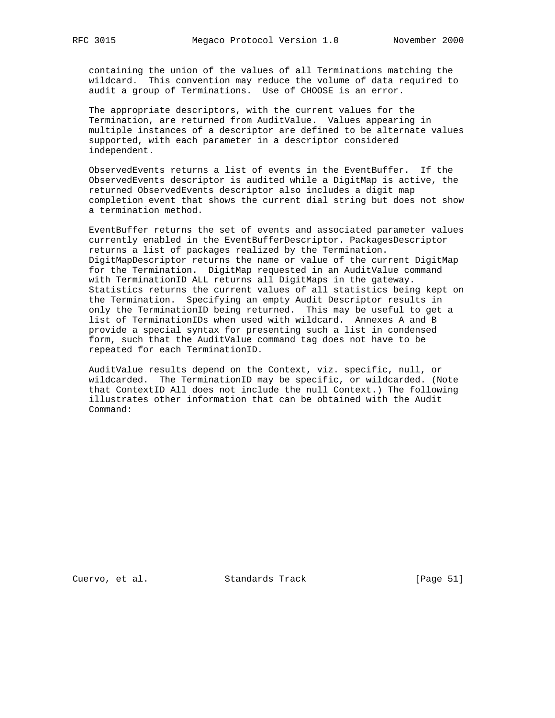containing the union of the values of all Terminations matching the wildcard. This convention may reduce the volume of data required to audit a group of Terminations. Use of CHOOSE is an error.

 The appropriate descriptors, with the current values for the Termination, are returned from AuditValue. Values appearing in multiple instances of a descriptor are defined to be alternate values supported, with each parameter in a descriptor considered independent.

 ObservedEvents returns a list of events in the EventBuffer. If the ObservedEvents descriptor is audited while a DigitMap is active, the returned ObservedEvents descriptor also includes a digit map completion event that shows the current dial string but does not show a termination method.

 EventBuffer returns the set of events and associated parameter values currently enabled in the EventBufferDescriptor. PackagesDescriptor returns a list of packages realized by the Termination. DigitMapDescriptor returns the name or value of the current DigitMap for the Termination. DigitMap requested in an AuditValue command with TerminationID ALL returns all DigitMaps in the gateway. Statistics returns the current values of all statistics being kept on the Termination. Specifying an empty Audit Descriptor results in only the TerminationID being returned. This may be useful to get a list of TerminationIDs when used with wildcard. Annexes A and B provide a special syntax for presenting such a list in condensed form, such that the AuditValue command tag does not have to be repeated for each TerminationID.

 AuditValue results depend on the Context, viz. specific, null, or wildcarded. The TerminationID may be specific, or wildcarded. (Note that ContextID All does not include the null Context.) The following illustrates other information that can be obtained with the Audit Command:

Cuervo, et al. Standards Track [Page 51]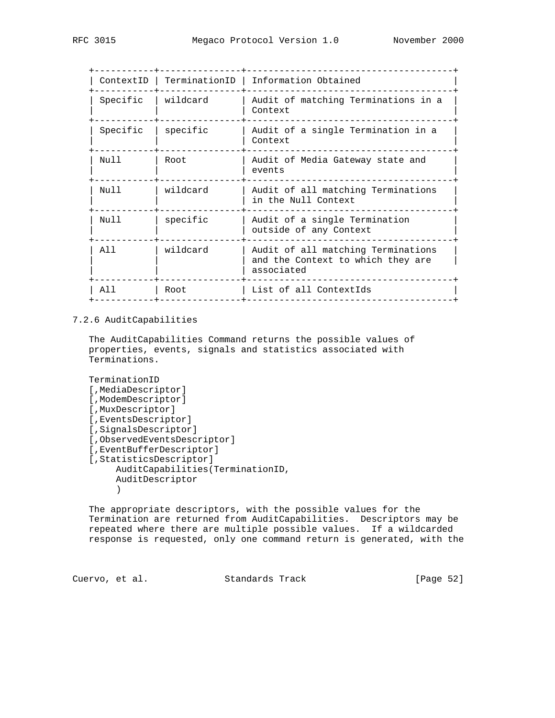|          |          | ContextID   TerminationID   Information Obtained                                      |
|----------|----------|---------------------------------------------------------------------------------------|
| Specific | wildcard | Audit of matching Terminations in a<br>Context                                        |
| Specific | specific | Audit of a single Termination in a<br>Context                                         |
| Null     | Root     | Audit of Media Gateway state and<br>events                                            |
| Nu 1 1   | wildcard | Audit of all matching Terminations<br>in the Null Context                             |
| Nu 1 1   | specific | Audit of a single Termination<br>outside of any Context                               |
| A 1 1    | wildcard | Audit of all matching Terminations<br>and the Context to which they are<br>associated |
| 21 J     | Root     | List of all ContextIds                                                                |
|          |          |                                                                                       |

# 7.2.6 AuditCapabilities

 The AuditCapabilities Command returns the possible values of properties, events, signals and statistics associated with Terminations.

```
 TerminationID
    [,MediaDescriptor]
    [,ModemDescriptor]
    [,MuxDescriptor]
    [,EventsDescriptor]
    [,SignalsDescriptor]
    [,ObservedEventsDescriptor]
    [,EventBufferDescriptor]
    [,StatisticsDescriptor]
         AuditCapabilities(TerminationID,
         AuditDescriptor
\overline{\phantom{a}}
```
 The appropriate descriptors, with the possible values for the Termination are returned from AuditCapabilities. Descriptors may be repeated where there are multiple possible values. If a wildcarded response is requested, only one command return is generated, with the

Cuervo, et al. Standards Track [Page 52]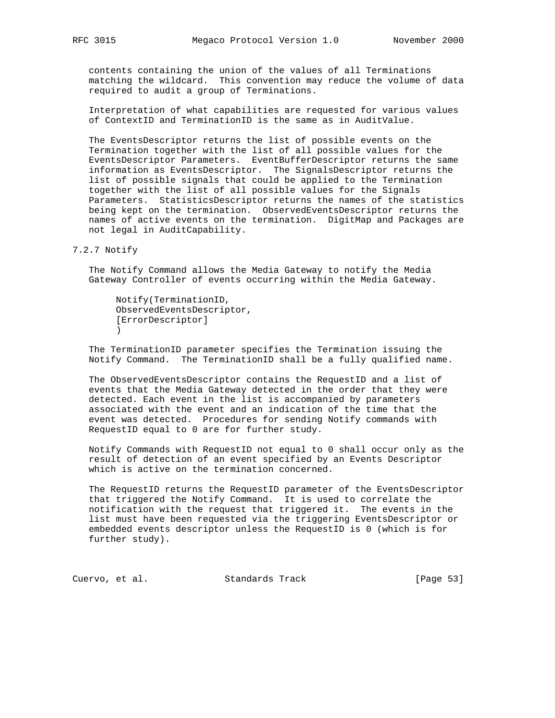contents containing the union of the values of all Terminations matching the wildcard. This convention may reduce the volume of data required to audit a group of Terminations.

 Interpretation of what capabilities are requested for various values of ContextID and TerminationID is the same as in AuditValue.

 The EventsDescriptor returns the list of possible events on the Termination together with the list of all possible values for the EventsDescriptor Parameters. EventBufferDescriptor returns the same information as EventsDescriptor. The SignalsDescriptor returns the list of possible signals that could be applied to the Termination together with the list of all possible values for the Signals Parameters. StatisticsDescriptor returns the names of the statistics being kept on the termination. ObservedEventsDescriptor returns the names of active events on the termination. DigitMap and Packages are not legal in AuditCapability.

7.2.7 Notify

 The Notify Command allows the Media Gateway to notify the Media Gateway Controller of events occurring within the Media Gateway.

 Notify(TerminationID, ObservedEventsDescriptor, [ErrorDescriptor]  $\overline{\phantom{a}}$ 

 The TerminationID parameter specifies the Termination issuing the Notify Command. The TerminationID shall be a fully qualified name.

 The ObservedEventsDescriptor contains the RequestID and a list of events that the Media Gateway detected in the order that they were detected. Each event in the list is accompanied by parameters associated with the event and an indication of the time that the event was detected. Procedures for sending Notify commands with RequestID equal to 0 are for further study.

 Notify Commands with RequestID not equal to 0 shall occur only as the result of detection of an event specified by an Events Descriptor which is active on the termination concerned.

 The RequestID returns the RequestID parameter of the EventsDescriptor that triggered the Notify Command. It is used to correlate the notification with the request that triggered it. The events in the list must have been requested via the triggering EventsDescriptor or embedded events descriptor unless the RequestID is 0 (which is for further study).

Cuervo, et al. Standards Track [Page 53]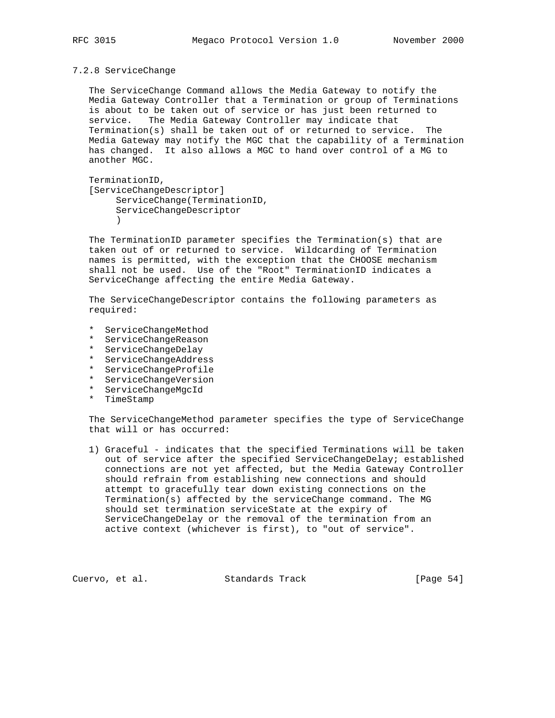# 7.2.8 ServiceChange

 The ServiceChange Command allows the Media Gateway to notify the Media Gateway Controller that a Termination or group of Terminations is about to be taken out of service or has just been returned to service. The Media Gateway Controller may indicate that Termination(s) shall be taken out of or returned to service. The Media Gateway may notify the MGC that the capability of a Termination has changed. It also allows a MGC to hand over control of a MG to another MGC.

 TerminationID, [ServiceChangeDescriptor] ServiceChange(TerminationID, ServiceChangeDescriptor  $\overline{\phantom{a}}$ 

 The TerminationID parameter specifies the Termination(s) that are taken out of or returned to service. Wildcarding of Termination names is permitted, with the exception that the CHOOSE mechanism shall not be used. Use of the "Root" TerminationID indicates a ServiceChange affecting the entire Media Gateway.

 The ServiceChangeDescriptor contains the following parameters as required:

- \* ServiceChangeMethod
- \* ServiceChangeReason
- \* ServiceChangeDelay
- \* ServiceChangeAddress
- \* ServiceChangeProfile
- \* ServiceChangeVersion
- \* ServiceChangeMgcId
- \* TimeStamp

 The ServiceChangeMethod parameter specifies the type of ServiceChange that will or has occurred:

 1) Graceful - indicates that the specified Terminations will be taken out of service after the specified ServiceChangeDelay; established connections are not yet affected, but the Media Gateway Controller should refrain from establishing new connections and should attempt to gracefully tear down existing connections on the Termination(s) affected by the serviceChange command. The MG should set termination serviceState at the expiry of ServiceChangeDelay or the removal of the termination from an active context (whichever is first), to "out of service".

Cuervo, et al. Standards Track [Page 54]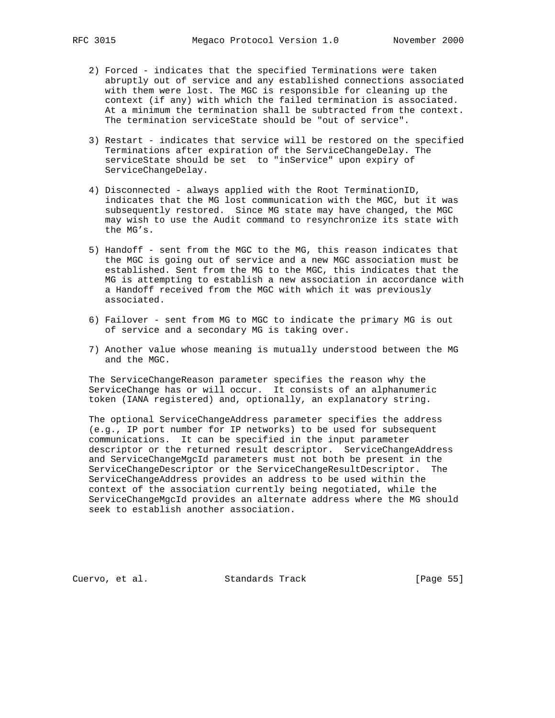- 2) Forced indicates that the specified Terminations were taken abruptly out of service and any established connections associated with them were lost. The MGC is responsible for cleaning up the context (if any) with which the failed termination is associated. At a minimum the termination shall be subtracted from the context. The termination serviceState should be "out of service".
- 3) Restart indicates that service will be restored on the specified Terminations after expiration of the ServiceChangeDelay. The serviceState should be set to "inService" upon expiry of ServiceChangeDelay.
- 4) Disconnected always applied with the Root TerminationID, indicates that the MG lost communication with the MGC, but it was subsequently restored. Since MG state may have changed, the MGC may wish to use the Audit command to resynchronize its state with the MG's.
- 5) Handoff sent from the MGC to the MG, this reason indicates that the MGC is going out of service and a new MGC association must be established. Sent from the MG to the MGC, this indicates that the MG is attempting to establish a new association in accordance with a Handoff received from the MGC with which it was previously associated.
- 6) Failover sent from MG to MGC to indicate the primary MG is out of service and a secondary MG is taking over.
- 7) Another value whose meaning is mutually understood between the MG and the MGC.

 The ServiceChangeReason parameter specifies the reason why the ServiceChange has or will occur. It consists of an alphanumeric token (IANA registered) and, optionally, an explanatory string.

 The optional ServiceChangeAddress parameter specifies the address (e.g., IP port number for IP networks) to be used for subsequent communications. It can be specified in the input parameter descriptor or the returned result descriptor. ServiceChangeAddress and ServiceChangeMgcId parameters must not both be present in the ServiceChangeDescriptor or the ServiceChangeResultDescriptor. The ServiceChangeAddress provides an address to be used within the context of the association currently being negotiated, while the ServiceChangeMgcId provides an alternate address where the MG should seek to establish another association.

Cuervo, et al. Standards Track [Page 55]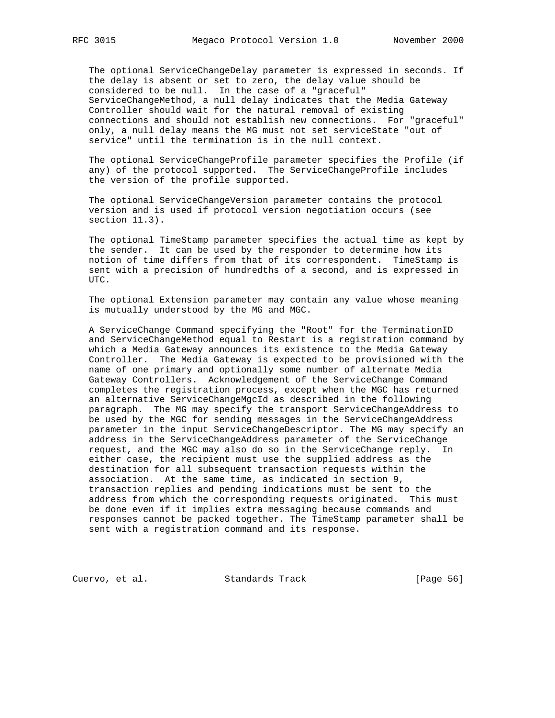The optional ServiceChangeDelay parameter is expressed in seconds. If the delay is absent or set to zero, the delay value should be considered to be null. In the case of a "graceful" ServiceChangeMethod, a null delay indicates that the Media Gateway Controller should wait for the natural removal of existing connections and should not establish new connections. For "graceful" only, a null delay means the MG must not set serviceState "out of service" until the termination is in the null context.

 The optional ServiceChangeProfile parameter specifies the Profile (if any) of the protocol supported. The ServiceChangeProfile includes the version of the profile supported.

 The optional ServiceChangeVersion parameter contains the protocol version and is used if protocol version negotiation occurs (see section 11.3).

 The optional TimeStamp parameter specifies the actual time as kept by the sender. It can be used by the responder to determine how its notion of time differs from that of its correspondent. TimeStamp is sent with a precision of hundredths of a second, and is expressed in UTC.

 The optional Extension parameter may contain any value whose meaning is mutually understood by the MG and MGC.

 A ServiceChange Command specifying the "Root" for the TerminationID and ServiceChangeMethod equal to Restart is a registration command by which a Media Gateway announces its existence to the Media Gateway Controller. The Media Gateway is expected to be provisioned with the name of one primary and optionally some number of alternate Media Gateway Controllers. Acknowledgement of the ServiceChange Command completes the registration process, except when the MGC has returned an alternative ServiceChangeMgcId as described in the following paragraph. The MG may specify the transport ServiceChangeAddress to be used by the MGC for sending messages in the ServiceChangeAddress parameter in the input ServiceChangeDescriptor. The MG may specify an address in the ServiceChangeAddress parameter of the ServiceChange request, and the MGC may also do so in the ServiceChange reply. In either case, the recipient must use the supplied address as the destination for all subsequent transaction requests within the association. At the same time, as indicated in section 9, transaction replies and pending indications must be sent to the address from which the corresponding requests originated. This must be done even if it implies extra messaging because commands and responses cannot be packed together. The TimeStamp parameter shall be sent with a registration command and its response.

Cuervo, et al. Standards Track [Page 56]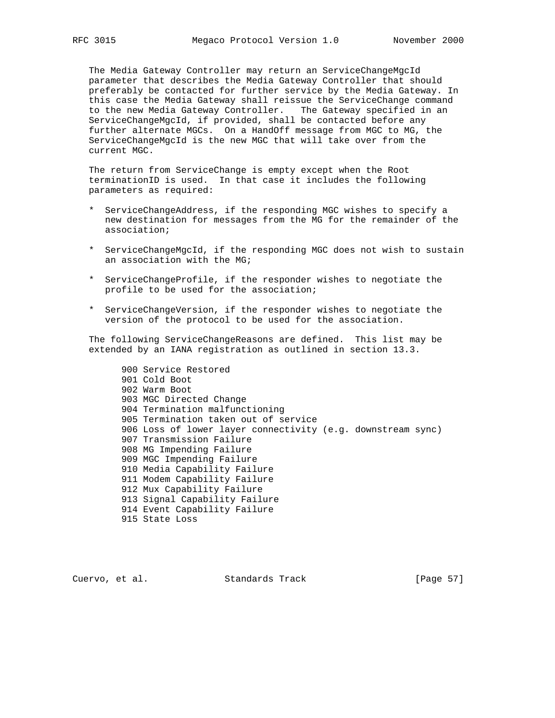The Media Gateway Controller may return an ServiceChangeMgcId parameter that describes the Media Gateway Controller that should preferably be contacted for further service by the Media Gateway. In this case the Media Gateway shall reissue the ServiceChange command to the new Media Gateway Controller. The Gateway specified in an ServiceChangeMgcId, if provided, shall be contacted before any further alternate MGCs. On a HandOff message from MGC to MG, the ServiceChangeMgcId is the new MGC that will take over from the current MGC.

 The return from ServiceChange is empty except when the Root terminationID is used. In that case it includes the following parameters as required:

- \* ServiceChangeAddress, if the responding MGC wishes to specify a new destination for messages from the MG for the remainder of the association;
- \* ServiceChangeMgcId, if the responding MGC does not wish to sustain an association with the MG;
- \* ServiceChangeProfile, if the responder wishes to negotiate the profile to be used for the association;
- \* ServiceChangeVersion, if the responder wishes to negotiate the version of the protocol to be used for the association.

 The following ServiceChangeReasons are defined. This list may be extended by an IANA registration as outlined in section 13.3.

 900 Service Restored 901 Cold Boot 902 Warm Boot 903 MGC Directed Change 904 Termination malfunctioning 905 Termination taken out of service 906 Loss of lower layer connectivity (e.g. downstream sync) 907 Transmission Failure 908 MG Impending Failure 909 MGC Impending Failure 910 Media Capability Failure 911 Modem Capability Failure 912 Mux Capability Failure 913 Signal Capability Failure 914 Event Capability Failure 915 State Loss

Cuervo, et al. Standards Track [Page 57]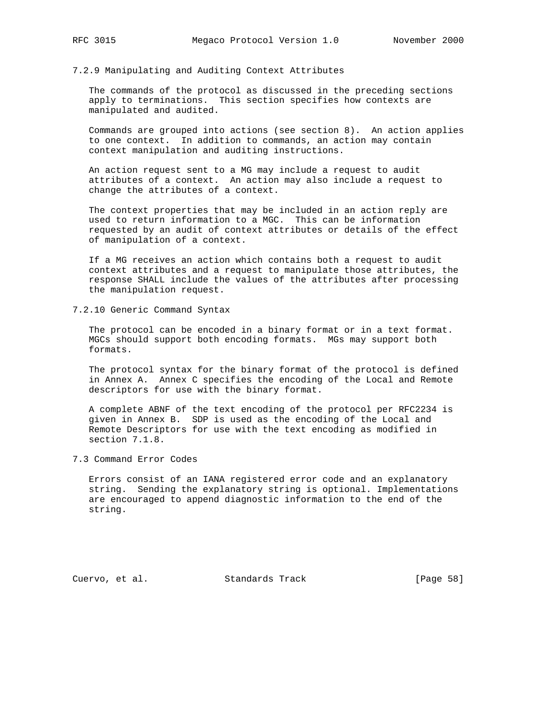# 7.2.9 Manipulating and Auditing Context Attributes

 The commands of the protocol as discussed in the preceding sections apply to terminations. This section specifies how contexts are manipulated and audited.

 Commands are grouped into actions (see section 8). An action applies to one context. In addition to commands, an action may contain context manipulation and auditing instructions.

 An action request sent to a MG may include a request to audit attributes of a context. An action may also include a request to change the attributes of a context.

 The context properties that may be included in an action reply are used to return information to a MGC. This can be information requested by an audit of context attributes or details of the effect of manipulation of a context.

 If a MG receives an action which contains both a request to audit context attributes and a request to manipulate those attributes, the response SHALL include the values of the attributes after processing the manipulation request.

7.2.10 Generic Command Syntax

 The protocol can be encoded in a binary format or in a text format. MGCs should support both encoding formats. MGs may support both formats.

 The protocol syntax for the binary format of the protocol is defined in Annex A. Annex C specifies the encoding of the Local and Remote descriptors for use with the binary format.

 A complete ABNF of the text encoding of the protocol per RFC2234 is given in Annex B. SDP is used as the encoding of the Local and Remote Descriptors for use with the text encoding as modified in section 7.1.8.

7.3 Command Error Codes

 Errors consist of an IANA registered error code and an explanatory string. Sending the explanatory string is optional. Implementations are encouraged to append diagnostic information to the end of the string.

Cuervo, et al. Standards Track [Page 58]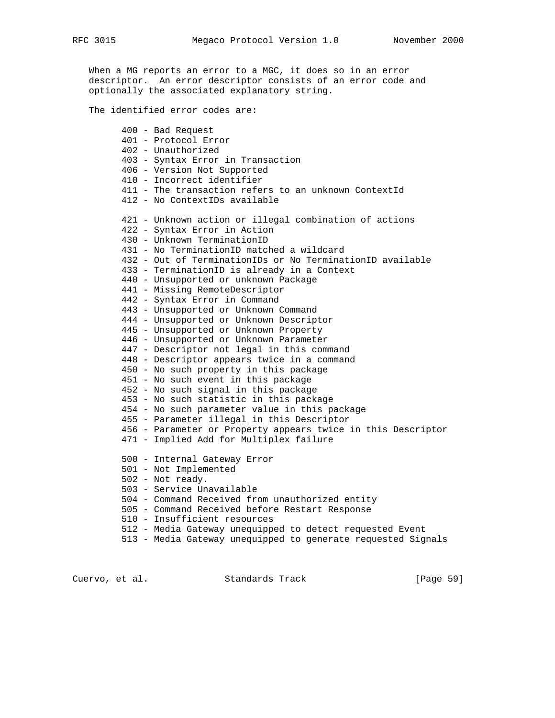When a MG reports an error to a MGC, it does so in an error descriptor. An error descriptor consists of an error code and optionally the associated explanatory string.

The identified error codes are:

 400 - Bad Request 401 - Protocol Error 402 - Unauthorized 403 - Syntax Error in Transaction 406 - Version Not Supported 410 - Incorrect identifier 411 - The transaction refers to an unknown ContextId 412 - No ContextIDs available 421 - Unknown action or illegal combination of actions 422 - Syntax Error in Action 430 - Unknown TerminationID 431 - No TerminationID matched a wildcard 432 - Out of TerminationIDs or No TerminationID available 433 - TerminationID is already in a Context 440 - Unsupported or unknown Package 441 - Missing RemoteDescriptor 442 - Syntax Error in Command 443 - Unsupported or Unknown Command 444 - Unsupported or Unknown Descriptor 445 - Unsupported or Unknown Property 446 - Unsupported or Unknown Parameter 447 - Descriptor not legal in this command 448 - Descriptor appears twice in a command 450 - No such property in this package 451 - No such event in this package 452 - No such signal in this package 453 - No such statistic in this package 454 - No such parameter value in this package 455 - Parameter illegal in this Descriptor 456 - Parameter or Property appears twice in this Descriptor 471 - Implied Add for Multiplex failure 500 - Internal Gateway Error 501 - Not Implemented 502 - Not ready. 503 - Service Unavailable 504 - Command Received from unauthorized entity 505 - Command Received before Restart Response 510 - Insufficient resources 512 - Media Gateway unequipped to detect requested Event 513 - Media Gateway unequipped to generate requested Signals

Cuervo, et al. Standards Track [Page 59]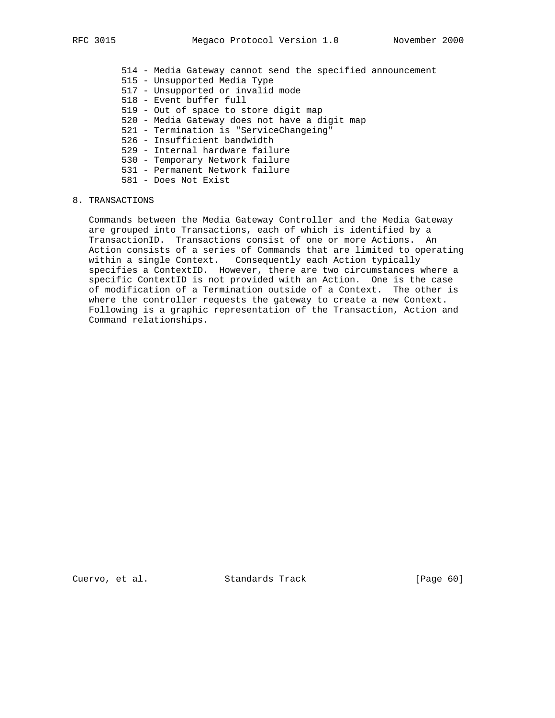- 514 Media Gateway cannot send the specified announcement
- 515 Unsupported Media Type
- 517 Unsupported or invalid mode
- 518 Event buffer full
- 519 Out of space to store digit map
- 520 Media Gateway does not have a digit map
- 521 Termination is "ServiceChangeing"
- 526 Insufficient bandwidth
- 529 Internal hardware failure
- 530 Temporary Network failure
- 531 Permanent Network failure
- 581 Does Not Exist

# 8. TRANSACTIONS

 Commands between the Media Gateway Controller and the Media Gateway are grouped into Transactions, each of which is identified by a TransactionID. Transactions consist of one or more Actions. An Action consists of a series of Commands that are limited to operating within a single Context. Consequently each Action typically specifies a ContextID. However, there are two circumstances where a specific ContextID is not provided with an Action. One is the case of modification of a Termination outside of a Context. The other is where the controller requests the gateway to create a new Context. Following is a graphic representation of the Transaction, Action and Command relationships.

Cuervo, et al. Standards Track [Page 60]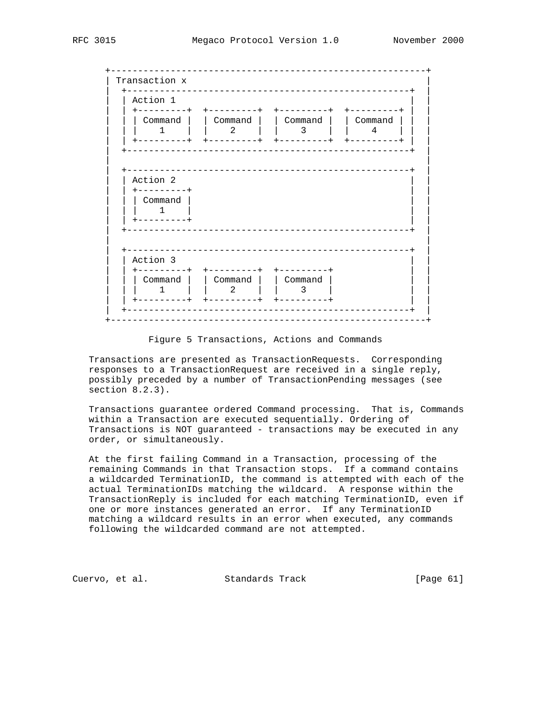Figure 5 Transactions, Actions and Commands

 Transactions are presented as TransactionRequests. Corresponding responses to a TransactionRequest are received in a single reply, possibly preceded by a number of TransactionPending messages (see section 8.2.3).

 Transactions guarantee ordered Command processing. That is, Commands within a Transaction are executed sequentially. Ordering of Transactions is NOT guaranteed - transactions may be executed in any order, or simultaneously.

 At the first failing Command in a Transaction, processing of the remaining Commands in that Transaction stops. If a command contains a wildcarded TerminationID, the command is attempted with each of the actual TerminationIDs matching the wildcard. A response within the TransactionReply is included for each matching TerminationID, even if one or more instances generated an error. If any TerminationID matching a wildcard results in an error when executed, any commands following the wildcarded command are not attempted.

Cuervo, et al. Standards Track [Page 61]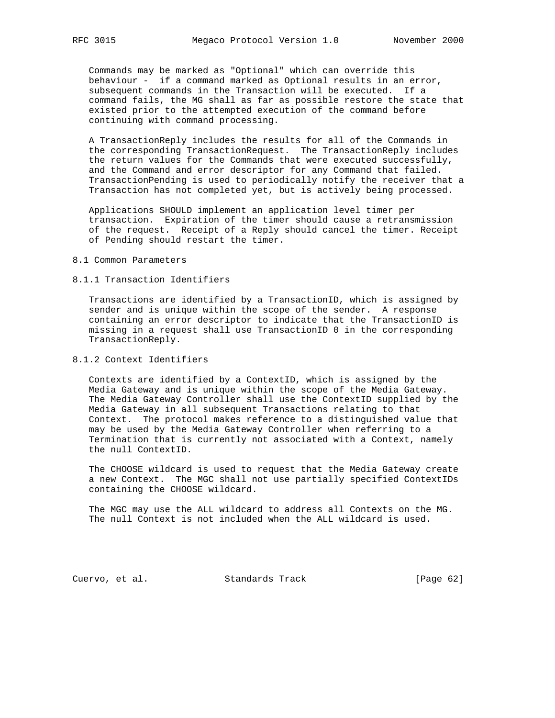Commands may be marked as "Optional" which can override this behaviour - if a command marked as Optional results in an error, subsequent commands in the Transaction will be executed. If a command fails, the MG shall as far as possible restore the state that existed prior to the attempted execution of the command before continuing with command processing.

 A TransactionReply includes the results for all of the Commands in the corresponding TransactionRequest. The TransactionReply includes the return values for the Commands that were executed successfully, and the Command and error descriptor for any Command that failed. TransactionPending is used to periodically notify the receiver that a Transaction has not completed yet, but is actively being processed.

 Applications SHOULD implement an application level timer per transaction. Expiration of the timer should cause a retransmission of the request. Receipt of a Reply should cancel the timer. Receipt of Pending should restart the timer.

### 8.1 Common Parameters

# 8.1.1 Transaction Identifiers

 Transactions are identified by a TransactionID, which is assigned by sender and is unique within the scope of the sender. A response containing an error descriptor to indicate that the TransactionID is missing in a request shall use TransactionID 0 in the corresponding TransactionReply.

# 8.1.2 Context Identifiers

 Contexts are identified by a ContextID, which is assigned by the Media Gateway and is unique within the scope of the Media Gateway. The Media Gateway Controller shall use the ContextID supplied by the Media Gateway in all subsequent Transactions relating to that Context. The protocol makes reference to a distinguished value that may be used by the Media Gateway Controller when referring to a Termination that is currently not associated with a Context, namely the null ContextID.

 The CHOOSE wildcard is used to request that the Media Gateway create a new Context. The MGC shall not use partially specified ContextIDs containing the CHOOSE wildcard.

 The MGC may use the ALL wildcard to address all Contexts on the MG. The null Context is not included when the ALL wildcard is used.

Cuervo, et al. Standards Track [Page 62]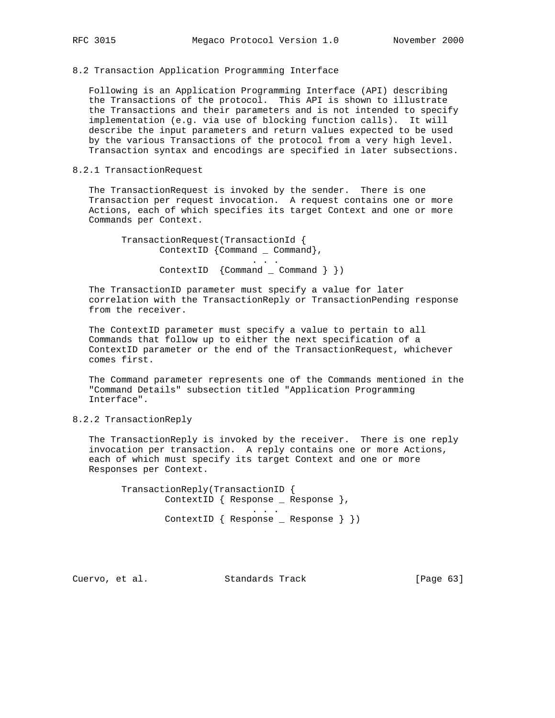8.2 Transaction Application Programming Interface

 Following is an Application Programming Interface (API) describing the Transactions of the protocol. This API is shown to illustrate the Transactions and their parameters and is not intended to specify implementation (e.g. via use of blocking function calls). It will describe the input parameters and return values expected to be used by the various Transactions of the protocol from a very high level. Transaction syntax and encodings are specified in later subsections.

# 8.2.1 TransactionRequest

 The TransactionRequest is invoked by the sender. There is one Transaction per request invocation. A request contains one or more Actions, each of which specifies its target Context and one or more Commands per Context.

 TransactionRequest(TransactionId { ContextID {Command \_ Command}, . . . ContextID {Command \_ Command } })

 The TransactionID parameter must specify a value for later correlation with the TransactionReply or TransactionPending response from the receiver.

 The ContextID parameter must specify a value to pertain to all Commands that follow up to either the next specification of a ContextID parameter or the end of the TransactionRequest, whichever comes first.

 The Command parameter represents one of the Commands mentioned in the "Command Details" subsection titled "Application Programming Interface".

# 8.2.2 TransactionReply

 The TransactionReply is invoked by the receiver. There is one reply invocation per transaction. A reply contains one or more Actions, each of which must specify its target Context and one or more Responses per Context.

 TransactionReply(TransactionID { ContextID { Response \_ Response }, . . . ContextID { Response \_ Response } })

Cuervo, et al. Standards Track [Page 63]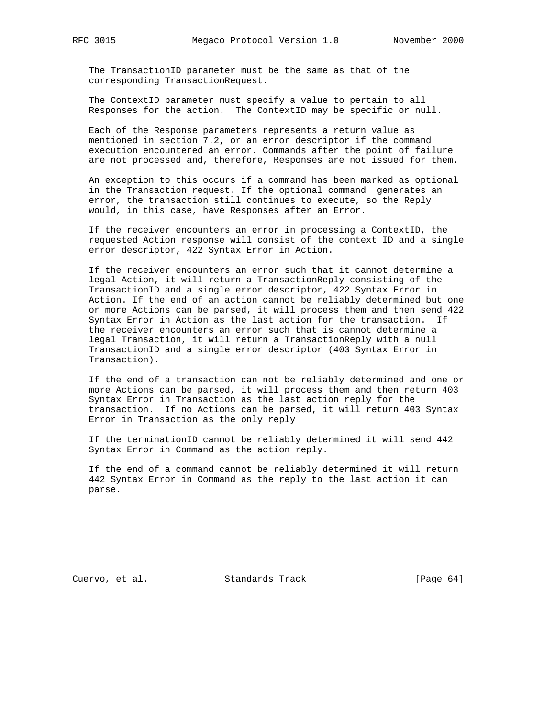The TransactionID parameter must be the same as that of the corresponding TransactionRequest.

 The ContextID parameter must specify a value to pertain to all Responses for the action. The ContextID may be specific or null.

 Each of the Response parameters represents a return value as mentioned in section 7.2, or an error descriptor if the command execution encountered an error. Commands after the point of failure are not processed and, therefore, Responses are not issued for them.

 An exception to this occurs if a command has been marked as optional in the Transaction request. If the optional command generates an error, the transaction still continues to execute, so the Reply would, in this case, have Responses after an Error.

 If the receiver encounters an error in processing a ContextID, the requested Action response will consist of the context ID and a single error descriptor, 422 Syntax Error in Action.

 If the receiver encounters an error such that it cannot determine a legal Action, it will return a TransactionReply consisting of the TransactionID and a single error descriptor, 422 Syntax Error in Action. If the end of an action cannot be reliably determined but one or more Actions can be parsed, it will process them and then send 422 Syntax Error in Action as the last action for the transaction. If the receiver encounters an error such that is cannot determine a legal Transaction, it will return a TransactionReply with a null TransactionID and a single error descriptor (403 Syntax Error in Transaction).

 If the end of a transaction can not be reliably determined and one or more Actions can be parsed, it will process them and then return 403 Syntax Error in Transaction as the last action reply for the transaction. If no Actions can be parsed, it will return 403 Syntax Error in Transaction as the only reply

 If the terminationID cannot be reliably determined it will send 442 Syntax Error in Command as the action reply.

 If the end of a command cannot be reliably determined it will return 442 Syntax Error in Command as the reply to the last action it can parse.

Cuervo, et al. Standards Track [Page 64]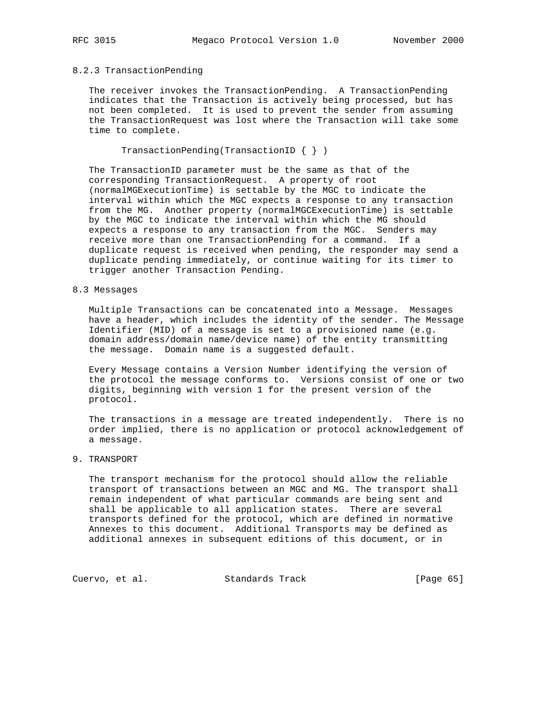# 8.2.3 TransactionPending

 The receiver invokes the TransactionPending. A TransactionPending indicates that the Transaction is actively being processed, but has not been completed. It is used to prevent the sender from assuming the TransactionRequest was lost where the Transaction will take some time to complete.

TransactionPending(TransactionID { } )

 The TransactionID parameter must be the same as that of the corresponding TransactionRequest. A property of root (normalMGExecutionTime) is settable by the MGC to indicate the interval within which the MGC expects a response to any transaction from the MG. Another property (normalMGCExecutionTime) is settable by the MGC to indicate the interval within which the MG should expects a response to any transaction from the MGC. Senders may receive more than one TransactionPending for a command. If a duplicate request is received when pending, the responder may send a duplicate pending immediately, or continue waiting for its timer to trigger another Transaction Pending.

# 8.3 Messages

 Multiple Transactions can be concatenated into a Message. Messages have a header, which includes the identity of the sender. The Message Identifier (MID) of a message is set to a provisioned name (e.g. domain address/domain name/device name) of the entity transmitting the message. Domain name is a suggested default.

 Every Message contains a Version Number identifying the version of the protocol the message conforms to. Versions consist of one or two digits, beginning with version 1 for the present version of the protocol.

 The transactions in a message are treated independently. There is no order implied, there is no application or protocol acknowledgement of a message.

# 9. TRANSPORT

 The transport mechanism for the protocol should allow the reliable transport of transactions between an MGC and MG. The transport shall remain independent of what particular commands are being sent and shall be applicable to all application states. There are several transports defined for the protocol, which are defined in normative Annexes to this document. Additional Transports may be defined as additional annexes in subsequent editions of this document, or in

Cuervo, et al. Standards Track [Page 65]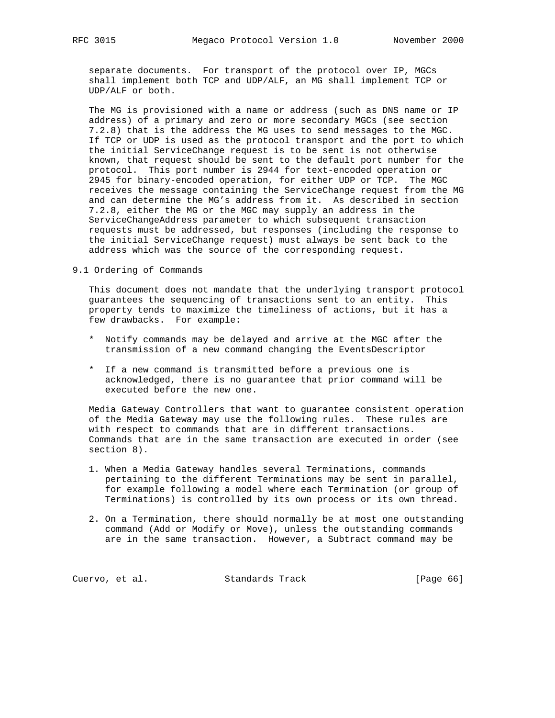separate documents. For transport of the protocol over IP, MGCs shall implement both TCP and UDP/ALF, an MG shall implement TCP or UDP/ALF or both.

 The MG is provisioned with a name or address (such as DNS name or IP address) of a primary and zero or more secondary MGCs (see section 7.2.8) that is the address the MG uses to send messages to the MGC. If TCP or UDP is used as the protocol transport and the port to which the initial ServiceChange request is to be sent is not otherwise known, that request should be sent to the default port number for the protocol. This port number is 2944 for text-encoded operation or 2945 for binary-encoded operation, for either UDP or TCP. The MGC receives the message containing the ServiceChange request from the MG and can determine the MG's address from it. As described in section 7.2.8, either the MG or the MGC may supply an address in the ServiceChangeAddress parameter to which subsequent transaction requests must be addressed, but responses (including the response to the initial ServiceChange request) must always be sent back to the address which was the source of the corresponding request.

9.1 Ordering of Commands

 This document does not mandate that the underlying transport protocol guarantees the sequencing of transactions sent to an entity. This property tends to maximize the timeliness of actions, but it has a few drawbacks. For example:

- \* Notify commands may be delayed and arrive at the MGC after the transmission of a new command changing the EventsDescriptor
- \* If a new command is transmitted before a previous one is acknowledged, there is no guarantee that prior command will be executed before the new one.

 Media Gateway Controllers that want to guarantee consistent operation of the Media Gateway may use the following rules. These rules are with respect to commands that are in different transactions. Commands that are in the same transaction are executed in order (see section 8).

- 1. When a Media Gateway handles several Terminations, commands pertaining to the different Terminations may be sent in parallel, for example following a model where each Termination (or group of Terminations) is controlled by its own process or its own thread.
- 2. On a Termination, there should normally be at most one outstanding command (Add or Modify or Move), unless the outstanding commands are in the same transaction. However, a Subtract command may be

Cuervo, et al. Standards Track [Page 66]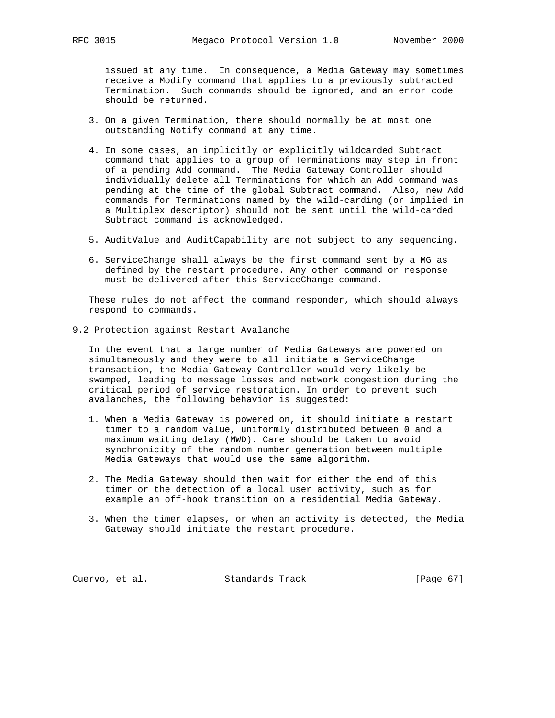issued at any time. In consequence, a Media Gateway may sometimes receive a Modify command that applies to a previously subtracted Termination. Such commands should be ignored, and an error code should be returned.

- 3. On a given Termination, there should normally be at most one outstanding Notify command at any time.
- 4. In some cases, an implicitly or explicitly wildcarded Subtract command that applies to a group of Terminations may step in front of a pending Add command. The Media Gateway Controller should individually delete all Terminations for which an Add command was pending at the time of the global Subtract command. Also, new Add commands for Terminations named by the wild-carding (or implied in a Multiplex descriptor) should not be sent until the wild-carded Subtract command is acknowledged.
- 5. AuditValue and AuditCapability are not subject to any sequencing.
- 6. ServiceChange shall always be the first command sent by a MG as defined by the restart procedure. Any other command or response must be delivered after this ServiceChange command.

 These rules do not affect the command responder, which should always respond to commands.

9.2 Protection against Restart Avalanche

 In the event that a large number of Media Gateways are powered on simultaneously and they were to all initiate a ServiceChange transaction, the Media Gateway Controller would very likely be swamped, leading to message losses and network congestion during the critical period of service restoration. In order to prevent such avalanches, the following behavior is suggested:

- 1. When a Media Gateway is powered on, it should initiate a restart timer to a random value, uniformly distributed between 0 and a maximum waiting delay (MWD). Care should be taken to avoid synchronicity of the random number generation between multiple Media Gateways that would use the same algorithm.
- 2. The Media Gateway should then wait for either the end of this timer or the detection of a local user activity, such as for example an off-hook transition on a residential Media Gateway.
- 3. When the timer elapses, or when an activity is detected, the Media Gateway should initiate the restart procedure.

Cuervo, et al. Standards Track [Page 67]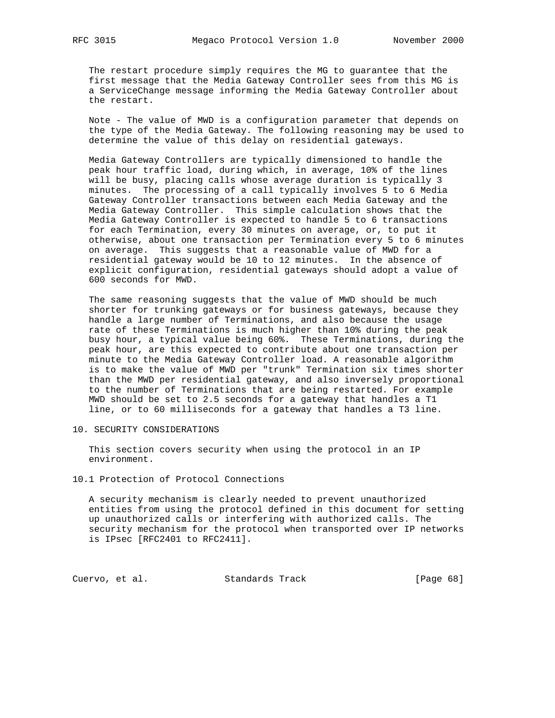The restart procedure simply requires the MG to guarantee that the first message that the Media Gateway Controller sees from this MG is a ServiceChange message informing the Media Gateway Controller about the restart.

 Note - The value of MWD is a configuration parameter that depends on the type of the Media Gateway. The following reasoning may be used to determine the value of this delay on residential gateways.

 Media Gateway Controllers are typically dimensioned to handle the peak hour traffic load, during which, in average, 10% of the lines will be busy, placing calls whose average duration is typically 3 minutes. The processing of a call typically involves 5 to 6 Media Gateway Controller transactions between each Media Gateway and the Media Gateway Controller. This simple calculation shows that the Media Gateway Controller is expected to handle 5 to 6 transactions for each Termination, every 30 minutes on average, or, to put it otherwise, about one transaction per Termination every 5 to 6 minutes on average. This suggests that a reasonable value of MWD for a residential gateway would be 10 to 12 minutes. In the absence of explicit configuration, residential gateways should adopt a value of 600 seconds for MWD.

 The same reasoning suggests that the value of MWD should be much shorter for trunking gateways or for business gateways, because they handle a large number of Terminations, and also because the usage rate of these Terminations is much higher than 10% during the peak busy hour, a typical value being 60%. These Terminations, during the peak hour, are this expected to contribute about one transaction per minute to the Media Gateway Controller load. A reasonable algorithm is to make the value of MWD per "trunk" Termination six times shorter than the MWD per residential gateway, and also inversely proportional to the number of Terminations that are being restarted. For example MWD should be set to 2.5 seconds for a gateway that handles a T1 line, or to 60 milliseconds for a gateway that handles a T3 line.

10. SECURITY CONSIDERATIONS

 This section covers security when using the protocol in an IP environment.

10.1 Protection of Protocol Connections

 A security mechanism is clearly needed to prevent unauthorized entities from using the protocol defined in this document for setting up unauthorized calls or interfering with authorized calls. The security mechanism for the protocol when transported over IP networks is IPsec [RFC2401 to RFC2411].

Cuervo, et al. Standards Track [Page 68]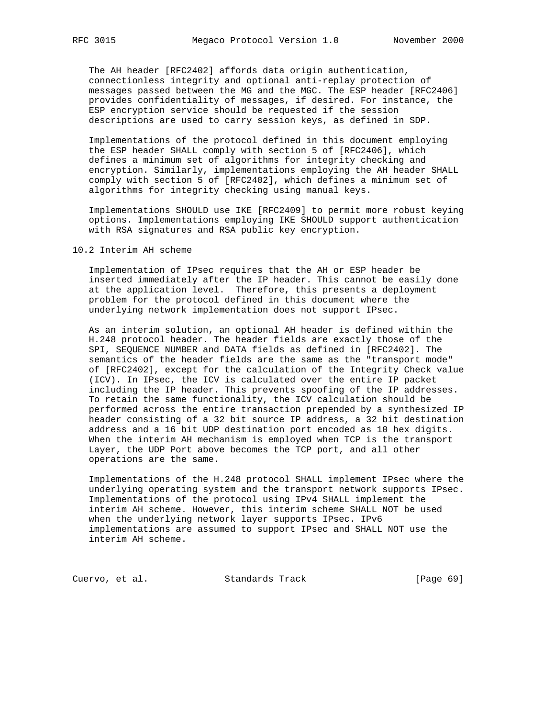The AH header [RFC2402] affords data origin authentication, connectionless integrity and optional anti-replay protection of messages passed between the MG and the MGC. The ESP header [RFC2406] provides confidentiality of messages, if desired. For instance, the ESP encryption service should be requested if the session descriptions are used to carry session keys, as defined in SDP.

 Implementations of the protocol defined in this document employing the ESP header SHALL comply with section 5 of [RFC2406], which defines a minimum set of algorithms for integrity checking and encryption. Similarly, implementations employing the AH header SHALL comply with section 5 of [RFC2402], which defines a minimum set of algorithms for integrity checking using manual keys.

 Implementations SHOULD use IKE [RFC2409] to permit more robust keying options. Implementations employing IKE SHOULD support authentication with RSA signatures and RSA public key encryption.

10.2 Interim AH scheme

 Implementation of IPsec requires that the AH or ESP header be inserted immediately after the IP header. This cannot be easily done at the application level. Therefore, this presents a deployment problem for the protocol defined in this document where the underlying network implementation does not support IPsec.

 As an interim solution, an optional AH header is defined within the H.248 protocol header. The header fields are exactly those of the SPI, SEQUENCE NUMBER and DATA fields as defined in [RFC2402]. The semantics of the header fields are the same as the "transport mode" of [RFC2402], except for the calculation of the Integrity Check value (ICV). In IPsec, the ICV is calculated over the entire IP packet including the IP header. This prevents spoofing of the IP addresses. To retain the same functionality, the ICV calculation should be performed across the entire transaction prepended by a synthesized IP header consisting of a 32 bit source IP address, a 32 bit destination address and a 16 bit UDP destination port encoded as 10 hex digits. When the interim AH mechanism is employed when TCP is the transport Layer, the UDP Port above becomes the TCP port, and all other operations are the same.

 Implementations of the H.248 protocol SHALL implement IPsec where the underlying operating system and the transport network supports IPsec. Implementations of the protocol using IPv4 SHALL implement the interim AH scheme. However, this interim scheme SHALL NOT be used when the underlying network layer supports IPsec. IPv6 implementations are assumed to support IPsec and SHALL NOT use the interim AH scheme.

Cuervo, et al. Standards Track [Page 69]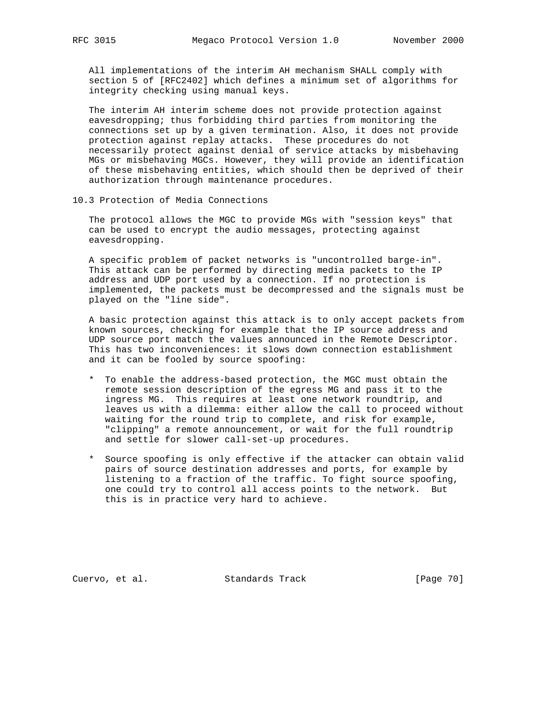All implementations of the interim AH mechanism SHALL comply with section 5 of [RFC2402] which defines a minimum set of algorithms for integrity checking using manual keys.

 The interim AH interim scheme does not provide protection against eavesdropping; thus forbidding third parties from monitoring the connections set up by a given termination. Also, it does not provide protection against replay attacks. These procedures do not necessarily protect against denial of service attacks by misbehaving MGs or misbehaving MGCs. However, they will provide an identification of these misbehaving entities, which should then be deprived of their authorization through maintenance procedures.

10.3 Protection of Media Connections

 The protocol allows the MGC to provide MGs with "session keys" that can be used to encrypt the audio messages, protecting against eavesdropping.

 A specific problem of packet networks is "uncontrolled barge-in". This attack can be performed by directing media packets to the IP address and UDP port used by a connection. If no protection is implemented, the packets must be decompressed and the signals must be played on the "line side".

 A basic protection against this attack is to only accept packets from known sources, checking for example that the IP source address and UDP source port match the values announced in the Remote Descriptor. This has two inconveniences: it slows down connection establishment and it can be fooled by source spoofing:

- \* To enable the address-based protection, the MGC must obtain the remote session description of the egress MG and pass it to the ingress MG. This requires at least one network roundtrip, and leaves us with a dilemma: either allow the call to proceed without waiting for the round trip to complete, and risk for example, "clipping" a remote announcement, or wait for the full roundtrip and settle for slower call-set-up procedures.
- \* Source spoofing is only effective if the attacker can obtain valid pairs of source destination addresses and ports, for example by listening to a fraction of the traffic. To fight source spoofing, one could try to control all access points to the network. But this is in practice very hard to achieve.

Cuervo, et al. Standards Track [Page 70]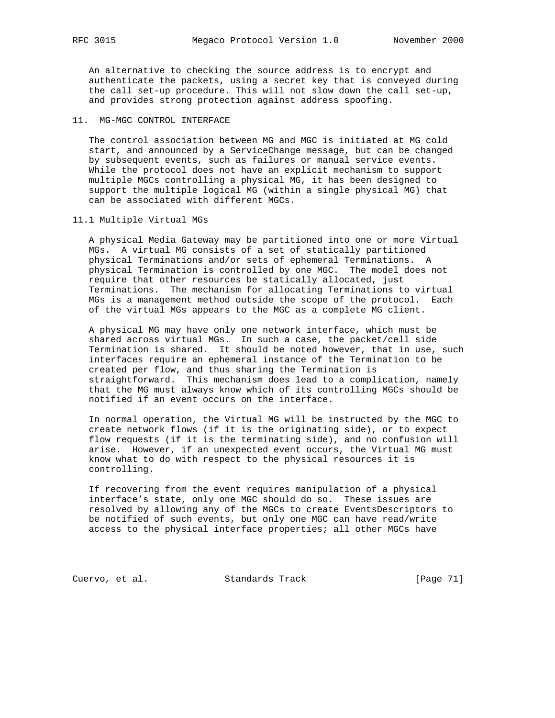An alternative to checking the source address is to encrypt and authenticate the packets, using a secret key that is conveyed during the call set-up procedure. This will not slow down the call set-up, and provides strong protection against address spoofing.

# 11. MG-MGC CONTROL INTERFACE

 The control association between MG and MGC is initiated at MG cold start, and announced by a ServiceChange message, but can be changed by subsequent events, such as failures or manual service events. While the protocol does not have an explicit mechanism to support multiple MGCs controlling a physical MG, it has been designed to support the multiple logical MG (within a single physical MG) that can be associated with different MGCs.

# 11.1 Multiple Virtual MGs

 A physical Media Gateway may be partitioned into one or more Virtual MGs. A virtual MG consists of a set of statically partitioned physical Terminations and/or sets of ephemeral Terminations. A physical Termination is controlled by one MGC. The model does not require that other resources be statically allocated, just Terminations. The mechanism for allocating Terminations to virtual MGs is a management method outside the scope of the protocol. Each of the virtual MGs appears to the MGC as a complete MG client.

 A physical MG may have only one network interface, which must be shared across virtual MGs. In such a case, the packet/cell side Termination is shared. It should be noted however, that in use, such interfaces require an ephemeral instance of the Termination to be created per flow, and thus sharing the Termination is straightforward. This mechanism does lead to a complication, namely that the MG must always know which of its controlling MGCs should be notified if an event occurs on the interface.

 In normal operation, the Virtual MG will be instructed by the MGC to create network flows (if it is the originating side), or to expect flow requests (if it is the terminating side), and no confusion will arise. However, if an unexpected event occurs, the Virtual MG must know what to do with respect to the physical resources it is controlling.

 If recovering from the event requires manipulation of a physical interface's state, only one MGC should do so. These issues are resolved by allowing any of the MGCs to create EventsDescriptors to be notified of such events, but only one MGC can have read/write access to the physical interface properties; all other MGCs have

Cuervo, et al. Standards Track [Page 71]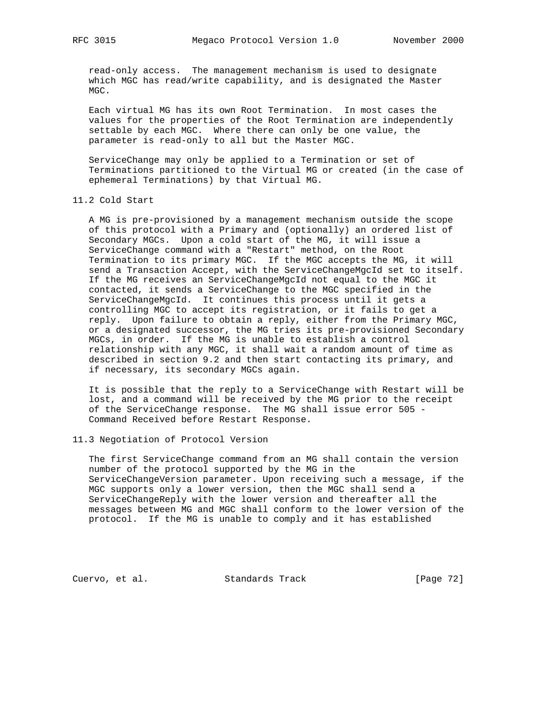read-only access. The management mechanism is used to designate which MGC has read/write capability, and is designated the Master MGC.

 Each virtual MG has its own Root Termination. In most cases the values for the properties of the Root Termination are independently settable by each MGC. Where there can only be one value, the parameter is read-only to all but the Master MGC.

 ServiceChange may only be applied to a Termination or set of Terminations partitioned to the Virtual MG or created (in the case of ephemeral Terminations) by that Virtual MG.

# 11.2 Cold Start

 A MG is pre-provisioned by a management mechanism outside the scope of this protocol with a Primary and (optionally) an ordered list of Secondary MGCs. Upon a cold start of the MG, it will issue a ServiceChange command with a "Restart" method, on the Root Termination to its primary MGC. If the MGC accepts the MG, it will send a Transaction Accept, with the ServiceChangeMgcId set to itself. If the MG receives an ServiceChangeMgcId not equal to the MGC it contacted, it sends a ServiceChange to the MGC specified in the ServiceChangeMgcId. It continues this process until it gets a controlling MGC to accept its registration, or it fails to get a reply. Upon failure to obtain a reply, either from the Primary MGC, or a designated successor, the MG tries its pre-provisioned Secondary MGCs, in order. If the MG is unable to establish a control relationship with any MGC, it shall wait a random amount of time as described in section 9.2 and then start contacting its primary, and if necessary, its secondary MGCs again.

 It is possible that the reply to a ServiceChange with Restart will be lost, and a command will be received by the MG prior to the receipt of the ServiceChange response. The MG shall issue error 505 - Command Received before Restart Response.

# 11.3 Negotiation of Protocol Version

 The first ServiceChange command from an MG shall contain the version number of the protocol supported by the MG in the ServiceChangeVersion parameter. Upon receiving such a message, if the MGC supports only a lower version, then the MGC shall send a ServiceChangeReply with the lower version and thereafter all the messages between MG and MGC shall conform to the lower version of the protocol. If the MG is unable to comply and it has established

Cuervo, et al. Standards Track [Page 72]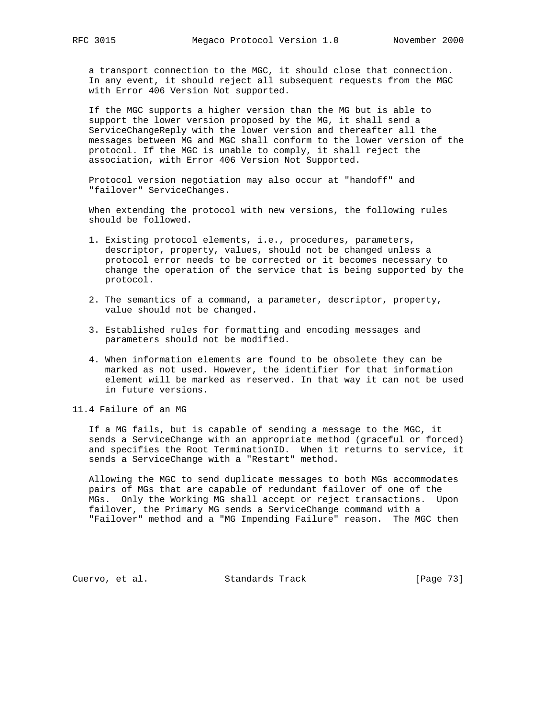a transport connection to the MGC, it should close that connection. In any event, it should reject all subsequent requests from the MGC with Error 406 Version Not supported.

 If the MGC supports a higher version than the MG but is able to support the lower version proposed by the MG, it shall send a ServiceChangeReply with the lower version and thereafter all the messages between MG and MGC shall conform to the lower version of the protocol. If the MGC is unable to comply, it shall reject the association, with Error 406 Version Not Supported.

 Protocol version negotiation may also occur at "handoff" and "failover" ServiceChanges.

 When extending the protocol with new versions, the following rules should be followed.

- 1. Existing protocol elements, i.e., procedures, parameters, descriptor, property, values, should not be changed unless a protocol error needs to be corrected or it becomes necessary to change the operation of the service that is being supported by the protocol.
- 2. The semantics of a command, a parameter, descriptor, property, value should not be changed.
- 3. Established rules for formatting and encoding messages and parameters should not be modified.
- 4. When information elements are found to be obsolete they can be marked as not used. However, the identifier for that information element will be marked as reserved. In that way it can not be used in future versions.

11.4 Failure of an MG

 If a MG fails, but is capable of sending a message to the MGC, it sends a ServiceChange with an appropriate method (graceful or forced) and specifies the Root TerminationID. When it returns to service, it sends a ServiceChange with a "Restart" method.

 Allowing the MGC to send duplicate messages to both MGs accommodates pairs of MGs that are capable of redundant failover of one of the MGs. Only the Working MG shall accept or reject transactions. Upon failover, the Primary MG sends a ServiceChange command with a "Failover" method and a "MG Impending Failure" reason. The MGC then

Cuervo, et al. Standards Track [Page 73]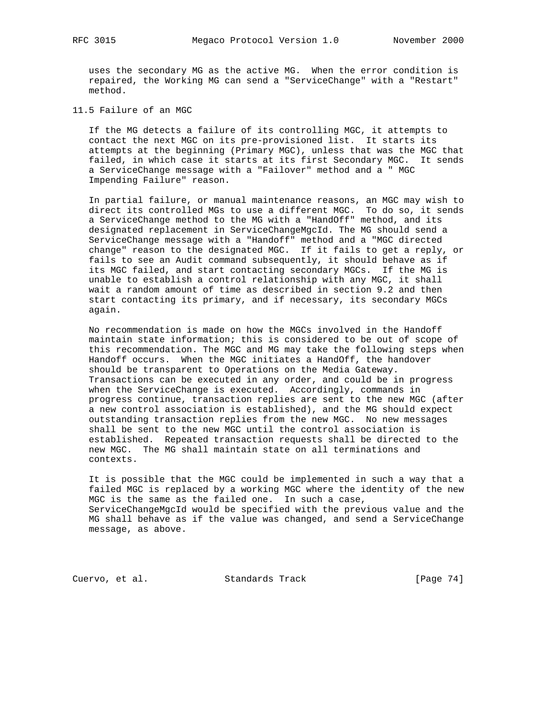uses the secondary MG as the active MG. When the error condition is repaired, the Working MG can send a "ServiceChange" with a "Restart" method.

11.5 Failure of an MGC

 If the MG detects a failure of its controlling MGC, it attempts to contact the next MGC on its pre-provisioned list. It starts its attempts at the beginning (Primary MGC), unless that was the MGC that failed, in which case it starts at its first Secondary MGC. It sends a ServiceChange message with a "Failover" method and a " MGC Impending Failure" reason.

 In partial failure, or manual maintenance reasons, an MGC may wish to direct its controlled MGs to use a different MGC. To do so, it sends a ServiceChange method to the MG with a "HandOff" method, and its designated replacement in ServiceChangeMgcId. The MG should send a ServiceChange message with a "Handoff" method and a "MGC directed change" reason to the designated MGC. If it fails to get a reply, or fails to see an Audit command subsequently, it should behave as if its MGC failed, and start contacting secondary MGCs. If the MG is unable to establish a control relationship with any MGC, it shall wait a random amount of time as described in section 9.2 and then start contacting its primary, and if necessary, its secondary MGCs again.

 No recommendation is made on how the MGCs involved in the Handoff maintain state information; this is considered to be out of scope of this recommendation. The MGC and MG may take the following steps when Handoff occurs. When the MGC initiates a HandOff, the handover should be transparent to Operations on the Media Gateway. Transactions can be executed in any order, and could be in progress when the ServiceChange is executed. Accordingly, commands in progress continue, transaction replies are sent to the new MGC (after a new control association is established), and the MG should expect outstanding transaction replies from the new MGC. No new messages shall be sent to the new MGC until the control association is established. Repeated transaction requests shall be directed to the new MGC. The MG shall maintain state on all terminations and contexts.

 It is possible that the MGC could be implemented in such a way that a failed MGC is replaced by a working MGC where the identity of the new MGC is the same as the failed one. In such a case, ServiceChangeMgcId would be specified with the previous value and the MG shall behave as if the value was changed, and send a ServiceChange message, as above.

Cuervo, et al. Standards Track [Page 74]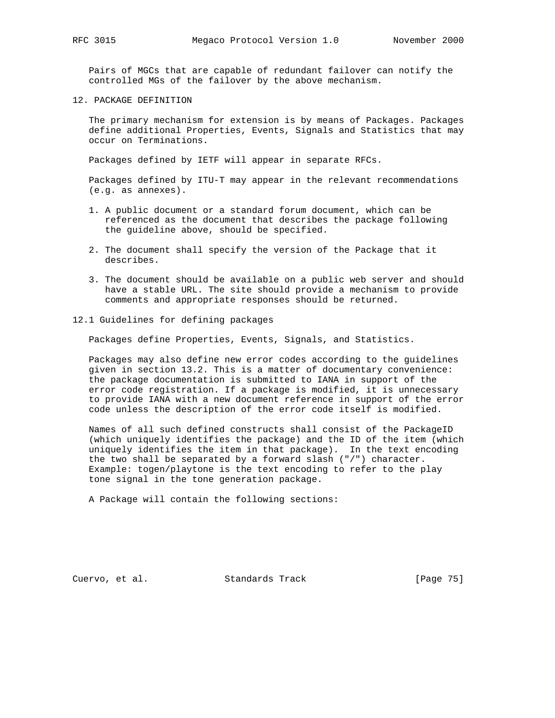Pairs of MGCs that are capable of redundant failover can notify the controlled MGs of the failover by the above mechanism.

12. PACKAGE DEFINITION

 The primary mechanism for extension is by means of Packages. Packages define additional Properties, Events, Signals and Statistics that may occur on Terminations.

Packages defined by IETF will appear in separate RFCs.

 Packages defined by ITU-T may appear in the relevant recommendations (e.g. as annexes).

- 1. A public document or a standard forum document, which can be referenced as the document that describes the package following the guideline above, should be specified.
- 2. The document shall specify the version of the Package that it describes.
- 3. The document should be available on a public web server and should have a stable URL. The site should provide a mechanism to provide comments and appropriate responses should be returned.
- 12.1 Guidelines for defining packages

Packages define Properties, Events, Signals, and Statistics.

 Packages may also define new error codes according to the guidelines given in section 13.2. This is a matter of documentary convenience: the package documentation is submitted to IANA in support of the error code registration. If a package is modified, it is unnecessary to provide IANA with a new document reference in support of the error code unless the description of the error code itself is modified.

 Names of all such defined constructs shall consist of the PackageID (which uniquely identifies the package) and the ID of the item (which uniquely identifies the item in that package). In the text encoding the two shall be separated by a forward slash ("/") character. Example: togen/playtone is the text encoding to refer to the play tone signal in the tone generation package.

A Package will contain the following sections:

Cuervo, et al. Standards Track [Page 75]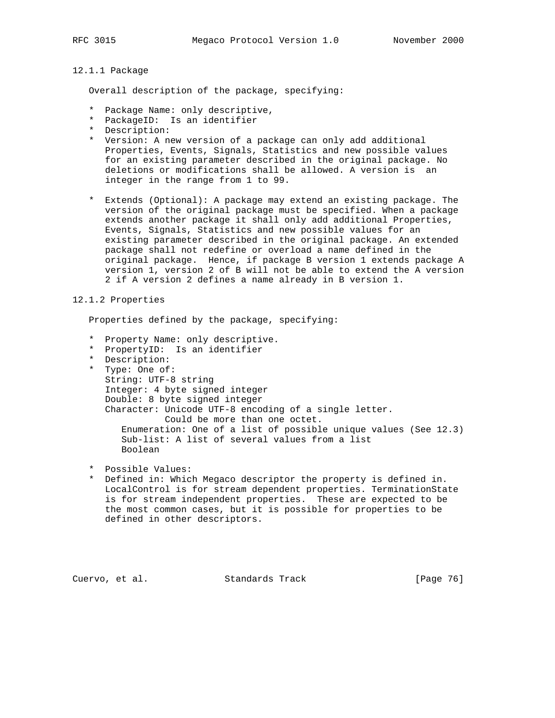# 12.1.1 Package

Overall description of the package, specifying:

- \* Package Name: only descriptive,
- \* PackageID: Is an identifier
- \* Description:
- \* Version: A new version of a package can only add additional Properties, Events, Signals, Statistics and new possible values for an existing parameter described in the original package. No deletions or modifications shall be allowed. A version is an integer in the range from 1 to 99.
- \* Extends (Optional): A package may extend an existing package. The version of the original package must be specified. When a package extends another package it shall only add additional Properties, Events, Signals, Statistics and new possible values for an existing parameter described in the original package. An extended package shall not redefine or overload a name defined in the original package. Hence, if package B version 1 extends package A version 1, version 2 of B will not be able to extend the A version 2 if A version 2 defines a name already in B version 1.

# 12.1.2 Properties

Properties defined by the package, specifying:

- \* Property Name: only descriptive.
- \* PropertyID: Is an identifier
- \* Description:
- \* Type: One of: String: UTF-8 string Integer: 4 byte signed integer Double: 8 byte signed integer Character: Unicode UTF-8 encoding of a single letter. Could be more than one octet. Enumeration: One of a list of possible unique values (See 12.3) Sub-list: A list of several values from a list Boolean
- \* Possible Values:
- \* Defined in: Which Megaco descriptor the property is defined in. LocalControl is for stream dependent properties. TerminationState is for stream independent properties. These are expected to be the most common cases, but it is possible for properties to be defined in other descriptors.

Cuervo, et al. Standards Track [Page 76]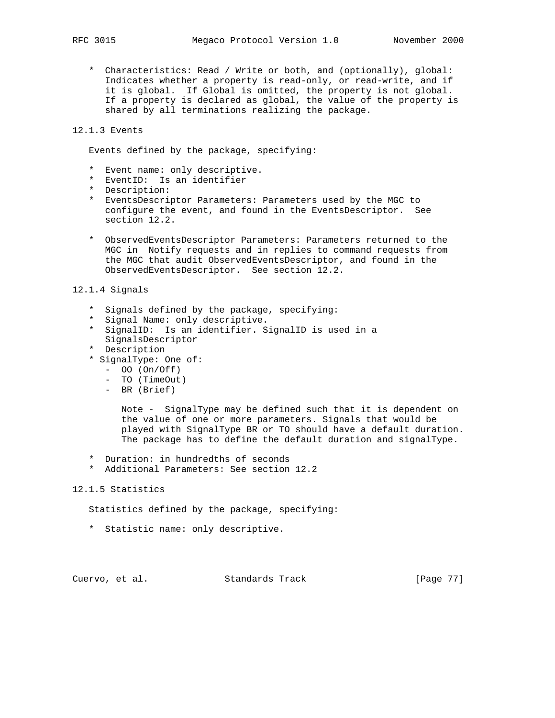\* Characteristics: Read / Write or both, and (optionally), global: Indicates whether a property is read-only, or read-write, and if it is global. If Global is omitted, the property is not global. If a property is declared as global, the value of the property is shared by all terminations realizing the package.

# 12.1.3 Events

Events defined by the package, specifying:

- \* Event name: only descriptive.
- \* EventID: Is an identifier
- \* Description:
- \* EventsDescriptor Parameters: Parameters used by the MGC to configure the event, and found in the EventsDescriptor. See section 12.2.
- \* ObservedEventsDescriptor Parameters: Parameters returned to the MGC in Notify requests and in replies to command requests from the MGC that audit ObservedEventsDescriptor, and found in the ObservedEventsDescriptor. See section 12.2.

# 12.1.4 Signals

- \* Signals defined by the package, specifying:
- \* Signal Name: only descriptive.
- \* SignalID: Is an identifier. SignalID is used in a SignalsDescriptor
- \* Description
- \* SignalType: One of:
	- OO (On/Off)
	- TO (TimeOut)
	- BR (Brief)

 Note - SignalType may be defined such that it is dependent on the value of one or more parameters. Signals that would be played with SignalType BR or TO should have a default duration. The package has to define the default duration and signalType.

- \* Duration: in hundredths of seconds
- \* Additional Parameters: See section 12.2

# 12.1.5 Statistics

Statistics defined by the package, specifying:

\* Statistic name: only descriptive.

Cuervo, et al. Standards Track [Page 77]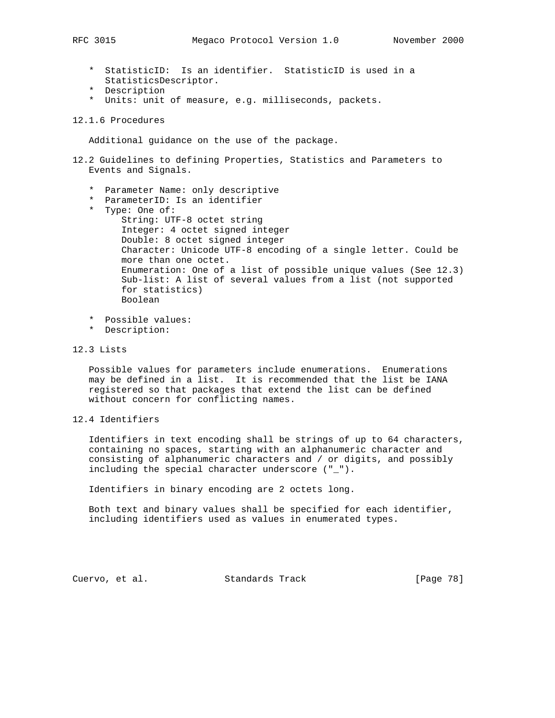- \* StatisticID: Is an identifier. StatisticID is used in a StatisticsDescriptor.
- \* Description
- \* Units: unit of measure, e.g. milliseconds, packets.
- 12.1.6 Procedures

Additional guidance on the use of the package.

- 12.2 Guidelines to defining Properties, Statistics and Parameters to Events and Signals.
	- \* Parameter Name: only descriptive
	- \* ParameterID: Is an identifier
	- \* Type: One of:
	- String: UTF-8 octet string Integer: 4 octet signed integer Double: 8 octet signed integer Character: Unicode UTF-8 encoding of a single letter. Could be more than one octet. Enumeration: One of a list of possible unique values (See 12.3) Sub-list: A list of several values from a list (not supported for statistics) Boolean
	- \* Possible values:
	- \* Description:
- 12.3 Lists

 Possible values for parameters include enumerations. Enumerations may be defined in a list. It is recommended that the list be IANA registered so that packages that extend the list can be defined without concern for conflicting names.

12.4 Identifiers

 Identifiers in text encoding shall be strings of up to 64 characters, containing no spaces, starting with an alphanumeric character and consisting of alphanumeric characters and / or digits, and possibly including the special character underscore ("\_").

Identifiers in binary encoding are 2 octets long.

 Both text and binary values shall be specified for each identifier, including identifiers used as values in enumerated types.

Cuervo, et al. Standards Track [Page 78]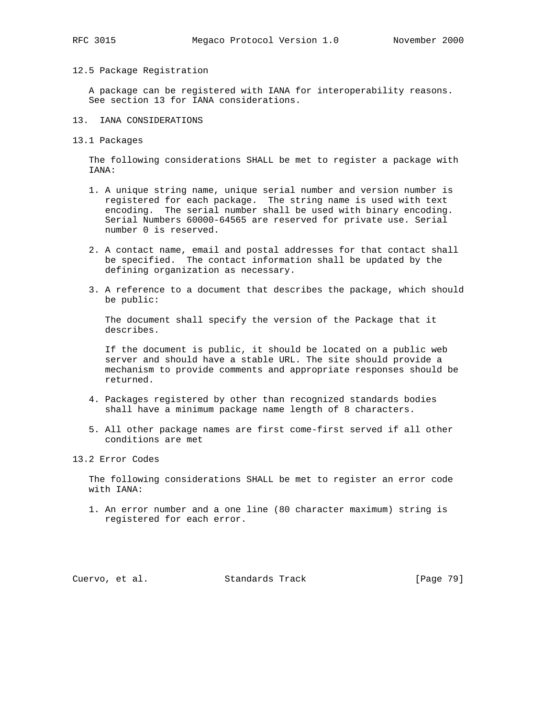## 12.5 Package Registration

 A package can be registered with IANA for interoperability reasons. See section 13 for IANA considerations.

- 13. IANA CONSIDERATIONS
- 13.1 Packages

 The following considerations SHALL be met to register a package with IANA:

- 1. A unique string name, unique serial number and version number is registered for each package. The string name is used with text encoding. The serial number shall be used with binary encoding. Serial Numbers 60000-64565 are reserved for private use. Serial number 0 is reserved.
- 2. A contact name, email and postal addresses for that contact shall be specified. The contact information shall be updated by the defining organization as necessary.
- 3. A reference to a document that describes the package, which should be public:

 The document shall specify the version of the Package that it describes.

 If the document is public, it should be located on a public web server and should have a stable URL. The site should provide a mechanism to provide comments and appropriate responses should be returned.

- 4. Packages registered by other than recognized standards bodies shall have a minimum package name length of 8 characters.
- 5. All other package names are first come-first served if all other conditions are met

# 13.2 Error Codes

 The following considerations SHALL be met to register an error code with IANA:

 1. An error number and a one line (80 character maximum) string is registered for each error.

Cuervo, et al. Standards Track [Page 79]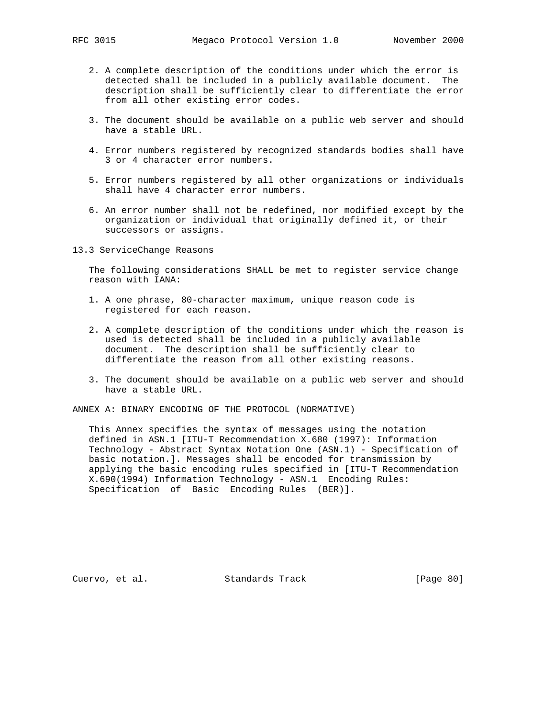- 2. A complete description of the conditions under which the error is detected shall be included in a publicly available document. The description shall be sufficiently clear to differentiate the error from all other existing error codes.
- 3. The document should be available on a public web server and should have a stable URL.
- 4. Error numbers registered by recognized standards bodies shall have 3 or 4 character error numbers.
- 5. Error numbers registered by all other organizations or individuals shall have 4 character error numbers.
- 6. An error number shall not be redefined, nor modified except by the organization or individual that originally defined it, or their successors or assigns.
- 13.3 ServiceChange Reasons

 The following considerations SHALL be met to register service change reason with IANA:

- 1. A one phrase, 80-character maximum, unique reason code is registered for each reason.
- 2. A complete description of the conditions under which the reason is used is detected shall be included in a publicly available document. The description shall be sufficiently clear to differentiate the reason from all other existing reasons.
- 3. The document should be available on a public web server and should have a stable URL.

ANNEX A: BINARY ENCODING OF THE PROTOCOL (NORMATIVE)

 This Annex specifies the syntax of messages using the notation defined in ASN.1 [ITU-T Recommendation X.680 (1997): Information Technology - Abstract Syntax Notation One (ASN.1) - Specification of basic notation.]. Messages shall be encoded for transmission by applying the basic encoding rules specified in [ITU-T Recommendation X.690(1994) Information Technology - ASN.1 Encoding Rules: Specification of Basic Encoding Rules (BER)].

Cuervo, et al. Standards Track [Page 80]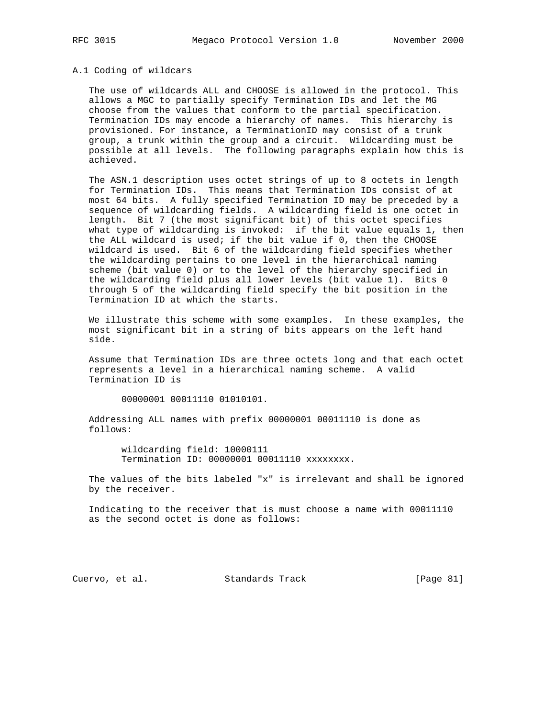# A.1 Coding of wildcars

 The use of wildcards ALL and CHOOSE is allowed in the protocol. This allows a MGC to partially specify Termination IDs and let the MG choose from the values that conform to the partial specification. Termination IDs may encode a hierarchy of names. This hierarchy is provisioned. For instance, a TerminationID may consist of a trunk group, a trunk within the group and a circuit. Wildcarding must be possible at all levels. The following paragraphs explain how this is achieved.

 The ASN.1 description uses octet strings of up to 8 octets in length for Termination IDs. This means that Termination IDs consist of at most 64 bits. A fully specified Termination ID may be preceded by a sequence of wildcarding fields. A wildcarding field is one octet in length. Bit 7 (the most significant bit) of this octet specifies what type of wildcarding is invoked: if the bit value equals 1, then the ALL wildcard is used; if the bit value if 0, then the CHOOSE wildcard is used. Bit 6 of the wildcarding field specifies whether the wildcarding pertains to one level in the hierarchical naming scheme (bit value 0) or to the level of the hierarchy specified in the wildcarding field plus all lower levels (bit value 1). Bits 0 through 5 of the wildcarding field specify the bit position in the Termination ID at which the starts.

 We illustrate this scheme with some examples. In these examples, the most significant bit in a string of bits appears on the left hand side.

 Assume that Termination IDs are three octets long and that each octet represents a level in a hierarchical naming scheme. A valid Termination ID is

00000001 00011110 01010101.

 Addressing ALL names with prefix 00000001 00011110 is done as follows:

 wildcarding field: 10000111 Termination ID: 00000001 00011110 xxxxxxxx.

 The values of the bits labeled "x" is irrelevant and shall be ignored by the receiver.

 Indicating to the receiver that is must choose a name with 00011110 as the second octet is done as follows:

Cuervo, et al. Standards Track [Page 81]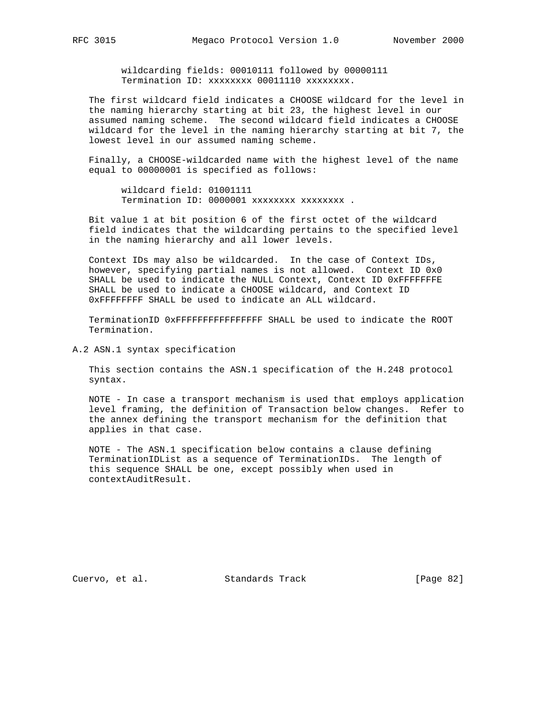wildcarding fields: 00010111 followed by 00000111 Termination ID: xxxxxxxx 00011110 xxxxxxxx.

 The first wildcard field indicates a CHOOSE wildcard for the level in the naming hierarchy starting at bit 23, the highest level in our assumed naming scheme. The second wildcard field indicates a CHOOSE wildcard for the level in the naming hierarchy starting at bit 7, the lowest level in our assumed naming scheme.

 Finally, a CHOOSE-wildcarded name with the highest level of the name equal to 00000001 is specified as follows:

 wildcard field: 01001111 Termination ID: 0000001 xxxxxxxx xxxxxxxx .

 Bit value 1 at bit position 6 of the first octet of the wildcard field indicates that the wildcarding pertains to the specified level in the naming hierarchy and all lower levels.

 Context IDs may also be wildcarded. In the case of Context IDs, however, specifying partial names is not allowed. Context ID 0x0 SHALL be used to indicate the NULL Context, Context ID 0xFFFFFFFE SHALL be used to indicate a CHOOSE wildcard, and Context ID 0xFFFFFFFF SHALL be used to indicate an ALL wildcard.

 TerminationID 0xFFFFFFFFFFFFFFFF SHALL be used to indicate the ROOT Termination.

A.2 ASN.1 syntax specification

 This section contains the ASN.1 specification of the H.248 protocol syntax.

 NOTE - In case a transport mechanism is used that employs application level framing, the definition of Transaction below changes. Refer to the annex defining the transport mechanism for the definition that applies in that case.

 NOTE - The ASN.1 specification below contains a clause defining TerminationIDList as a sequence of TerminationIDs. The length of this sequence SHALL be one, except possibly when used in contextAuditResult.

Cuervo, et al. Standards Track [Page 82]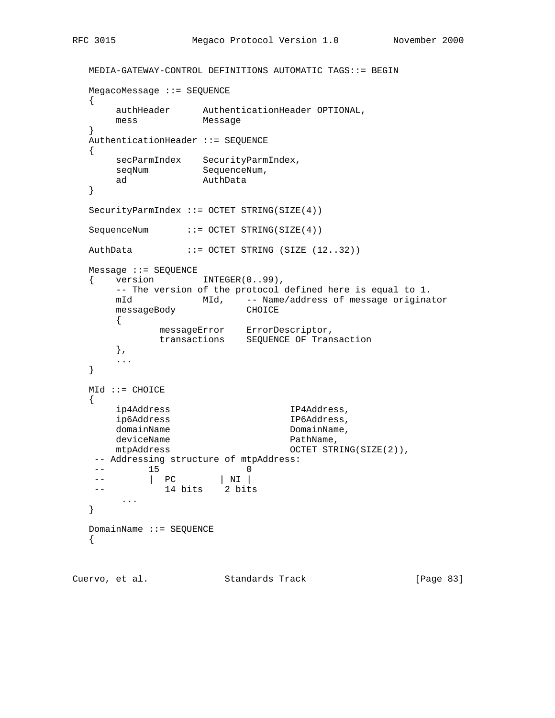```
 MEDIA-GATEWAY-CONTROL DEFINITIONS AUTOMATIC TAGS::= BEGIN
   MegacoMessage ::= SEQUENCE
   {
      authHeader AuthenticationHeader OPTIONAL,
      mess Message
   }
   AuthenticationHeader ::= SEQUENCE
   {
 secParmIndex SecurityParmIndex,
seqNum SequenceNum,
 ad AuthData
   }
   SecurityParmIndex ::= OCTET STRING(SIZE(4))
  SequenceNum ::= OCTET STRING(SIZE(4))
 AuthData ::= OCTET STRING (SIZE (12..32))
   Message ::= SEQUENCE
  { version INTEGER(0..99),
      -- The version of the protocol defined here is equal to 1.
 mId MId, -- Name/address of message originator
 messageBody CHOICE
     \{messageError ErrorDescriptor,
 transactions SEQUENCE OF Transaction
      },
       ...
   }
  MId :: = CHOICE {
      ip4Address IP4Address,
      ip6Address IP6Address,
     domainName bomainName,
     deviceName extensive pathName,
     mtpAddress 0CTET STRING(SIZE(2)),
   -- Addressing structure of mtpAddress:
-- 15 0
 -- | PC | NI |
   -- 14 bits 2 bits
      ...
   }
   DomainName ::= SEQUENCE
   {
```
Cuervo, et al. Standards Track [Page 83]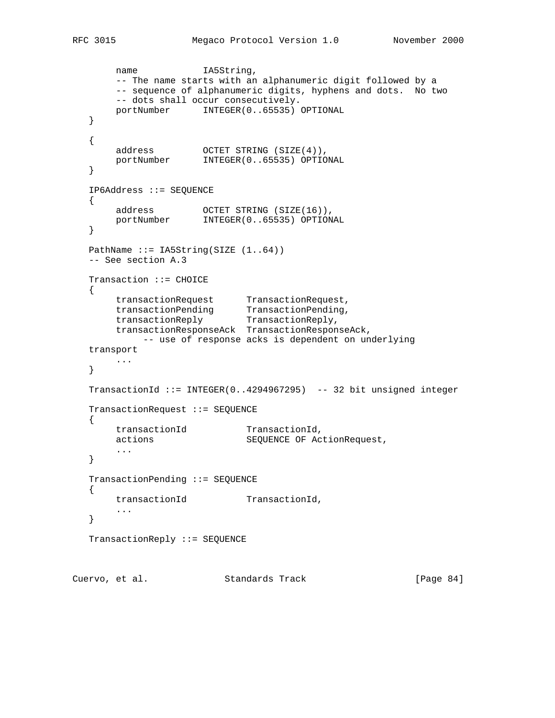```
name IA5String,
        -- The name starts with an alphanumeric digit followed by a
       -- sequence of alphanumeric digits, hyphens and dots. No two
       -- dots shall occur consecutively.
       portNumber INTEGER(0..65535) OPTIONAL
   }
   {
 address OCTET STRING (SIZE(4)),
 portNumber INTEGER(0..65535) OPTIONAL
   }
   IP6Address ::= SEQUENCE
   {
 address OCTET STRING (SIZE(16)),
 portNumber INTEGER(0..65535) OPTIONAL
   }
  PathName ::= IA5String(SIZE (1..64))
   -- See section A.3
   Transaction ::= CHOICE
   {
 transactionRequest TransactionRequest,
 transactionPending TransactionPending,
 transactionReply TransactionReply,
       transactionResponseAck TransactionResponseAck,
            -- use of response acks is dependent on underlying
   transport
      ...
   }
   TransactionId ::= INTEGER(0..4294967295) -- 32 bit unsigned integer
   TransactionRequest ::= SEQUENCE
   {
transactionId TransactionId,
 actions SEQUENCE OF ActionRequest,
        ...
   }
   TransactionPending ::= SEQUENCE
   {
      transactionId TransactionId,
       ...
   }
   TransactionReply ::= SEQUENCE
Cuervo, et al. Standards Track [Page 84]
```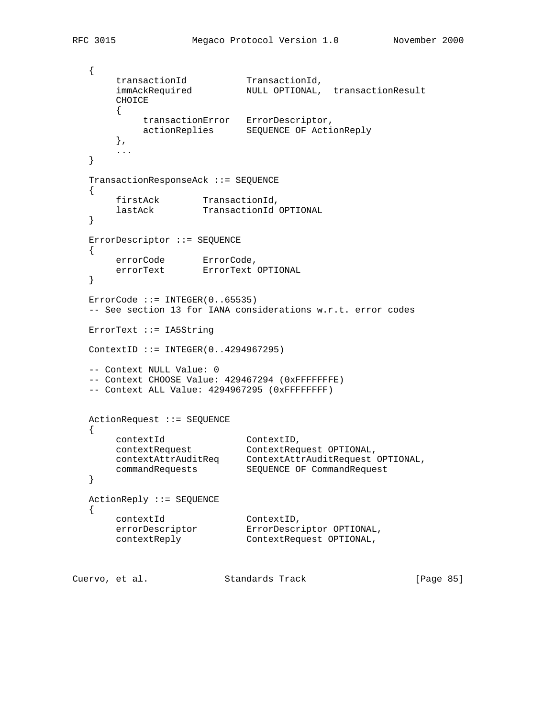```
 {
transactionId TransactionId,
 immAckRequired NULL OPTIONAL, transactionResult
       CHOICE
\left\{ \begin{array}{c} \end{array} \right. transactionError ErrorDescriptor,
          actionReplies SEQUENCE OF ActionReply
       },
       ...
   }
   TransactionResponseAck ::= SEQUENCE
   {
firstAck TransactionId,
 lastAck TransactionId OPTIONAL
   }
   ErrorDescriptor ::= SEQUENCE
   {
errorCode ErrorCode,
 errorText ErrorText OPTIONAL
   }
  ErrorCode :: = INTER(0..65535) -- See section 13 for IANA considerations w.r.t. error codes
   ErrorText ::= IA5String
   ContextID ::= INTEGER(0..4294967295)
   -- Context NULL Value: 0
   -- Context CHOOSE Value: 429467294 (0xFFFFFFFE)
   -- Context ALL Value: 4294967295 (0xFFFFFFFF)
   ActionRequest ::= SEQUENCE
   {
 contextId ContextID,
 contextRequest ContextRequest OPTIONAL,
 contextAttrAuditReq ContextAttrAuditRequest OPTIONAL,
 commandRequests SEQUENCE OF CommandRequest
   }
   ActionReply ::= SEQUENCE
   {
 contextId ContextID,
 errorDescriptor ErrorDescriptor OPTIONAL,
 contextReply ContextRequest OPTIONAL,
```
Cuervo, et al. Standards Track [Page 85]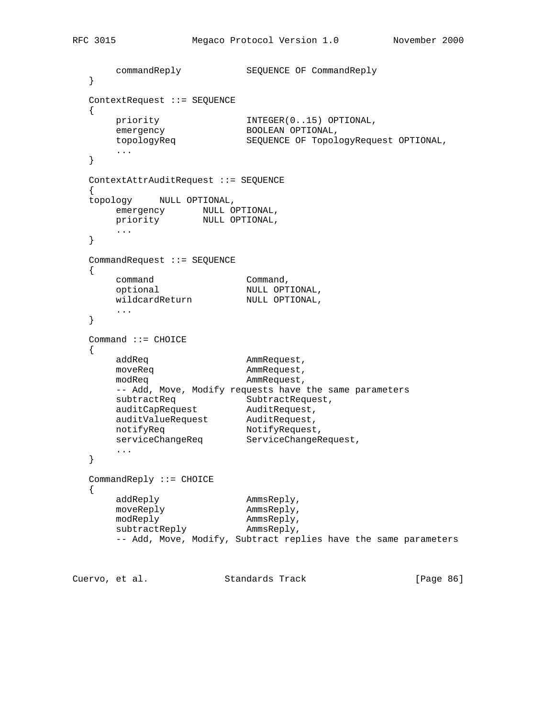```
 commandReply SEQUENCE OF CommandReply
   }
   ContextRequest ::= SEQUENCE
   {
 priority INTEGER(0..15) OPTIONAL,
emergency BOOLEAN OPTIONAL,
 topologyReq SEQUENCE OF TopologyRequest OPTIONAL,
        ...
   }
   ContextAttrAuditRequest ::= SEQUENCE
\{ \cdot \cdot \cdot \cdot \cdot \cdot \cdot \cdot \cdot \cdot \cdot \cdot \cdot \cdot \cdot \cdot \cdot \cdot \cdot \cdot \cdot \cdot \cdot \cdot \cdot \cdot \cdot \cdot \cdot \cdot \cdot \cdot \cdot \cdot \cdot \cdot 
   topology NULL OPTIONAL,
emergency NULL OPTIONAL,
 priority NULL OPTIONAL,
       ...
   }
   CommandRequest ::= SEQUENCE
   {
command command,
 optional NULL OPTIONAL,
wildcardReturn MULL OPTIONAL,
        ...
   }
   Command ::= CHOICE
   {
      addReq and AmmRequest,<br>moveReq and AmmRequest,
moveReq and ammRequest,
modReq entitled and ammRequest,
       -- Add, Move, Modify requests have the same parameters
subtractReq SubtractRequest,
auditCapRequest AuditRequest,
 auditValueRequest AuditRequest,
notifyReq NotifyRequest,
serviceChangeReq ServiceChangeRequest,
       ...
   }
   CommandReply ::= CHOICE
   {
addReply AmmsReply,
moveReply AmmsReply,
modReply ammsReply,
subtractReply AmmsReply,
        -- Add, Move, Modify, Subtract replies have the same parameters
```
Cuervo, et al. Standards Track [Page 86]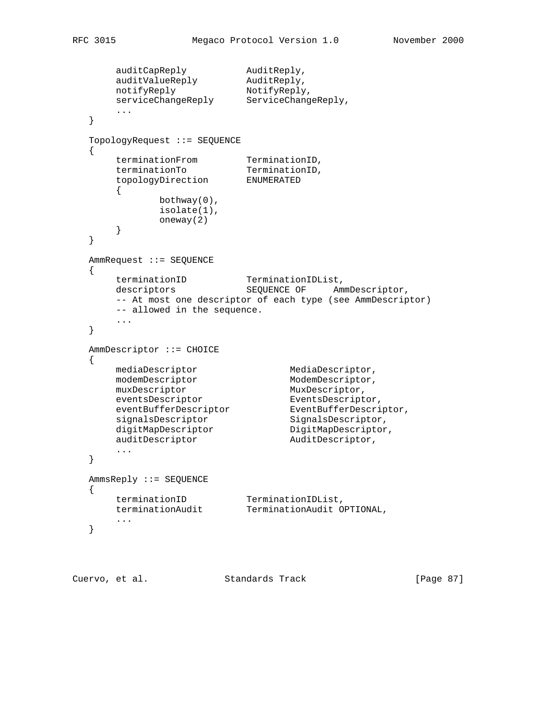```
auditCapReply AuditReply,
 auditValueReply AuditReply,
notifyReply NotifyReply,
 serviceChangeReply ServiceChangeReply,
      ...
   }
   TopologyRequest ::= SEQUENCE
   {
terminationFrom TerminationID,
terminationTo TerminationID,
 topologyDirection ENUMERATED
      {
           bothway(0),
            isolate(1),
            oneway(2)
      }
   }
   AmmRequest ::= SEQUENCE
   {
 terminationID TerminationIDList,
descriptors SEQUENCE OF AmmDescriptor,
      -- At most one descriptor of each type (see AmmDescriptor)
      -- allowed in the sequence.
      ...
   }
   AmmDescriptor ::= CHOICE
   {
     mediaDescriptor MediaDescriptor,
modemDescriptor ModemDescriptor,
muxDescriptor MuxDescriptor,
eventsDescriptor EventsDescriptor,
eventBufferDescriptor EventBufferDescriptor,
signalsDescriptor SignalsDescriptor,
digitMapDescriptor DigitMapDescriptor,
auditDescriptor auditDescriptor,
 ...
   }
  AmmsReply ::= SEQUENCE
   {
 terminationID TerminationIDList,
 terminationAudit TerminationAudit OPTIONAL,
      ...
   }
```
Cuervo, et al. Standards Track [Page 87]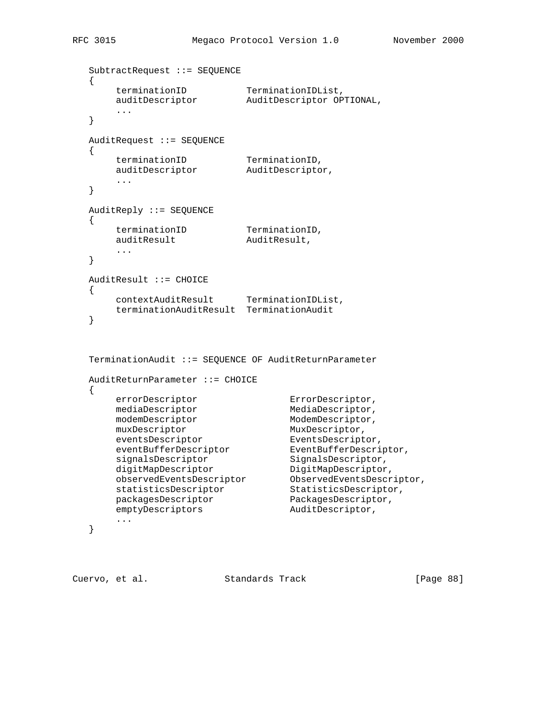```
 SubtractRequest ::= SEQUENCE
terminationID TerminationIDList,
 auditDescriptor AuditDescriptor OPTIONAL,
       ...
   AuditRequest ::= SEQUENCE
terminationID TerminationID,
 auditDescriptor AuditDescriptor,
       ...
   AuditReply ::= SEQUENCE
```

```
terminationID TerminationID,
auditResult AuditResult,
      ...
  AuditResult ::= CHOICE
```

```
 {
     contextAuditResult TerminationIDList,
     terminationAuditResult TerminationAudit
 }
```

```
 TerminationAudit ::= SEQUENCE OF AuditReturnParameter
  AuditReturnParameter ::= CHOICE
  {
errorDescriptor ErrorDescriptor,
mediaDescriptor MediaDescriptor,
modemDescriptor ModemDescriptor,
muxDescriptor MuxDescriptor,
eventsDescriptor EventsDescriptor,
 eventBufferDescriptor EventBufferDescriptor,
signalsDescriptor SignalsDescriptor,
digitMapDescriptor DigitMapDescriptor,
 observedEventsDescriptor ObservedEventsDescriptor,
 statisticsDescriptor StatisticsDescriptor,
packagesDescriptor PackagesDescriptor,
emptyDescriptors and AuditDescriptor,
 ...
```

```
 }
```
Cuervo, et al. Standards Track [Page 88]

{

}

{

}

{

}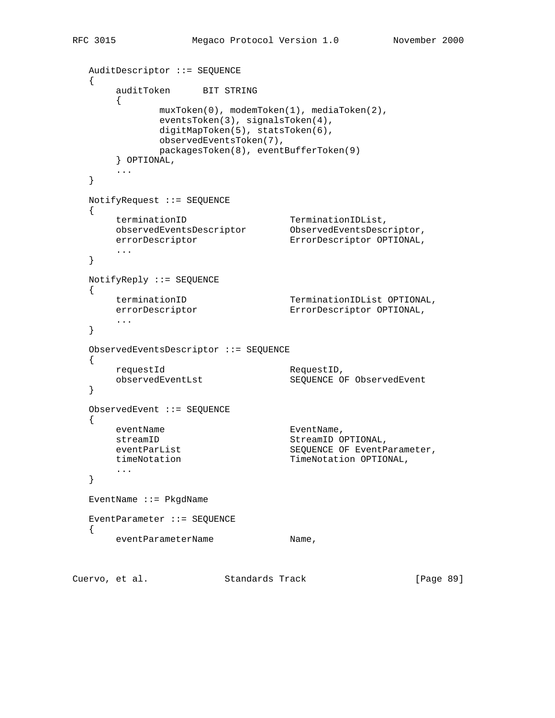```
 AuditDescriptor ::= SEQUENCE
  \left\{ \right. auditToken BIT STRING
       {
             muxToken(0), modemToken(1), mediaToken(2),
             eventsToken(3), signalsToken(4),
             digitMapToken(5), statsToken(6),
             observedEventsToken(7),
             packagesToken(8), eventBufferToken(9)
       } OPTIONAL,
       ...
   }
   NotifyRequest ::= SEQUENCE
   {
terminationID TerminationIDList,
 observedEventsDescriptor ObservedEventsDescriptor,
 errorDescriptor ErrorDescriptor OPTIONAL,
       ...
   }
   NotifyReply ::= SEQUENCE
   {
 terminationID TerminationIDList OPTIONAL,
 errorDescriptor ErrorDescriptor OPTIONAL,
       ...
   }
   ObservedEventsDescriptor ::= SEQUENCE
  \{ requestId RequestID,
      observedEventLst SEQUENCE OF ObservedEvent
   }
   ObservedEvent ::= SEQUENCE
   {
      eventName EventName,
       streamID StreamID OPTIONAL,
eventParList SEQUENCE OF EventParameter,
timeNotation TimeNotation OPTIONAL,
       ...
   }
   EventName ::= PkgdName
   EventParameter ::= SEQUENCE
   {
     eventParameterName metal and Name,
```
Cuervo, et al. Standards Track [Page 89]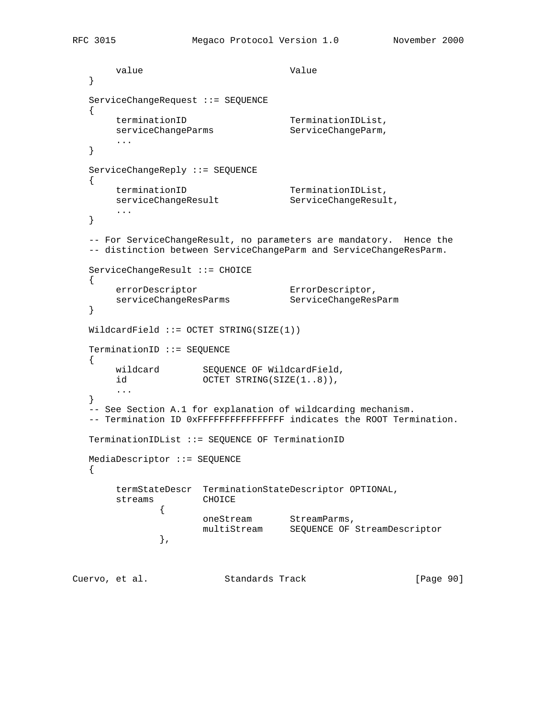```
value Value Value
   }
   ServiceChangeRequest ::= SEQUENCE
    {
terminationID TerminationIDList,
serviceChangeParms ServiceChangeParm,
        ...
   }
   ServiceChangeReply ::= SEQUENCE
\{ \cdot \cdot \cdot \cdot \cdot \cdot \cdot \cdot \cdot \cdot \cdot \cdot \cdot \cdot \cdot \cdot \cdot \cdot \cdot \cdot \cdot \cdot \cdot \cdot \cdot \cdot \cdot \cdot \cdot \cdot \cdot \cdot \cdot \cdot \cdot \cdot 
       terminationID TerminationIDList,
       serviceChangeResult ServiceChangeResult,
        ...
   }
   -- For ServiceChangeResult, no parameters are mandatory. Hence the
   -- distinction between ServiceChangeParm and ServiceChangeResParm.
   ServiceChangeResult ::= CHOICE
   {
errorDescriptor ErrorDescriptor,
 serviceChangeResParms ServiceChangeResParm
   }
  WildcardField ::= OCTET STRING(SIZE(1)) TerminationID ::= SEQUENCE
  \{ wildcard SEQUENCE OF WildcardField,
       id OCTET STRING(SIZE(1..8)),
        ...
   }
   -- See Section A.1 for explanation of wildcarding mechanism.
  -- Termination ID 0xFFFFFFFFFFFFFFFFFFF indicates the ROOT Termination.
   TerminationIDList ::= SEQUENCE OF TerminationID
   MediaDescriptor ::= SEQUENCE
  \mathcal{L} termStateDescr TerminationStateDescriptor OPTIONAL,
        streams CHOICE
 {
oneStream StreamParms,
 multiStream SEQUENCE OF StreamDescriptor
                },
Cuervo, et al. Standards Track [Page 90]
```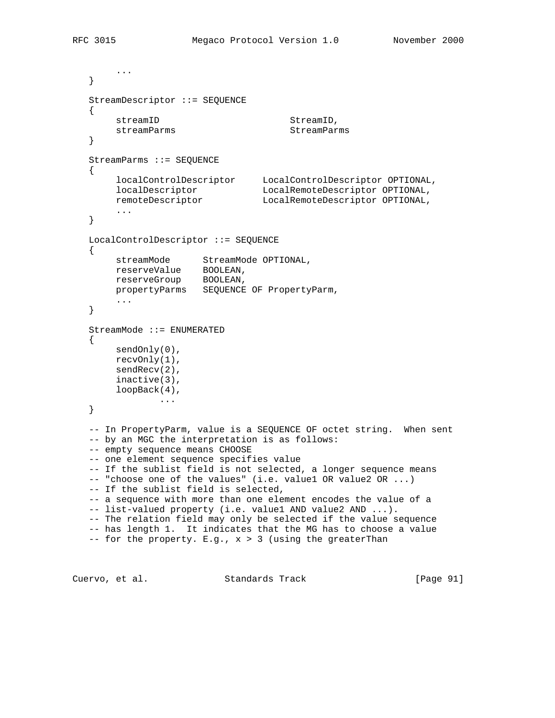```
 ...
   }
   StreamDescriptor ::= SEQUENCE
  \{streamID StreamID,
     streamParms StreamParms
   }
   StreamParms ::= SEQUENCE
   {
 localControlDescriptor LocalControlDescriptor OPTIONAL,
 localDescriptor LocalRemoteDescriptor OPTIONAL,
 remoteDescriptor LocalRemoteDescriptor OPTIONAL,
        ...
   }
   LocalControlDescriptor ::= SEQUENCE
   {
 streamMode StreamMode OPTIONAL,
 reserveValue BOOLEAN,
 reserveGroup BOOLEAN,
       propertyParms SEQUENCE OF PropertyParm,
        ...
   }
   StreamMode ::= ENUMERATED
   {
      sendOnly(0),
       recvOnly(1),
       sendRecv(2),
       inactive(3),
        loopBack(4),
               ...
   }
   -- In PropertyParm, value is a SEQUENCE OF octet string. When sent
   -- by an MGC the interpretation is as follows:
  -- empty sequence means CHOOSE
   -- one element sequence specifies value
   -- If the sublist field is not selected, a longer sequence means
  -- "choose one of the values" (i.e. value1 OR value2 OR ...)
   -- If the sublist field is selected,
   -- a sequence with more than one element encodes the value of a
   -- list-valued property (i.e. value1 AND value2 AND ...).
   -- The relation field may only be selected if the value sequence
   -- has length 1. It indicates that the MG has to choose a value
  -- for the property. E.g., x > 3 (using the greaterThan
```
Cuervo, et al. Standards Track [Page 91]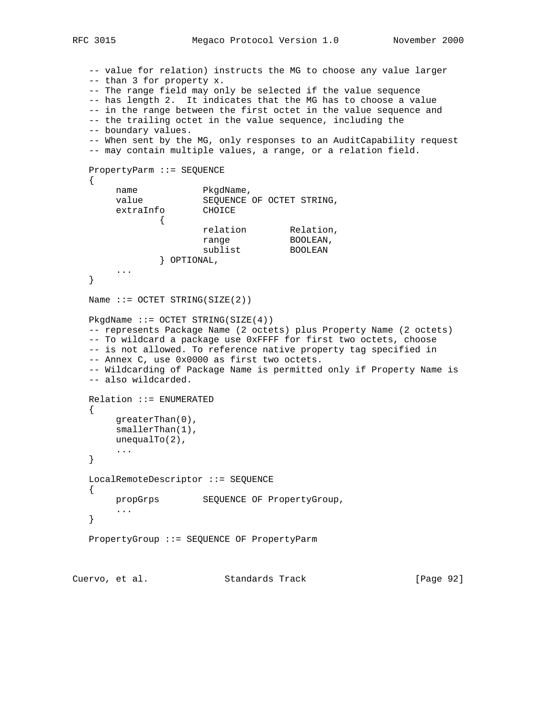```
 -- value for relation) instructs the MG to choose any value larger
   -- than 3 for property x.
   -- The range field may only be selected if the value sequence
   -- has length 2. It indicates that the MG has to choose a value
   -- in the range between the first octet in the value sequence and
   -- the trailing octet in the value sequence, including the
   -- boundary values.
   -- When sent by the MG, only responses to an AuditCapability request
   -- may contain multiple values, a range, or a relation field.
   PropertyParm ::= SEQUENCE
   {
       name PkgdName,<br>value SEOUENCE
                     SEQUENCE OF OCTET STRING,
        extraInfo CHOICE
 {
relation Relation,
range BOOLEAN,
sublist BOOLEAN
                } OPTIONAL,
        ...
   }
  Name ::= OCTET STRING(SIZE(2))
  PkgdName ::= OCTET STRING(SIZE(4)) -- represents Package Name (2 octets) plus Property Name (2 octets)
   -- To wildcard a package use 0xFFFF for first two octets, choose
   -- is not allowed. To reference native property tag specified in
   -- Annex C, use 0x0000 as first two octets.
   -- Wildcarding of Package Name is permitted only if Property Name is
   -- also wildcarded.
   Relation ::= ENUMERATED
   {
        greaterThan(0),
        smallerThan(1),
        unequalTo(2),
        ...
   }
   LocalRemoteDescriptor ::= SEQUENCE
   {
       propGrps SEQUENCE OF PropertyGroup,
       ...
   }
   PropertyGroup ::= SEQUENCE OF PropertyParm
```
Cuervo, et al. Standards Track [Page 92]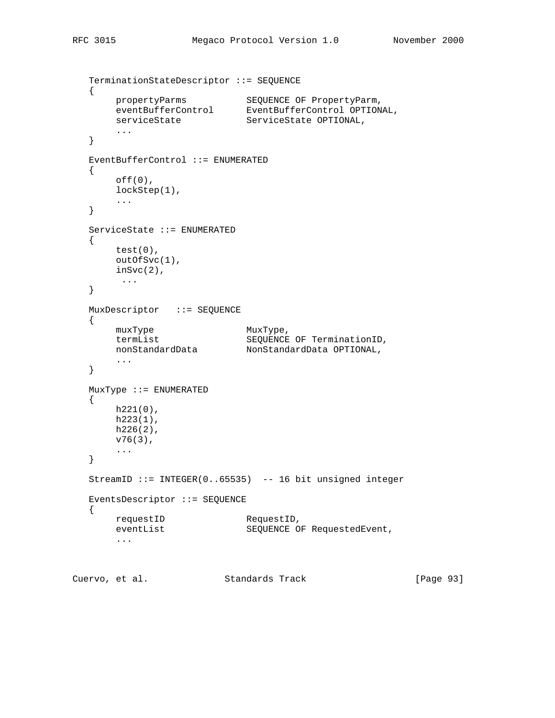```
 TerminationStateDescriptor ::= SEQUENCE
   {
 propertyParms SEQUENCE OF PropertyParm,
 eventBufferControl EventBufferControl OPTIONAL,
serviceState ServiceState OPTIONAL,
        ...
   }
   EventBufferControl ::= ENUMERATED
   {
       off(0),
        lockStep(1),
        ...
   }
   ServiceState ::= ENUMERATED
   {
       test(0),
       outOfSvc(1),
        inSvc(2),
         ...
   }
   MuxDescriptor ::= SEQUENCE
   {
      muxType MuxType,<br>
\uparrow ArmList Computer SEOUENCE
 termList SEQUENCE OF TerminationID,
 nonStandardData NonStandardData OPTIONAL,
        ...
   }
   MuxType ::= ENUMERATED
   {
       h221(0),
      h223(1),
      h226(2),
        v76(3),
        ...
   }
   StreamID ::= INTEGER(0..65535) -- 16 bit unsigned integer
   EventsDescriptor ::= SEQUENCE
   {
      requestID RequestID,<br>eventList SEQUENCE O
                              SEQUENCE OF RequestedEvent,
        ...
```
Cuervo, et al. Standards Track [Page 93]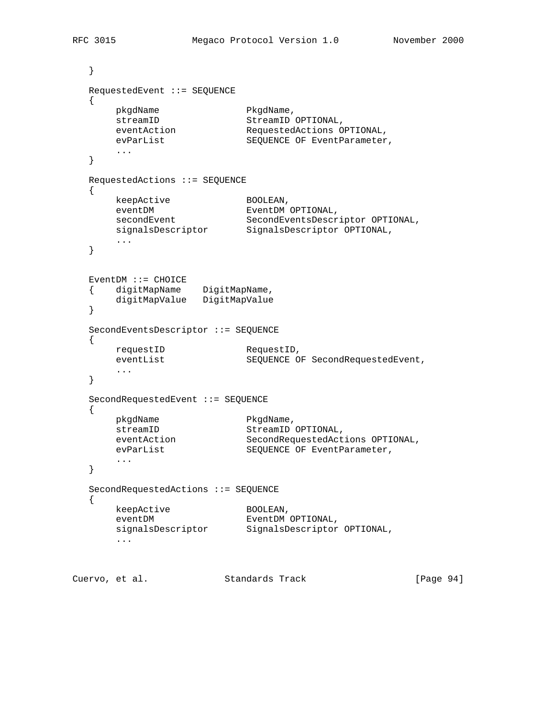```
 }
   RequestedEvent ::= SEQUENCE
   {
pkgdName PkgdName,
streamID StreamID OPTIONAL,
 eventAction RequestedActions OPTIONAL,
       eventhal operation of the stream of the stream of the stream of the stream of the stream of the stream of the stream of the stream of the stream of the stream of the stream of the stream of the stream of the stream of the 
        ...
   }
   RequestedActions ::= SEQUENCE
   {
keepActive BOOLEAN,
eventDM EventDM OPTIONAL,
secondEvent SecondEventsDescriptor OPTIONAL,
 signalsDescriptor SignalsDescriptor OPTIONAL,
 ...
   }
   EventDM ::= CHOICE
 { digitMapName DigitMapName,
 digitMapValue DigitMapValue
   }
   SecondEventsDescriptor ::= SEQUENCE
   {
       requestID RequestID,<br>eventList SEQUENCE O
                              SEQUENCE OF SecondRequestedEvent,
        ...
   }
   SecondRequestedEvent ::= SEQUENCE
   {
        pkgdName PkgdName,
streamID StreamID OPTIONAL,
 eventAction SecondRequestedActions OPTIONAL,
evParList SEQUENCE OF EventParameter,
        ...
   }
   SecondRequestedActions ::= SEQUENCE
   {
       keepActive BOOLEAN,<br>eventDM EventDM
        eventDM EventDM OPTIONAL,
       signalsDescriptor SignalsDescriptor OPTIONAL,
        ...
```
Cuervo, et al. Standards Track [Page 94]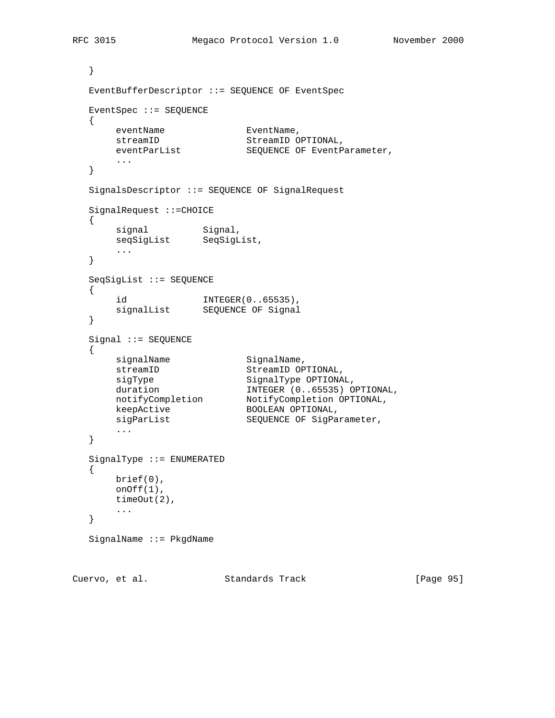```
 }
   EventBufferDescriptor ::= SEQUENCE OF EventSpec
   EventSpec ::= SEQUENCE
   {
eventName EventName,
streamID StreamID OPTIONAL,
                    SEQUENCE OF EventParameter,
       ...
   }
   SignalsDescriptor ::= SEQUENCE OF SignalRequest
   SignalRequest ::=CHOICE
   {
signal Signal,
 seqSigList SeqSigList,
       ...
   }
   SeqSigList ::= SEQUENCE
   {
 id INTEGER(0..65535),
 signalList SEQUENCE OF Signal
   }
   Signal ::= SEQUENCE
   {
     signalName SignalName,
streamID StreamID OPTIONAL,
sigType SignalType OPTIONAL,
duration INTEGER (0..65535) OPTIONAL,
 notifyCompletion NotifyCompletion OPTIONAL,
keepActive BOOLEAN OPTIONAL,
sigParList SEQUENCE OF SigParameter,
       ...
   }
   SignalType ::= ENUMERATED
   {
      brief(0),
      onOff(1),
      timeOut(2),
       ...
   }
   SignalName ::= PkgdName
```
Cuervo, et al. Standards Track [Page 95]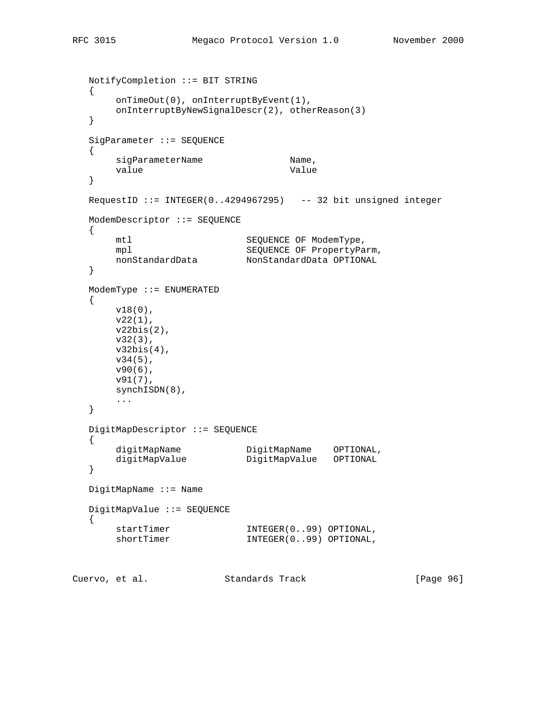```
 NotifyCompletion ::= BIT STRING
   {
       onTimeOut(0), onInterruptByEvent(1),
       onInterruptByNewSignalDescr(2), otherReason(3)
   }
   SigParameter ::= SEQUENCE
   {
      sigParameterName Mame,
      value Value Value
   }
   RequestID ::= INTEGER(0..4294967295) -- 32 bit unsigned integer
   ModemDescriptor ::= SEQUENCE
   {
      mtl SEQUENCE OF ModemType,
      mpl SEQUENCE OF PropertyParm,
       nonStandardData NonStandardData OPTIONAL
   }
   ModemType ::= ENUMERATED
   {
       v18(0),
       v22(1),
       v22bis(2),
       v32(3),
       v32bis(4),
       v34(5),
       v90(6),
       v91(7),
       synchISDN(8),
       ...
   }
   DigitMapDescriptor ::= SEQUENCE
   {
 digitMapName DigitMapName OPTIONAL,
 digitMapValue DigitMapValue OPTIONAL
   }
   DigitMapName ::= Name
   DigitMapValue ::= SEQUENCE
   {
startTimer INTEGER(0..99) OPTIONAL,
shortTimer INTEGER(0..99) OPTIONAL,
```
Cuervo, et al. Standards Track [Page 96]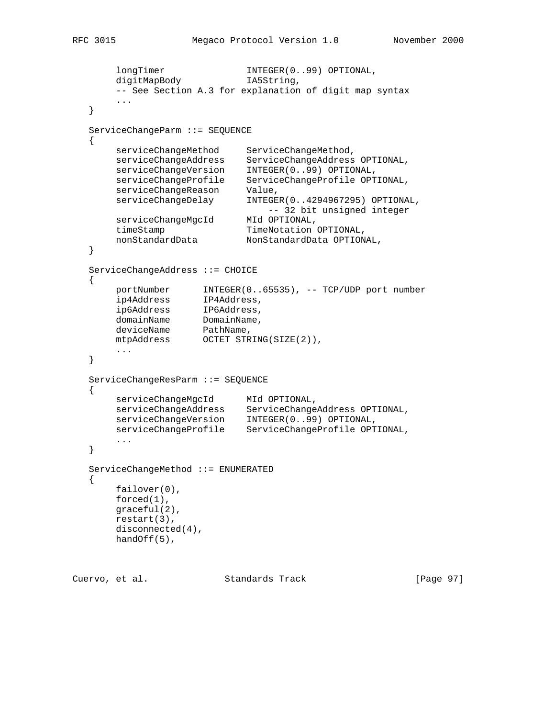```
 longTimer INTEGER(0..99) OPTIONAL,
      digitMapBody and INTEGER(0.<br>digitMapBody IA5String,
       -- See Section A.3 for explanation of digit map syntax
       ...
   }
   ServiceChangeParm ::= SEQUENCE
  \left\{ \right. serviceChangeMethod ServiceChangeMethod,
 serviceChangeAddress ServiceChangeAddress OPTIONAL,
 serviceChangeVersion INTEGER(0..99) OPTIONAL,
 serviceChangeProfile ServiceChangeProfile OPTIONAL,
 serviceChangeReason Value,
 serviceChangeDelay INTEGER(0..4294967295) OPTIONAL,
 -- 32 bit unsigned integer
 serviceChangeMgcId MId OPTIONAL,
timeStamp TimeNotation OPTIONAL,
       nonStandardData NonStandardData OPTIONAL,
   }
   ServiceChangeAddress ::= CHOICE
   {
 portNumber INTEGER(0..65535), -- TCP/UDP port number
 ip4Address IP4Address,
 ip6Address IP6Address,
domainName DomainName,
deviceName PathName,
 mtpAddress OCTET STRING(SIZE(2)),
       ...
   }
   ServiceChangeResParm ::= SEQUENCE
   {
      serviceChangeMgcId MId OPTIONAL,
 serviceChangeAddress ServiceChangeAddress OPTIONAL,
 serviceChangeVersion INTEGER(0..99) OPTIONAL,
 serviceChangeProfile ServiceChangeProfile OPTIONAL,
       ...
   }
   ServiceChangeMethod ::= ENUMERATED
   {
       failover(0),
       forced(1),
       graceful(2),
       restart(3),
       disconnected(4),
       handOff(5),
```
Cuervo, et al. Standards Track [Page 97]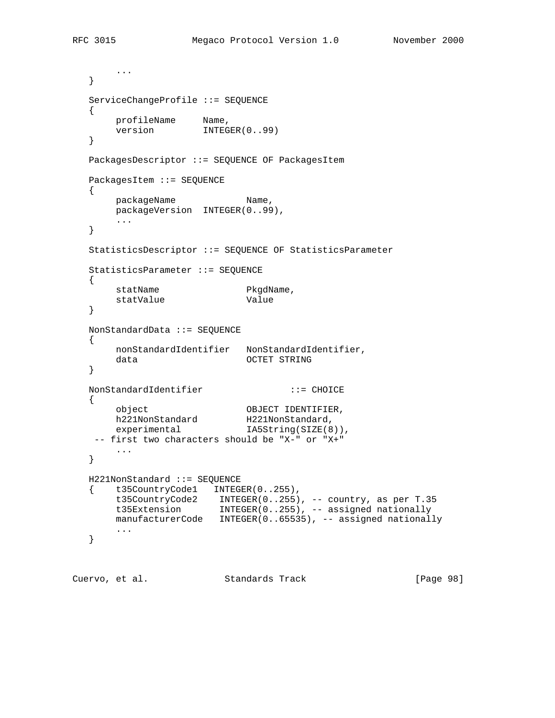```
 ...
   }
   ServiceChangeProfile ::= SEQUENCE
  \{profileName Name,
version INTEGER(0..99)
   }
   PackagesDescriptor ::= SEQUENCE OF PackagesItem
   PackagesItem ::= SEQUENCE
  \{packageName Name,
     .<br>packageVersion INTEGER(0..99),
       ...
   }
   StatisticsDescriptor ::= SEQUENCE OF StatisticsParameter
   StatisticsParameter ::= SEQUENCE
   {
statName PkgdName,
statValue Value
   }
   NonStandardData ::= SEQUENCE
   {
       nonStandardIdentifier NonStandardIdentifier,
      data OCTET STRING
   }
   NonStandardIdentifier ::= CHOICE
   {
 object OBJECT IDENTIFIER,
h221NonStandard H221NonStandard,
```

```
experimental IA5String(SIZE(8)),
    -- first two characters should be "X-" or "X+"
       ...
   }
   H221NonStandard ::= SEQUENCE
   { t35CountryCode1 INTEGER(0..255),
 t35CountryCode2 INTEGER(0..255), -- country, as per T.35
 t35Extension INTEGER(0..255), -- assigned nationally
     manufacturerCode INTEGER(0..65535), -- assigned nationally
       ...
```

```
 }
```
Cuervo, et al. Standards Track [Page 98]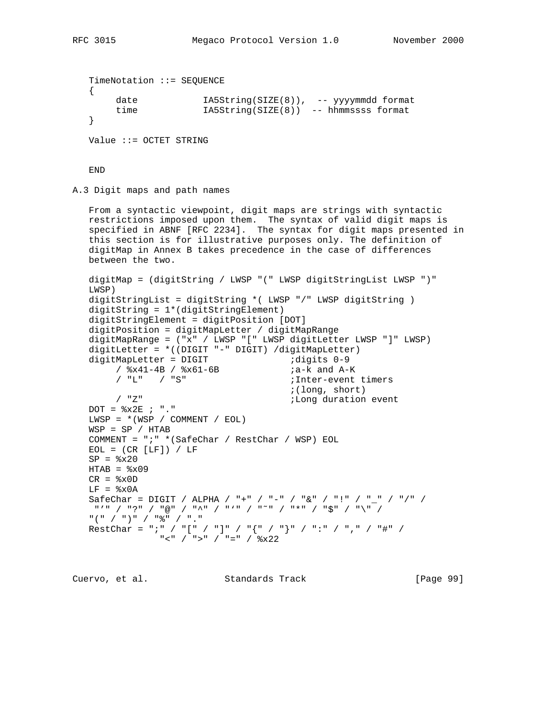```
 TimeNotation ::= SEQUENCE
 {
    date IA5String(SIZE(8)), -- yyyymmdd format
     time IA5String(SIZE(8)) -- hhmmssss format
 }
```
Value ::= OCTET STRING

END

A.3 Digit maps and path names

```
 From a syntactic viewpoint, digit maps are strings with syntactic
   restrictions imposed upon them. The syntax of valid digit maps is
   specified in ABNF [RFC 2234]. The syntax for digit maps presented in
   this section is for illustrative purposes only. The definition of
   digitMap in Annex B takes precedence in the case of differences
   between the two.
   digitMap = (digitString / LWSP "(" LWSP digitStringList LWSP ")"
   LWSP)
   digitStringList = digitString *( LWSP "/" LWSP digitString )
   digitString = 1*(digitStringElement)
   digitStringElement = digitPosition [DOT]
   digitPosition = digitMapLetter / digitMapRange
   digitMapRange = ("x" / LWSP "[" LWSP digitLetter LWSP "]" LWSP)
   digitLetter = *((DIGIT "-" DIGIT) /digitMapLetter)
 digitMapLetter = DIGIT ;digits 0-9
/ x41-4B / x61-6B ; a-k and A-K
/ "L" / "S"                                 ;Inter-event timers
       % (long, short)<br>
induction (long duration)<br>
induction
                                         i Long duration event
  DOT = <math>8x2E</math> ; "."LWSP = * (WSP / COMMENT / EOL) WSP = SP / HTAB
   COMMENT = ";" *(SafeChar / RestChar / WSP) EOL
  EOL = (CR [LF]) / LFSP = <math>8x20</math>HTAB = <math>\circ</math>x09CR = <math>8x0D</math>LF = <math>\delta x0A</math>SafeChar = DIGIT / ALPHA / "+" / "-" / "&" / "!" / "_" / "/" /
    "'" / "?" / "@" / "^" / "'" / "˜" / "*" / "$" / "\" /
   "(" / ")" / "%" / "."
  RestChar = ";" / "[" / "]" / "{" / "}" / ":" / "," / "#" /
               " <" / ">" / "=" / ^{\circ} \times 22
```
Cuervo, et al. Standards Track [Page 99]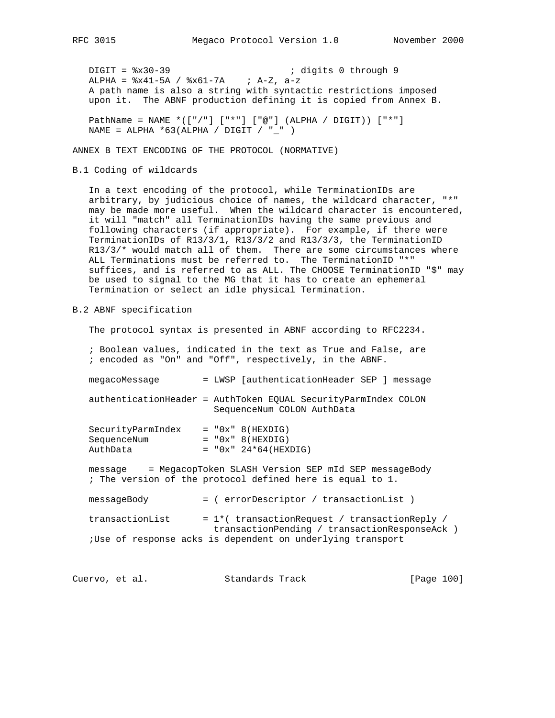DIGIT =  $*x30-39$  ; digits 0 through 9 ALPHA =  $8x41-5A$  /  $8x61-7A$  ; A-Z, a-z A path name is also a string with syntactic restrictions imposed upon it. The ABNF production defining it is copied from Annex B.

 PathName = NAME \*(["/"] ["\*"] ["@"] (ALPHA / DIGIT)) ["\*"] NAME = ALPHA \*63(ALPHA / DIGIT / "\_" )

ANNEX B TEXT ENCODING OF THE PROTOCOL (NORMATIVE)

B.1 Coding of wildcards

 In a text encoding of the protocol, while TerminationIDs are arbitrary, by judicious choice of names, the wildcard character, "\*" may be made more useful. When the wildcard character is encountered, it will "match" all TerminationIDs having the same previous and following characters (if appropriate). For example, if there were TerminationIDs of R13/3/1, R13/3/2 and R13/3/3, the TerminationID  $R13/3/*$  would match all of them. There are some circumstances where ALL Terminations must be referred to. The TerminationID "\*" suffices, and is referred to as ALL. The CHOOSE TerminationID "\$" may be used to signal to the MG that it has to create an ephemeral Termination or select an idle physical Termination.

B.2 ABNF specification

The protocol syntax is presented in ABNF according to RFC2234.

- ; Boolean values, indicated in the text as True and False, are ; encoded as "On" and "Off", respectively, in the ABNF.
- megacoMessage = LWSP [authenticationHeader SEP ] message

 authenticationHeader = AuthToken EQUAL SecurityParmIndex COLON SequenceNum COLON AuthData

| SecurityParmIndex | $= "0x" 8(HEXDIG)$     |
|-------------------|------------------------|
| SequenceNum       | $= "0x" 8(HEXDIG)$     |
| AuthData          | $= "0x" 24*64(HEXDIG)$ |

 message = MegacopToken SLASH Version SEP mId SEP messageBody ; The version of the protocol defined here is equal to 1.

 messageBody = ( errorDescriptor / transactionList ) transactionList  $= 1*(transactionRequest / transactionReply /$  transactionPending / transactionResponseAck ) ;Use of response acks is dependent on underlying transport

Cuervo, et al. Standards Track [Page 100]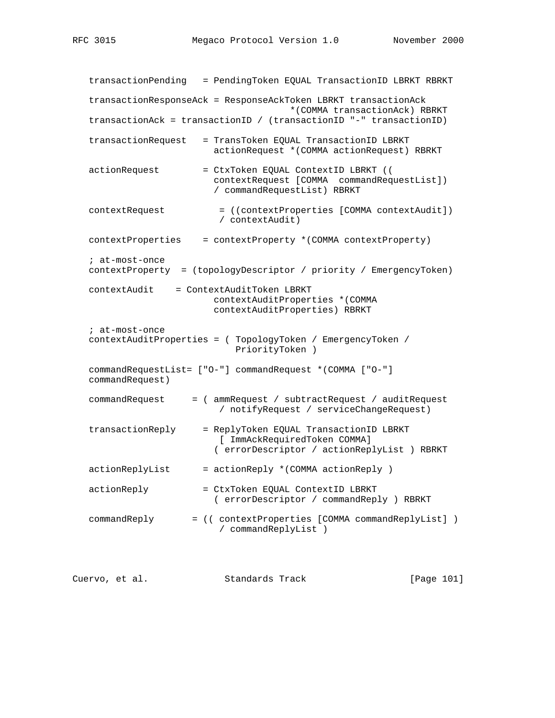transactionPending = PendingToken EQUAL TransactionID LBRKT RBRKT transactionResponseAck = ResponseAckToken LBRKT transactionAck \*(COMMA transactionAck) RBRKT transactionAck = transactionID / (transactionID "-" transactionID) transactionRequest = TransToken EQUAL TransactionID LBRKT actionRequest \*(COMMA actionRequest) RBRKT actionRequest = CtxToken EQUAL ContextID LBRKT (( contextRequest [COMMA commandRequestList]) / commandRequestList) RBRKT contextRequest = ((contextProperties [COMMA contextAudit]) / contextAudit) contextProperties = contextProperty \*(COMMA contextProperty) ; at-most-once contextProperty = (topologyDescriptor / priority / EmergencyToken) contextAudit = ContextAuditToken LBRKT contextAuditProperties \*(COMMA contextAuditProperties) RBRKT ; at-most-once contextAuditProperties = ( TopologyToken / EmergencyToken / PriorityToken ) commandRequestList= ["O-"] commandRequest \*(COMMA ["O-"] commandRequest) commandRequest = ( ammRequest / subtractRequest / auditRequest / notifyRequest / serviceChangeRequest) transactionReply = ReplyToken EQUAL TransactionID LBRKT [ ImmAckRequiredToken COMMA] ( errorDescriptor / actionReplyList ) RBRKT  $actionReplyList$  =  $actionReply$  \*(COMMA  $actionReply$ ) actionReply = CtxToken EQUAL ContextID LBRKT ( errorDescriptor / commandReply ) RBRKT commandReply = (( contextProperties [COMMA commandReplyList] ) / commandReplyList )

Cuervo, et al. Standards Track [Page 101]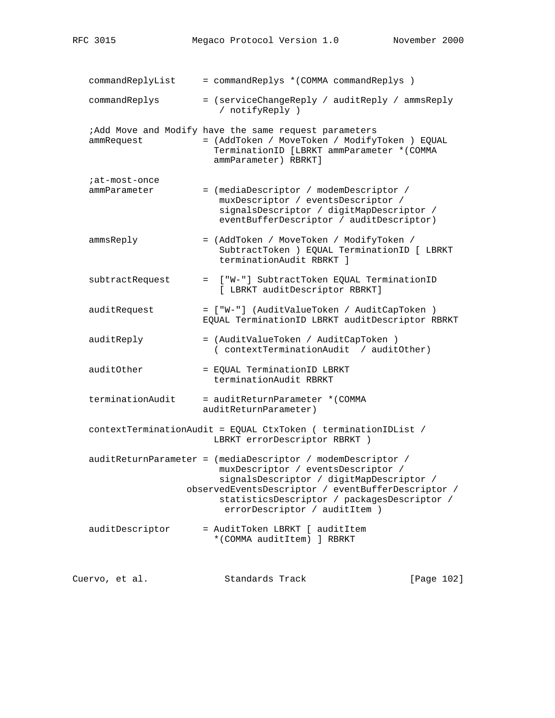| commandReplyList              | = commandReplys * (COMMA commandReplys )                                                                                                                                                                                                                                            |            |
|-------------------------------|-------------------------------------------------------------------------------------------------------------------------------------------------------------------------------------------------------------------------------------------------------------------------------------|------------|
| commandReplys                 | = (serviceChangeReply / auditReply / ammsReply<br>/ notifyReply )                                                                                                                                                                                                                   |            |
| ammRequest                    | ;Add Move and Modify have the same request parameters<br>= (AddToken / MoveToken / ModifyToken ) EQUAL<br>TerminationID [LBRKT ammParameter * (COMMA<br>ammParameter) RBRKT]                                                                                                        |            |
| ;at-most-once<br>ammParameter | = (mediaDescriptor / modemDescriptor /<br>muxDescriptor / eventsDescriptor /<br>signalsDescriptor / digitMapDescriptor /<br>eventBufferDescriptor / auditDescriptor)                                                                                                                |            |
| ammsReply                     | = (AddToken / MoveToken / ModifyToken /<br>SubtractToken ) EQUAL TerminationID [ LBRKT<br>terminationAudit RBRKT 1                                                                                                                                                                  |            |
| subtractRequest               | = ["W-"] SubtractToken EQUAL TerminationID<br>[ LBRKT auditDescriptor RBRKT]                                                                                                                                                                                                        |            |
| auditRequest                  | = ["W-"] (AuditValueToken / AuditCapToken )<br>EQUAL TerminationID LBRKT auditDescriptor RBRKT                                                                                                                                                                                      |            |
| auditReply                    | = (AuditValueToken / AuditCapToken )<br>( contextTerminationAudit / auditOther)                                                                                                                                                                                                     |            |
| auditOther                    | = EQUAL TerminationID LBRKT<br>terminationAudit RBRKT                                                                                                                                                                                                                               |            |
| terminationAudit              | = auditReturnParameter *(COMMA<br>auditReturnParameter)                                                                                                                                                                                                                             |            |
|                               | contextTerminationAudit = EQUAL CtxToken ( terminationIDList /<br>LBRKT errorDescriptor RBRKT )                                                                                                                                                                                     |            |
|                               | auditReturnParameter = (mediaDescriptor / modemDescriptor /<br>muxDescriptor / eventsDescriptor /<br>signalsDescriptor / digitMapDescriptor /<br>observedEventsDescriptor / eventBufferDescriptor /<br>statisticsDescriptor / packagesDescriptor /<br>errorDescriptor / auditItem ) |            |
| auditDescriptor               | = AuditToken LBRKT [ auditItem<br>*(COMMA auditItem) ] RBRKT                                                                                                                                                                                                                        |            |
| Cuervo, et al.                | Standards Track                                                                                                                                                                                                                                                                     | [Page 102] |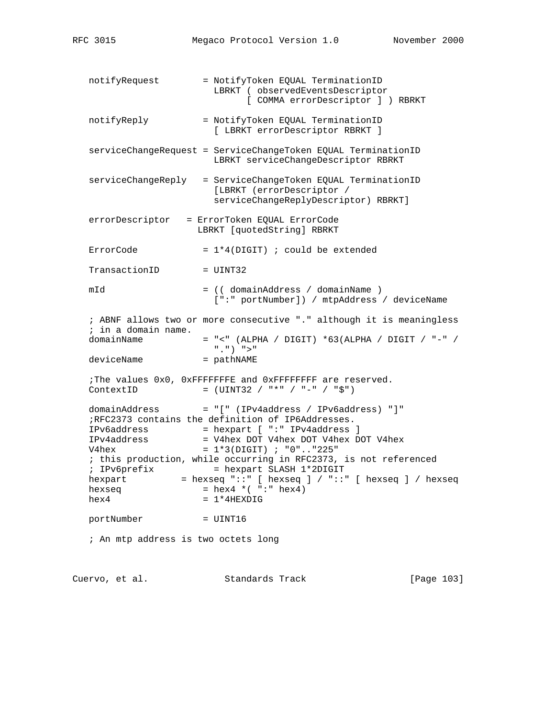notifyRequest = NotifyToken EQUAL TerminationID LBRKT ( observedEventsDescriptor [ COMMA errorDescriptor ] ) RBRKT notifyReply = NotifyToken EQUAL TerminationID [ LBRKT errorDescriptor RBRKT ] serviceChangeRequest = ServiceChangeToken EQUAL TerminationID LBRKT serviceChangeDescriptor RBRKT serviceChangeReply = ServiceChangeToken EQUAL TerminationID [LBRKT (errorDescriptor / serviceChangeReplyDescriptor) RBRKT] errorDescriptor = ErrorToken EQUAL ErrorCode LBRKT [quotedString] RBRKT ErrorCode  $= 1*4(DIGIT)$  ; could be extended TransactionID = UINT32 mId = (( domainAddress / domainName ) [":" portNumber]) / mtpAddress / deviceName ; ABNF allows two or more consecutive "." although it is meaningless ; in a domain name. domainName  $=$  "<" (ALPHA / DIGIT) \*63(ALPHA / DIGIT / "-" / ".") ">" deviceName ;The values 0x0, 0xFFFFFFFE and 0xFFFFFFFF are reserved.  $ContextID = (UINT32 / "*" / "-" / "$")$ domainAddress = "[" (IPv4address / IPv6address) "]" ;RFC2373 contains the definition of IP6Addresses. IPv6address = hexpart [ ":" IPv4address ] IPv4address = V4hex DOT V4hex DOT V4hex DOT V4hex  $V4hex$  =  $1*3(DIGIT)$  ; "0".."225" ; this production, while occurring in RFC2373, is not referenced ; IPv6prefix = hexpart SLASH 1\*2DIGIT hexpart = hexseq "::" [ hexseq ] / "::" [ hexseq ] / hexseq  $hexseq$  =  $hex4 * ( ":: " hex4")$  $hex4 = 1*4$ HEXDIG portNumber = UINT16 ; An mtp address is two octets long

Cuervo, et al. Standards Track [Page 103]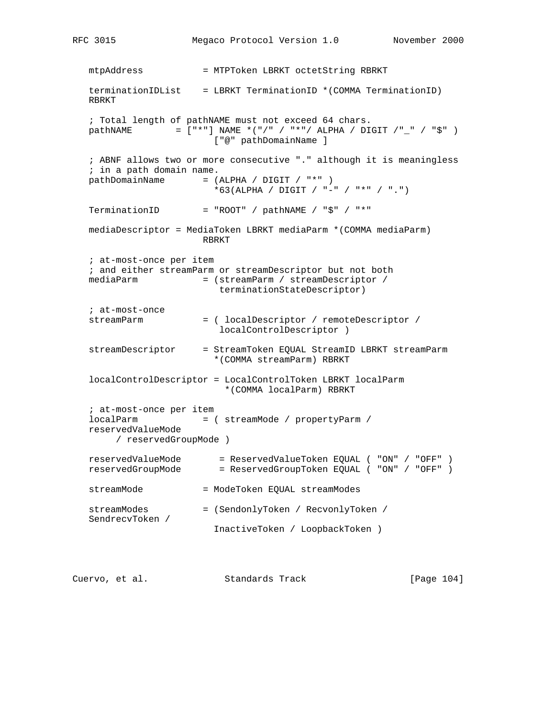mtpAddress = MTPToken LBRKT octetString RBRKT terminationIDList = LBRKT TerminationID \*(COMMA TerminationID) RBRKT ; Total length of pathNAME must not exceed 64 chars. pathNAME  $= [\n "*"]$  NAME  $*(\n "/" / "*")$  ALPHA / DIGIT  $/\n "_" / "$" )$  ["@" pathDomainName ] ; ABNF allows two or more consecutive "." although it is meaningless ; in a path domain name.  $pathDomainName = (ALPHA / DIGIT / "*")$  \*63(ALPHA / DIGIT / "-" / "\*" / ".") TerminationID = "ROOT" /  $pathNAME$  / " $$$ " / "\*" mediaDescriptor = MediaToken LBRKT mediaParm \*(COMMA mediaParm) RBRKT ; at-most-once per item ; and either streamParm or streamDescriptor but not both mediaParm = (streamParm / streamDescriptor / terminationStateDescriptor) ; at-most-once streamParm = ( localDescriptor / remoteDescriptor / localControlDescriptor ) streamDescriptor = StreamToken EQUAL StreamID LBRKT streamParm \*(COMMA streamParm) RBRKT localControlDescriptor = LocalControlToken LBRKT localParm \*(COMMA localParm) RBRKT ; at-most-once per item localParm = ( streamMode / propertyParm / reservedValueMode / reservedGroupMode ) reservedValueMode = ReservedValueToken EQUAL ( "ON" / "OFF" ) reservedGroupMode = ReservedGroupToken EQUAL ( "ON" / "OFF" ) streamMode = ModeToken EQUAL streamModes streamModes = (SendonlyToken / RecvonlyToken / SendrecvToken / InactiveToken / LoopbackToken )

Cuervo, et al. Standards Track [Page 104]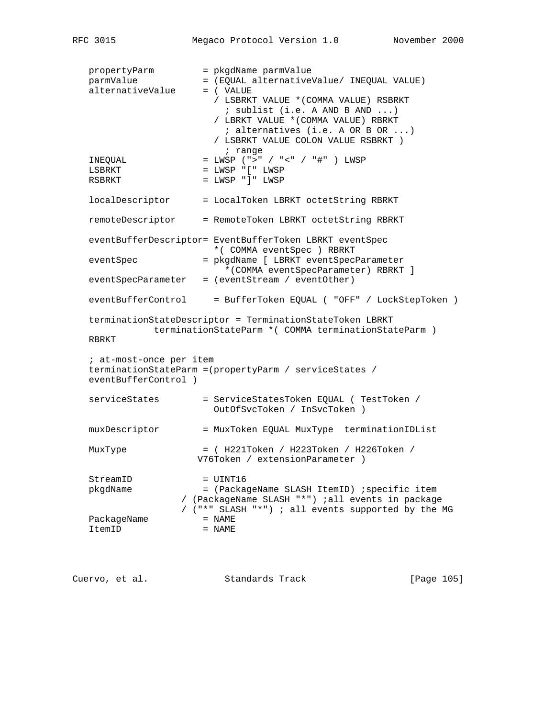```
propertyParm = pkgdName parmValue<br>
- /FOUAL alternative
 parmValue = (EQUAL alternativeValue/ INEQUAL VALUE)
alternativeValue = ( VALUE
                      / LSBRKT VALUE *(COMMA VALUE) RSBRKT
                       ; sublist (i.e. A AND B AND ...)
                      / LBRKT VALUE *(COMMA VALUE) RBRKT
                       ; alternatives (i.e. A OR B OR ...)
                      / LSBRKT VALUE COLON VALUE RSBRKT )
                       ; range
 INEQUAL = LWSP (">" / "<" / "#" ) LWSP
LSBRKT = LWSP "[" LWSP
RSBRKT = LWSP "]" LWSP
localDescriptor = LocalToken LBRKT octetString RBRKT
 remoteDescriptor = RemoteToken LBRKT octetString RBRKT
 eventBufferDescriptor= EventBufferToken LBRKT eventSpec
                      *( COMMA eventSpec ) RBRKT
 eventSpec = pkgdName [ LBRKT eventSpecParameter
                        *(COMMA eventSpecParameter) RBRKT ]
 eventSpecParameter = (eventStream / eventOther)
 eventBufferControl = BufferToken EQUAL ( "OFF" / LockStepToken )
 terminationStateDescriptor = TerminationStateToken LBRKT
            terminationStateParm *( COMMA terminationStateParm )
 RBRKT
 ; at-most-once per item
 terminationStateParm =(propertyParm / serviceStates /
 eventBufferControl )
serviceStates = ServiceStatesToken EQUAL ( TestToken /
                     OutOfSvcToken / InSvcToken )
 muxDescriptor = MuxToken EQUAL MuxType terminationIDList
 MuxType = ( H221Token / H223Token / H226Token /
                   V76Token / extensionParameter )
StreamID = UINT16
 pkgdName = (PackageName SLASH ItemID) ;specific item
                / (PackageName SLASH "*") ;all events in package
                / ("*" SLASH "*") ; all events supported by the MG
PackageName = NAME
ItemID = NAME
```
Cuervo, et al. Standards Track [Page 105]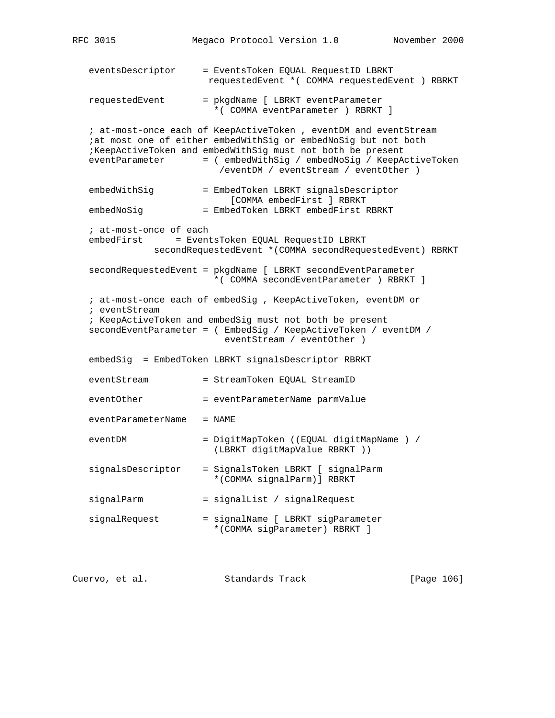RFC 3015 Megaco Protocol Version 1.0 November 2000 eventsDescriptor = EventsToken EQUAL RequestID LBRKT requestedEvent \*( COMMA requestedEvent ) RBRKT requestedEvent = pkgdName [ LBRKT eventParameter \*( COMMA eventParameter ) RBRKT ] ; at-most-once each of KeepActiveToken , eventDM and eventStream ;at most one of either embedWithSig or embedNoSig but not both ;KeepActiveToken and embedWithSig must not both be present eventParameter = ( embedWithSig / embedNoSig / KeepActiveToken /eventDM / eventStream / eventOther ) embedWithSig = EmbedToken LBRKT signalsDescriptor [COMMA embedFirst ] RBRKT embedNoSig = EmbedToken LBRKT embedFirst RBRKT ; at-most-once of each embedFirst = EventsToken EQUAL RequestID LBRKT secondRequestedEvent \*(COMMA secondRequestedEvent) RBRKT secondRequestedEvent = pkgdName [ LBRKT secondEventParameter \*( COMMA secondEventParameter ) RBRKT ] ; at-most-once each of embedSig , KeepActiveToken, eventDM or ; eventStream ; KeepActiveToken and embedSig must not both be present secondEventParameter = ( EmbedSig / KeepActiveToken / eventDM / eventStream / eventOther ) embedSig = EmbedToken LBRKT signalsDescriptor RBRKT eventStream = StreamToken EQUAL StreamID eventOther = eventParameterName parmValue eventParameterName = NAME eventDM = DigitMapToken ((EQUAL digitMapName ) / (LBRKT digitMapValue RBRKT )) signalsDescriptor = SignalsToken LBRKT [ signalParm \*(COMMA signalParm)] RBRKT signalParm = signalList / signalRequest signalRequest = signalName [ LBRKT sigParameter \*(COMMA sigParameter) RBRKT ]

Cuervo, et al. Standards Track [Page 106]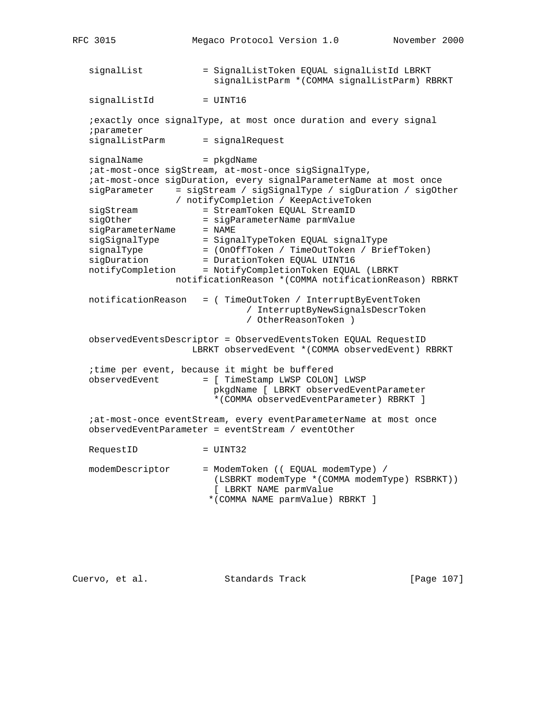```
RFC 3015 Megaco Protocol Version 1.0 November 2000
   signalList = SignalListToken EQUAL signalListId LBRKT
                           signalListParm *(COMMA signalListParm) RBRKT
   signalListId = UINT16
    ;exactly once signalType, at most once duration and every signal
    ;parameter
   signalListParm = signalRequest
   signalName = pkgdName
    ;at-most-once sigStream, at-most-once sigSignalType,
    ;at-most-once sigDuration, every signalParameterName at most once
    sigParameter = sigStream / sigSignalType / sigDuration / sigOther
  / notifyCompletion / KeepActiveToken<br>sigStream = StreamToken EQUAL StreamID<br>constants constants parmValue
                       = StreamToken EQUAL StreamID<br>= sigParameterName parmValue
 sigOther = sigParameterName parmValue
sigParameterName = NAME
 sigSignalType = SignalTypeToken EQUAL signalType
 signalType = (OnOffToken / TimeOutToken / BriefToken)
 sigDuration = DurationToken EQUAL UINT16
  \begin{array}{rcl}\n\texttt{signalType} & = & \texttt{ConoffToken} \ / \ \texttt{TimeOutToken} \ / \ \texttt{Brief:}\n\end{array} notificationReason *(COMMA notificationReason) RBRKT
   notificationReason = ( TimeOutToken / InterruptByEventToken
                                  / InterruptByNewSignalsDescrToken
                                  / OtherReasonToken )
    observedEventsDescriptor = ObservedEventsToken EQUAL RequestID
                       LBRKT observedEvent *(COMMA observedEvent) RBRKT
    ;time per event, because it might be buffered
    observedEvent = [ TimeStamp LWSP COLON] LWSP
                           pkgdName [ LBRKT observedEventParameter
                            *(COMMA observedEventParameter) RBRKT ]
    ;at-most-once eventStream, every eventParameterName at most once
    observedEventParameter = eventStream / eventOther
   RequestID = UINT32
   modemDescriptor = ModemToken (( EQUAL modemType) /
                           (LSBRKT modemType *(COMMA modemType) RSBRKT))
                           [ LBRKT NAME parmValue
                           *(COMMA NAME parmValue) RBRKT ]
```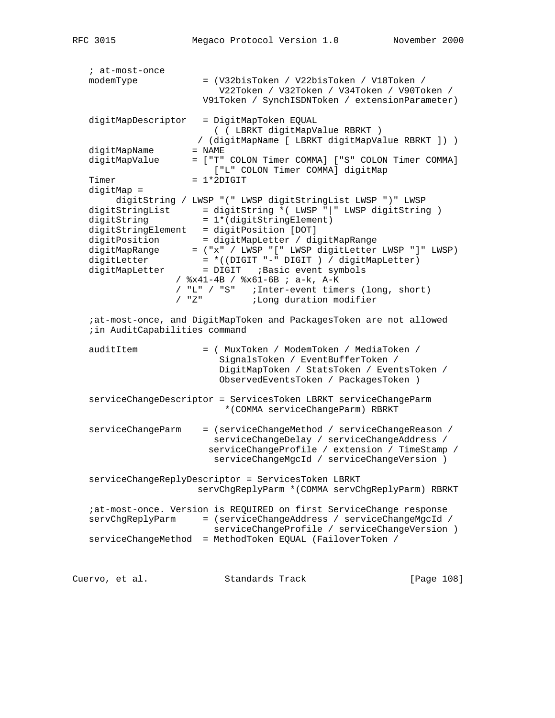```
 ; at-most-once
   modemType = (V32bisToken / V22bisToken / V18Token /
                          V22Token / V32Token / V34Token / V90Token /
                       V91Token / SynchISDNToken / extensionParameter)
   digitMapDescriptor = DigitMapToken EQUAL
                        ( ( LBRKT digitMapValue RBRKT )
                     / (digitMapName [ LBRKT digitMapValue RBRKT ]) )
 digitMapName = NAME
 digitMapValue = ["T" COLON Timer COMMA] ["S" COLON Timer COMMA]
                        ["L" COLON Timer COMMA] digitMap
  Timer = 1*2DIGIT digitMap =
        digitString / LWSP "(" LWSP digitStringList LWSP ")" LWSP
 digitStringList = digitString *( LWSP "|" LWSP digitString )
digitString = 1*(digitStringElement)digitStringElement = digitPosition [DOT]
 digitPosition = digitMapLetter / digitMapRange
 digitMapRange = ("x" / LWSP "[" LWSP digitLetter LWSP "]" LWSP)
 digitLetter = *((DIGIT "-" DIGIT ) / digitMapLetter)
 digitMapLetter = DIGIT ;Basic event symbols
                  / %x41-4B / %x61-6B ; a-k, A-K
                  / "L" / "S" ;Inter-event timers (long, short)
                             ;Long duration modifier
   ;at-most-once, and DigitMapToken and PackagesToken are not allowed
   ;in AuditCapabilities command
   auditItem = ( MuxToken / ModemToken / MediaToken /
                          SignalsToken / EventBufferToken /
                          DigitMapToken / StatsToken / EventsToken /
                          ObservedEventsToken / PackagesToken )
   serviceChangeDescriptor = ServicesToken LBRKT serviceChangeParm
                          *(COMMA serviceChangeParm) RBRKT
   serviceChangeParm = (serviceChangeMethod / serviceChangeReason /
                         serviceChangeDelay / serviceChangeAddress /
                        serviceChangeProfile / extension / TimeStamp /
                         serviceChangeMgcId / serviceChangeVersion )
   serviceChangeReplyDescriptor = ServicesToken LBRKT
                      servChgReplyParm *(COMMA servChgReplyParm) RBRKT
   ;at-most-once. Version is REQUIRED on first ServiceChange response
   servChgReplyParm = (serviceChangeAddress / serviceChangeMgcId /
                        serviceChangeProfile / serviceChangeVersion )
   serviceChangeMethod = MethodToken EQUAL (FailoverToken /
```
Cuervo, et al. Standards Track [Page 108]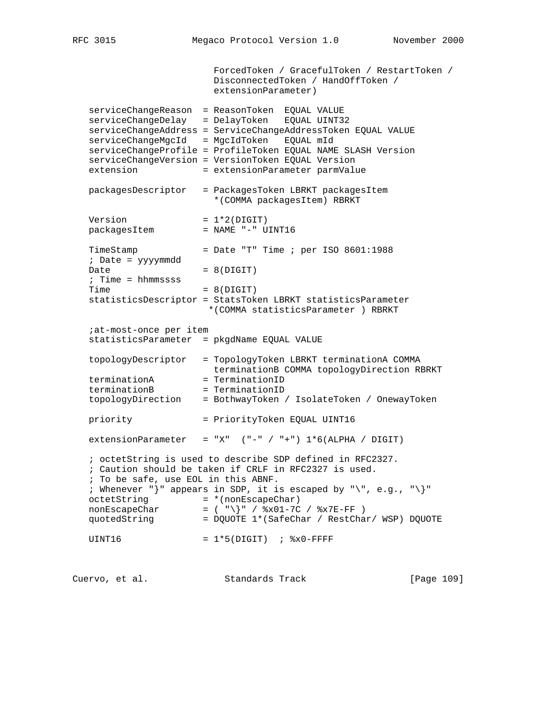ForcedToken / GracefulToken / RestartToken / DisconnectedToken / HandOffToken / extensionParameter) serviceChangeReason = ReasonToken EQUAL VALUE serviceChangeDelay = DelayToken EQUAL UINT32 serviceChangeAddress = ServiceChangeAddressToken EQUAL VALUE serviceChangeMgcId = MgcIdToken EQUAL mId serviceChangeProfile = ProfileToken EQUAL NAME SLASH Version serviceChangeVersion = VersionToken EQUAL Version extension = extensionParameter parmValue packagesDescriptor = PackagesToken LBRKT packagesItem \*(COMMA packagesItem) RBRKT  $Version = 1*2(DIGIT)$ packagesItem = NAME "-" UINT16  $TimeStamp = Date "T" Time ; per ISO 8601:1988$  ; Date = yyyymmdd  $Date = 8(DIGIT)$  ; Time = hhmmssss  $Time = 8(DIGIT)$  statisticsDescriptor = StatsToken LBRKT statisticsParameter \*(COMMA statisticsParameter ) RBRKT ;at-most-once per item statisticsParameter = pkgdName EQUAL VALUE topologyDescriptor = TopologyToken LBRKT terminationA COMMA terminationB COMMA topologyDirection RBRKT terminationA = TerminationID terminationB = TerminationID topologyDirection = BothwayToken / IsolateToken / OnewayToken priority = PriorityToken EQUAL UINT16 extensionParameter = "X"  $("-" / "+") 1*6(ALPHA / DIGIT)$  ; octetString is used to describe SDP defined in RFC2327. ; Caution should be taken if CRLF in RFC2327 is used. ; To be safe, use EOL in this ABNF. ; Whenever "}" appears in SDP, it is escaped by "\", e.g., "\}" octetString  $= * (nonEscapeChar)$  $nonEscapeChar$  = ( "\}" /  $*x01-7C$  /  $*x7E-FF$  ) quotedString = DQUOTE 1\*(SafeChar / RestChar/ WSP) DQUOTE UINT16 =  $1*5(DIGIT)$  ;  $8x0-FFFF$ 

Cuervo, et al. Standards Track [Page 109]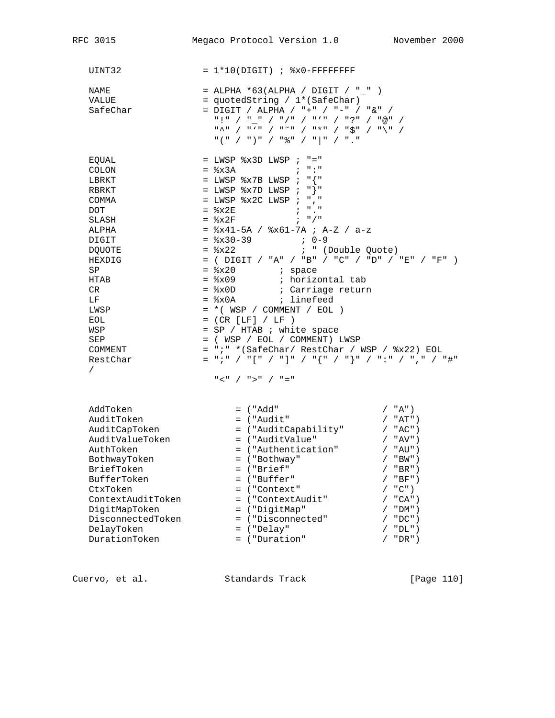| RFC 3015                                                                                                                                                                                                                   | Megaco Protocol Version 1.0 November 2000                                                                                                                                                                                                                                                                                                                                                                                                                                                                                                                                                                                                                                                                                                                                                                                                                                                         |
|----------------------------------------------------------------------------------------------------------------------------------------------------------------------------------------------------------------------------|---------------------------------------------------------------------------------------------------------------------------------------------------------------------------------------------------------------------------------------------------------------------------------------------------------------------------------------------------------------------------------------------------------------------------------------------------------------------------------------------------------------------------------------------------------------------------------------------------------------------------------------------------------------------------------------------------------------------------------------------------------------------------------------------------------------------------------------------------------------------------------------------------|
| UINT32                                                                                                                                                                                                                     | $= 1*10(DIGIT)$ ; $8x0-FFFFFFFF$                                                                                                                                                                                                                                                                                                                                                                                                                                                                                                                                                                                                                                                                                                                                                                                                                                                                  |
| NAME<br>VALUE<br>SafeChar                                                                                                                                                                                                  | = ALPHA *63(ALPHA / DIGIT / "_" )<br>= quotedString / 1*(SafeChar)<br>= DIGIT / ALPHA / "+" / "-" / "&" /<br>$\begin{array}{ccccccccc} \mathfrak{n}\wedge\mathfrak{n} & / & \mathfrak{n}\vee\mathfrak{n} & / & \mathfrak{n}\cong\mathfrak{n} & / & \mathfrak{n}\star\mathfrak{n} & / & \mathfrak{n}\searrow\mathfrak{n} & / & \mathfrak{n}\searrow\mathfrak{n} & / \end{array}$<br>$\texttt{H} \left( \begin{array}{ccccc} \texttt{H} & \end{array} \right) \left( \begin{array}{ccccc} \texttt{H} & \texttt{H} & \end{array} \right) \left( \begin{array}{ccccc} \texttt{H} & \texttt{H} & \end{array} \right) \left( \begin{array}{ccccc} \texttt{H} & \texttt{H} & \end{array} \right) \left( \begin{array}{ccccc} \texttt{H} & \texttt{H} & \end{array} \right) \left( \begin{array}{ccccc} \texttt{H} & \texttt{H} & \end{array} \right) \left( \begin{array}{ccccc} \texttt{H} & \texttt{H$ |
| EQUAL<br><b>COLON</b><br>LBRKT<br>RBRKT<br>COMMA<br><b>DOT</b><br>SLASH<br>ALPHA<br>DIGIT<br><b>DQUOTE</b><br>HEXDIG<br>SP<br>HTAB<br>CR.<br>LF<br>LWSP<br>EOL<br>WSP<br>SEP<br>COMMENT<br>RestChar<br>$\sqrt{2}$          | $=$ LWSP $x3D$ LWSP ; "="<br>$=$ $\frac{1}{2} \times 3A$ ; ":"<br>= LWSP $x7B$ LWSP ; " $\{$ "<br>= LWSP $x7D$ LWSP ; "}"<br>= LWSP $x2C$ LWSP ; ", "<br>$=$ $8x2E$<br>$\mathcal{L} = \mathcal{L} \mathcal{L} = \mathcal{L} \mathcal{L} \mathcal{L} = \mathcal{L} \mathcal{L} \mathcal{L} \mathcal{L}$<br>$=$ $\&2F$ ; "/"<br>$=$ $x41-5A$ / $x61-7A$ ; A-Z / a-z<br>$=$ $\frac{1}{2}x30-39$ ; 0-9<br>$=$ $8x22$<br>; " (Double Quote)<br>= ( $DIGIT$ / "A" / "B" / "C" / "D" / "E" / "F" )<br>= %x0A ; linefeed<br>$= *$ ( WSP / COMMENT / EOL )<br>$= (CR [LF] / LF )$<br>= SP / HTAB ; white space<br>$=$ ( WSP / EOL / COMMENT) LWSP<br>= ";" *(SafeChar/ RestChar / WSP / %x22) EOL<br>$=$ ";" / "[" / "]" / "{" / "}" / ":" / "," / "#"<br>$"$ < " / " > " / " = "                                                                                                                          |
| AddToken<br>AuditToken<br>AuditCapToken<br>AuditValueToken<br>AuthToken<br>BothwayToken<br>BriefToken<br>BufferToken<br>CtxToken<br>ContextAuditToken<br>DigitMapToken<br>DisconnectedToken<br>DelayToken<br>DurationToken | = ("Add"<br>/ "A")<br>= ("Audit"<br>$/$ "AT")<br>= ("AuditCapability" / "AC")<br>= ("AuditValue"<br>$/$ "AV")<br>= ("Authentication"<br>/ "AU")<br>= ("Bothway"<br>$"BW"$ )<br>= ("Brief"<br>$"BR"$ )<br>= ("Buffer"<br>$"BF"$ )<br>$"C"$ )<br>= ("Context"<br>= ("ContextAudit"<br>$/$ "CA")<br>= ("DigitMap"<br>$"DM"$ )<br>= ("Disconnected"<br>$"DC"$ )<br>$=$ ("Delay"<br>$"DL"$ )<br>= ("Duration"<br>" $DR"$ )                                                                                                                                                                                                                                                                                                                                                                                                                                                                             |

Cuervo, et al. Standards Track [Page 110]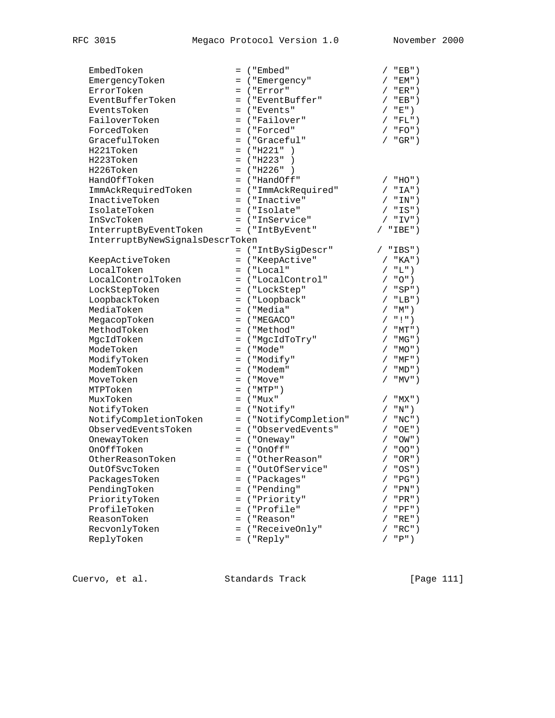| EmbedToken                      |     | $=$ ("Embed"                   | $"EB"$ )                              |
|---------------------------------|-----|--------------------------------|---------------------------------------|
|                                 |     |                                | $"EM"$ )                              |
| EmergencyToken<br>ErrorToken    |     | = ("Emergency"<br>$=$ ("Error" | "ER")                                 |
| EventBufferToken                |     |                                |                                       |
|                                 |     | = ("EventBuffer"               | / "EB")                               |
| EventsToken                     |     | = ("Events"                    | "E")                                  |
| FailoverToken                   |     | = ("Failover"                  | $"FL"$ )<br>$\sqrt{2}$                |
| ForcedToken                     |     | = ("Forced"                    | $"FO"$ )                              |
| GracefulToken                   |     | = ("Graceful"                  | $"GR"$ )<br>7                         |
| H221Token                       |     | $=$ ("H221")                   |                                       |
| H223Token                       |     | $=$ ("H223")<br>$\rightarrow$  |                                       |
| H226Token                       |     | $=$ ("H226")                   |                                       |
| HandOffToken                    |     | = ("HandOff"                   | $"HO"$ )                              |
| ImmAckRequiredToken             |     | = ("ImmAckRequired"            | $"IA"$ )<br>$\sqrt{2}$                |
| InactiveToken                   |     | = ("Inactive"                  | / "IN")                               |
| IsolateToken                    |     | = ("Isolate"                   | $/$ "IS")                             |
| InSvcToken                      |     | = ("InService"                 | / "IV")                               |
| InterruptByEventToken           |     | = ("IntByEvent"                | $"IBE"$ )                             |
| InterruptByNewSignalsDescrToken |     |                                |                                       |
|                                 |     | = ("IntBySigDescr"             | "IBS")                                |
| KeepActiveToken                 |     | = ("KeepActive"                | / "KA")                               |
| LocalToken                      |     | $=$ ("Local"                   | / "L")                                |
| LocalControlToken               |     | = ("LocalControl"              | $/$ "O")                              |
| LockStepToken                   |     | = ("LockStep"                  | / "SP")                               |
| LoopbackToken                   |     |                                |                                       |
|                                 |     | = ("Loopback"                  | $"LB"$ )<br>$\sqrt{2}$                |
| MediaToken                      |     | = ("Media"                     | "M")<br>$\sqrt{2}$                    |
| MegacopToken                    |     | $=$ ( "MEGACO"                 | $"$ !")                               |
| MethodToken                     |     | = ("Method"                    | $/$ "MT")                             |
| MgcIdToken                      |     | = ("MgcIdToTry"                | / "MG")                               |
| ModeToken                       |     | $=$ ("Mode"                    | $"MO"$ )                              |
| ModifyToken                     |     | = ("Modify"                    | $"MF"$ )<br>$\sqrt{2}$                |
| ModemToken                      |     | = ("Modem"                     | $^{\sf{''}}\rm{MD}$ " )<br>$\sqrt{2}$ |
| MoveToken                       |     | $=$ ("Move"                    | " $MV"$ )                             |
| MTPToken                        |     | $=$ ("MTP")                    |                                       |
| MuxToken                        |     | $=$ ("Mux"                     | "MX" )                                |
| NotifyToken                     |     | = ("Notify"                    | / "N")                                |
| NotifyCompletionToken           |     | = ("NotifyCompletion"          | $"NC"$ )<br>$\sqrt{2}$                |
| ObservedEventsToken             |     | = ("ObservedEvents"            | $"OE"$ )<br>$\sqrt{2}$                |
| OnewayToken                     |     | $=$ ("Oneway"                  | $"OW"$ )                              |
| OnOffToken                      |     | $=$ ("OnOff"                   | "OO")                                 |
| OtherReasonToken                |     | = ("OtherReason"               | / "OR")                               |
| OutOfSvcToken                   |     | = ("OutOfService"              | $"OS"$ )<br>$\sqrt{2}$                |
| PackagesToken                   |     | = ("Packages"                  | "PG")                                 |
| PendingToken                    |     | = ("Pending"                   | $"PN"$ )                              |
|                                 |     | = ("Priority"                  |                                       |
| PriorityToken                   |     |                                | $"PR"$ )                              |
| ProfileToken                    |     | ("Profile"                     | $"PF"$ )                              |
| ReasonToken                     | $=$ | ("Reason"                      | $"RE"$ )                              |
| RecvonlyToken                   | $=$ | ("ReceiveOnly"                 | $"{\sf RC}"$ )                        |
| ReplyToken                      |     | $=$ ("Reply"                   | "P")                                  |

Cuervo, et al. Standards Track [Page 111]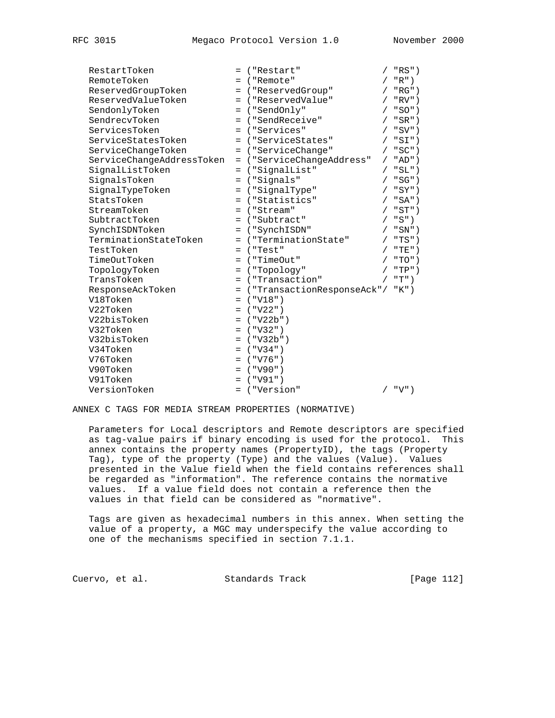| RestartToken              |     | = ("Restart"                      |            | / "RS")   |
|---------------------------|-----|-----------------------------------|------------|-----------|
| RemoteToken               |     | = ("Remote"                       |            | $"R"$ )   |
| ReservedGroupToken        |     | = ("ReservedGroup"                |            | $"RG"$ )  |
| ReservedValueToken        |     | = ("ReservedValue"                | $\sqrt{2}$ | $"RV"$ )  |
| SendonlyToken             |     | = ("SendOnly"                     |            | / "SO")   |
| SendrecvToken             |     | = ("SendReceive"                  |            | $"SR"$ )  |
| ServicesToken             |     | = ("Services"                     |            | $"SV"$ )  |
| ServiceStatesToken        |     | = ("ServiceStates"                |            | "SI")     |
| ServiceChangeToken        |     | = ("ServiceChange"                |            | $"SC"$ )  |
| ServiceChangeAddressToken |     | = ("ServiceChangeAddress"         | $\sqrt{2}$ | $"AD"$ )  |
| SignalListToken           |     | = ("SignalList"                   | $\sqrt{2}$ | $"SL"$ )  |
| SignalsToken              |     | = ("Signals"                      |            | / "SG")   |
| SignalTypeToken           |     | = ("SignalType"                   |            | "SY")     |
| StatsToken                |     | = ("Statistics"                   |            | "SA")     |
| StreamToken               |     | = ("Stream"                       |            | $/$ "ST") |
| SubtractToken             |     | = ("Subtract"                     |            | / "S")    |
| SynchISDNToken            |     | = ("SynchISDN"                    |            | $"SN"$ )  |
| TerminationStateToken     |     | = ("TerminationState"             |            | $"TS"$ )  |
| TestToken                 |     | $=$ ("Test"                       |            | / "TE")   |
| TimeOutToken              |     | $=$ ("TimeOut"                    |            | $"TO"$ )  |
| TopologyToken             | $=$ | ("Topology")                      |            | $"TP"$ )  |
| TransToken                |     | = ("Transaction"                  |            | "T")      |
| ResponseAckToken          |     | = ("TransactionResponseAck"/ "K") |            |           |
| V18Token                  |     | $=$ ("V18")                       |            |           |
| V22Token                  |     | $=$ ("V22")                       |            |           |
| V22bisToken               |     | $=$ ("V22b")                      |            |           |
| V32Token                  |     | $=$ ("V32")                       |            |           |
| V32bisToken               |     | $=$ ("V32b")                      |            |           |
| V34Token                  |     | $=$ ("V34")                       |            |           |
| V76Token                  |     | $=$ ("V76")                       |            |           |
| V90Token                  |     | $=$ ("V90")                       |            |           |
| V91Token                  | $=$ | ("V91")                           |            |           |
| VersionToken              |     | = ("Version"                      |            | $"V"$ )   |

ANNEX C TAGS FOR MEDIA STREAM PROPERTIES (NORMATIVE)

 Parameters for Local descriptors and Remote descriptors are specified as tag-value pairs if binary encoding is used for the protocol. This annex contains the property names (PropertyID), the tags (Property Tag), type of the property (Type) and the values (Value). Values presented in the Value field when the field contains references shall be regarded as "information". The reference contains the normative values. If a value field does not contain a reference then the values in that field can be considered as "normative".

 Tags are given as hexadecimal numbers in this annex. When setting the value of a property, a MGC may underspecify the value according to one of the mechanisms specified in section 7.1.1.

Cuervo, et al. Standards Track [Page 112]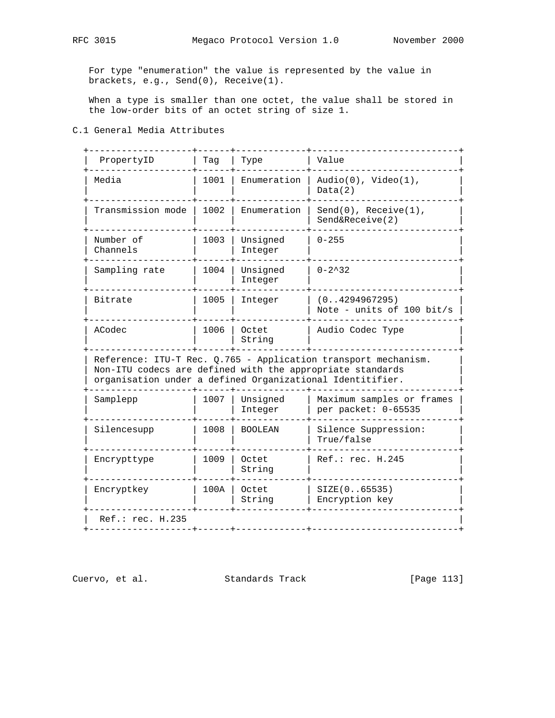For type "enumeration" the value is represented by the value in brackets, e.g., Send(0), Receive(1).

 When a type is smaller than one octet, the value shall be stored in the low-order bits of an octet string of size 1.

### C.1 General Media Attributes

| PropertyID                                                                                                                                                                               | Taq  | Type                | Value                                            |  |  |
|------------------------------------------------------------------------------------------------------------------------------------------------------------------------------------------|------|---------------------|--------------------------------------------------|--|--|
| Media                                                                                                                                                                                    | 1001 | Enumeration         | Audio(0), $Video(1)$ ,<br>Data(2)                |  |  |
| Transmission mode                                                                                                                                                                        | 1002 | Enumeration         | $Send(0)$ , $Receive(1)$ ,<br>Send&Receive(2)    |  |  |
| Number of<br>Channels                                                                                                                                                                    | 1003 | Unsigned<br>Integer | $0 - 255$                                        |  |  |
| Sampling rate                                                                                                                                                                            | 1004 | Unsigned<br>Integer | $0 - 2^3 32$                                     |  |  |
| Bitrate                                                                                                                                                                                  | 1005 | Integer             | (0. .4294967295)<br>Note - units of 100 bit/s    |  |  |
| ACodec                                                                                                                                                                                   | 1006 | Octet<br>String     | Audio Codec Type                                 |  |  |
| Reference: ITU-T Rec. Q.765 - Application transport mechanism.<br>Non-ITU codecs are defined with the appropriate standards<br>organisation under a defined Organizational Identitifier. |      |                     |                                                  |  |  |
| Samplepp                                                                                                                                                                                 | 1007 | Unsigned<br>Integer | Maximum samples or frames<br>per packet: 0-65535 |  |  |
| Silencesupp                                                                                                                                                                              | 1008 | <b>BOOLEAN</b>      | Silence Suppression:<br>True/false               |  |  |
| Encrypttype                                                                                                                                                                              | 1009 | Octet<br>String     | Ref.: rec. H.245                                 |  |  |
| Encryptkey                                                                                                                                                                               | 100A | Octet<br>String     | SIZE(065535)<br>Encryption key                   |  |  |
|                                                                                                                                                                                          |      |                     |                                                  |  |  |

Cuervo, et al. Standards Track [Page 113]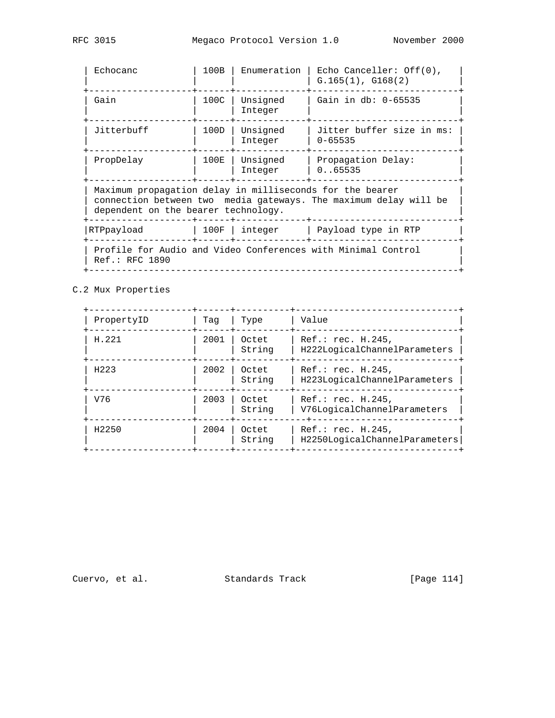| Echocanc                                                                                                                                                            | 100B | Enumeration         | Echo Canceller: $Off(0)$ ,<br>$G.165(1)$ , $G168(2)$ |  |  |
|---------------------------------------------------------------------------------------------------------------------------------------------------------------------|------|---------------------|------------------------------------------------------|--|--|
| Gain                                                                                                                                                                | 100C | Unsigned<br>Integer | Gain in db: 0-65535                                  |  |  |
| Jitterbuff                                                                                                                                                          | 100D | Unsigned<br>Integer | Jitter buffer size in ms:<br>$0 - 65535$             |  |  |
| PropDelay                                                                                                                                                           | 100E | Unsigned<br>Integer | Propagation Delay:<br>0.065535                       |  |  |
| Maximum propagation delay in milliseconds for the bearer<br>connection between two media gateways. The maximum delay will be<br>dependent on the bearer technology. |      |                     |                                                      |  |  |
| RTPpayload                                                                                                                                                          | 100F | integer             | Payload type in RTP                                  |  |  |
| Profile for Audio and Video Conferences with Minimal Control<br>Ref.: RFC 1890                                                                                      |      |                     |                                                      |  |  |

C.2 Mux Properties

| Taq  | Type            | Value                                              |  |
|------|-----------------|----------------------------------------------------|--|
| 2001 | Octet<br>String | Ref.: rec. H.245,<br>H222LogicalChannelParameters  |  |
| 2002 | Octet<br>String | Ref.: rec. H.245,<br>H223LogicalChannelParameters  |  |
| 2003 | Octet<br>String | Ref.: rec. H.245,<br>V76LogicalChannelParameters   |  |
| 2004 | Octet<br>String | Ref.: rec. H.245,<br>H2250LogicalChannelParameters |  |
|      |                 |                                                    |  |

Cuervo, et al. Standards Track [Page 114]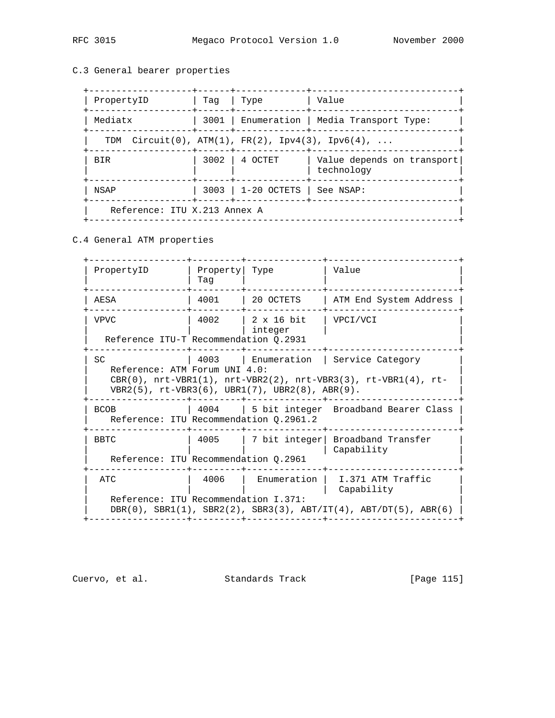# C.3 General bearer properties

| PropertyID                                          | Taq            | Type                           | Value                                      |
|-----------------------------------------------------|----------------|--------------------------------|--------------------------------------------|
| Mediatx                                             |                |                                | 3001   Enumeration   Media Transport Type: |
| TDM $Circuit(0), ATM(1), FR(2), IPv4(3), IPv6(4), $ | +------+------ |                                |                                            |
| <b>BIR</b>                                          |                | $3002$   4 OCTET               | Value depends on transport<br>technology   |
| NSAP                                                |                | 3003   1-20 OCTETS   See NSAP: |                                            |
| Reference: ITU X.213 Annex A                        |                |                                |                                            |

C.4 General ATM properties

 +------------------+---------+--------------+------------------------+ | PropertyID | Property| Type | Value | | | Tag | | | +------------------+---------+--------------+------------------------+ | AESA | 4001 | 20 OCTETS | ATM End System Address | +------------------+---------+--------------+------------------------+ | VPVC | 4002 | 2 x 16 bit | VPCI/VCI | | | | integer | | | Reference ITU-T Recommendation Q.2931 +------------------+---------+--------------+------------------------+ SC  $| 4003 |$  Enumeration | Service Category Reference: ATM Forum UNI 4.0:  $CRR(0)$ ,  $nrt-VBR1(1)$ ,  $nrt-VBR2(2)$ ,  $nrt-VBR3(3)$ ,  $rt-VBR1(4)$ ,  $rt VBR2(5)$ ,  $rt-VRR3(6)$ ,  $UBR1(7)$ ,  $UBR2(8)$ ,  $ABR(9)$ . +------------------+---------+--------------+------------------------+ BCOB | 4004 | 5 bit integer Broadband Bearer Class | Reference: ITU Recommendation Q.2961.2 | +------------------+---------+--------------+------------------------+ | BBTC | 4005 | 7 bit integer| Broadband Transfer | | | | | Capability | Reference: ITU Recommendation Q.2961 +------------------+---------+--------------+------------------------+ ATC  $|$  4006 | Enumeration | I.371 ATM Traffic | Capability Reference: ITU Recommendation I.371:  $DBR(0)$ ,  $SBR1(1)$ ,  $SBR2(2)$ ,  $SBR3(3)$ ,  $ABT/IT(4)$ ,  $ABT/DT(5)$ ,  $ABR(6)$ +------------------+---------+--------------+------------------------+

Cuervo, et al. Standards Track [Page 115]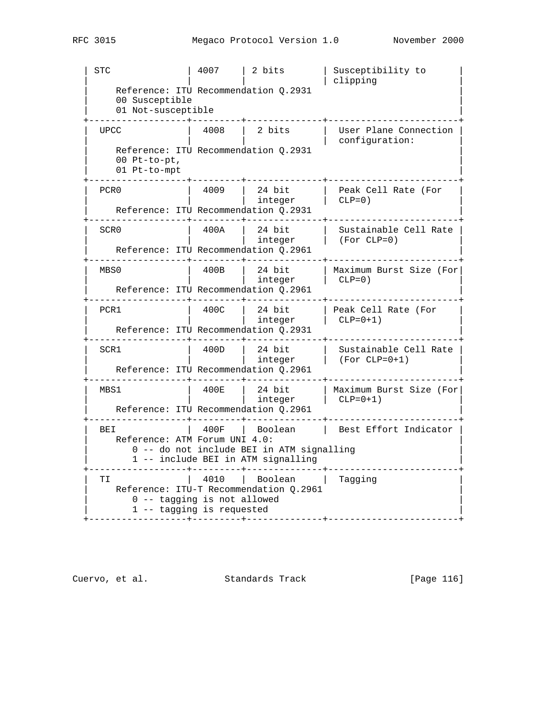| STC | 4007 | 2 bits | Susceptibility to | | | | | clipping | Reference: ITU Recommendation Q.2931 00 Susceptible 01 Not-susceptible +------------------+---------+--------------+------------------------+ | UPCC | 4008 | 2 bits | User Plane Connection | | | | | configuration: | Reference: ITU Recommendation Q.2931  $00$  Pt-to-pt, 01 Pt-to-mpt +------------------+---------+--------------+------------------------+ | PCR0 | 4009 | 24 bit | Peak Cell Rate (For | | | | integer | CLP=0) | | Reference: ITU Recommendation Q.2931 | Reference: ITU Recommendation Q.2931 +------------------+---------+--------------+------------------------+ | SCR0 | 400A | 24 bit | Sustainable Cell Rate | | | integer | (For CLP=0) | | Reference: ITU Recommendation Q.2961 | +------------------+---------+--------------+------------------------+ | MBS0 | 400B | 24 bit | Maximum Burst Size (For| | | | integer | CLP=0) | | Reference: ITU Recommendation Q.2961 | +------------------+---------+--------------+------------------------+ | PCR1 | 400C | 24 bit | Peak Cell Rate (For | | | integer | CLP=0+1) | | | Reference: ITU Recommendation Q.2931 | Reference: ITU Recommendation Q.2931 +------------------+---------+--------------+------------------------+ | SCR1 | 400D | 24 bit | Sustainable Cell Rate | | | integer | (For CLP=0+1) | Reference: ITU Recommendation Q.2961 +------------------+---------+--------------+------------------------+ | MBS1 | 400E | 24 bit | Maximum Burst Size (For| | | integer | CLP=0+1) | | Reference: ITU Recommendation Q.2961 +------------------+---------+--------------+------------------------+ | BEI | 400F | Boolean | Best Effort Indicator | Reference: ATM Forum UNI 4.0: 0 -- do not include BEI in ATM signalling 1 -- include BEI in ATM signalling +------------------+---------+--------------+------------------------+ TI | 4010 | Boolean | Tagging Reference: ITU-T Recommendation Q.2961 0 -- tagging is not allowed 1 -- tagging is requested +------------------+---------+--------------+------------------------+

Cuervo, et al. Standards Track [Page 116]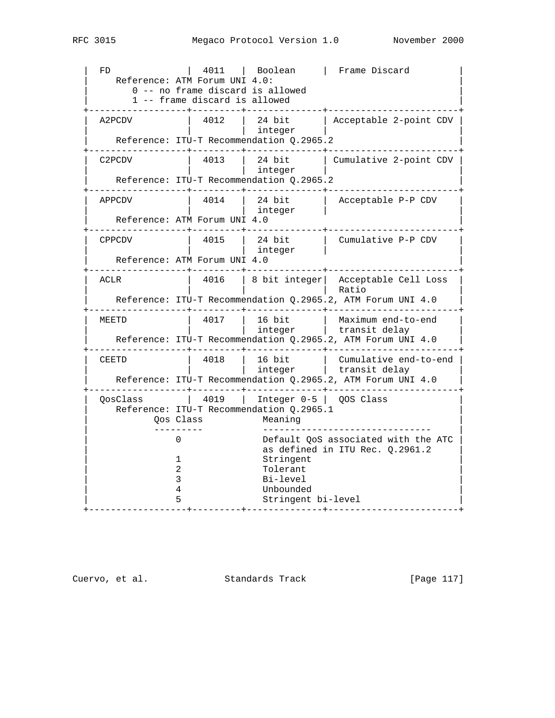RFC 3015 Megaco Protocol Version 1.0 November 2000

 | FD | 4011 | Boolean | Frame Discard | Reference: ATM Forum UNI 4.0: 0 -- no frame discard is allowed 1 -- frame discard is allowed +------------------+---------+--------------+------------------------+ | A2PCDV | 4012 | 24 bit | Acceptable 2-point CDV | | | | integer | | Reference: ITU-T Recommendation Q.2965.2 +------------------+---------+--------------+------------------------+ | C2PCDV | 4013 | 24 bit | Cumulative 2-point CDV | | | | integer | | Reference: ITU-T Recommendation Q.2965.2 +------------------+---------+--------------+------------------------+ | APPCDV | 4014 | 24 bit | Acceptable P-P CDV | | | | integer | | Reference: ATM Forum UNI 4.0 +------------------+---------+--------------+------------------------+ CPPCDV | 4015 | 24 bit | Cumulative P-P CDV integer Reference: ATM Forum UNI 4.0 +------------------+---------+--------------+------------------------+ ACLR  $\vert$  4016 | 8 bit integer | Acceptable Cell Loss | Ratio Reference: ITU-T Recommendation Q.2965.2, ATM Forum UNI 4.0 +------------------+---------+--------------+------------------------+ | MEETD | 4017 | 16 bit | Maximum end-to-end | | | | integer | transit delay | | Reference: ITU-T Recommendation Q.2965.2, ATM Forum UNI 4.0 +------------------+---------+--------------+------------------------+ | CEETD | 4018 | 16 bit | Cumulative end-to-end | | | | integer | transit delay | | Reference: ITU-T Recommendation Q.2965.2, ATM Forum UNI 4.0 +------------------+---------+--------------+------------------------+ | QosClass | 4019 | Integer 0-5 | QOS Class | Reference: ITU-T Recommendation Q.2965.1 Qos Class Meaning | --------- ------------------------------- | 0 Default QoS associated with the ATC as defined in ITU Rec.  $Q.2961.2$ 1 Stringent 2 Tolerant | 3 Bi-level | | 4 Unbounded | | 5 Stringent bi-level | +------------------+---------+--------------+------------------------+

Cuervo, et al. Standards Track [Page 117]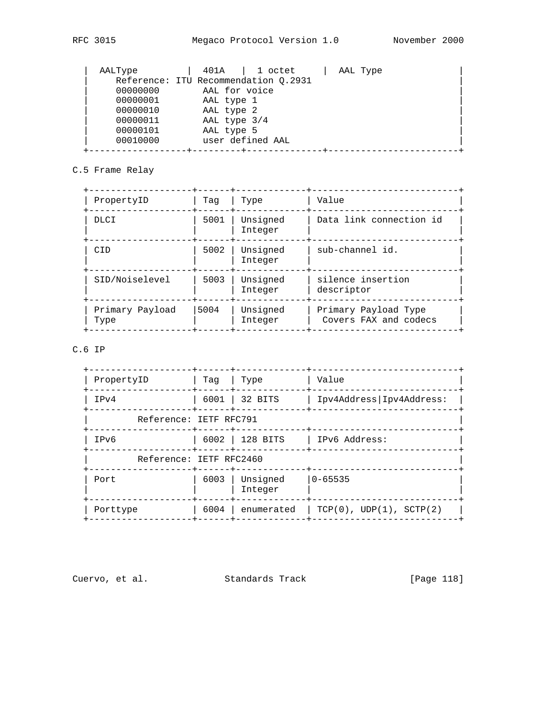| AALType                              | 401A          | 1 octet          | AAL Type |  |
|--------------------------------------|---------------|------------------|----------|--|
| Reference: ITU Recommendation 0.2931 |               |                  |          |  |
| 00000000                             | AAL for voice |                  |          |  |
| 00000001                             | AAL type 1    |                  |          |  |
| 00000010                             | AAL type 2    |                  |          |  |
| 00000011                             | AAL type 3/4  |                  |          |  |
| 00000101                             | AAL type 5    |                  |          |  |
| 00010000                             |               | user defined AAL |          |  |
|                                      |               |                  |          |  |

## C.5 Frame Relay

| Taq  | Type                | Value                                         |
|------|---------------------|-----------------------------------------------|
| 5001 | Unsigned<br>Integer | Data link connection id                       |
| 5002 | Unsigned<br>Integer | sub-channel id.                               |
| 5003 | Unsigned<br>Integer | silence insertion<br>descriptor               |
| 5004 | Unsigned<br>Integer | Primary Payload Type<br>Covers FAX and codecs |
|      |                     |                                               |

# C.6 IP

| PropertyID              | Taq  | Type                | Value                      |
|-------------------------|------|---------------------|----------------------------|
| IPv4                    | 6001 | 32 BITS             | Ipv4Address   Ipv4Address: |
| Reference: IETF RFC791  |      |                     |                            |
| IPv6                    |      | 6002   128 BITS     | IPv6 Address:              |
| Reference: IETF RFC2460 |      |                     |                            |
| Port                    | 6003 | Unsigned<br>Integer | $0 - 65535$                |
| Porttype                | 6004 | enumerated          | TCP(0), UDP(1), SCTP(2)    |
|                         |      |                     |                            |

Cuervo, et al. Standards Track [Page 118]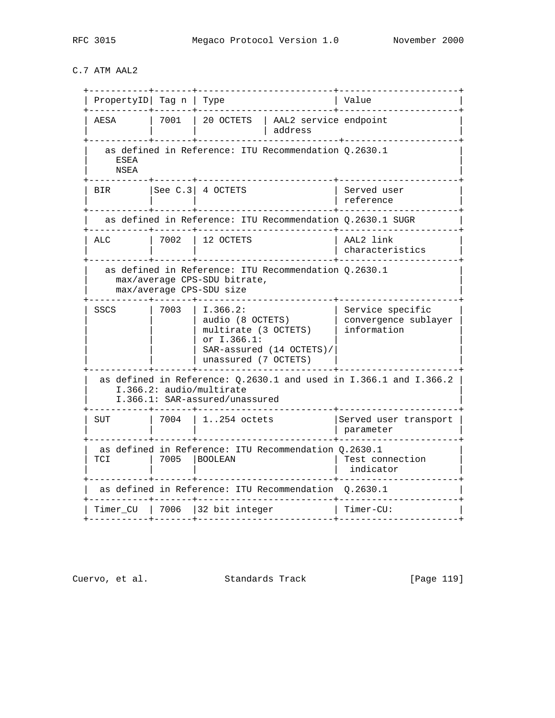C.7 ATM AAL2

| $PropertyID$ Tag n   Type                                                                                                         |      |                                                                                                                         | Value                                                   |  |  |  |
|-----------------------------------------------------------------------------------------------------------------------------------|------|-------------------------------------------------------------------------------------------------------------------------|---------------------------------------------------------|--|--|--|
| AESA                                                                                                                              | 7001 | 20 OCTETS<br>AAL2 service endpoint<br>address                                                                           |                                                         |  |  |  |
| <b>ESEA</b><br>NSEA                                                                                                               |      | as defined in Reference: ITU Recommendation Q.2630.1                                                                    |                                                         |  |  |  |
| <b>BIR</b>                                                                                                                        |      | $ See C.3 $ 4 OCTETS                                                                                                    | Served user<br>reference                                |  |  |  |
|                                                                                                                                   |      | as defined in Reference: ITU Recommendation Q.2630.1 SUGR                                                               |                                                         |  |  |  |
| ALC                                                                                                                               | 7002 | 12 OCTETS                                                                                                               | AAL2 link<br>characteristics                            |  |  |  |
| as defined in Reference: ITU Recommendation 0.2630.1<br>max/average CPS-SDU bitrate,<br>max/average CPS-SDU size                  |      |                                                                                                                         |                                                         |  |  |  |
| SSCS                                                                                                                              | 7003 | I.366.2:<br>audio (8 OCTETS)<br>multirate (3 OCTETS)<br>or I.366.1:<br>SAR-assured (14 OCTETS)/<br>unassured (7 OCTETS) | Service specific<br>convergence sublayer<br>information |  |  |  |
| as defined in Reference: $Q.2630.1$ and used in I.366.1 and I.366.2<br>I.366.2: audio/multirate<br>I.366.1: SAR-assured/unassured |      |                                                                                                                         |                                                         |  |  |  |
| <b>SUT</b>                                                                                                                        | 7004 | $1.254$ octets                                                                                                          | Served user transport<br>parameter                      |  |  |  |
| <b>TCI</b>                                                                                                                        | 7005 | as defined in Reference: ITU Recommendation 0.2630.1<br><b>BOOLEAN</b>                                                  | Test connection<br>indicator                            |  |  |  |
|                                                                                                                                   |      | as defined in Reference: ITU Recommendation                                                                             | 0.2630.1                                                |  |  |  |
| Timer CU                                                                                                                          | 7006 | 32 bit integer                                                                                                          | $Timer-CU:$                                             |  |  |  |
|                                                                                                                                   |      |                                                                                                                         |                                                         |  |  |  |

Cuervo, et al. Standards Track [Page 119]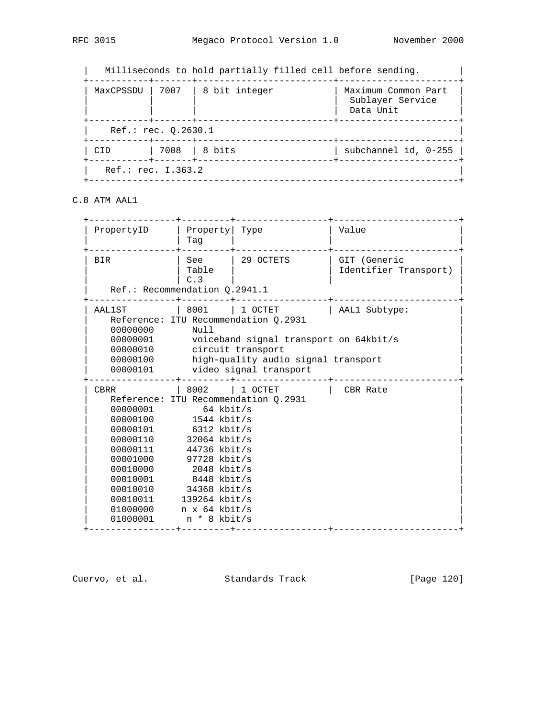| MaxCPSSDU   7007                                                                             |  | 8 bit integer | Maximum Common Part<br>Sublayer Service<br>Data Unit |  |  |  |  |
|----------------------------------------------------------------------------------------------|--|---------------|------------------------------------------------------|--|--|--|--|
| -------+-------------<br>----------+------+---<br>Ref.: rec. 0.2630.1<br>---------+------+-- |  |               |                                                      |  |  |  |  |
| CID                                                                                          |  | 7008   8 bits | subchannel id, 0-255                                 |  |  |  |  |
| ---------+------+-<br>Ref.: rec. I.363.2                                                     |  |               |                                                      |  |  |  |  |

C.8 ATM AAL1

| PropertyID                                                                                                                                                                                                         | Property Type<br>Taq                                                                                         |                                                                                                                                                                     | Value                                 |
|--------------------------------------------------------------------------------------------------------------------------------------------------------------------------------------------------------------------|--------------------------------------------------------------------------------------------------------------|---------------------------------------------------------------------------------------------------------------------------------------------------------------------|---------------------------------------|
| <b>BIR</b><br>Ref.: Recommendation Q.2941.1                                                                                                                                                                        | See<br>Table<br>C.3                                                                                          | 29 OCTETS                                                                                                                                                           | GIT (Generic<br>Identifier Transport) |
| AAL1ST<br>00000000<br>00000010 circuit transport<br>00000100<br>00000101                                                                                                                                           | 8001<br>Null                                                                                                 | 1 OCTET<br>Reference: ITU Recommendation Q.2931<br>00000001 voiceband signal transport on 64kbit/s<br>high-quality audio signal transport<br>video signal transport | AAL1 Subtype:                         |
| CBRR<br>00000001 64 kbit/s<br>00000100<br>00000101<br>00000110<br>00000111<br>00001000 97728 kbit/s<br>00010000 2048 kbit/s<br>00010001<br>00010010 34368 kbit/s<br>00010011 139264 kbit/s<br>01000000<br>01000001 | 1544 kbit/s<br>6312 kbit/s<br>$32064$ kbit/s<br>44736 kbit/s<br>8448 kbit/s<br>n x 64 kbit/s<br>n * 8 kbit/s | 8002   1 OCTET<br>Reference: ITU Recommendation Q.2931                                                                                                              | CBR Rate                              |

Cuervo, et al. Standards Track [Page 120]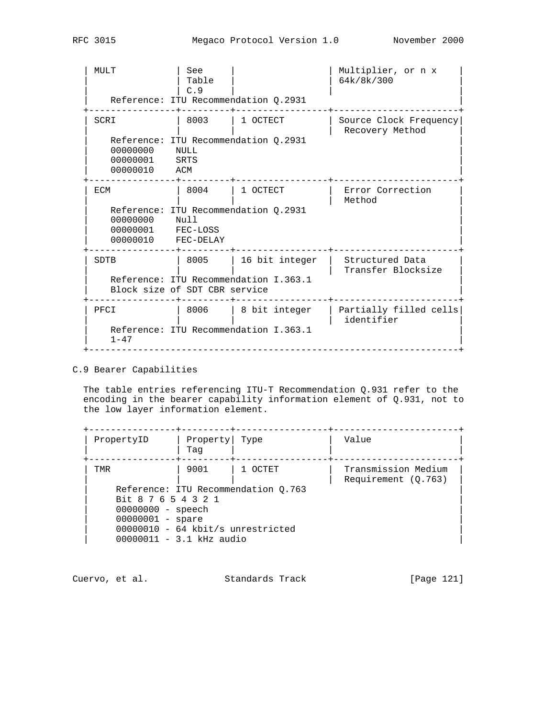| MULT                                             | See<br>Table<br>C.9                   | Reference: ITU Recommendation 0.2931                    | Multiplier, or n x<br>64k/8k/300          |
|--------------------------------------------------|---------------------------------------|---------------------------------------------------------|-------------------------------------------|
| SCRI<br>00000000<br>00000001<br>00000010         | 8003<br>NULL<br>SRTS<br>ACM           | 1 OCTECT<br>Reference: ITU Recommendation 0.2931        | Source Clock Frequency<br>Recovery Method |
| ECM<br>00000000<br>00000001 FEC-LOSS<br>00000010 | 8004<br>Null<br>FEC-DELAY             | 1 OCTECT<br>Reference: ITU Recommendation Q.2931        | Error Correction<br>Method                |
| SDTB                                             | 8005<br>Block size of SDT CBR service | 16 bit integer<br>Reference: ITU Recommendation I.363.1 | Structured Data<br>Transfer Blocksize     |
| PFCI<br>$1 - 47$                                 | 8006                                  | 8 bit integer<br>Reference: ITU Recommendation I.363.1  | Partially filled cells<br>identifier      |

## C.9 Bearer Capabilities

 The table entries referencing ITU-T Recommendation Q.931 refer to the encoding in the bearer capability information element of Q.931, not to the low layer information element.

| PropertyID                          | Property Type<br>Taq |                                     | Value                                      |
|-------------------------------------|----------------------|-------------------------------------|--------------------------------------------|
| TMR                                 | 9001                 | 1 OCTET                             | Transmission Medium<br>Requirement (0.763) |
|                                     |                      | Reference: ITU Recommendation 0.763 |                                            |
| Bit 8 7 6 5 4 3 2 1                 |                      |                                     |                                            |
| $00000000 -$ speech                 |                      |                                     |                                            |
| $00000001 - space$                  |                      |                                     |                                            |
| $00000010 - 64$ kbit/s unrestricted |                      |                                     |                                            |
| $00000011 - 3.1$ kHz audio          |                      |                                     |                                            |

| Cuervo, et al. | Standards Track | [Page 121] |  |
|----------------|-----------------|------------|--|
|                |                 |            |  |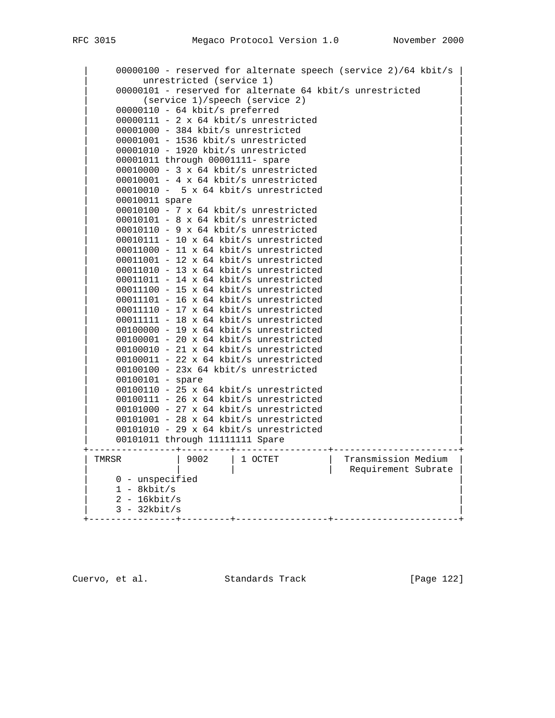| 00000100 - reserved for alternate speech (service 2)/64 kbit/s | unrestricted (service 1) 00000101 - reserved for alternate 64 kbit/s unrestricted | (service 1)/speech (service 2) | | 00000110 - 64 kbit/s preferred | 00000111 - 2 x 64 kbit/s unrestricted | 00001000 - 384 kbit/s unrestricted | | 00001001 - 1536 kbit/s unrestricted | | 00001010 - 1920 kbit/s unrestricted | | 00001011 through 00001111- spare | | 00010000 - 3 x 64 kbit/s unrestricted | 00010001 - 4 x 64 kbit/s unrestricted | 00010010 - 5 x 64 kbit/s unrestricted | 00010011 spare | 00010100 - 7 x 64 kbit/s unrestricted | | 00010101 - 8 x 64 kbit/s unrestricted | 00010110 - 9 x 64 kbit/s unrestricted | 00010111 - 10 x 64 kbit/s unrestricted | | 00011000 - 11 x 64 kbit/s unrestricted | | 00011001 - 12 x 64 kbit/s unrestricted | | 00011010 - 13 x 64 kbit/s unrestricted |  $00011011 - 14 \times 64$  kbit/s unrestricted | 00011100 - 15 x 64 kbit/s unrestricted | 00011101 - 16 x 64 kbit/s unrestricted 00011110 - 17 x 64 kbit/s unrestricted 00011111 - 18 x 64 kbit/s unrestricted 00100000 - 19 x 64 kbit/s unrestricted | 00100001 - 20 x 64 kbit/s unrestricted | | 00100010 - 21 x 64 kbit/s unrestricted | 00100011 - 22 x 64 kbit/s unrestricted | 00100100 - 23x 64 kbit/s unrestricted | 00100101 - spare | 00100110 - 25 x 64 kbit/s unrestricted |  $00100111 - 26 \times 64$  kbit/s unrestricted | 00101000 - 27 x 64 kbit/s unrestricted |  $00101001 - 28 \times 64$  kbit/s unrestricted | 00101010 - 29 x 64 kbit/s unrestricted | 00101011 through 11111111 Spare +----------------+---------+-----------------+-----------------------+ | TMRSR | 9002 | 1 OCTET | Transmission Medium | | | | | | | | | | | | | | | | Requirement Subrate | 0 - unspecified  $1 - 8$ kbit/s  $2 - 16kbit/s$  $3 - 32kbit/s$ +----------------+---------+-----------------+-----------------------+

Cuervo, et al. Standards Track [Page 122]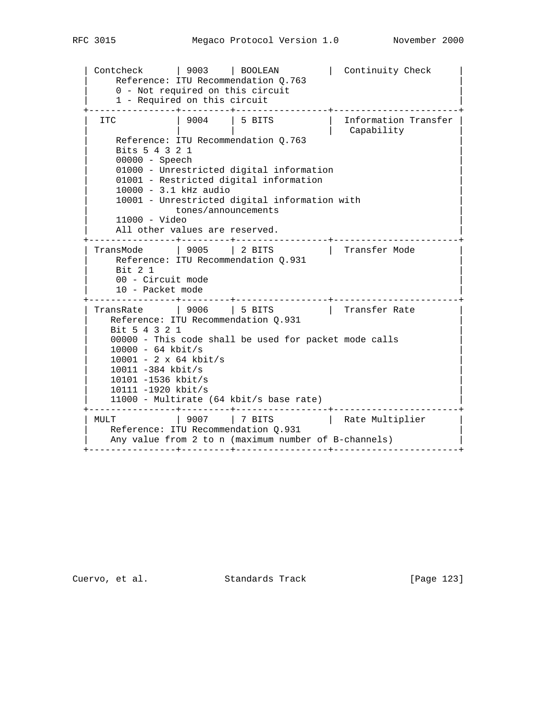```
 | Contcheck | 9003 | BOOLEAN | Continuity Check |
 | Reference: ITU Recommendation Q.763 |
      0 - Not required on this circuit
      1 - Required on this circuit
    +----------------+---------+-----------------+-----------------------+
| ITC | 9004 | 5 BITS | Information Transfer |
 | | | | Capability |
      Reference: ITU Recommendation Q.763
       | Bits 5 4 3 2 1 |
      00000 - Speech
      01000 - Unrestricted digital information
      01001 - Restricted digital information
       | 10000 - 3.1 kHz audio |
      10001 - Unrestricted digital information with
               tones/announcements
       | 11000 - Video |
     All other values are reserved.
  +----------------+---------+-----------------+-----------------------+
   TransMode | 9005 | 2 BITS | Transfer Mode
     Reference: ITU Recommendation Q.931
 | Bit 2 1 |
      00 - Circuit mode
     10 - Packet mode
      +----------------+---------+-----------------+-----------------------+
| TransRate | 9006 | 5 BITS | Transfer Rate | \vert| Reference: ITU Recommendation Q.931 | Reference: ITU Recommendation Q.931
      | Bit 5 4 3 2 1 |
     00000 - This code shall be used for packet mode calls
     10000 - 64 kbit/s
      | 10001 - 2 x 64 kbit/s |
      | 10011 -384 kbit/s |
      | 10101 -1536 kbit/s |
      | 10111 -1920 kbit/s |
    11000 - Multirate (64 kbit/s base rate)
  +----------------+---------+-----------------+-----------------------+
| MULT           | 9007     | 7 BITS         | Rate Multiplier     |
| Reference: ITU Recommendation Q.931 | Reference: ITU Recommendation Q.931
    Any value from 2 to n (maximum number of B-channels)
   +----------------+---------+-----------------+-----------------------+
```
Cuervo, et al. Standards Track [Page 123]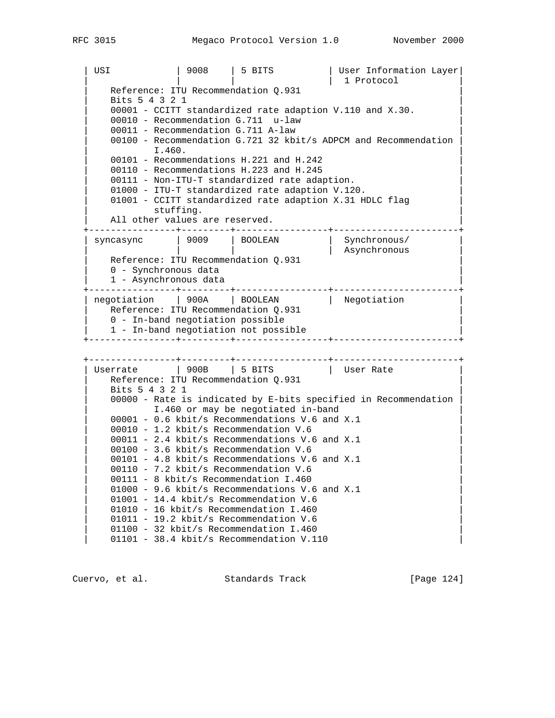| USI | 9008 | 5 BITS | User Information Layer |

 | | | | 1 Protocol | Reference: ITU Recommendation Q.931 | Bits 5 4 3 2 1 |  $00001$  - CCITT standardized rate adaption V.110 and X.30. 00010 - Recommendation G.711 u-law 00011 - Recommendation G.711 A-law 00100 - Recommendation G.721 32 kbit/s ADPCM and Recommendation  $\blacksquare$   $\blacksquare$   $\blacksquare$   $\blacksquare$   $\blacksquare$   $\blacksquare$   $\blacksquare$   $\blacksquare$   $\blacksquare$   $\blacksquare$   $\blacksquare$   $\blacksquare$   $\blacksquare$   $\blacksquare$   $\blacksquare$   $\blacksquare$   $\blacksquare$   $\blacksquare$   $\blacksquare$   $\blacksquare$   $\blacksquare$   $\blacksquare$   $\blacksquare$   $\blacksquare$   $\blacksquare$   $\blacksquare$   $\blacksquare$   $\blacksquare$   $\blacksquare$   $\blacksquare$   $\blacksquare$   $\blacks$ 00101 - Recommendations H.221 and H.242 00110 - Recommendations H.223 and H.245 00111 - Non-ITU-T standardized rate adaption. 01000 - ITU-T standardized rate adaption V.120. 01001 - CCITT standardized rate adaption X.31 HDLC flag stuffing. All other values are reserved. +----------------+---------+-----------------+-----------------------+ | syncasync | 9009 | BOOLEAN | Synchronous/ | | | | | | Asynchronous | | Reference: ITU Recommendation Q.931 | Reference: ITU Recommendation Q.931 0 - Synchronous data 1 - Asynchronous data +----------------+---------+-----------------+-----------------------+ | negotiation | 900A | BOOLEAN | Negotiation Reference: ITU Recommendation Q.931 0 - In-band negotiation possible 1 - In-band negotiation not possible +----------------+---------+-----------------+-----------------------+ +----------------+---------+-----------------+-----------------------+ | Userrate | 900B | 5 BITS | User Rate | Reference: ITU Recommendation Q.931 | Bits 5 4 3 2 1 |  $00000$  - Rate is indicated by E-bits specified in Recommendation I.460 or may be negotiated in-band  $00001 - 0.6$  kbit/s Recommendations V.6 and X.1 00010 - 1.2 kbit/s Recommendation V.6  $00011 - 2.4$  kbit/s Recommendations V.6 and X.1 00100 - 3.6 kbit/s Recommendation V.6  $00101 - 4.8$  kbit/s Recommendations V.6 and X.1 00110 - 7.2 kbit/s Recommendation V.6 00111 - 8 kbit/s Recommendation I.460  $01000 - 9.6$  kbit/s Recommendations V.6 and X.1 01001 - 14.4 kbit/s Recommendation V.6 01010 - 16 kbit/s Recommendation I.460 01011 - 19.2 kbit/s Recommendation V.6 01100 - 32 kbit/s Recommendation I.460 01101 - 38.4 kbit/s Recommendation V.110

Cuervo, et al. Standards Track [Page 124]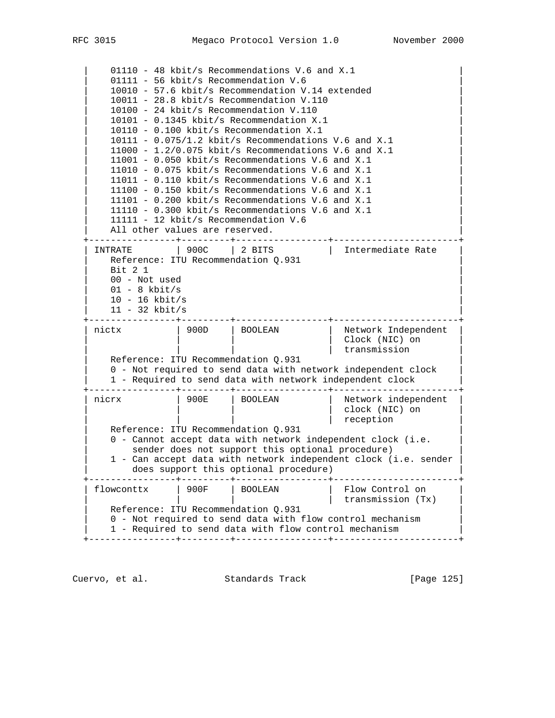01110 - 48 kbit/s Recommendations V.6 and X.1 01111 - 56 kbit/s Recommendation V.6 | 10010 - 57.6 kbit/s Recommendation V.14 extended |  $10011 - 28.8$  kbit/s Recommendation V.110 | 10100 - 24 kbit/s Recommendation V.110 | | 10101 - 0.1345 kbit/s Recommendation X.1 | | 10110 - 0.100 kbit/s Recommendation X.1 |  $10111 - 0.075/1.2$  kbit/s Recommendations V.6 and X.1  $11000 - 1.2/0.075$  kbit/s Recommendations V.6 and X.1  $11001 - 0.050$  kbit/s Recommendations V.6 and X.1  $11010 - 0.075$  kbit/s Recommendations V.6 and X.1  $11011 - 0.110$  kbit/s Recommendations V.6 and X.1 11100 -  $0.150$  kbit/s Recommendations V.6 and X.1  $11101 - 0.200$  kbit/s Recommendations V.6 and X.1  $11110 - 0.300$  kbit/s Recommendations V.6 and X.1 11111 - 12 kbit/s Recommendation  $V.6$ All other values are reserved. +----------------+---------+-----------------+-----------------------+ | INTRATE | 900C | 2 BITS | Intermediate Rate | | Reference: ITU Recommendation Q.931 | Reference: ITU Recommendation Q.931 | Bit 2 1 | 00 - Not used  $01 - 8$  kbit/s | 10 - 16 kbit/s | 11 - 32 kbit/s +----------------+---------+-----------------+-----------------------+ | nictx | 900D | BOOLEAN | Network Independent | | Clock (NIC) on | transmission Reference: ITU Recommendation Q.931 | 0 - Not required to send data with network independent clock | 1 - Required to send data with network independent clock +----------------+---------+-----------------+-----------------------+ | nicrx | 900E | BOOLEAN | Network independent | | clock (NIC) on | reception Reference: ITU Recommendation Q.931 0 - Cannot accept data with network independent clock (i.e. sender does not support this optional procedure) 1 - Can accept data with network independent clock (i.e. sender does support this optional procedure) +----------------+---------+-----------------+-----------------------+ | flowconttx | 900F | BOOLEAN | Flow Control on | | | | | transmission (Tx) | Reference: ITU Recommendation Q.931 | 0 - Not required to send data with flow control mechanism | | 1 - Required to send data with flow control mechanism | +----------------+---------+-----------------+-----------------------+

Cuervo, et al. Standards Track [Page 125]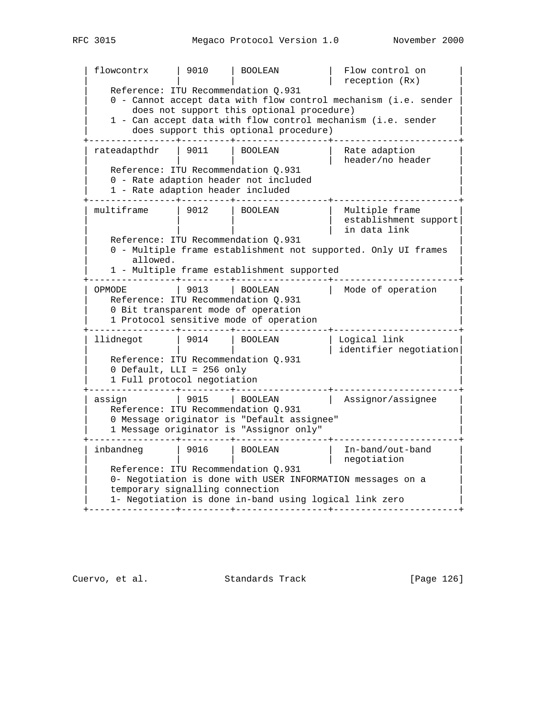| flowcontrx | 9010 | BOOLEAN | Flow control on | | | | | reception (Rx) | | Reference: ITU Recommendation Q.931 | Reference: ITU Recommendation Q.931  $0$  - Cannot accept data with flow control mechanism (i.e. sender does not support this optional procedure) | 1 - Can accept data with flow control mechanism (i.e. sender | does support this optional procedure) +----------------+---------+-----------------+-----------------------+ | rateadapthdr | 9011 | BOOLEAN | Rate adaption | | | | | header/no header | | Reference: ITU Recommendation Q.931 | Reference: ITU Recommendation Q.931 | 0 - Rate adaption header not included | 1 - Rate adaption header included +----------------+---------+-----------------+-----------------------+ | multiframe | 9012 | BOOLEAN | Multiple frame | | | | | establishment support| | | | | in data link | | Reference: ITU Recommendation Q.931 | Reference: ITU Recommendation Q.931 0 - Multiple frame establishment not supported. Only UI frames allowed. 1 - Multiple frame establishment supported +----------------+---------+-----------------+-----------------------+ OPMODE | 9013 | BOOLEAN | Mode of operation Reference: ITU Recommendation Q.931 0 Bit transparent mode of operation 1 Protocol sensitive mode of operation +----------------+---------+-----------------+-----------------------+ | llidnegot | 9014 | BOOLEAN | Logical link | | | | | | | | | | | | | identifier negotiation| | Reference: ITU Recommendation Q.931 | Reference: ITU Recommendation Q.931  $0$  Default, LLI = 256 only 1 Full protocol negotiation +----------------+---------+-----------------+-----------------------+ | assign | 9015 | BOOLEAN | Assignor/assignee | | Reference: ITU Recommendation Q.931 | Reference: ITU Recommendation Q.931 0 Message originator is "Default assignee" 1 Message originator is "Assignor only" +----------------+---------+-----------------+-----------------------+ | inbandneg | 9016 | BOOLEAN | In-band/out-band | | | | | negotiation | | Reference: ITU Recommendation Q.931 | Reference: ITU Recommendation Q.931 | 0- Negotiation is done with USER INFORMATION messages on a temporary signalling connection | 1- Negotiation is done in-band using logical link zero | +----------------+---------+-----------------+-----------------------+

Cuervo, et al. Standards Track [Page 126]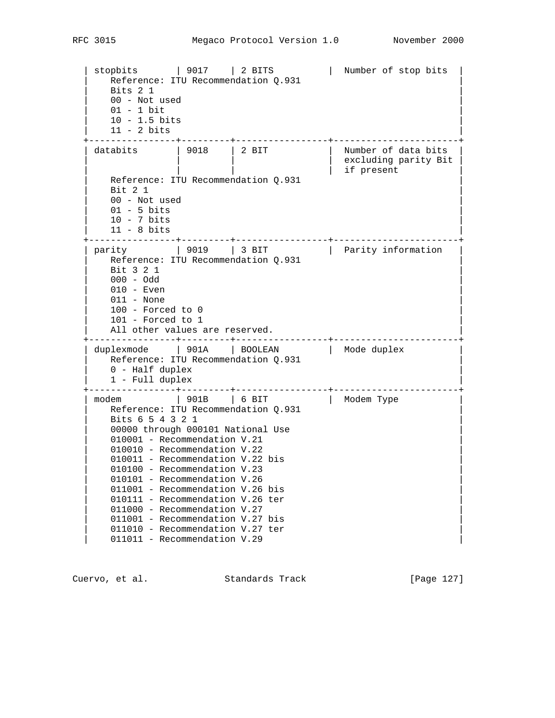| stopbits | 9017 | 2 BITS | Number of stop bits | | Reference: ITU Recommendation Q.931 | Reference: ITU Recommendation Q.931 | Bits 2 1 | 00 - Not used 01 - 1 bit  $10 - 1.5$  bits 11 - 2 bits +----------------+---------+-----------------+-----------------------+ databits | 9018 | 2 BIT | Number of data bits | excluding parity Bit | if present Reference: ITU Recommendation Q.931 Bit 2 1 00 - Not used  $01 - 5$  bits  $10 - 7$  bits | 11 - 8 bits | +----------------+---------+-----------------+-----------------------+ | parity | 9019 | 3 BIT | Parity information | | Reference: ITU Recommendation Q.931 | Reference: ITU Recommendation Q.931 Bit 3 2 1 | 000 - Odd | 010 - Even  $011$  - None | 100 - Forced to 0 |  $101$  - Forced to  $1$ All other values are reserved. +----------------+---------+-----------------+-----------------------+ | duplexmode | 901A | BOOLEAN | Mode duplex | | Reference: ITU Recommendation Q.931 | Reference: ITU Recommendation Q.931 0 - Half duplex 1 - Full duplex +----------------+---------+-----------------+-----------------------+ | modem | 901B | 6 BIT | Modem Type | | Reference: ITU Recommendation Q.931 | Reference: ITU Recommendation Q.931 Bits 6 5 4 3 2 1 00000 through 000101 National Use 010001 - Recommendation V.21 010010 - Recommendation V.22 010011 - Recommendation V.22 bis 010100 - Recommendation V.23 010101 - Recommendation V.26 011001 - Recommendation V.26 bis 010111 - Recommendation V.26 ter 011000 - Recommendation V.27 011001 - Recommendation V.27 bis 011010 - Recommendation V.27 ter 011011 - Recommendation V.29

Cuervo, et al. Standards Track [Page 127]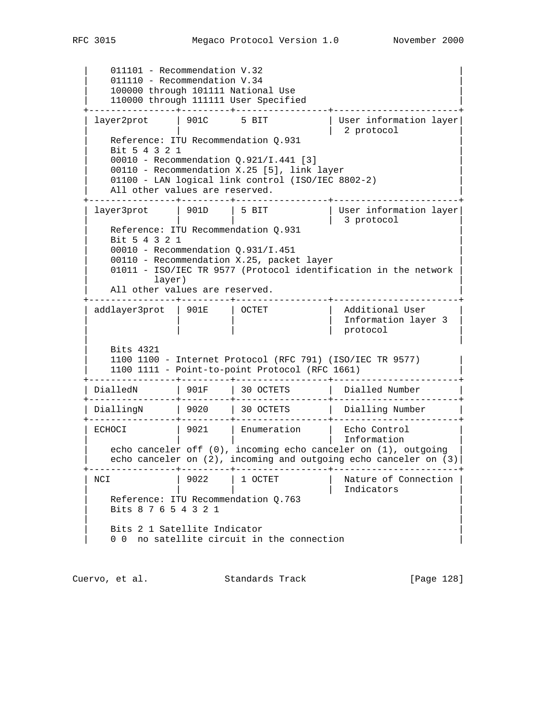011101 - Recommendation V.32 011110 - Recommendation V.34 | 100000 through 101111 National Use | 110000 through 111111 User Specified +----------------+---------+-----------------+-----------------------+ | layer2prot | 901C 5 BIT | User information layer | | | 2 protocol | Reference: ITU Recommendation Q.931 | Bit 5 4 3 2 1 | | 00010 - Recommendation Q.921/I.441 [3] | 00110 - Recommendation X.25 [5], link layer 01100 - LAN logical link control (ISO/IEC 8802-2) All other values are reserved. +----------------+---------+-----------------+-----------------------+ | layer3prot | 901D | 5 BIT | User information layer | | | | 3 protocol |  $\parallel$   $\parallel$   $\parallel$  3 protocol<br>Reference: ITU Recommendation Q.931 | Bit 5 4 3 2 1 | 00010 - Recommendation Q.931/I.451 00110 - Recommendation X.25, packet layer 01011 - ISO/IEC TR 9577 (Protocol identification in the network  $\lceil \log(r) \rceil$ All other values are reserved. +----------------+---------+-----------------+-----------------------+ | addlayer3prot | 901E | OCTET | Additional User | | | | | | | | | | | | Information layer 3 | | | | | protocol | | | | Bits 4321 | 1100 1100 - Internet Protocol (RFC 791) (ISO/IEC TR 9577) | | 1100 1111 - Point-to-point Protocol (RFC 1661) | +----------------+---------+-----------------+-----------------------+ | DialledN | 901F | 30 OCTETS | Dialled Number +----------------+---------+-----------------+-----------------------+ | DiallingN | 9020 | 30 OCTETS | Dialling Number | +----------------+---------+-----------------+-----------------------+ | ECHOCI | 9021 | Enumeration | Echo Control | | | | | Information | | echo canceler off (0), incoming echo canceler on (1), outgoing | echo canceler on (2), incoming and outgoing echo canceler on (3) +----------------+---------+-----------------+-----------------------+ | NCI | 9022 | 1 OCTET | Nature of Connection | | | | | Indicators | Reference: ITU Recommendation Q.763 | Bits 8 7 6 5 4 3 2 1 | | | Bits 2 1 Satellite Indicator 0 0 no satellite circuit in the connection

Cuervo, et al. Standards Track [Page 128]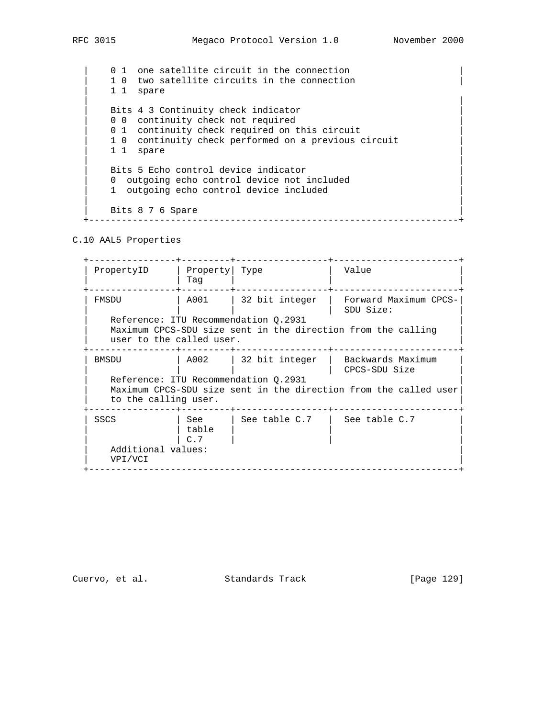0 1 one satellite circuit in the connection | 1 0 two satellite circuits in the connection | | 1 1 spare | | Bits 4 3 Continuity check indicator 0 0 continuity check not required 0 1 continuity check required on this circuit 1 0 continuity check performed on a previous circuit 1 1 spare | | Bits 5 Echo control device indicator 0 outgoing echo control device not included 1 outgoing echo control device included | | Bits 8 7 6 Spare

+--------------------------------------------------------------------+

C.10 AAL5 Properties

 +----------------+---------+-----------------+-----------------------+ | PropertyID | Property| Type | Value | | | Tag | | | +----------------+---------+-----------------+-----------------------+ | FMSDU | A001 | 32 bit integer | Forward Maximum CPCS-| | | | | SDU Size: | | Reference: ITU Recommendation Q.2931 | Reference: ITU Recommendation Q.2931 Maximum CPCS-SDU size sent in the direction from the calling user to the called user. +----------------+---------+-----------------+-----------------------+ | BMSDU | A002 | 32 bit integer | Backwards Maximum | | CPCS-SDU Size Reference: ITU Recommendation Q.2931 Maximum CPCS-SDU size sent in the direction from the called user to the calling user. +----------------+---------+-----------------+-----------------------+ | SSCS | See | See table C.7 | See table C.7 | | table | | | | | C.7 | | | Additional values: | VPI/VCI | +--------------------------------------------------------------------+

Cuervo, et al. Standards Track [Page 129]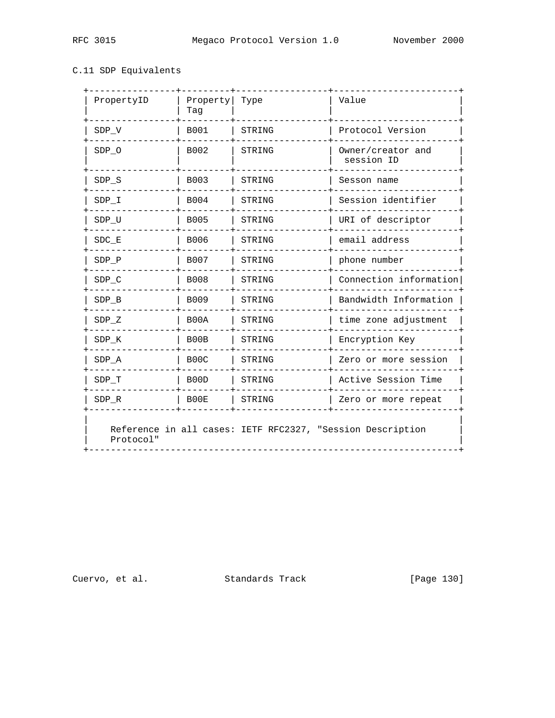## C.11 SDP Equivalents

| PropertyID                                                              | Property<br>Tag   | Type   | Value                           |
|-------------------------------------------------------------------------|-------------------|--------|---------------------------------|
| SDP V                                                                   | <b>B001</b>       | STRING | Protocol Version                |
| SDP 0                                                                   | B002              | STRING | Owner/creator and<br>session ID |
| $SDP_S$                                                                 | <b>B003</b>       | STRING | Sesson name                     |
| SDP I                                                                   | <b>B004</b>       | STRING | Session identifier              |
| $SDP_U$                                                                 | <b>B005</b>       | STRING | URI of descriptor               |
| $\texttt{SDC\_E}$                                                       | <b>B006</b>       | STRING | email address                   |
| SDP P                                                                   | <b>B007</b>       | STRING | phone number                    |
| $SDP_C$                                                                 | <b>B008</b>       | STRING | Connection information          |
| SDP B                                                                   | B009              | STRING | Bandwidth Information           |
| SDP Z                                                                   | B00A              | STRING | time zone adjustment            |
| SDP K                                                                   | B00B              | STRING | Encryption Key                  |
| SDP A                                                                   | B <sub>0</sub> 0C | STRING | Zero or more session            |
| SDP T                                                                   | B00D              | STRING | Active Session Time             |
| $SDP_R$                                                                 | B00E              | STRING | Zero or more repeat             |
| Reference in all cases: IETF RFC2327, "Session Description<br>Protocol" |                   |        |                                 |

Cuervo, et al. Standards Track [Page 130]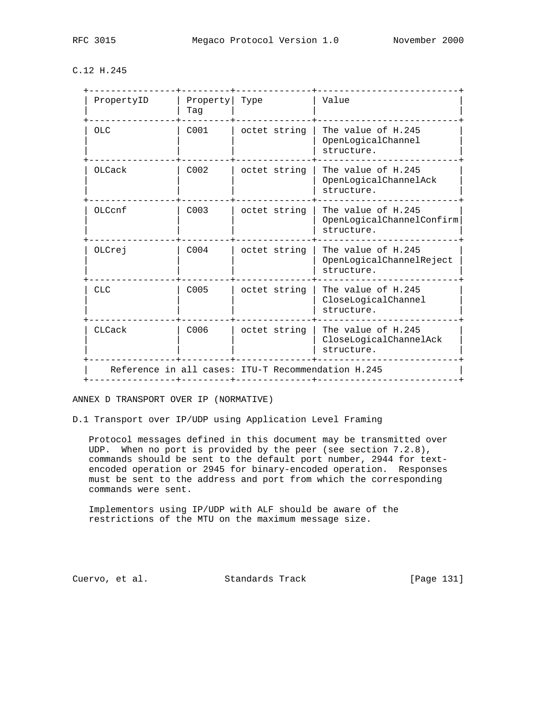C.12 H.245

| PropertyID     | Property   Type<br>Taq |                                                    | Value                                                         |
|----------------|------------------------|----------------------------------------------------|---------------------------------------------------------------|
| <b>OLC</b>     | C001                   | octet string                                       | The value of H.245<br>OpenLogicalChannel<br>structure.        |
| OLCack         | C <sub>002</sub>       | octet string                                       | The value of H.245<br>OpenLogicalChannelAck<br>structure.     |
| $OL$ $CCD$ $f$ | C <sub>003</sub>       | octet string                                       | The value of H.245<br>OpenLogicalChannelConfirm<br>structure. |
| OLCrej         | C <sub>004</sub>       | octet string                                       | The value of H.245<br>OpenLogicalChannelReject<br>structure.  |
| <b>CLC</b>     | C005                   | octet string                                       | The value of H.245<br>CloseLogicalChannel<br>structure.       |
| CLCack         | C006                   | octet string                                       | The value of H.245<br>CloseLogicalChannelAck<br>structure.    |
|                |                        | Reference in all cases: ITU-T Recommendation H.245 |                                                               |

ANNEX D TRANSPORT OVER IP (NORMATIVE)

D.1 Transport over IP/UDP using Application Level Framing

 Protocol messages defined in this document may be transmitted over UDP. When no port is provided by the peer (see section 7.2.8), commands should be sent to the default port number, 2944 for text encoded operation or 2945 for binary-encoded operation. Responses must be sent to the address and port from which the corresponding commands were sent.

 Implementors using IP/UDP with ALF should be aware of the restrictions of the MTU on the maximum message size.

Cuervo, et al. Standards Track [Page 131]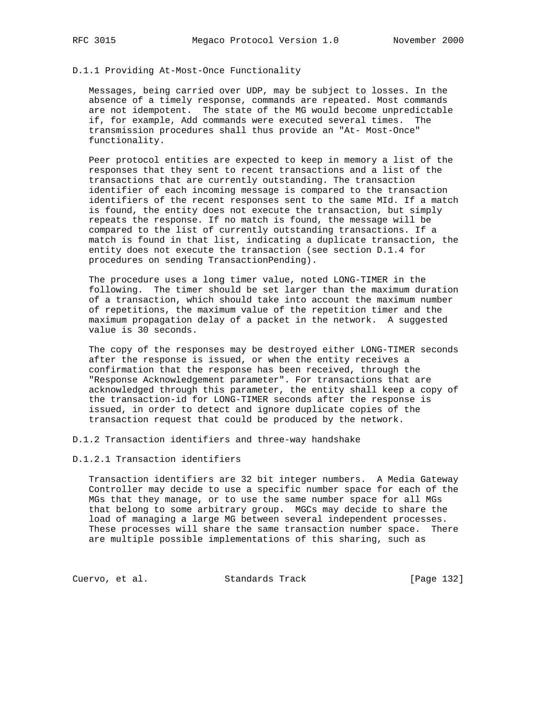# D.1.1 Providing At-Most-Once Functionality

 Messages, being carried over UDP, may be subject to losses. In the absence of a timely response, commands are repeated. Most commands are not idempotent. The state of the MG would become unpredictable if, for example, Add commands were executed several times. The transmission procedures shall thus provide an "At- Most-Once" functionality.

 Peer protocol entities are expected to keep in memory a list of the responses that they sent to recent transactions and a list of the transactions that are currently outstanding. The transaction identifier of each incoming message is compared to the transaction identifiers of the recent responses sent to the same MId. If a match is found, the entity does not execute the transaction, but simply repeats the response. If no match is found, the message will be compared to the list of currently outstanding transactions. If a match is found in that list, indicating a duplicate transaction, the entity does not execute the transaction (see section D.1.4 for procedures on sending TransactionPending).

 The procedure uses a long timer value, noted LONG-TIMER in the following. The timer should be set larger than the maximum duration of a transaction, which should take into account the maximum number of repetitions, the maximum value of the repetition timer and the maximum propagation delay of a packet in the network. A suggested value is 30 seconds.

 The copy of the responses may be destroyed either LONG-TIMER seconds after the response is issued, or when the entity receives a confirmation that the response has been received, through the "Response Acknowledgement parameter". For transactions that are acknowledged through this parameter, the entity shall keep a copy of the transaction-id for LONG-TIMER seconds after the response is issued, in order to detect and ignore duplicate copies of the transaction request that could be produced by the network.

D.1.2 Transaction identifiers and three-way handshake

#### D.1.2.1 Transaction identifiers

 Transaction identifiers are 32 bit integer numbers. A Media Gateway Controller may decide to use a specific number space for each of the MGs that they manage, or to use the same number space for all MGs that belong to some arbitrary group. MGCs may decide to share the load of managing a large MG between several independent processes. These processes will share the same transaction number space. There are multiple possible implementations of this sharing, such as

Cuervo, et al. Standards Track [Page 132]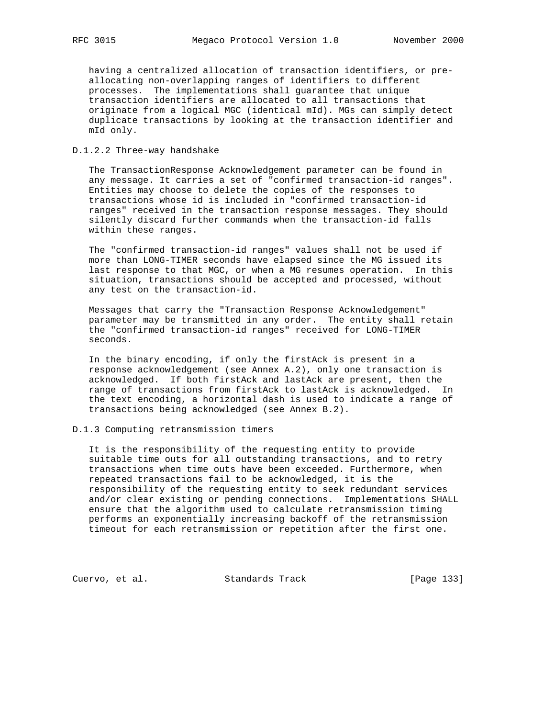having a centralized allocation of transaction identifiers, or pre allocating non-overlapping ranges of identifiers to different processes. The implementations shall guarantee that unique transaction identifiers are allocated to all transactions that originate from a logical MGC (identical mId). MGs can simply detect duplicate transactions by looking at the transaction identifier and mId only.

#### D.1.2.2 Three-way handshake

 The TransactionResponse Acknowledgement parameter can be found in any message. It carries a set of "confirmed transaction-id ranges". Entities may choose to delete the copies of the responses to transactions whose id is included in "confirmed transaction-id ranges" received in the transaction response messages. They should silently discard further commands when the transaction-id falls within these ranges.

 The "confirmed transaction-id ranges" values shall not be used if more than LONG-TIMER seconds have elapsed since the MG issued its last response to that MGC, or when a MG resumes operation. In this situation, transactions should be accepted and processed, without any test on the transaction-id.

 Messages that carry the "Transaction Response Acknowledgement" parameter may be transmitted in any order. The entity shall retain the "confirmed transaction-id ranges" received for LONG-TIMER seconds.

 In the binary encoding, if only the firstAck is present in a response acknowledgement (see Annex A.2), only one transaction is acknowledged. If both firstAck and lastAck are present, then the range of transactions from firstAck to lastAck is acknowledged. In the text encoding, a horizontal dash is used to indicate a range of transactions being acknowledged (see Annex B.2).

#### D.1.3 Computing retransmission timers

 It is the responsibility of the requesting entity to provide suitable time outs for all outstanding transactions, and to retry transactions when time outs have been exceeded. Furthermore, when repeated transactions fail to be acknowledged, it is the responsibility of the requesting entity to seek redundant services and/or clear existing or pending connections. Implementations SHALL ensure that the algorithm used to calculate retransmission timing performs an exponentially increasing backoff of the retransmission timeout for each retransmission or repetition after the first one.

Cuervo, et al. Standards Track [Page 133]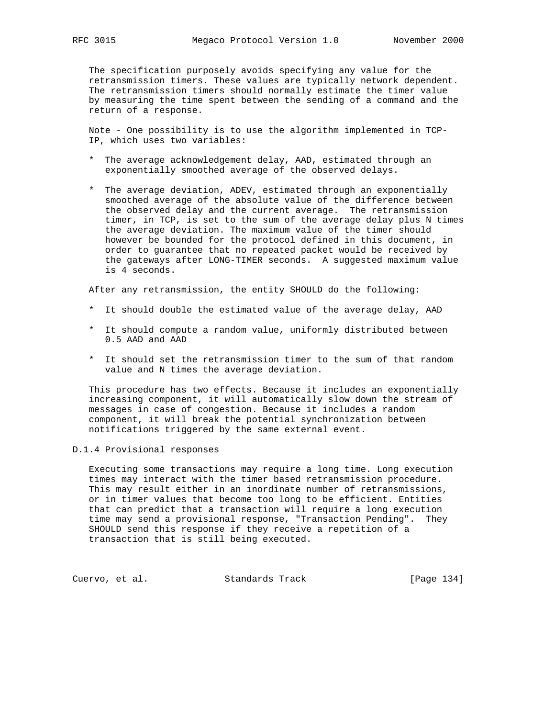The specification purposely avoids specifying any value for the retransmission timers. These values are typically network dependent. The retransmission timers should normally estimate the timer value by measuring the time spent between the sending of a command and the return of a response.

 Note - One possibility is to use the algorithm implemented in TCP- IP, which uses two variables:

- \* The average acknowledgement delay, AAD, estimated through an exponentially smoothed average of the observed delays.
- \* The average deviation, ADEV, estimated through an exponentially smoothed average of the absolute value of the difference between the observed delay and the current average. The retransmission timer, in TCP, is set to the sum of the average delay plus N times the average deviation. The maximum value of the timer should however be bounded for the protocol defined in this document, in order to guarantee that no repeated packet would be received by the gateways after LONG-TIMER seconds. A suggested maximum value is 4 seconds.

After any retransmission, the entity SHOULD do the following:

- \* It should double the estimated value of the average delay, AAD
- \* It should compute a random value, uniformly distributed between 0.5 AAD and AAD
- \* It should set the retransmission timer to the sum of that random value and N times the average deviation.

 This procedure has two effects. Because it includes an exponentially increasing component, it will automatically slow down the stream of messages in case of congestion. Because it includes a random component, it will break the potential synchronization between notifications triggered by the same external event.

### D.1.4 Provisional responses

 Executing some transactions may require a long time. Long execution times may interact with the timer based retransmission procedure. This may result either in an inordinate number of retransmissions, or in timer values that become too long to be efficient. Entities that can predict that a transaction will require a long execution time may send a provisional response, "Transaction Pending". They SHOULD send this response if they receive a repetition of a transaction that is still being executed.

Cuervo, et al. Standards Track [Page 134]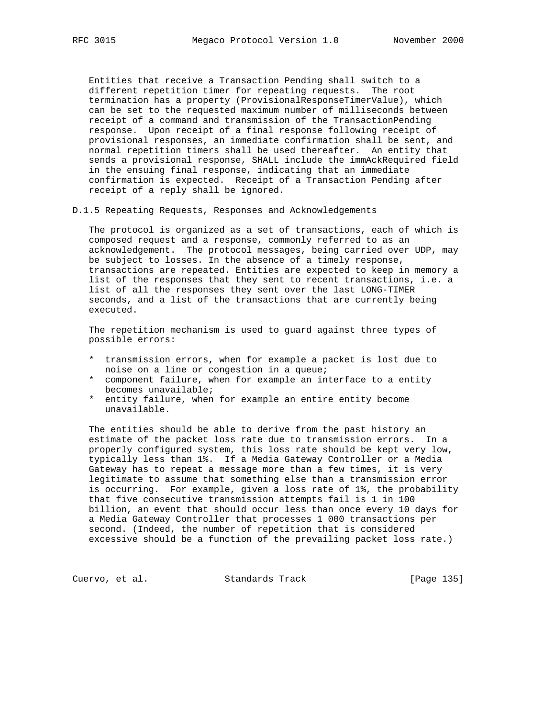Entities that receive a Transaction Pending shall switch to a different repetition timer for repeating requests. The root termination has a property (ProvisionalResponseTimerValue), which can be set to the requested maximum number of milliseconds between receipt of a command and transmission of the TransactionPending response. Upon receipt of a final response following receipt of provisional responses, an immediate confirmation shall be sent, and normal repetition timers shall be used thereafter. An entity that sends a provisional response, SHALL include the immAckRequired field in the ensuing final response, indicating that an immediate confirmation is expected. Receipt of a Transaction Pending after receipt of a reply shall be ignored.

D.1.5 Repeating Requests, Responses and Acknowledgements

 The protocol is organized as a set of transactions, each of which is composed request and a response, commonly referred to as an acknowledgement. The protocol messages, being carried over UDP, may be subject to losses. In the absence of a timely response, transactions are repeated. Entities are expected to keep in memory a list of the responses that they sent to recent transactions, i.e. a list of all the responses they sent over the last LONG-TIMER seconds, and a list of the transactions that are currently being executed.

 The repetition mechanism is used to guard against three types of possible errors:

- \* transmission errors, when for example a packet is lost due to noise on a line or congestion in a queue;
- \* component failure, when for example an interface to a entity becomes unavailable;
- \* entity failure, when for example an entire entity become unavailable.

 The entities should be able to derive from the past history an estimate of the packet loss rate due to transmission errors. In a properly configured system, this loss rate should be kept very low, typically less than 1%. If a Media Gateway Controller or a Media Gateway has to repeat a message more than a few times, it is very legitimate to assume that something else than a transmission error is occurring. For example, given a loss rate of 1%, the probability that five consecutive transmission attempts fail is 1 in 100 billion, an event that should occur less than once every 10 days for a Media Gateway Controller that processes 1 000 transactions per second. (Indeed, the number of repetition that is considered excessive should be a function of the prevailing packet loss rate.)

Cuervo, et al. Standards Track [Page 135]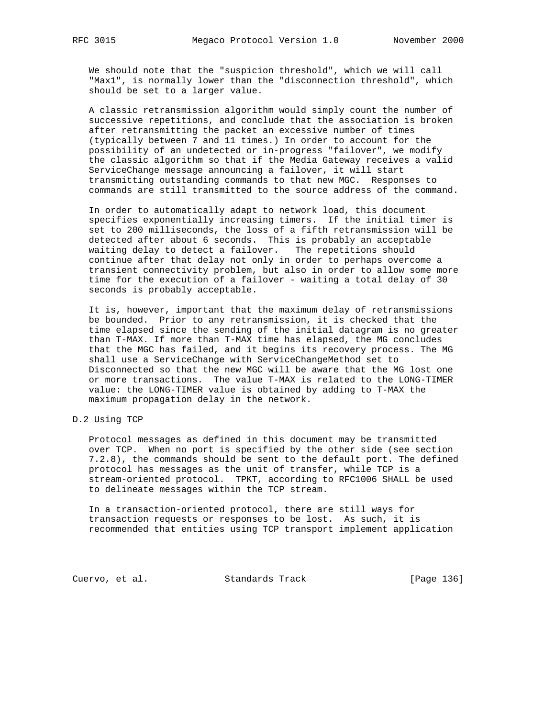We should note that the "suspicion threshold", which we will call "Max1", is normally lower than the "disconnection threshold", which should be set to a larger value.

 A classic retransmission algorithm would simply count the number of successive repetitions, and conclude that the association is broken after retransmitting the packet an excessive number of times (typically between 7 and 11 times.) In order to account for the possibility of an undetected or in-progress "failover", we modify the classic algorithm so that if the Media Gateway receives a valid ServiceChange message announcing a failover, it will start transmitting outstanding commands to that new MGC. Responses to commands are still transmitted to the source address of the command.

 In order to automatically adapt to network load, this document specifies exponentially increasing timers. If the initial timer is set to 200 milliseconds, the loss of a fifth retransmission will be detected after about 6 seconds. This is probably an acceptable waiting delay to detect a failover. The repetitions should continue after that delay not only in order to perhaps overcome a transient connectivity problem, but also in order to allow some more time for the execution of a failover - waiting a total delay of 30 seconds is probably acceptable.

 It is, however, important that the maximum delay of retransmissions be bounded. Prior to any retransmission, it is checked that the time elapsed since the sending of the initial datagram is no greater than T-MAX. If more than T-MAX time has elapsed, the MG concludes that the MGC has failed, and it begins its recovery process. The MG shall use a ServiceChange with ServiceChangeMethod set to Disconnected so that the new MGC will be aware that the MG lost one or more transactions. The value T-MAX is related to the LONG-TIMER value: the LONG-TIMER value is obtained by adding to T-MAX the maximum propagation delay in the network.

D.2 Using TCP

 Protocol messages as defined in this document may be transmitted over TCP. When no port is specified by the other side (see section 7.2.8), the commands should be sent to the default port. The defined protocol has messages as the unit of transfer, while TCP is a stream-oriented protocol. TPKT, according to RFC1006 SHALL be used to delineate messages within the TCP stream.

 In a transaction-oriented protocol, there are still ways for transaction requests or responses to be lost. As such, it is recommended that entities using TCP transport implement application

Cuervo, et al. Standards Track [Page 136]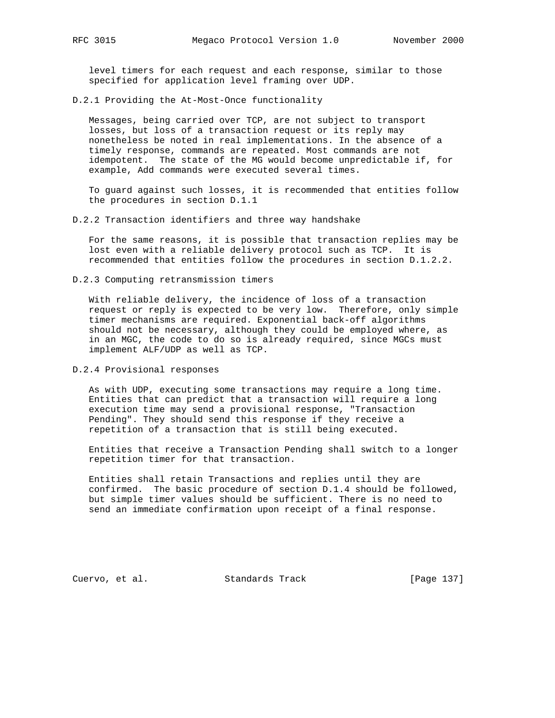level timers for each request and each response, similar to those specified for application level framing over UDP.

D.2.1 Providing the At-Most-Once functionality

 Messages, being carried over TCP, are not subject to transport losses, but loss of a transaction request or its reply may nonetheless be noted in real implementations. In the absence of a timely response, commands are repeated. Most commands are not idempotent. The state of the MG would become unpredictable if, for example, Add commands were executed several times.

 To guard against such losses, it is recommended that entities follow the procedures in section D.1.1

D.2.2 Transaction identifiers and three way handshake

 For the same reasons, it is possible that transaction replies may be lost even with a reliable delivery protocol such as TCP. It is recommended that entities follow the procedures in section D.1.2.2.

D.2.3 Computing retransmission timers

 With reliable delivery, the incidence of loss of a transaction request or reply is expected to be very low. Therefore, only simple timer mechanisms are required. Exponential back-off algorithms should not be necessary, although they could be employed where, as in an MGC, the code to do so is already required, since MGCs must implement ALF/UDP as well as TCP.

D.2.4 Provisional responses

 As with UDP, executing some transactions may require a long time. Entities that can predict that a transaction will require a long execution time may send a provisional response, "Transaction Pending". They should send this response if they receive a repetition of a transaction that is still being executed.

 Entities that receive a Transaction Pending shall switch to a longer repetition timer for that transaction.

 Entities shall retain Transactions and replies until they are confirmed. The basic procedure of section D.1.4 should be followed, but simple timer values should be sufficient. There is no need to send an immediate confirmation upon receipt of a final response.

Cuervo, et al. Standards Track [Page 137]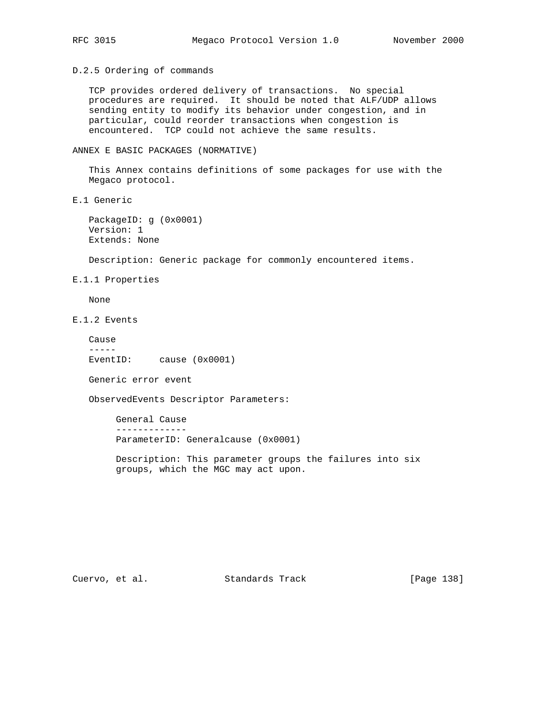D.2.5 Ordering of commands

 TCP provides ordered delivery of transactions. No special procedures are required. It should be noted that ALF/UDP allows sending entity to modify its behavior under congestion, and in particular, could reorder transactions when congestion is encountered. TCP could not achieve the same results.

ANNEX E BASIC PACKAGES (NORMATIVE)

 This Annex contains definitions of some packages for use with the Megaco protocol.

E.1 Generic

 PackageID: g (0x0001) Version: 1 Extends: None

Description: Generic package for commonly encountered items.

E.1.1 Properties

None

E.1.2 Events

 Cause ----- EventID: cause (0x0001)

Generic error event

ObservedEvents Descriptor Parameters:

 General Cause ------------- ParameterID: Generalcause (0x0001)

 Description: This parameter groups the failures into six groups, which the MGC may act upon.

Cuervo, et al. Standards Track [Page 138]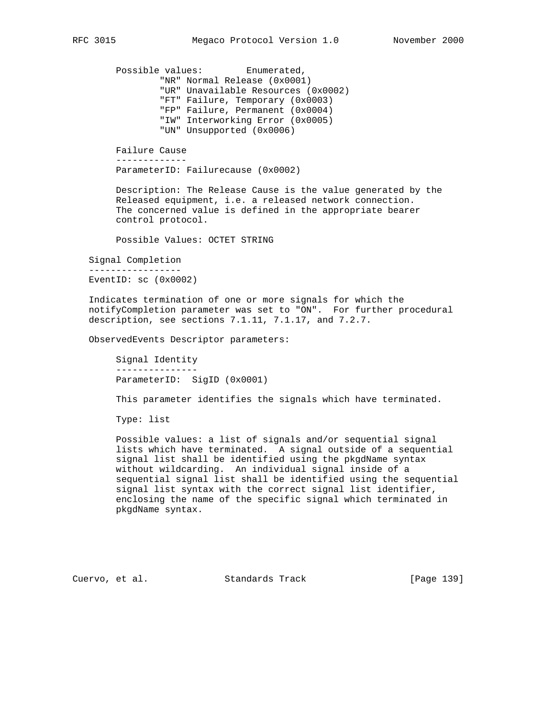Possible values: Enumerated, "NR" Normal Release (0x0001) "UR" Unavailable Resources (0x0002) "FT" Failure, Temporary (0x0003) "FP" Failure, Permanent (0x0004) "IW" Interworking Error (0x0005) "UN" Unsupported (0x0006) Failure Cause ------------- ParameterID: Failurecause (0x0002) Description: The Release Cause is the value generated by the Released equipment, i.e. a released network connection. The concerned value is defined in the appropriate bearer control protocol. Possible Values: OCTET STRING Signal Completion ----------------- EventID: sc (0x0002) Indicates termination of one or more signals for which the notifyCompletion parameter was set to "ON". For further procedural description, see sections 7.1.11, 7.1.17, and 7.2.7. ObservedEvents Descriptor parameters:

 Signal Identity --------------- ParameterID: SigID (0x0001)

This parameter identifies the signals which have terminated.

Type: list

 Possible values: a list of signals and/or sequential signal lists which have terminated. A signal outside of a sequential signal list shall be identified using the pkgdName syntax without wildcarding. An individual signal inside of a sequential signal list shall be identified using the sequential signal list syntax with the correct signal list identifier, enclosing the name of the specific signal which terminated in pkgdName syntax.

Cuervo, et al. Standards Track [Page 139]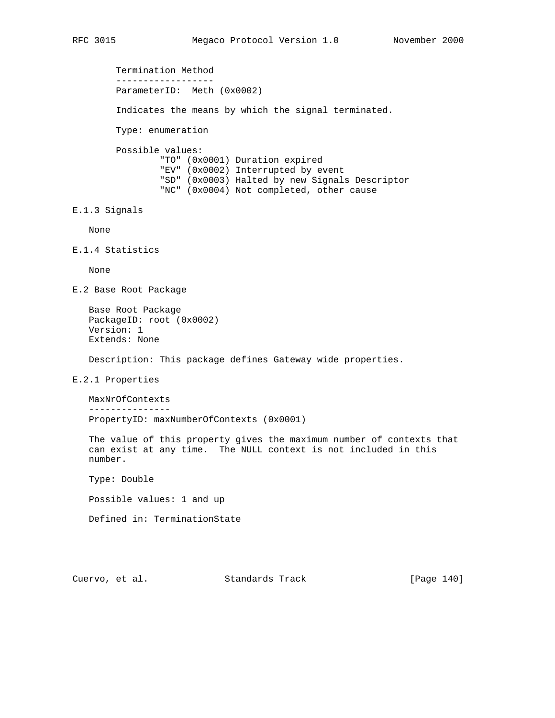Termination Method ------------------ ParameterID: Meth (0x0002) Indicates the means by which the signal terminated. Type: enumeration Possible values: "TO" (0x0001) Duration expired "EV" (0x0002) Interrupted by event "SD" (0x0003) Halted by new Signals Descriptor "NC" (0x0004) Not completed, other cause E.1.3 Signals None E.1.4 Statistics None E.2 Base Root Package Base Root Package PackageID: root (0x0002) Version: 1 Extends: None Description: This package defines Gateway wide properties. E.2.1 Properties MaxNrOfContexts --------------- PropertyID: maxNumberOfContexts (0x0001) The value of this property gives the maximum number of contexts that can exist at any time. The NULL context is not included in this number. Type: Double Possible values: 1 and up Defined in: TerminationState

Cuervo, et al. Standards Track [Page 140]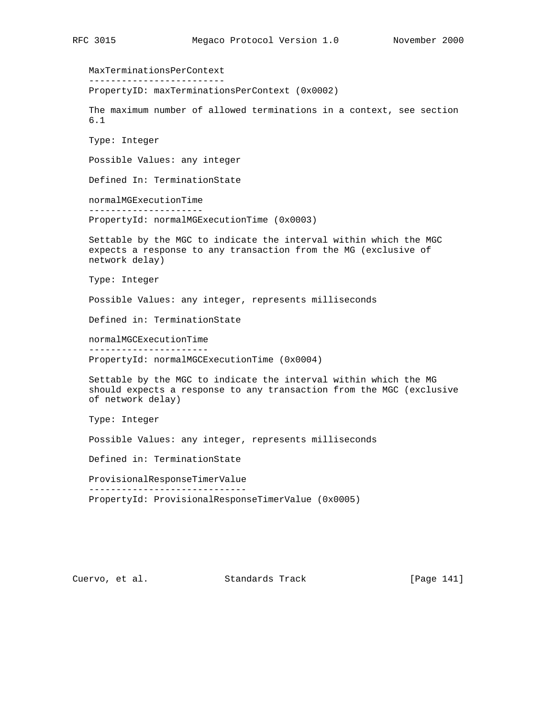MaxTerminationsPerContext ------------------------- PropertyID: maxTerminationsPerContext (0x0002) The maximum number of allowed terminations in a context, see section 6.1 Type: Integer Possible Values: any integer Defined In: TerminationState normalMGExecutionTime --------------------- PropertyId: normalMGExecutionTime (0x0003) Settable by the MGC to indicate the interval within which the MGC expects a response to any transaction from the MG (exclusive of network delay) Type: Integer Possible Values: any integer, represents milliseconds Defined in: TerminationState normalMGCExecutionTime ---------------------- PropertyId: normalMGCExecutionTime (0x0004) Settable by the MGC to indicate the interval within which the MG should expects a response to any transaction from the MGC (exclusive of network delay) Type: Integer Possible Values: any integer, represents milliseconds Defined in: TerminationState ProvisionalResponseTimerValue ----------------------------- PropertyId: ProvisionalResponseTimerValue (0x0005)

Cuervo, et al. Standards Track [Page 141]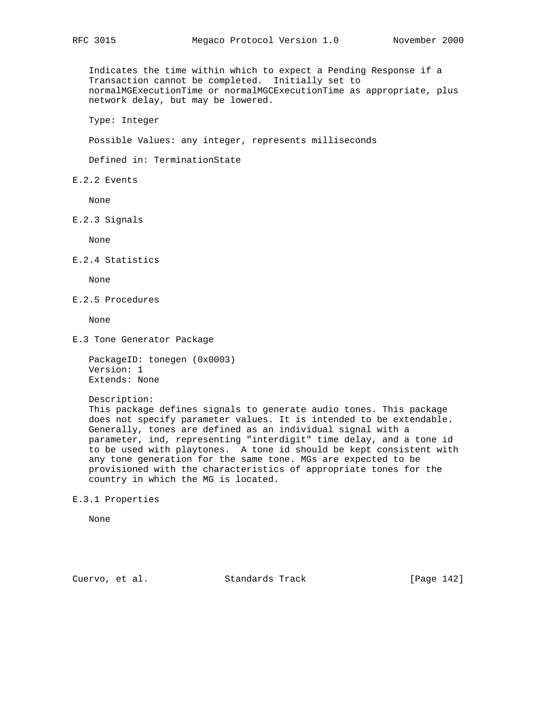Indicates the time within which to expect a Pending Response if a Transaction cannot be completed. Initially set to normalMGExecutionTime or normalMGCExecutionTime as appropriate, plus network delay, but may be lowered.

Type: Integer

Possible Values: any integer, represents milliseconds

Defined in: TerminationState

E.2.2 Events

None

E.2.3 Signals

None

E.2.4 Statistics

None

E.2.5 Procedures

None

E.3 Tone Generator Package

```
 PackageID: tonegen (0x0003)
 Version: 1
 Extends: None
```
Description:

 This package defines signals to generate audio tones. This package does not specify parameter values. It is intended to be extendable. Generally, tones are defined as an individual signal with a parameter, ind, representing "interdigit" time delay, and a tone id to be used with playtones. A tone id should be kept consistent with any tone generation for the same tone. MGs are expected to be provisioned with the characteristics of appropriate tones for the country in which the MG is located.

E.3.1 Properties

None

Cuervo, et al. Standards Track [Page 142]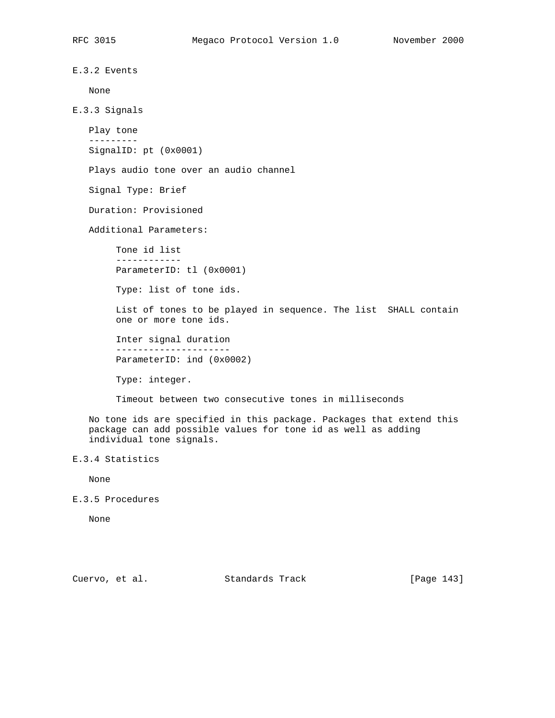```
E.3.2 Events
    None
E.3.3 Signals
    Play tone
    ---------
    SignalID: pt (0x0001)
    Plays audio tone over an audio channel
    Signal Type: Brief
    Duration: Provisioned
    Additional Parameters:
         Tone id list
         ------------
         ParameterID: tl (0x0001)
         Type: list of tone ids.
         List of tones to be played in sequence. The list SHALL contain
         one or more tone ids.
         Inter signal duration
         ---------------------
         ParameterID: ind (0x0002)
         Type: integer.
         Timeout between two consecutive tones in milliseconds
    No tone ids are specified in this package. Packages that extend this
    package can add possible values for tone id as well as adding
    individual tone signals.
E.3.4 Statistics
   None
```
E.3.5 Procedures

None

Cuervo, et al. Standards Track [Page 143]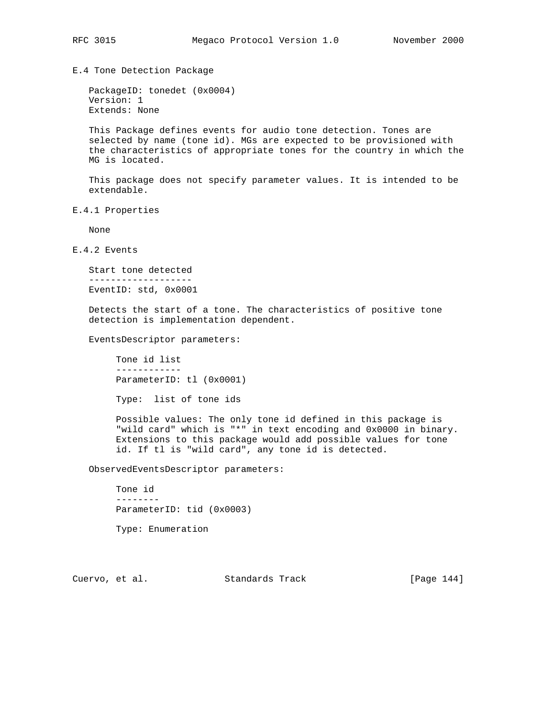E.4 Tone Detection Package

 PackageID: tonedet (0x0004) Version: 1 Extends: None

 This Package defines events for audio tone detection. Tones are selected by name (tone id). MGs are expected to be provisioned with the characteristics of appropriate tones for the country in which the MG is located.

 This package does not specify parameter values. It is intended to be extendable.

E.4.1 Properties

None

E.4.2 Events

 Start tone detected ------------------- EventID: std, 0x0001

 Detects the start of a tone. The characteristics of positive tone detection is implementation dependent.

EventsDescriptor parameters:

 Tone id list ------------ ParameterID: tl (0x0001)

Type: list of tone ids

 Possible values: The only tone id defined in this package is "wild card" which is "\*" in text encoding and 0x0000 in binary. Extensions to this package would add possible values for tone id. If tl is "wild card", any tone id is detected.

ObservedEventsDescriptor parameters:

 Tone id -------- ParameterID: tid (0x0003) Type: Enumeration

Cuervo, et al. Standards Track [Page 144]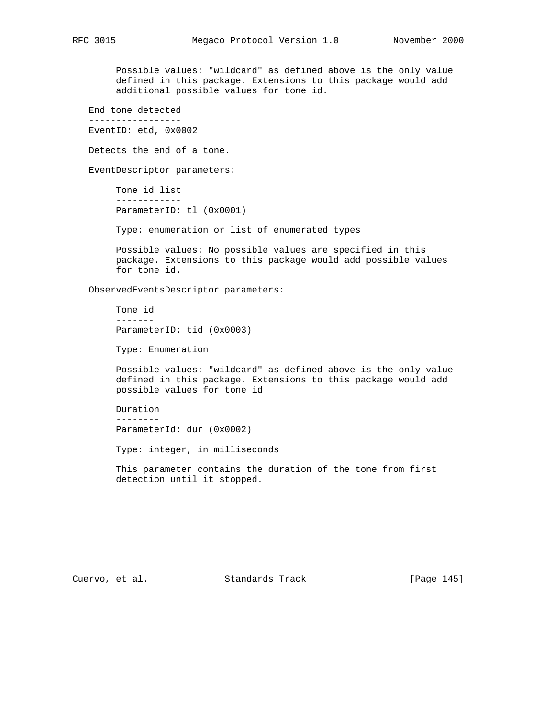Possible values: "wildcard" as defined above is the only value defined in this package. Extensions to this package would add additional possible values for tone id.

 End tone detected ----------------- EventID: etd, 0x0002

Detects the end of a tone.

EventDescriptor parameters:

 Tone id list ------------ ParameterID: tl (0x0001)

Type: enumeration or list of enumerated types

 Possible values: No possible values are specified in this package. Extensions to this package would add possible values for tone id.

ObservedEventsDescriptor parameters:

 Tone id ------- ParameterID: tid (0x0003)

Type: Enumeration

 Possible values: "wildcard" as defined above is the only value defined in this package. Extensions to this package would add possible values for tone id

 Duration -------- ParameterId: dur (0x0002)

Type: integer, in milliseconds

 This parameter contains the duration of the tone from first detection until it stopped.

Cuervo, et al. Standards Track [Page 145]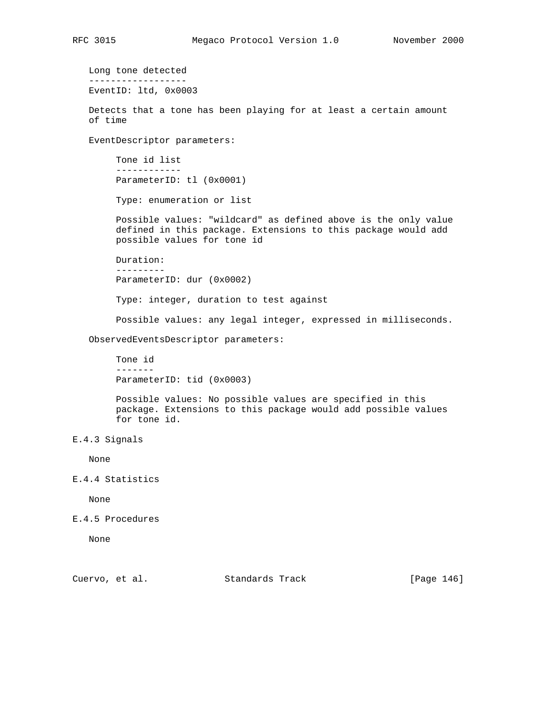Long tone detected ------------------ EventID: ltd, 0x0003 Detects that a tone has been playing for at least a certain amount of time EventDescriptor parameters: Tone id list ------------ ParameterID: tl (0x0001) Type: enumeration or list Possible values: "wildcard" as defined above is the only value defined in this package. Extensions to this package would add possible values for tone id Duration: --------- ParameterID: dur (0x0002) Type: integer, duration to test against Possible values: any legal integer, expressed in milliseconds. ObservedEventsDescriptor parameters: Tone id ------- ParameterID: tid (0x0003) Possible values: No possible values are specified in this package. Extensions to this package would add possible values for tone id. E.4.3 Signals None E.4.4 Statistics None

E.4.5 Procedures

None

Cuervo, et al. Standards Track [Page 146]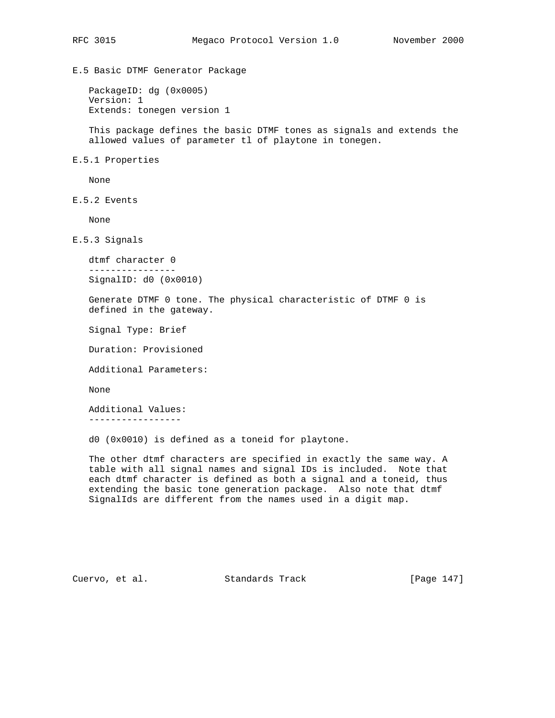E.5 Basic DTMF Generator Package

 PackageID: dg (0x0005) Version: 1 Extends: tonegen version 1

 This package defines the basic DTMF tones as signals and extends the allowed values of parameter tl of playtone in tonegen.

E.5.1 Properties

None

E.5.2 Events

None

E.5.3 Signals

```
 dtmf character 0
 ----------------
 SignalID: d0 (0x0010)
```
 Generate DTMF 0 tone. The physical characteristic of DTMF 0 is defined in the gateway.

Signal Type: Brief

Duration: Provisioned

Additional Parameters:

None

 Additional Values: -----------------

d0 (0x0010) is defined as a toneid for playtone.

 The other dtmf characters are specified in exactly the same way. A table with all signal names and signal IDs is included. Note that each dtmf character is defined as both a signal and a toneid, thus extending the basic tone generation package. Also note that dtmf SignalIds are different from the names used in a digit map.

Cuervo, et al. Standards Track [Page 147]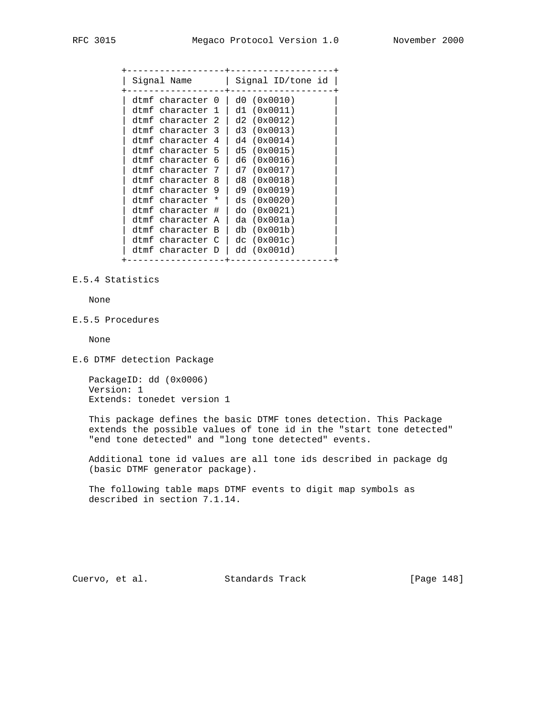| Signal Name      | Signal ID/tone id |
|------------------|-------------------|
| dtmf character 0 | d0 (0x0010)       |
| dtmf character 1 | d1 (0x0011)       |
| dtmf character 2 | d2(0x0012)        |
| dtmf character 3 | d3 (0x0013)       |
| dtmf character 4 | d4 (0x0014)       |
| dtmf character 5 | d5(0x0015)        |
| dtmf character 6 | d6(0x0016)        |
| dtmf character 7 | d7(0x0017)        |
| dtmf character 8 | d8 (0x0018)       |
| dtmf character 9 | d9 (0x0019)       |
| dtmf character * | ds (0x0020)       |
| dtmf character # | do (0x0021)       |
| dtmf character A | da (0x001a)       |
| dtmf character B | db (0x001b)       |
| dtmf character C | dc(0x001c)        |
| dtmf character D | dd(0x001d)        |

# E.5.4 Statistics

None

E.5.5 Procedures

None

E.6 DTMF detection Package

 PackageID: dd (0x0006) Version: 1 Extends: tonedet version 1

 This package defines the basic DTMF tones detection. This Package extends the possible values of tone id in the "start tone detected" "end tone detected" and "long tone detected" events.

 Additional tone id values are all tone ids described in package dg (basic DTMF generator package).

 The following table maps DTMF events to digit map symbols as described in section 7.1.14.

Cuervo, et al. Standards Track [Page 148]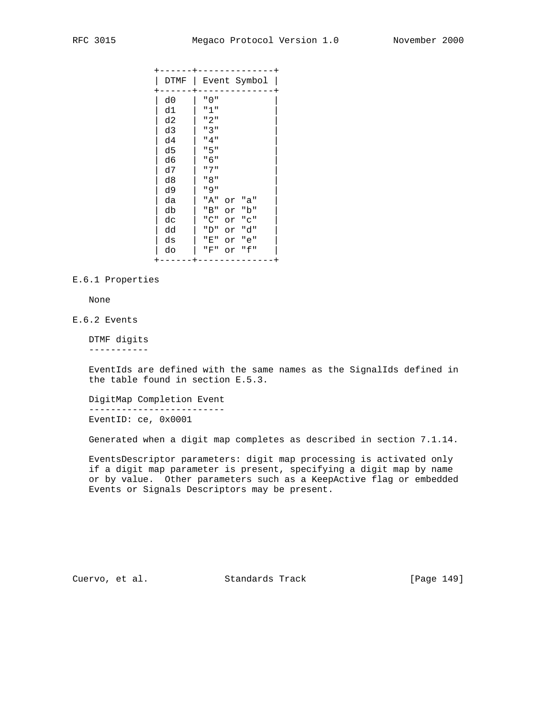| DTMF | Event Symbol     |
|------|------------------|
| d0   | יי ∩ יי          |
| d1   | "1"              |
| d2   | "2"              |
| d3   | "3"              |
| d4   | "4"              |
| d5   | "5"              |
| d6   | "6"              |
| d7   | " 7 "            |
| d8   | " 8 "            |
| d9   | " 9 "            |
| da   | "A"<br>"a"<br>or |
| db   | "b"<br>"B"<br>or |
| dc   | "C"<br>"C"<br>or |
| dd   | "d"<br>"D"<br>or |
| ds   | "E"<br>"e"<br>or |
| do   | "f"<br>"F"<br>or |
|      |                  |

# E.6.1 Properties

None

# E.6.2 Events

 DTMF digits -----------

 EventIds are defined with the same names as the SignalIds defined in the table found in section E.5.3.

 DigitMap Completion Event ------------------------- EventID: ce, 0x0001

Generated when a digit map completes as described in section 7.1.14.

 EventsDescriptor parameters: digit map processing is activated only if a digit map parameter is present, specifying a digit map by name or by value. Other parameters such as a KeepActive flag or embedded Events or Signals Descriptors may be present.

Cuervo, et al. Standards Track [Page 149]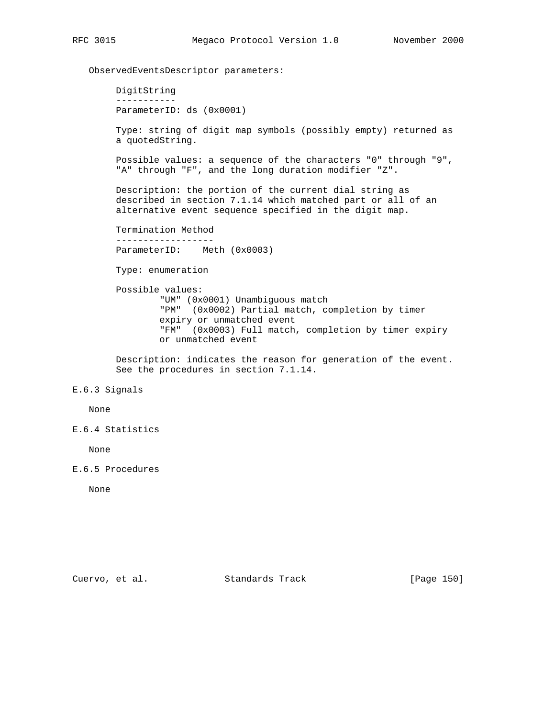ObservedEventsDescriptor parameters:

 DigitString ----------- ParameterID: ds (0x0001)

 Type: string of digit map symbols (possibly empty) returned as a quotedString.

 Possible values: a sequence of the characters "0" through "9", "A" through "F", and the long duration modifier "Z".

 Description: the portion of the current dial string as described in section 7.1.14 which matched part or all of an alternative event sequence specified in the digit map.

 Termination Method ------------------ ParameterID: Meth (0x0003)

Type: enumeration

 Possible values: "UM" (0x0001) Unambiguous match "PM" (0x0002) Partial match, completion by timer expiry or unmatched event "FM" (0x0003) Full match, completion by timer expiry or unmatched event

 Description: indicates the reason for generation of the event. See the procedures in section 7.1.14.

## E.6.3 Signals

None

E.6.4 Statistics

None

E.6.5 Procedures

None

Cuervo, et al. Standards Track [Page 150]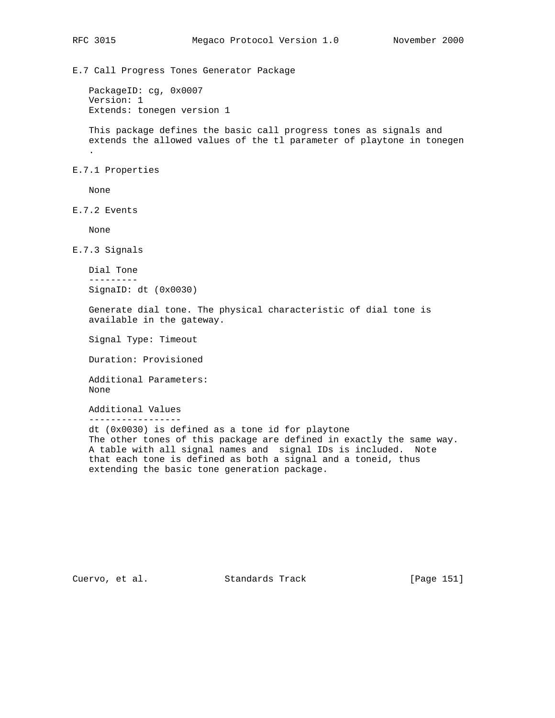E.7 Call Progress Tones Generator Package

 PackageID: cg, 0x0007 Version: 1 Extends: tonegen version 1

 This package defines the basic call progress tones as signals and extends the allowed values of the tl parameter of playtone in tonegen .

E.7.1 Properties

None

E.7.2 Events

None

E.7.3 Signals

```
 Dial Tone
 ---------
 SignaID: dt (0x0030)
```
 Generate dial tone. The physical characteristic of dial tone is available in the gateway.

Signal Type: Timeout

Duration: Provisioned

 Additional Parameters: None

Additional Values

-----------------

 dt (0x0030) is defined as a tone id for playtone The other tones of this package are defined in exactly the same way. A table with all signal names and signal IDs is included. Note that each tone is defined as both a signal and a toneid, thus extending the basic tone generation package.

Cuervo, et al. Standards Track [Page 151]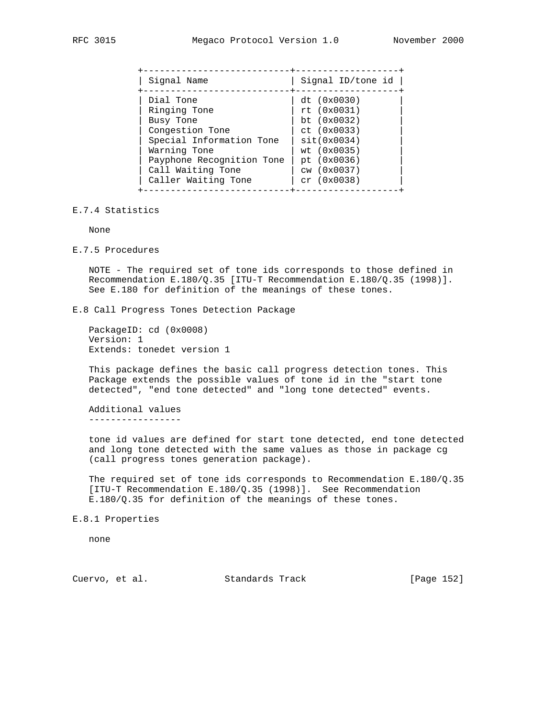| Signal Name                                                                                                                                                                    | Signal ID/tone id                                                                                                                         |
|--------------------------------------------------------------------------------------------------------------------------------------------------------------------------------|-------------------------------------------------------------------------------------------------------------------------------------------|
| Dial Tone<br>Ringing Tone<br>Busy Tone<br>Congestion Tone<br>Special Information Tone<br>Warning Tone<br>Payphone Recognition Tone<br>Call Waiting Tone<br>Caller Waiting Tone | dt (0x0030)<br>rt(0x0031)<br>bt $(0x0032)$<br>ct (0x0033)<br>sit(0x0034)<br>wt (0x0035)<br>pt (0x0036)<br>cw(0x0037)<br>$cr$ (0 $x0038$ ) |

#### E.7.4 Statistics

None

E.7.5 Procedures

 NOTE - The required set of tone ids corresponds to those defined in Recommendation E.180/Q.35 [ITU-T Recommendation E.180/Q.35 (1998)]. See E.180 for definition of the meanings of these tones.

# E.8 Call Progress Tones Detection Package

 PackageID: cd (0x0008) Version: 1 Extends: tonedet version 1

 This package defines the basic call progress detection tones. This Package extends the possible values of tone id in the "start tone detected", "end tone detected" and "long tone detected" events.

 Additional values -----------------

 tone id values are defined for start tone detected, end tone detected and long tone detected with the same values as those in package cg (call progress tones generation package).

The required set of tone ids corresponds to Recommendation  $E.180/Q.35$  [ITU-T Recommendation E.180/Q.35 (1998)]. See Recommendation E.180/Q.35 for definition of the meanings of these tones.

E.8.1 Properties

none

Cuervo, et al. Standards Track [Page 152]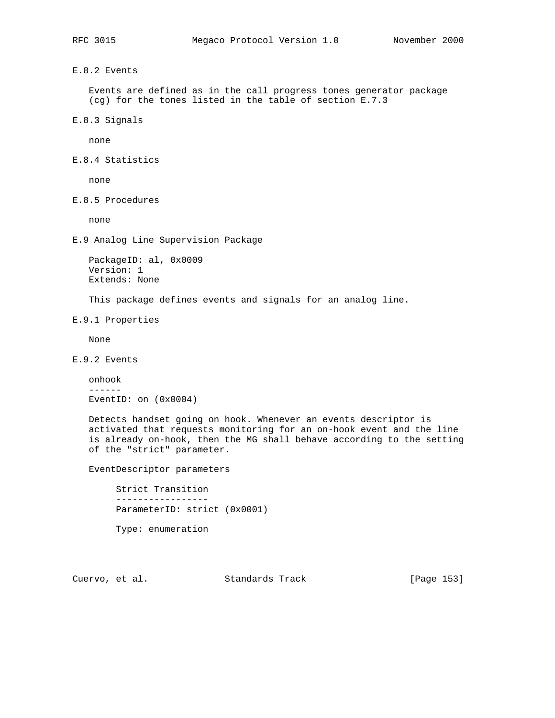E.8.2 Events

 Events are defined as in the call progress tones generator package (cg) for the tones listed in the table of section E.7.3

E.8.3 Signals

none

E.8.4 Statistics

none

E.8.5 Procedures

none

E.9 Analog Line Supervision Package

```
 PackageID: al, 0x0009
 Version: 1
 Extends: None
```
This package defines events and signals for an analog line.

E.9.1 Properties

None

E.9.2 Events

```
 onhook
 ------
 EventID: on (0x0004)
```
 Detects handset going on hook. Whenever an events descriptor is activated that requests monitoring for an on-hook event and the line is already on-hook, then the MG shall behave according to the setting of the "strict" parameter.

EventDescriptor parameters

 Strict Transition ----------------- ParameterID: strict (0x0001)

Type: enumeration

Cuervo, et al. Standards Track [Page 153]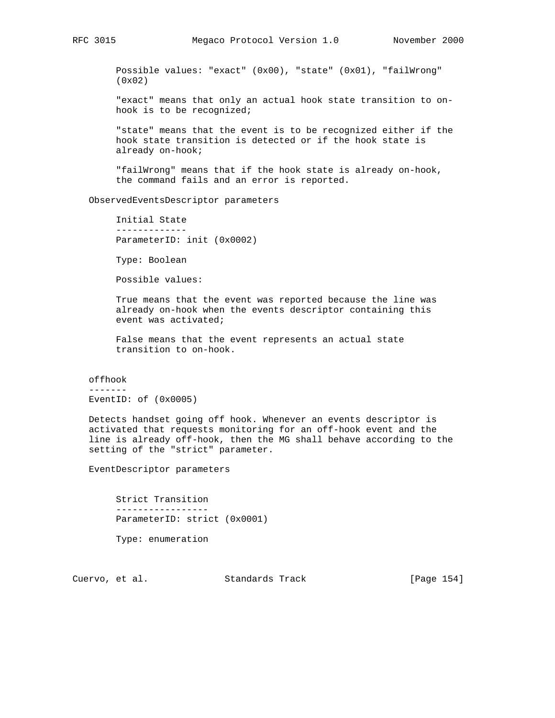Possible values: "exact" (0x00), "state" (0x01), "failWrong" (0x02)

 "exact" means that only an actual hook state transition to on hook is to be recognized;

 "state" means that the event is to be recognized either if the hook state transition is detected or if the hook state is already on-hook;

 "failWrong" means that if the hook state is already on-hook, the command fails and an error is reported.

ObservedEventsDescriptor parameters

 Initial State ------------- ParameterID: init (0x0002)

Type: Boolean

Possible values:

 True means that the event was reported because the line was already on-hook when the events descriptor containing this event was activated;

 False means that the event represents an actual state transition to on-hook.

 offhook ------- EventID: of (0x0005)

 Detects handset going off hook. Whenever an events descriptor is activated that requests monitoring for an off-hook event and the line is already off-hook, then the MG shall behave according to the setting of the "strict" parameter.

EventDescriptor parameters

 Strict Transition ----------------- ParameterID: strict (0x0001) Type: enumeration

Cuervo, et al. Standards Track [Page 154]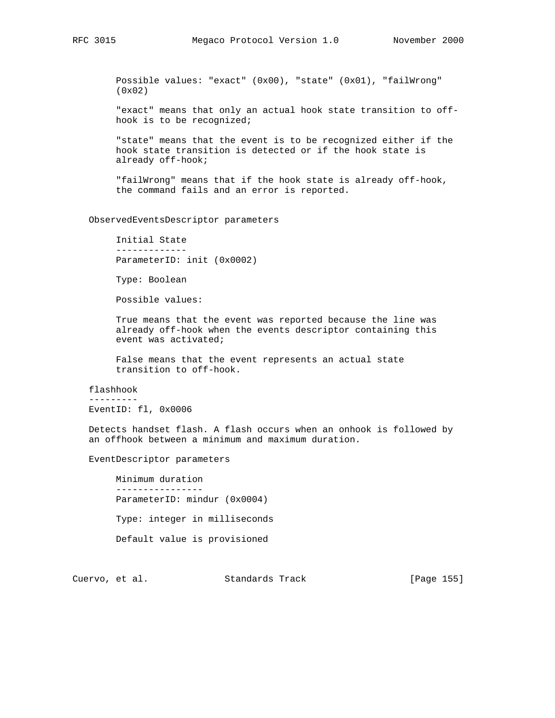Possible values: "exact" (0x00), "state" (0x01), "failWrong" (0x02)

 "exact" means that only an actual hook state transition to off hook is to be recognized;

 "state" means that the event is to be recognized either if the hook state transition is detected or if the hook state is already off-hook;

 "failWrong" means that if the hook state is already off-hook, the command fails and an error is reported.

## ObservedEventsDescriptor parameters

 Initial State ------------- ParameterID: init (0x0002)

Type: Boolean

Possible values:

 True means that the event was reported because the line was already off-hook when the events descriptor containing this event was activated;

 False means that the event represents an actual state transition to off-hook.

#### flashhook

---------

EventID: fl, 0x0006

 Detects handset flash. A flash occurs when an onhook is followed by an offhook between a minimum and maximum duration.

EventDescriptor parameters

 Minimum duration ---------------- ParameterID: mindur (0x0004) Type: integer in milliseconds Default value is provisioned

Cuervo, et al. Standards Track [Page 155]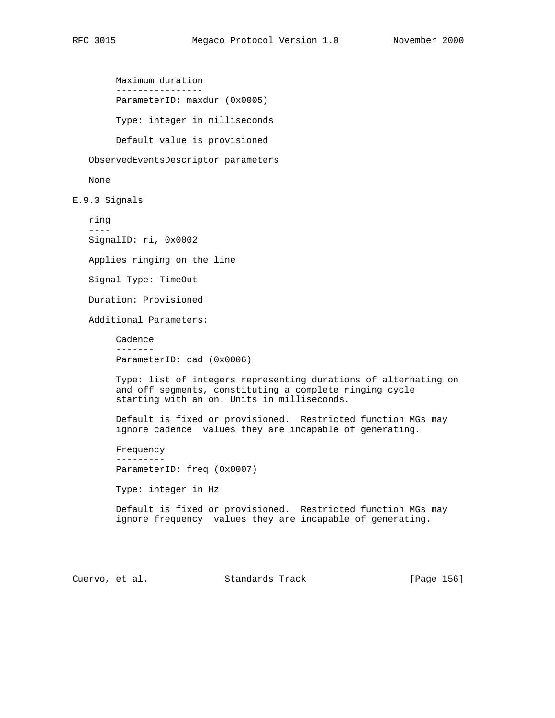Maximum duration ---------------- ParameterID: maxdur (0x0005) Type: integer in milliseconds Default value is provisioned

ObservedEventsDescriptor parameters

None

E.9.3 Signals

 ring ---- SignalID: ri, 0x0002

Applies ringing on the line

Signal Type: TimeOut

Duration: Provisioned

Additional Parameters:

 Cadence ------- ParameterID: cad (0x0006)

 Type: list of integers representing durations of alternating on and off segments, constituting a complete ringing cycle starting with an on. Units in milliseconds.

 Default is fixed or provisioned. Restricted function MGs may ignore cadence values they are incapable of generating.

 Frequency --------- ParameterID: freq (0x0007)

Type: integer in Hz

 Default is fixed or provisioned. Restricted function MGs may ignore frequency values they are incapable of generating.

Cuervo, et al. Standards Track [Page 156]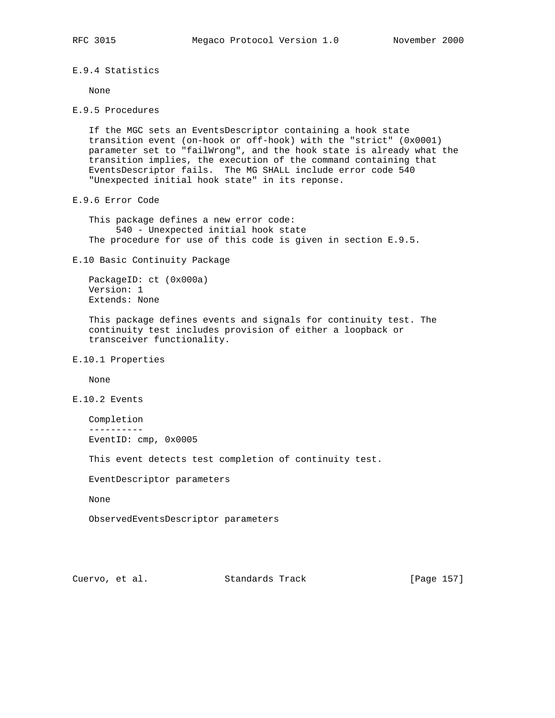E.9.4 Statistics

None

E.9.5 Procedures

 If the MGC sets an EventsDescriptor containing a hook state transition event (on-hook or off-hook) with the "strict" (0x0001) parameter set to "failWrong", and the hook state is already what the transition implies, the execution of the command containing that EventsDescriptor fails. The MG SHALL include error code 540 "Unexpected initial hook state" in its reponse.

E.9.6 Error Code

 This package defines a new error code: 540 - Unexpected initial hook state The procedure for use of this code is given in section E.9.5.

E.10 Basic Continuity Package

 PackageID: ct (0x000a) Version: 1 Extends: None

 This package defines events and signals for continuity test. The continuity test includes provision of either a loopback or transceiver functionality.

E.10.1 Properties

None

E.10.2 Events

 Completion ---------- EventID: cmp, 0x0005

This event detects test completion of continuity test.

EventDescriptor parameters

None

ObservedEventsDescriptor parameters

Cuervo, et al. Standards Track [Page 157]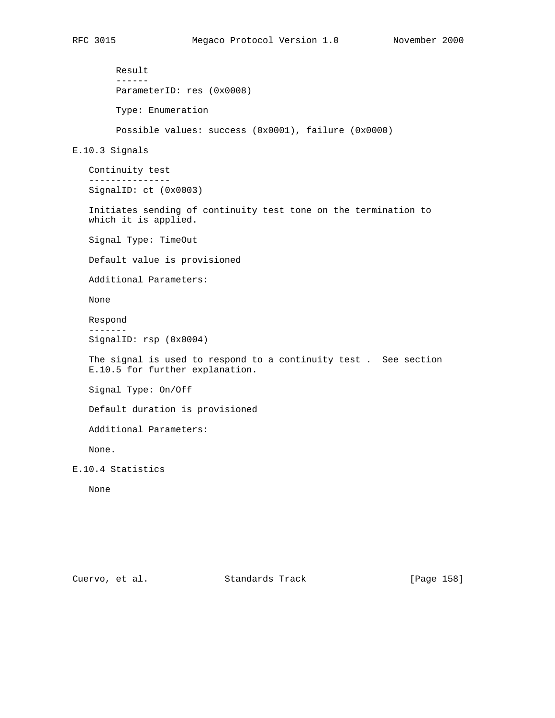```
 Result
         ------
         ParameterID: res (0x0008)
         Type: Enumeration
         Possible values: success (0x0001), failure (0x0000)
E.10.3 Signals
    Continuity test
    ---------------
    SignalID: ct (0x0003)
    Initiates sending of continuity test tone on the termination to
    which it is applied.
    Signal Type: TimeOut
    Default value is provisioned
    Additional Parameters:
    None
    Respond
    -------
    SignalID: rsp (0x0004)
    The signal is used to respond to a continuity test . See section
    E.10.5 for further explanation.
    Signal Type: On/Off
    Default duration is provisioned
    Additional Parameters:
    None.
E.10.4 Statistics
   None
```
Cuervo, et al. Standards Track [Page 158]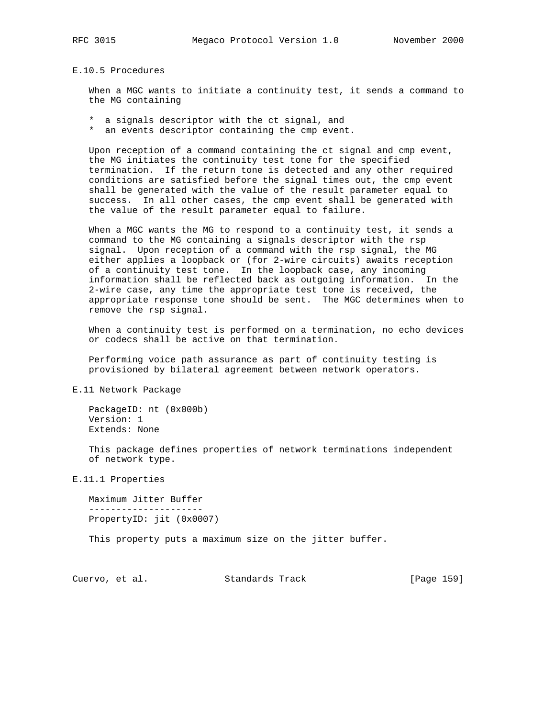E.10.5 Procedures

 When a MGC wants to initiate a continuity test, it sends a command to the MG containing

 \* a signals descriptor with the ct signal, and \* an events descriptor containing the cmp event.

 Upon reception of a command containing the ct signal and cmp event, the MG initiates the continuity test tone for the specified termination. If the return tone is detected and any other required conditions are satisfied before the signal times out, the cmp event shall be generated with the value of the result parameter equal to success. In all other cases, the cmp event shall be generated with the value of the result parameter equal to failure.

 When a MGC wants the MG to respond to a continuity test, it sends a command to the MG containing a signals descriptor with the rsp signal. Upon reception of a command with the rsp signal, the MG either applies a loopback or (for 2-wire circuits) awaits reception of a continuity test tone. In the loopback case, any incoming information shall be reflected back as outgoing information. In the 2-wire case, any time the appropriate test tone is received, the appropriate response tone should be sent. The MGC determines when to remove the rsp signal.

 When a continuity test is performed on a termination, no echo devices or codecs shall be active on that termination.

 Performing voice path assurance as part of continuity testing is provisioned by bilateral agreement between network operators.

E.11 Network Package

 PackageID: nt (0x000b) Version: 1 Extends: None

 This package defines properties of network terminations independent of network type.

E.11.1 Properties

 Maximum Jitter Buffer --------------------- PropertyID: jit (0x0007)

This property puts a maximum size on the jitter buffer.

Cuervo, et al. Standards Track [Page 159]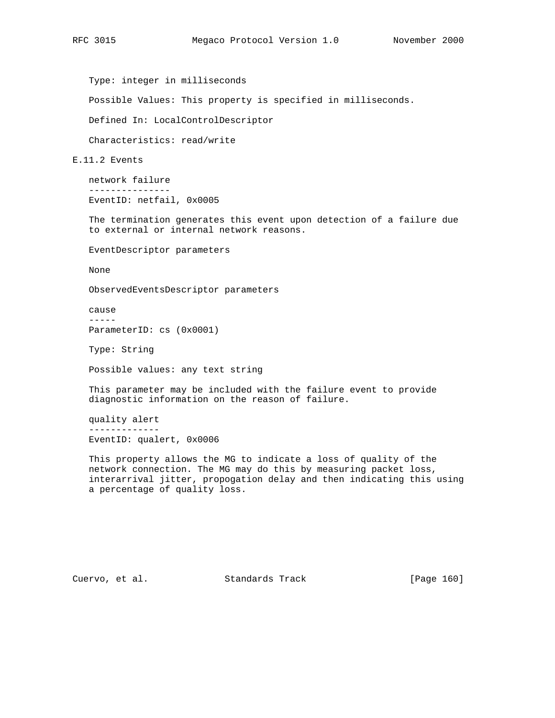Type: integer in milliseconds

Possible Values: This property is specified in milliseconds.

Defined In: LocalControlDescriptor

Characteristics: read/write

E.11.2 Events

 network failure --------------- EventID: netfail, 0x0005

 The termination generates this event upon detection of a failure due to external or internal network reasons.

EventDescriptor parameters

None

ObservedEventsDescriptor parameters

 cause ----- ParameterID: cs (0x0001)

Type: String

Possible values: any text string

 This parameter may be included with the failure event to provide diagnostic information on the reason of failure.

 quality alert ------------- EventID: qualert, 0x0006

 This property allows the MG to indicate a loss of quality of the network connection. The MG may do this by measuring packet loss, interarrival jitter, propogation delay and then indicating this using a percentage of quality loss.

Cuervo, et al. Standards Track [Page 160]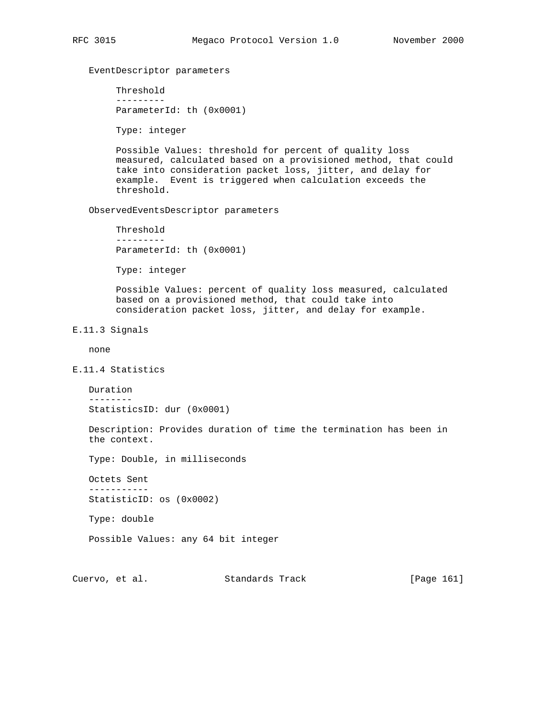# EventDescriptor parameters

 Threshold --------- ParameterId: th (0x0001)

Type: integer

 Possible Values: threshold for percent of quality loss measured, calculated based on a provisioned method, that could take into consideration packet loss, jitter, and delay for example. Event is triggered when calculation exceeds the threshold.

ObservedEventsDescriptor parameters

 Threshold --------- ParameterId: th (0x0001)

Type: integer

 Possible Values: percent of quality loss measured, calculated based on a provisioned method, that could take into consideration packet loss, jitter, and delay for example.

E.11.3 Signals

none

E.11.4 Statistics

 Duration -------- StatisticsID: dur (0x0001)

 Description: Provides duration of time the termination has been in the context.

Type: Double, in milliseconds

 Octets Sent ----------- StatisticID: os (0x0002)

Type: double

Possible Values: any 64 bit integer

Cuervo, et al. Standards Track [Page 161]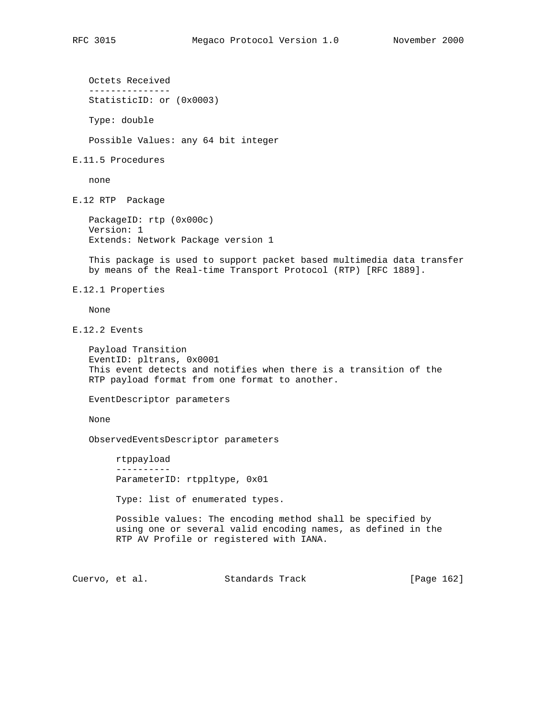Octets Received ---------------

StatisticID: or (0x0003)

 Type: double Possible Values: any 64 bit integer E.11.5 Procedures none E.12 RTP Package PackageID: rtp (0x000c) Version: 1 Extends: Network Package version 1 This package is used to support packet based multimedia data transfer by means of the Real-time Transport Protocol (RTP) [RFC 1889]. E.12.1 Properties None E.12.2 Events Payload Transition EventID: pltrans, 0x0001 This event detects and notifies when there is a transition of the RTP payload format from one format to another. EventDescriptor parameters None ObservedEventsDescriptor parameters rtppayload ---------- ParameterID: rtppltype, 0x01 Type: list of enumerated types. Possible values: The encoding method shall be specified by using one or several valid encoding names, as defined in the RTP AV Profile or registered with IANA. Cuervo, et al. Standards Track [Page 162]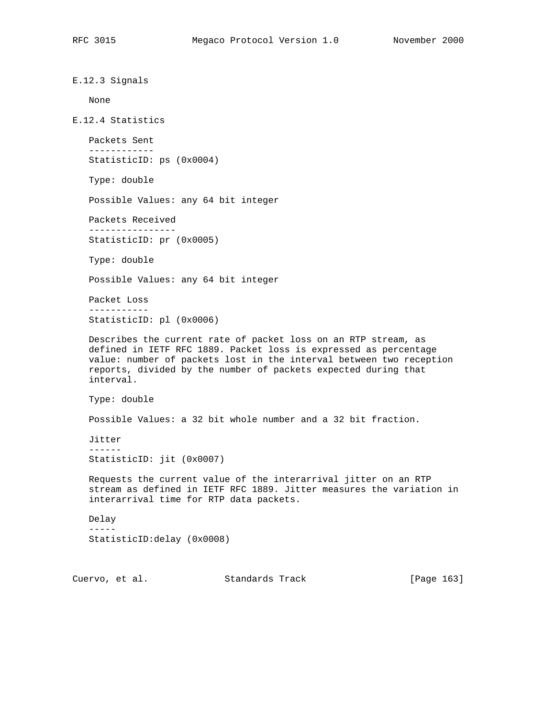E.12.3 Signals None E.12.4 Statistics Packets Sent ------------ StatisticID: ps (0x0004) Type: double Possible Values: any 64 bit integer Packets Received ---------------- StatisticID: pr (0x0005) Type: double Possible Values: any 64 bit integer Packet Loss ----------- StatisticID: pl (0x0006) Describes the current rate of packet loss on an RTP stream, as defined in IETF RFC 1889. Packet loss is expressed as percentage value: number of packets lost in the interval between two reception reports, divided by the number of packets expected during that interval. Type: double Possible Values: a 32 bit whole number and a 32 bit fraction. Jitter ------ StatisticID: jit (0x0007) Requests the current value of the interarrival jitter on an RTP stream as defined in IETF RFC 1889. Jitter measures the variation in interarrival time for RTP data packets. Delay ----- StatisticID:delay (0x0008)

Cuervo, et al. Standards Track [Page 163]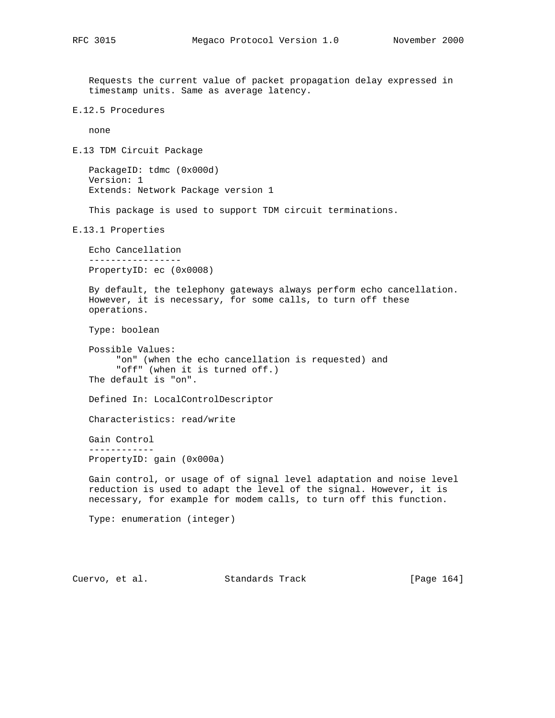Requests the current value of packet propagation delay expressed in timestamp units. Same as average latency.

E.12.5 Procedures

none

E.13 TDM Circuit Package

 PackageID: tdmc (0x000d) Version: 1 Extends: Network Package version 1

This package is used to support TDM circuit terminations.

E.13.1 Properties

 Echo Cancellation ----------------- PropertyID: ec (0x0008)

 By default, the telephony gateways always perform echo cancellation. However, it is necessary, for some calls, to turn off these operations.

Type: boolean

```
 Possible Values:
      "on" (when the echo cancellation is requested) and
      "off" (when it is turned off.)
 The default is "on".
```
Defined In: LocalControlDescriptor

Characteristics: read/write

 Gain Control ------------ PropertyID: gain (0x000a)

 Gain control, or usage of of signal level adaptation and noise level reduction is used to adapt the level of the signal. However, it is necessary, for example for modem calls, to turn off this function.

Type: enumeration (integer)

Cuervo, et al. Standards Track [Page 164]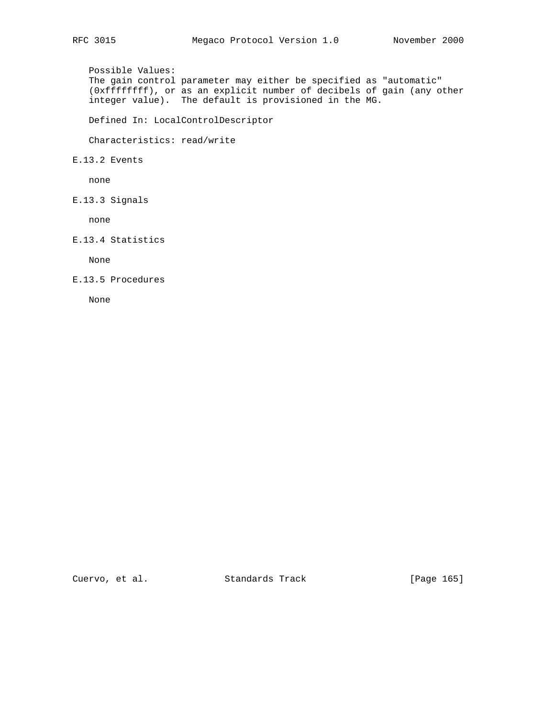Possible Values: The gain control parameter may either be specified as "automatic" (0xffffffff), or as an explicit number of decibels of gain (any other integer value). The default is provisioned in the MG.

Defined In: LocalControlDescriptor

Characteristics: read/write

E.13.2 Events

none

E.13.3 Signals

none

E.13.4 Statistics

None

E.13.5 Procedures

None

Cuervo, et al. Standards Track [Page 165]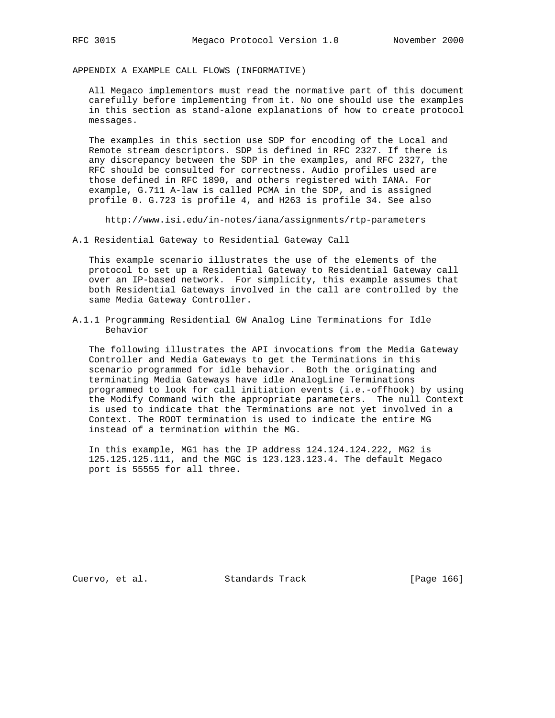APPENDIX A EXAMPLE CALL FLOWS (INFORMATIVE)

 All Megaco implementors must read the normative part of this document carefully before implementing from it. No one should use the examples in this section as stand-alone explanations of how to create protocol messages.

 The examples in this section use SDP for encoding of the Local and Remote stream descriptors. SDP is defined in RFC 2327. If there is any discrepancy between the SDP in the examples, and RFC 2327, the RFC should be consulted for correctness. Audio profiles used are those defined in RFC 1890, and others registered with IANA. For example, G.711 A-law is called PCMA in the SDP, and is assigned profile 0. G.723 is profile 4, and H263 is profile 34. See also

http://www.isi.edu/in-notes/iana/assignments/rtp-parameters

A.1 Residential Gateway to Residential Gateway Call

 This example scenario illustrates the use of the elements of the protocol to set up a Residential Gateway to Residential Gateway call over an IP-based network. For simplicity, this example assumes that both Residential Gateways involved in the call are controlled by the same Media Gateway Controller.

A.1.1 Programming Residential GW Analog Line Terminations for Idle Behavior

 The following illustrates the API invocations from the Media Gateway Controller and Media Gateways to get the Terminations in this scenario programmed for idle behavior. Both the originating and terminating Media Gateways have idle AnalogLine Terminations programmed to look for call initiation events (i.e.-offhook) by using the Modify Command with the appropriate parameters. The null Context is used to indicate that the Terminations are not yet involved in a Context. The ROOT termination is used to indicate the entire MG instead of a termination within the MG.

 In this example, MG1 has the IP address 124.124.124.222, MG2 is 125.125.125.111, and the MGC is 123.123.123.4. The default Megaco port is 55555 for all three.

Cuervo, et al. Standards Track [Page 166]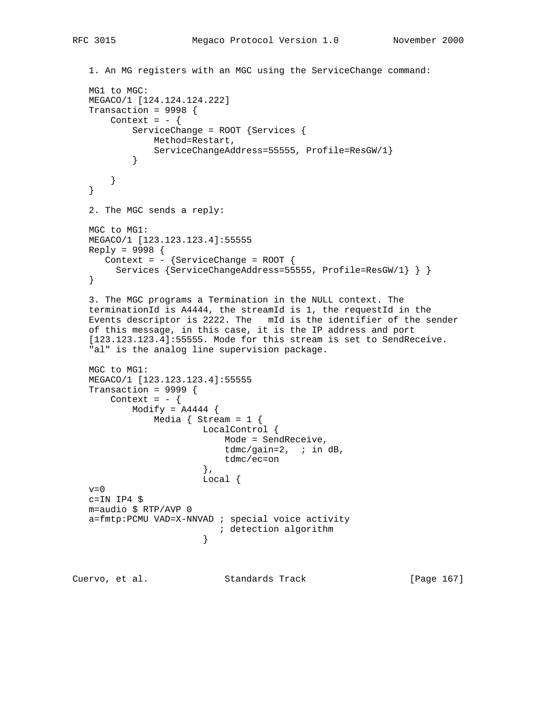```
 1. An MG registers with an MGC using the ServiceChange command:
   MG1 to MGC:
   MEGACO/1 [124.124.124.222]
   Transaction = 9998 {
      Context = - {
           ServiceChange = ROOT {Services {
              Method=Restart,
          ServiceChangeAddress=55555, Profile=ResGW/1}
 }
       }
   }
   2. The MGC sends a reply:
   MGC to MG1:
   MEGACO/1 [123.123.123.4]:55555
   Reply = 9998 {
     Context = - {ServiceChange = ROOT {
        Services {ServiceChangeAddress=55555, Profile=ResGW/1} } }
   }
   3. The MGC programs a Termination in the NULL context. The
   terminationId is A4444, the streamId is 1, the requestId in the
   Events descriptor is 2222. The mId is the identifier of the sender
   of this message, in this case, it is the IP address and port
   [123.123.123.4]:55555. Mode for this stream is set to SendReceive.
   "al" is the analog line supervision package.
   MGC to MG1:
   MEGACO/1 [123.123.123.4]:55555
   Transaction = 9999 {
      Context = - {
          Modify = A4444 {
              Media \{ Stream = 1 \{ LocalControl {
                          Mode = SendReceive,
                          tdmc/gain=2, ; in dB,
                      tdmc/ec=on},
\},
                       Local {
  v=0c=IN IP4 $ m=audio $ RTP/AVP 0
   a=fmtp:PCMU VAD=X-NNVAD ; special voice activity
                       ; detection algorithm
 }
Cuervo, et al. Standards Track [Page 167]
```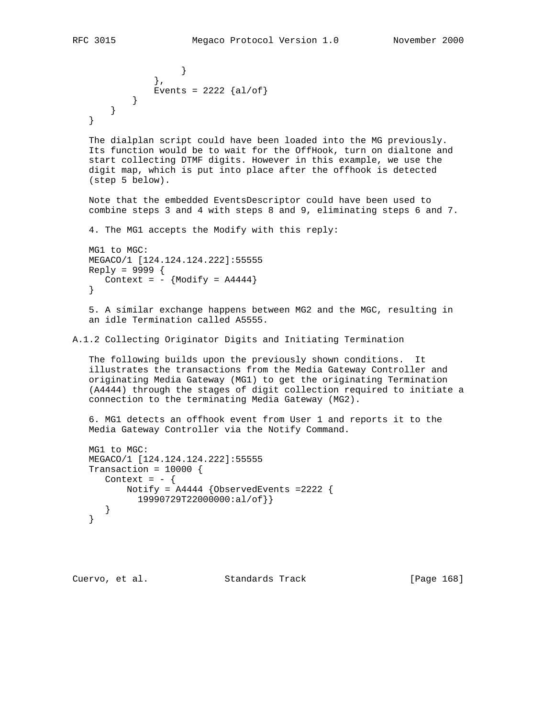```
 }
            },
           Events = 2222 {al/of}
         }
      }
   }
```
 The dialplan script could have been loaded into the MG previously. Its function would be to wait for the OffHook, turn on dialtone and start collecting DTMF digits. However in this example, we use the digit map, which is put into place after the offhook is detected (step 5 below).

 Note that the embedded EventsDescriptor could have been used to combine steps 3 and 4 with steps 8 and 9, eliminating steps 6 and 7.

4. The MG1 accepts the Modify with this reply:

```
 MG1 to MGC:
 MEGACO/1 [124.124.124.222]:55555
 Reply = 9999 {
   Context = - {Modify = A4444}
 }
```
 5. A similar exchange happens between MG2 and the MGC, resulting in an idle Termination called A5555.

A.1.2 Collecting Originator Digits and Initiating Termination

 The following builds upon the previously shown conditions. It illustrates the transactions from the Media Gateway Controller and originating Media Gateway (MG1) to get the originating Termination (A4444) through the stages of digit collection required to initiate a connection to the terminating Media Gateway (MG2).

 6. MG1 detects an offhook event from User 1 and reports it to the Media Gateway Controller via the Notify Command.

```
 MG1 to MGC:
 MEGACO/1 [124.124.124.222]:55555
Transaction = 10000 {
  Context = - {
       Notify = A4444 {ObservedEvents =2222 {
         19990729T22000000:al/of}}
    }
 }
```
Cuervo, et al. Standards Track [Page 168]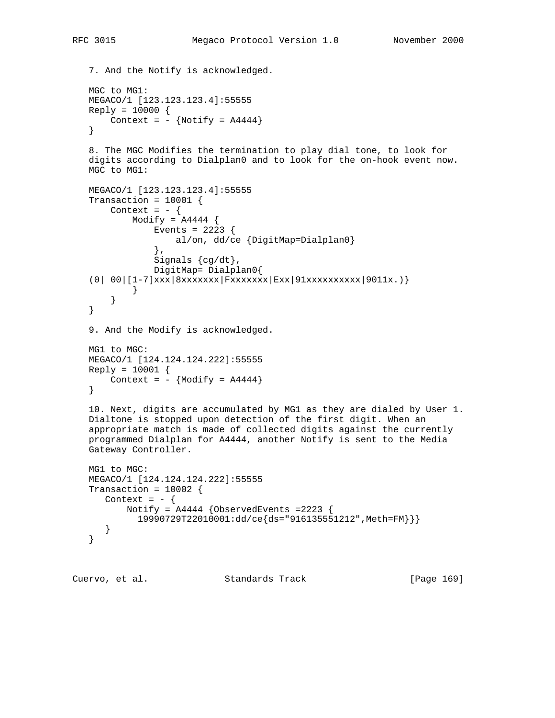```
 7. And the Notify is acknowledged.
   MGC to MG1:
   MEGACO/1 [123.123.123.4]:55555
   Reply = 10000 {
      Context = - {Notify = A4444}
    }
    8. The MGC Modifies the termination to play dial tone, to look for
    digits according to Dialplan0 and to look for the on-hook event now.
    MGC to MG1:
    MEGACO/1 [123.123.123.4]:55555
   Transaction = 10001 {
      Context = - {
          Modify = A4444 {
                Events = 2223 {
                  al/on, dd/ce {DigitMap=Dialplan0}
                },
               Signals \{cg/dt\},
                DigitMap= Dialplan0{
   (0| 00| [1-7]xxx| 8xxxxxx| Fxxxxxxx| Exx|91xxxxxxxxx|9011x. )\} }
        }
    }
    9. And the Modify is acknowledged.
   MG1 to MGC:
   MEGACO/1 [124.124.124.222]:55555
    Reply = 10001 {
      Context = - {Modify = A4444}
    }
    10. Next, digits are accumulated by MG1 as they are dialed by User 1.
    Dialtone is stopped upon detection of the first digit. When an
    appropriate match is made of collected digits against the currently
    programmed Dialplan for A4444, another Notify is sent to the Media
    Gateway Controller.
   MG1 to MGC:
   MEGACO/1 [124.124.124.222]:55555
   Transaction = 10002 {
     Context = - {
          Notify = A4444 {ObservedEvents =2223 {
            19990729T22010001:dd/ce{ds="916135551212",Meth=FM}}}
      }
    }
Cuervo, et al. Standards Track [Page 169]
```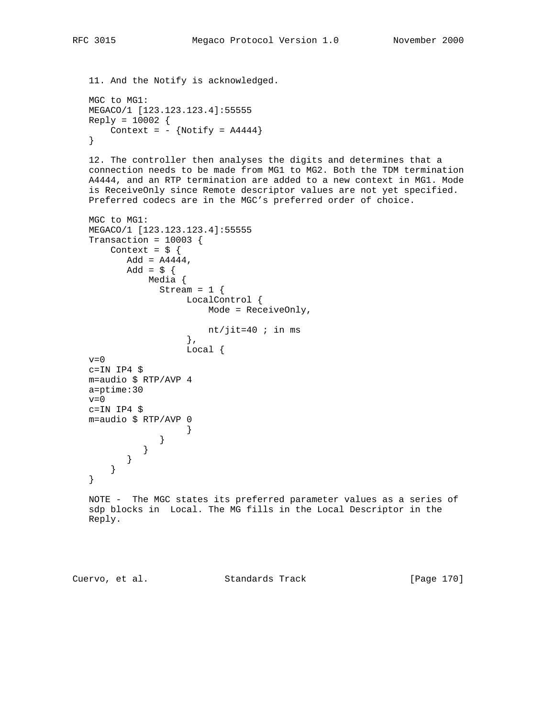11. And the Notify is acknowledged.

```
 MGC to MG1:
 MEGACO/1 [123.123.123.4]:55555
Reply = 10002 {
   Context = - {Notify = A4444}
 }
```
 12. The controller then analyses the digits and determines that a connection needs to be made from MG1 to MG2. Both the TDM termination A4444, and an RTP termination are added to a new context in MG1. Mode is ReceiveOnly since Remote descriptor values are not yet specified. Preferred codecs are in the MGC's preferred order of choice.

```
 MGC to MG1:
   MEGACO/1 [123.123.123.4]:55555
   Transaction = 10003 {
      Context = \frac{1}{2} {
         Add = A4444,Add = $ {\{ } Media {
               Stream = 1 \{ LocalControl {
                         Mode = ReceiveOnly,
                       nt/jit=40 ; in ms
                      },
                      Local {
  v=0 c=IN IP4 $
   m=audio $ RTP/AVP 4
   a=ptime:30
  v=0 c=IN IP4 $
   m=audio $ RTP/AVP 0
 }
                }
             }
          }
      }
   }
   NOTE - The MGC states its preferred parameter values as a series of
   sdp blocks in Local. The MG fills in the Local Descriptor in the
   Reply.
```
Cuervo, et al. Standards Track [Page 170]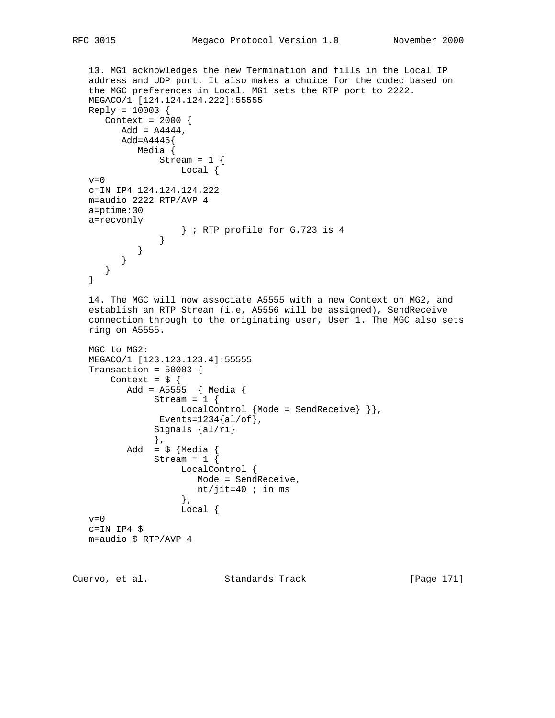```
 13. MG1 acknowledges the new Termination and fills in the Local IP
   address and UDP port. It also makes a choice for the codec based on
   the MGC preferences in Local. MG1 sets the RTP port to 2222.
   MEGACO/1 [124.124.124.222]:55555
   Reply = 10003 {
     Context = 2000 {
         Add = A4444,
         Add=A4445{
             Media {
               Stream = 1 \{ Local {
  v=0 c=IN IP4 124.124.124.222
   m=audio 2222 RTP/AVP 4
   a=ptime:30
   a=recvonly
                    } ; RTP profile for G.723 is 4
                }
            }
         }
      }
   }
   14. The MGC will now associate A5555 with a new Context on MG2, and
   establish an RTP Stream (i.e, A5556 will be assigned), SendReceive
   connection through to the originating user, User 1. The MGC also sets
   ring on A5555.
   MGC to MG2:
   MEGACO/1 [123.123.123.4]:55555
   Transaction = 50003 {
      Context = \frac{1}{2} {
          Add = A5555 { Media {
               Stream = 1 \{LocalControl {Mode = SendReceive} } },
               Events=1234{al/of},
                Signals {al/ri}
                },
          Add = \sqrt{} {Media {
               Stream = 1 \{ LocalControl {
                       Mode = SendReceive,
                    nt/jit=40 ; in ms \},
\},
                     Local {
  v=0 c=IN IP4 $
   m=audio $ RTP/AVP 4
```
Cuervo, et al. Standards Track [Page 171]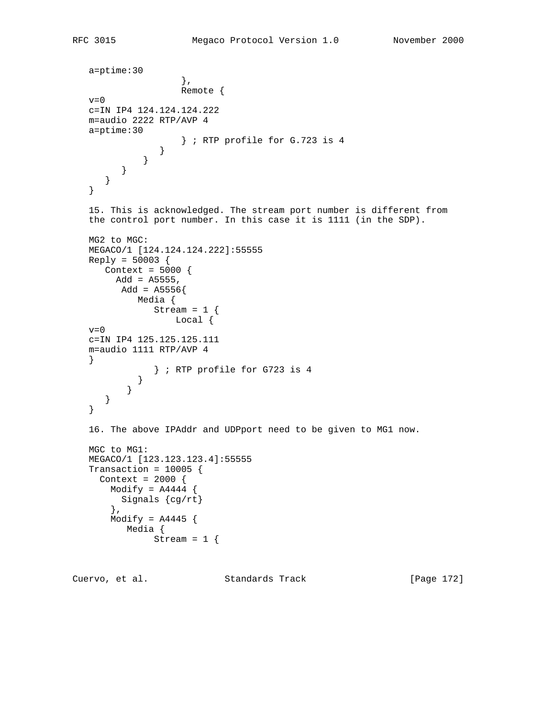```
 a=ptime:30
\},
                    Remote {
  v=0 c=IN IP4 124.124.124.222
   m=audio 2222 RTP/AVP 4
   a=ptime:30
               } ; RTP profile for G.723 is 4 }
             }
        }
      }
   }
   15. This is acknowledged. The stream port number is different from
   the control port number. In this case it is 1111 (in the SDP).
   MG2 to MGC:
   MEGACO/1 [124.124.124.222]:55555
  Reply = 50003 Context = 5000 {
       Add = A5555, Add = A5556{
            Media {
             Stream = 1 \{ Local {
  v=0 c=IN IP4 125.125.125.111
   m=audio 1111 RTP/AVP 4
   }
               } ; RTP profile for G723 is 4
            }
          }
      }
   }
   16. The above IPAddr and UDPport need to be given to MG1 now.
   MGC to MG1:
   MEGACO/1 [123.123.123.4]:55555
   Transaction = 10005 {
    Context = 2000 {
      Modify = A4444 {
         Signals {cg/rt}
       },
      Modify = A4445 {
          Media {
              Stream = 1 \{
```
Cuervo, et al. Standards Track [Page 172]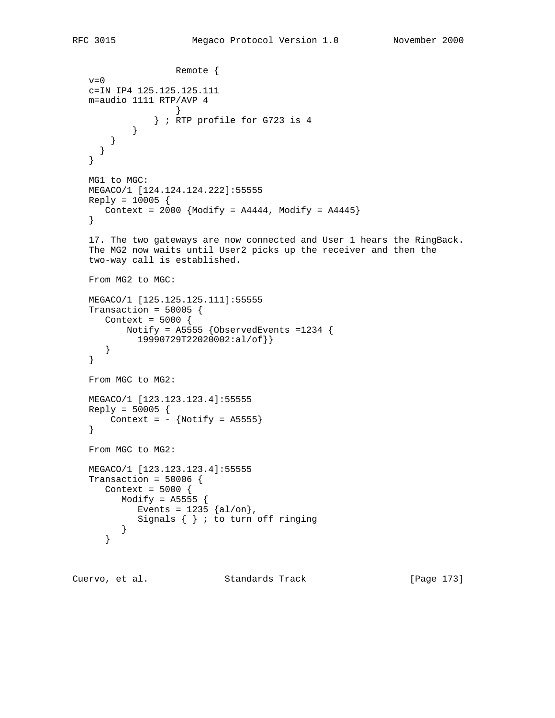```
 Remote {
  v=0 c=IN IP4 125.125.125.111
   m=audio 1111 RTP/AVP 4
 }
               } ; RTP profile for G723 is 4
 }
       }
     }
   }
   MG1 to MGC:
   MEGACO/1 [124.124.124.222]:55555
  Reply = 10005Context = 2000 {Modify = A4444, Modify = A4445}
   }
   17. The two gateways are now connected and User 1 hears the RingBack.
   The MG2 now waits until User2 picks up the receiver and then the
   two-way call is established.
   From MG2 to MGC:
   MEGACO/1 [125.125.125.111]:55555
  Transaction = 50005 {
      Context = 5000 {
          Notify = A5555 {ObservedEvents =1234 {
           19990729T22020002:al/of}}
      }
   }
   From MGC to MG2:
   MEGACO/1 [123.123.123.4]:55555
   Reply = 50005 {
     Context = - {Notify = A5555}
   }
   From MGC to MG2:
   MEGACO/1 [123.123.123.4]:55555
  Transaction = 50006 {
      Context = 5000 {
         Modify = A5555 {
           Events = 1235 \{al/on\},
           Signals \{ \} ; to turn off ringing
         }
      }
```
Cuervo, et al. Standards Track [Page 173]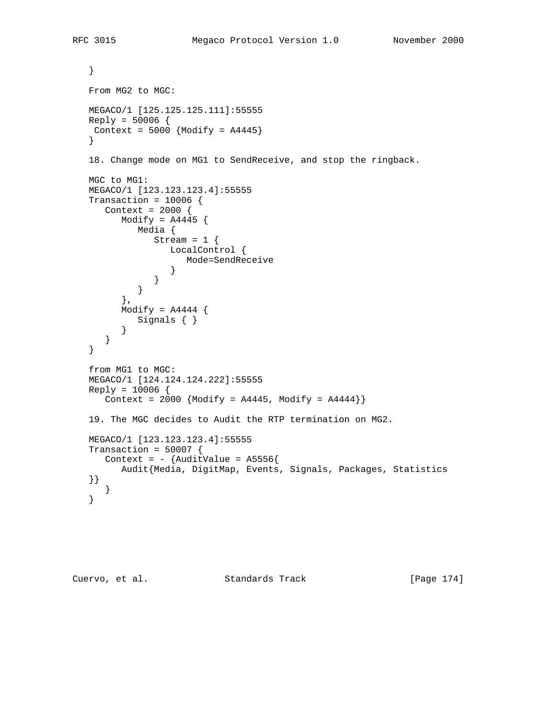```
 }
   From MG2 to MGC:
   MEGACO/1 [125.125.125.111]:55555
  Reply = 50006 {
   Context = 5000 {Modify = A4445}
   }
   18. Change mode on MG1 to SendReceive, and stop the ringback.
   MGC to MG1:
   MEGACO/1 [123.123.123.4]:55555
  Transaction = 10006 {
      Context = 2000 {
        Modify = A4445 {
            Media {
              Stream = 1 \{ LocalControl {
                    Mode=SendReceive
 }
               }
            }
         },
        Modify = A4444 {
           Signals { }
         }
      }
   }
   from MG1 to MGC:
   MEGACO/1 [124.124.124.222]:55555
  Reply = 10006 {
     Context = 2000 {Modify = A4445, Modify = A4444} 19. The MGC decides to Audit the RTP termination on MG2.
   MEGACO/1 [123.123.123.4]:55555
  Transaction = 50007 {
    Context = - {AuditValue = A5556}
         Audit{Media, DigitMap, Events, Signals, Packages, Statistics
   }}
      }
   }
```

```
Cuervo, et al. Standards Track [Page 174]
```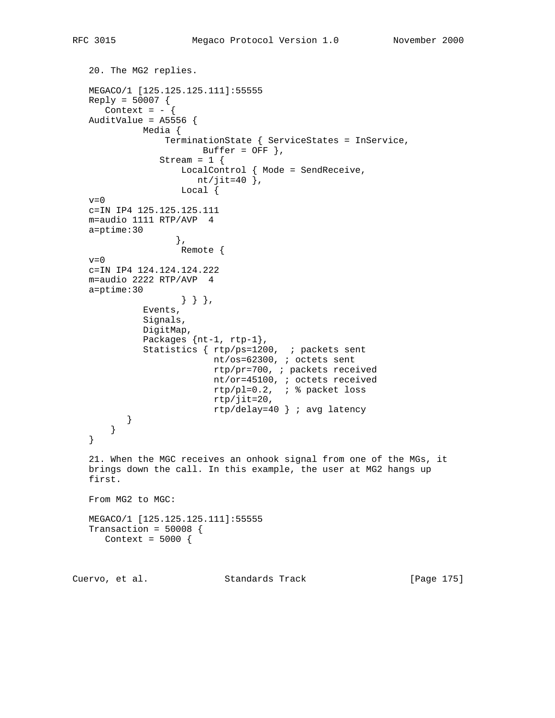```
 20. The MG2 replies.
   MEGACO/1 [125.125.125.111]:55555
   Reply = 50007 {
     Context = - {
  AuditValue = A5556 {
             Media {
                  TerminationState { ServiceStates = InService,
                       Buffer = OFF },
                Stream = 1 \{ LocalControl { Mode = SendReceive,
                      nt/jit=40 \},
                     Local {
  v=0 c=IN IP4 125.125.125.111
   m=audio 1111 RTP/AVP 4
   a=ptime:30
\},
                    Remote {
  v=0 c=IN IP4 124.124.124.222
   m=audio 2222 RTP/AVP 4
   a=ptime:30
                    } } },
              Events,
              Signals,
              DigitMap,
              Packages {nt-1, rtp-1},
              Statistics { rtp/ps=1200, ; packets sent
                           nt/os=62300, ; octets sent
                           rtp/pr=700, ; packets received
                           nt/or=45100, ; octets received
                           rtp/pl=0.2, ; % packet loss
                           rtp/jit=20,
                           rtp/delay=40 } ; avg latency
          }
       }
   }
   21. When the MGC receives an onhook signal from one of the MGs, it
   brings down the call. In this example, the user at MG2 hangs up
   first.
   From MG2 to MGC:
   MEGACO/1 [125.125.125.111]:55555
  Transaction = 50008 {
     Context = 5000 {
```
Cuervo, et al. Standards Track [Page 175]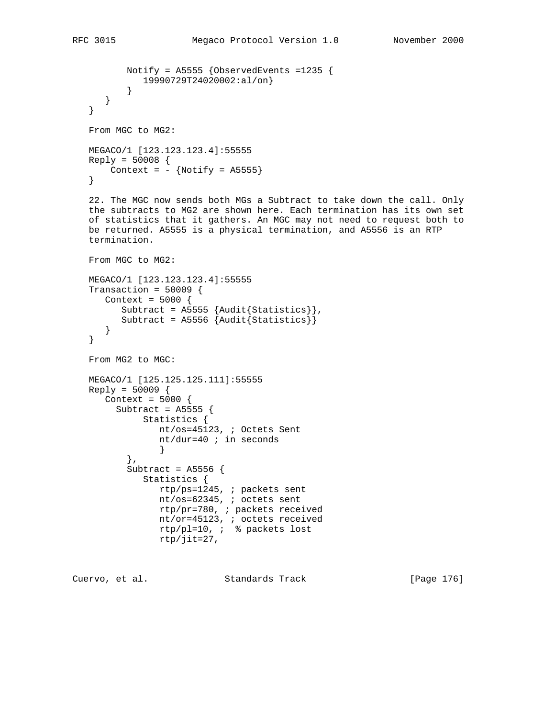},

 Subtract = A5556 { Statistics {

rtp/jit=27,

```
 Notify = A5555 {ObservedEvents =1235 {
           19990729T24020002:al/on}
 }
      }
   }
   From MGC to MG2:
   MEGACO/1 [123.123.123.4]:55555
   Reply = 50008 {
     Context = - {Notify = A5555}
   }
   22. The MGC now sends both MGs a Subtract to take down the call. Only
   the subtracts to MG2 are shown here. Each termination has its own set
   of statistics that it gathers. An MGC may not need to request both to
   be returned. A5555 is a physical termination, and A5556 is an RTP
   termination.
   From MGC to MG2:
   MEGACO/1 [123.123.123.4]:55555
  Transaction = 50009 {
     Context = 5000 {
        Subtract = A5555 {Audit{Statistics}},
         Subtract = A5556 {Audit{Statistics}}
      }
   }
   From MG2 to MGC:
   MEGACO/1 [125.125.125.111]:55555
  Reply = 50009 Context = 5000 {
        Subtract = A5555 {
             Statistics {
                nt/os=45123, ; Octets Sent
                nt/dur=40 ; in seconds
 }
```
Cuervo, et al. Standards Track [Page 176]

 rtp/ps=1245, ; packets sent nt/os=62345, ; octets sent rtp/pr=780, ; packets received nt/or=45123, ; octets received rtp/pl=10, ; % packets lost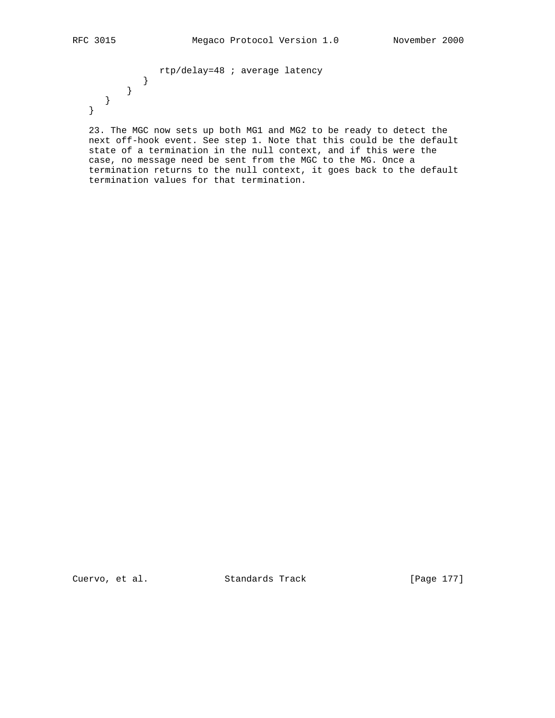rtp/delay=48 ; average latency } } } }

 23. The MGC now sets up both MG1 and MG2 to be ready to detect the next off-hook event. See step 1. Note that this could be the default state of a termination in the null context, and if this were the case, no message need be sent from the MGC to the MG. Once a termination returns to the null context, it goes back to the default termination values for that termination.

Cuervo, et al. Standards Track [Page 177]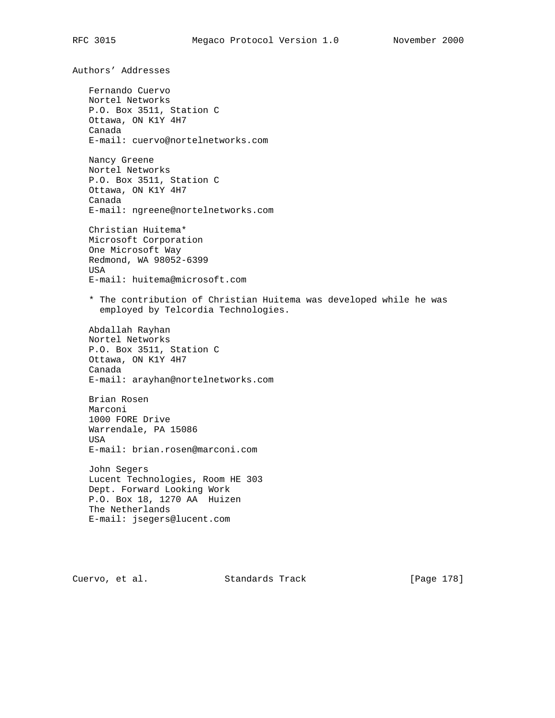Authors' Addresses Fernando Cuervo Nortel Networks P.O. Box 3511, Station C Ottawa, ON K1Y 4H7 Canada E-mail: cuervo@nortelnetworks.com Nancy Greene Nortel Networks P.O. Box 3511, Station C Ottawa, ON K1Y 4H7 Canada E-mail: ngreene@nortelnetworks.com Christian Huitema\* Microsoft Corporation One Microsoft Way Redmond, WA 98052-6399 USA E-mail: huitema@microsoft.com \* The contribution of Christian Huitema was developed while he was employed by Telcordia Technologies. Abdallah Rayhan Nortel Networks P.O. Box 3511, Station C Ottawa, ON K1Y 4H7 Canada E-mail: arayhan@nortelnetworks.com Brian Rosen Marconi 1000 FORE Drive Warrendale, PA 15086 USA E-mail: brian.rosen@marconi.com John Segers Lucent Technologies, Room HE 303 Dept. Forward Looking Work P.O. Box 18, 1270 AA Huizen The Netherlands E-mail: jsegers@lucent.com

Cuervo, et al. Standards Track [Page 178]